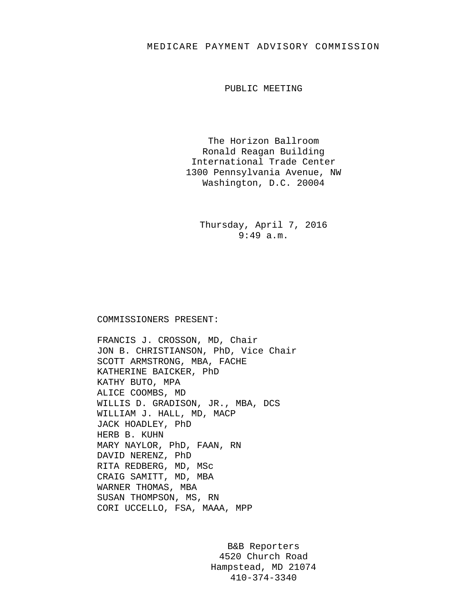## MEDICARE PAYMENT ADVISORY COMMISSION

PUBLIC MEETING

The Horizon Ballroom Ronald Reagan Building International Trade Center 1300 Pennsylvania Avenue, NW Washington, D.C. 20004

> Thursday, April 7, 2016 9:49 a.m.

## COMMISSIONERS PRESENT:

FRANCIS J. CROSSON, MD, Chair JON B. CHRISTIANSON, PhD, Vice Chair SCOTT ARMSTRONG, MBA, FACHE KATHERINE BAICKER, PhD KATHY BUTO, MPA ALICE COOMBS, MD WILLIS D. GRADISON, JR., MBA, DCS WILLIAM J. HALL, MD, MACP JACK HOADLEY, PhD HERB B. KUHN MARY NAYLOR, PhD, FAAN, RN DAVID NERENZ, PhD RITA REDBERG, MD, MSc CRAIG SAMITT, MD, MBA WARNER THOMAS, MBA SUSAN THOMPSON, MS, RN CORI UCCELLO, FSA, MAAA, MPP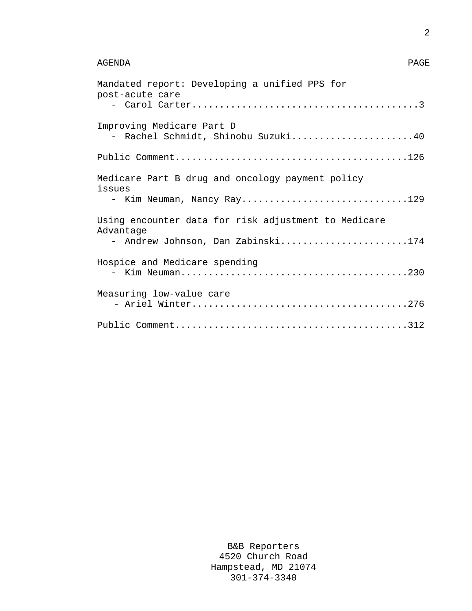## AGENDA PAGE

| Mandated report: Developing a unified PPS for<br>post-acute care  |
|-------------------------------------------------------------------|
|                                                                   |
| Improving Medicare Part D<br>- Rachel Schmidt, Shinobu Suzuki40   |
|                                                                   |
| Medicare Part B drug and oncology payment policy<br>issues        |
| - Kim Neuman, Nancy Ray129                                        |
| Using encounter data for risk adjustment to Medicare<br>Advantage |
| - Andrew Johnson, Dan Zabinski174                                 |
| Hospice and Medicare spending                                     |
| Measuring low-value care                                          |
|                                                                   |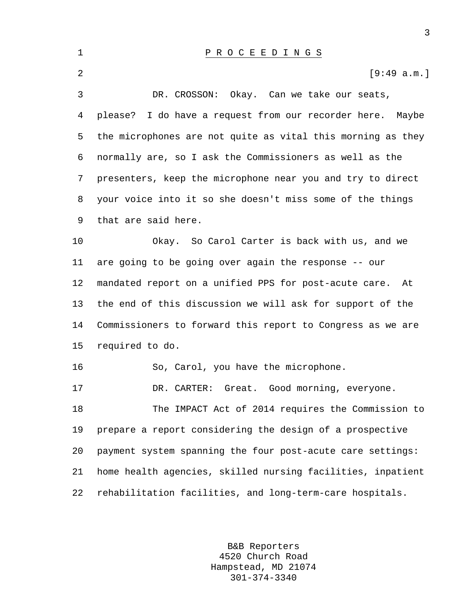| 1  | P R O C E E D I N G S                                       |
|----|-------------------------------------------------------------|
| 2  | [9:49 a.m.]                                                 |
| 3  | DR. CROSSON: Okay. Can we take our seats,                   |
| 4  | please? I do have a request from our recorder here. Maybe   |
| 5  | the microphones are not quite as vital this morning as they |
| 6  | normally are, so I ask the Commissioners as well as the     |
| 7  | presenters, keep the microphone near you and try to direct  |
| 8  | your voice into it so she doesn't miss some of the things   |
| 9  | that are said here.                                         |
| 10 | Okay. So Carol Carter is back with us, and we               |
| 11 | are going to be going over again the response -- our        |
| 12 | mandated report on a unified PPS for post-acute care.<br>At |
| 13 | the end of this discussion we will ask for support of the   |
| 14 | Commissioners to forward this report to Congress as we are  |
| 15 | required to do.                                             |
| 16 | So, Carol, you have the microphone.                         |
| 17 | Great. Good morning, everyone.<br>DR. CARTER:               |
| 18 | The IMPACT Act of 2014 requires the Commission to           |
| 19 | prepare a report considering the design of a prospective    |
| 20 | payment system spanning the four post-acute care settings:  |
| 21 | home health agencies, skilled nursing facilities, inpatient |
| 22 | rehabilitation facilities, and long-term-care hospitals.    |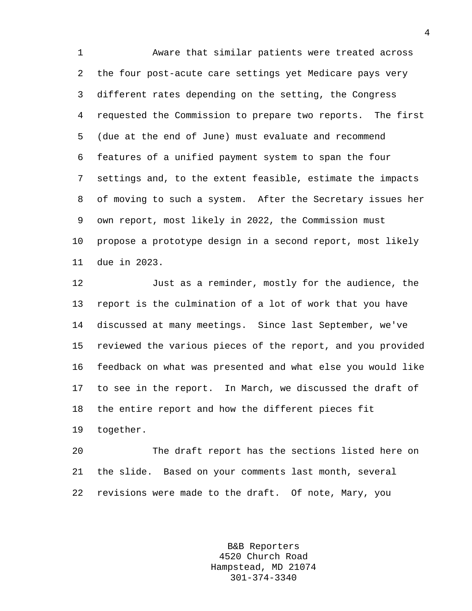1 Aware that similar patients were treated across 2 the four post-acute care settings yet Medicare pays very 3 different rates depending on the setting, the Congress 4 requested the Commission to prepare two reports. The first 5 (due at the end of June) must evaluate and recommend 6 features of a unified payment system to span the four 7 settings and, to the extent feasible, estimate the impacts 8 of moving to such a system. After the Secretary issues her 9 own report, most likely in 2022, the Commission must 10 propose a prototype design in a second report, most likely 11 due in 2023.

12 Just as a reminder, mostly for the audience, the 13 report is the culmination of a lot of work that you have 14 discussed at many meetings. Since last September, we've 15 reviewed the various pieces of the report, and you provided 16 feedback on what was presented and what else you would like 17 to see in the report. In March, we discussed the draft of 18 the entire report and how the different pieces fit 19 together.

20 The draft report has the sections listed here on 21 the slide. Based on your comments last month, several 22 revisions were made to the draft. Of note, Mary, you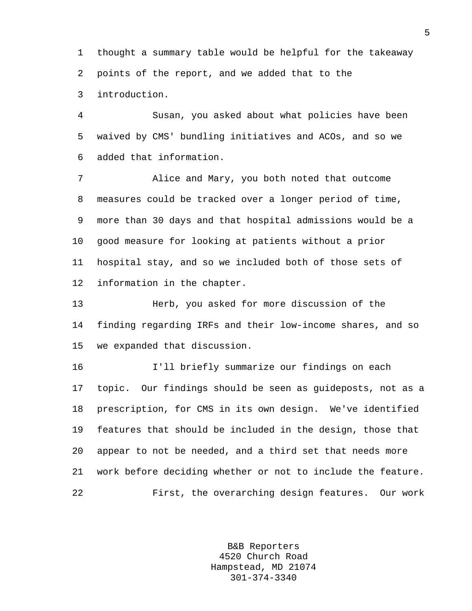1 thought a summary table would be helpful for the takeaway 2 points of the report, and we added that to the 3 introduction.

4 Susan, you asked about what policies have been 5 waived by CMS' bundling initiatives and ACOs, and so we 6 added that information.

7 Alice and Mary, you both noted that outcome 8 measures could be tracked over a longer period of time, 9 more than 30 days and that hospital admissions would be a 10 good measure for looking at patients without a prior 11 hospital stay, and so we included both of those sets of 12 information in the chapter.

13 Herb, you asked for more discussion of the 14 finding regarding IRFs and their low-income shares, and so 15 we expanded that discussion.

16 I'll briefly summarize our findings on each 17 topic. Our findings should be seen as guideposts, not as a 18 prescription, for CMS in its own design. We've identified 19 features that should be included in the design, those that 20 appear to not be needed, and a third set that needs more 21 work before deciding whether or not to include the feature. 22 First, the overarching design features. Our work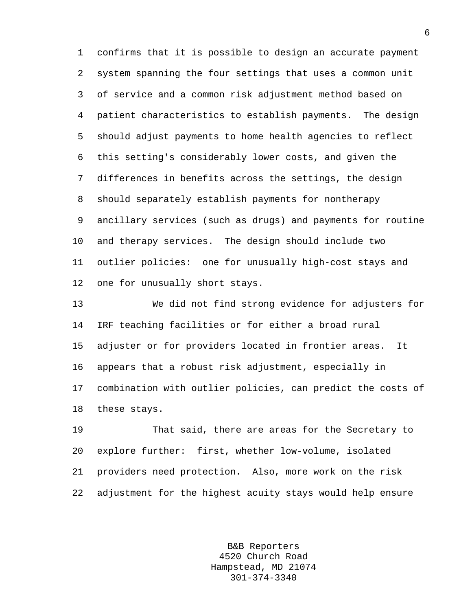1 confirms that it is possible to design an accurate payment 2 system spanning the four settings that uses a common unit 3 of service and a common risk adjustment method based on 4 patient characteristics to establish payments. The design 5 should adjust payments to home health agencies to reflect 6 this setting's considerably lower costs, and given the 7 differences in benefits across the settings, the design 8 should separately establish payments for nontherapy 9 ancillary services (such as drugs) and payments for routine 10 and therapy services. The design should include two 11 outlier policies: one for unusually high-cost stays and 12 one for unusually short stays.

13 We did not find strong evidence for adjusters for 14 IRF teaching facilities or for either a broad rural 15 adjuster or for providers located in frontier areas. It 16 appears that a robust risk adjustment, especially in 17 combination with outlier policies, can predict the costs of 18 these stays.

19 That said, there are areas for the Secretary to 20 explore further: first, whether low-volume, isolated 21 providers need protection. Also, more work on the risk 22 adjustment for the highest acuity stays would help ensure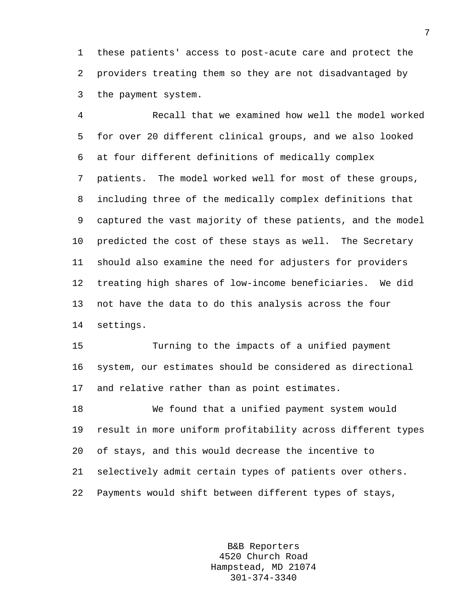1 these patients' access to post-acute care and protect the 2 providers treating them so they are not disadvantaged by 3 the payment system.

4 Recall that we examined how well the model worked 5 for over 20 different clinical groups, and we also looked 6 at four different definitions of medically complex 7 patients. The model worked well for most of these groups, 8 including three of the medically complex definitions that 9 captured the vast majority of these patients, and the model 10 predicted the cost of these stays as well. The Secretary 11 should also examine the need for adjusters for providers 12 treating high shares of low-income beneficiaries. We did 13 not have the data to do this analysis across the four 14 settings.

15 Turning to the impacts of a unified payment 16 system, our estimates should be considered as directional 17 and relative rather than as point estimates.

18 We found that a unified payment system would 19 result in more uniform profitability across different types 20 of stays, and this would decrease the incentive to 21 selectively admit certain types of patients over others. 22 Payments would shift between different types of stays,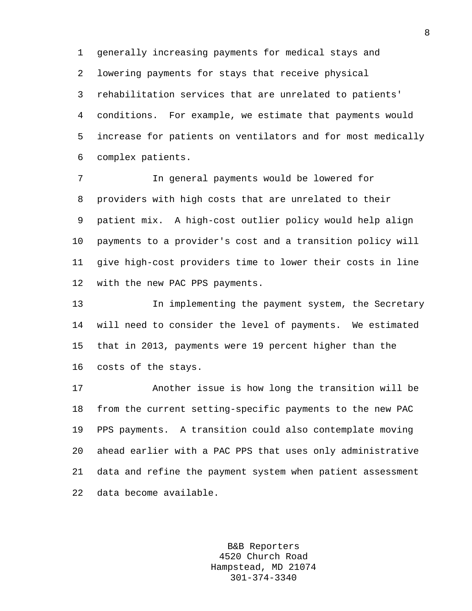1 generally increasing payments for medical stays and 2 lowering payments for stays that receive physical 3 rehabilitation services that are unrelated to patients' 4 conditions. For example, we estimate that payments would 5 increase for patients on ventilators and for most medically 6 complex patients.

7 In general payments would be lowered for 8 providers with high costs that are unrelated to their 9 patient mix. A high-cost outlier policy would help align 10 payments to a provider's cost and a transition policy will 11 give high-cost providers time to lower their costs in line 12 with the new PAC PPS payments.

13 In implementing the payment system, the Secretary 14 will need to consider the level of payments. We estimated 15 that in 2013, payments were 19 percent higher than the 16 costs of the stays.

17 Another issue is how long the transition will be 18 from the current setting-specific payments to the new PAC 19 PPS payments. A transition could also contemplate moving 20 ahead earlier with a PAC PPS that uses only administrative 21 data and refine the payment system when patient assessment 22 data become available.

> B&B Reporters 4520 Church Road Hampstead, MD 21074 301-374-3340

8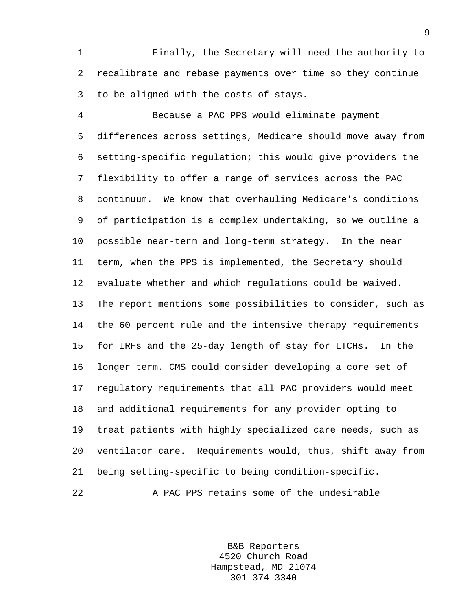1 Finally, the Secretary will need the authority to 2 recalibrate and rebase payments over time so they continue 3 to be aligned with the costs of stays.

4 Because a PAC PPS would eliminate payment 5 differences across settings, Medicare should move away from 6 setting-specific regulation; this would give providers the 7 flexibility to offer a range of services across the PAC 8 continuum. We know that overhauling Medicare's conditions 9 of participation is a complex undertaking, so we outline a 10 possible near-term and long-term strategy. In the near 11 term, when the PPS is implemented, the Secretary should 12 evaluate whether and which regulations could be waived. 13 The report mentions some possibilities to consider, such as 14 the 60 percent rule and the intensive therapy requirements 15 for IRFs and the 25-day length of stay for LTCHs. In the 16 longer term, CMS could consider developing a core set of 17 regulatory requirements that all PAC providers would meet 18 and additional requirements for any provider opting to 19 treat patients with highly specialized care needs, such as 20 ventilator care. Requirements would, thus, shift away from 21 being setting-specific to being condition-specific.

22 A PAC PPS retains some of the undesirable

B&B Reporters 4520 Church Road Hampstead, MD 21074 301-374-3340

9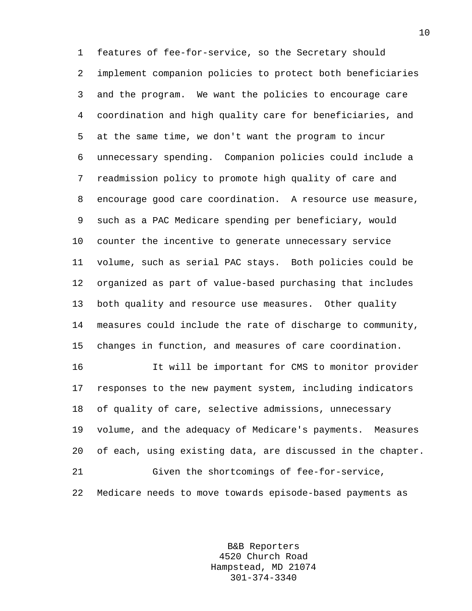1 features of fee-for-service, so the Secretary should 2 implement companion policies to protect both beneficiaries 3 and the program. We want the policies to encourage care 4 coordination and high quality care for beneficiaries, and 5 at the same time, we don't want the program to incur 6 unnecessary spending. Companion policies could include a 7 readmission policy to promote high quality of care and 8 encourage good care coordination. A resource use measure, 9 such as a PAC Medicare spending per beneficiary, would 10 counter the incentive to generate unnecessary service 11 volume, such as serial PAC stays. Both policies could be 12 organized as part of value-based purchasing that includes 13 both quality and resource use measures. Other quality 14 measures could include the rate of discharge to community, 15 changes in function, and measures of care coordination. 16 It will be important for CMS to monitor provider

17 responses to the new payment system, including indicators 18 of quality of care, selective admissions, unnecessary 19 volume, and the adequacy of Medicare's payments. Measures 20 of each, using existing data, are discussed in the chapter. 21 Given the shortcomings of fee-for-service, 22 Medicare needs to move towards episode-based payments as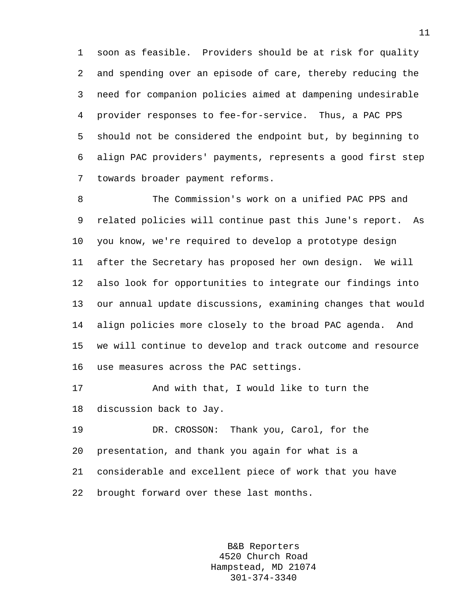1 soon as feasible. Providers should be at risk for quality 2 and spending over an episode of care, thereby reducing the 3 need for companion policies aimed at dampening undesirable 4 provider responses to fee-for-service. Thus, a PAC PPS 5 should not be considered the endpoint but, by beginning to 6 align PAC providers' payments, represents a good first step 7 towards broader payment reforms.

8 The Commission's work on a unified PAC PPS and 9 related policies will continue past this June's report. As 10 you know, we're required to develop a prototype design 11 after the Secretary has proposed her own design. We will 12 also look for opportunities to integrate our findings into 13 our annual update discussions, examining changes that would 14 align policies more closely to the broad PAC agenda. And 15 we will continue to develop and track outcome and resource 16 use measures across the PAC settings.

17 And with that, I would like to turn the 18 discussion back to Jay.

19 DR. CROSSON: Thank you, Carol, for the 20 presentation, and thank you again for what is a 21 considerable and excellent piece of work that you have 22 brought forward over these last months.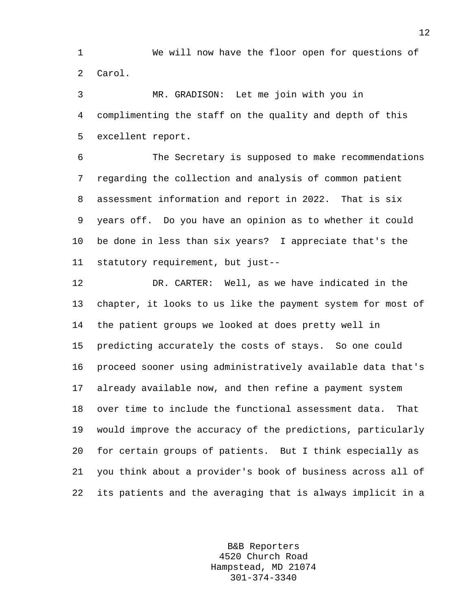1 We will now have the floor open for questions of 2 Carol.

3 MR. GRADISON: Let me join with you in 4 complimenting the staff on the quality and depth of this 5 excellent report.

6 The Secretary is supposed to make recommendations 7 regarding the collection and analysis of common patient 8 assessment information and report in 2022. That is six 9 years off. Do you have an opinion as to whether it could 10 be done in less than six years? I appreciate that's the 11 statutory requirement, but just--

12 DR. CARTER: Well, as we have indicated in the 13 chapter, it looks to us like the payment system for most of 14 the patient groups we looked at does pretty well in 15 predicting accurately the costs of stays. So one could 16 proceed sooner using administratively available data that's 17 already available now, and then refine a payment system 18 over time to include the functional assessment data. That 19 would improve the accuracy of the predictions, particularly 20 for certain groups of patients. But I think especially as 21 you think about a provider's book of business across all of 22 its patients and the averaging that is always implicit in a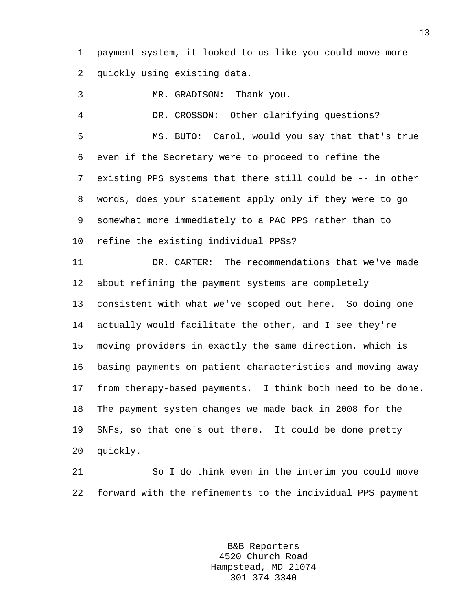1 payment system, it looked to us like you could move more 2 quickly using existing data.

3 MR. GRADISON: Thank you.

4 DR. CROSSON: Other clarifying questions? 5 MS. BUTO: Carol, would you say that that's true 6 even if the Secretary were to proceed to refine the 7 existing PPS systems that there still could be -- in other 8 words, does your statement apply only if they were to go 9 somewhat more immediately to a PAC PPS rather than to 10 refine the existing individual PPSs?

11 DR. CARTER: The recommendations that we've made 12 about refining the payment systems are completely 13 consistent with what we've scoped out here. So doing one 14 actually would facilitate the other, and I see they're 15 moving providers in exactly the same direction, which is 16 basing payments on patient characteristics and moving away 17 from therapy-based payments. I think both need to be done. 18 The payment system changes we made back in 2008 for the 19 SNFs, so that one's out there. It could be done pretty 20 quickly.

21 So I do think even in the interim you could move 22 forward with the refinements to the individual PPS payment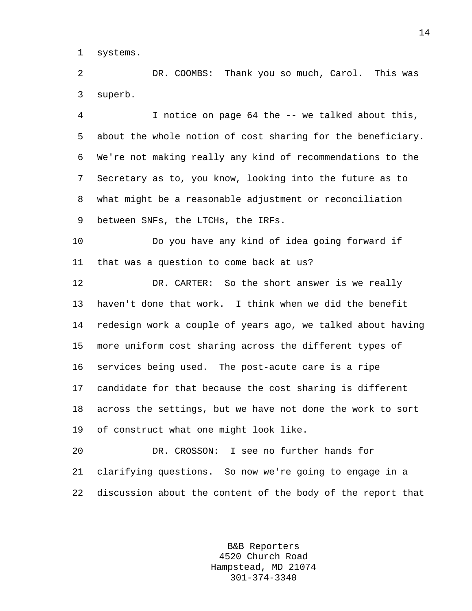1 systems.

2 DR. COOMBS: Thank you so much, Carol. This was 3 superb.

4 I notice on page 64 the -- we talked about this, 5 about the whole notion of cost sharing for the beneficiary. 6 We're not making really any kind of recommendations to the 7 Secretary as to, you know, looking into the future as to 8 what might be a reasonable adjustment or reconciliation 9 between SNFs, the LTCHs, the IRFs.

10 Do you have any kind of idea going forward if 11 that was a question to come back at us?

12 DR. CARTER: So the short answer is we really 13 haven't done that work. I think when we did the benefit 14 redesign work a couple of years ago, we talked about having 15 more uniform cost sharing across the different types of 16 services being used. The post-acute care is a ripe 17 candidate for that because the cost sharing is different 18 across the settings, but we have not done the work to sort 19 of construct what one might look like.

20 DR. CROSSON: I see no further hands for 21 clarifying questions. So now we're going to engage in a 22 discussion about the content of the body of the report that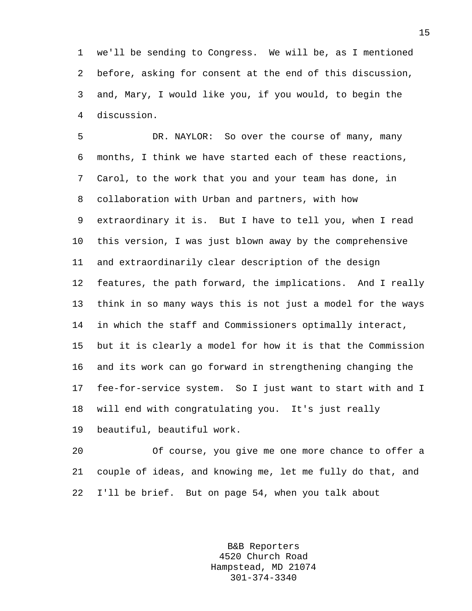1 we'll be sending to Congress. We will be, as I mentioned 2 before, asking for consent at the end of this discussion, 3 and, Mary, I would like you, if you would, to begin the 4 discussion.

5 DR. NAYLOR: So over the course of many, many 6 months, I think we have started each of these reactions, 7 Carol, to the work that you and your team has done, in 8 collaboration with Urban and partners, with how 9 extraordinary it is. But I have to tell you, when I read 10 this version, I was just blown away by the comprehensive 11 and extraordinarily clear description of the design 12 features, the path forward, the implications. And I really 13 think in so many ways this is not just a model for the ways 14 in which the staff and Commissioners optimally interact, 15 but it is clearly a model for how it is that the Commission 16 and its work can go forward in strengthening changing the 17 fee-for-service system. So I just want to start with and I 18 will end with congratulating you. It's just really 19 beautiful, beautiful work.

20 Of course, you give me one more chance to offer a 21 couple of ideas, and knowing me, let me fully do that, and 22 I'll be brief. But on page 54, when you talk about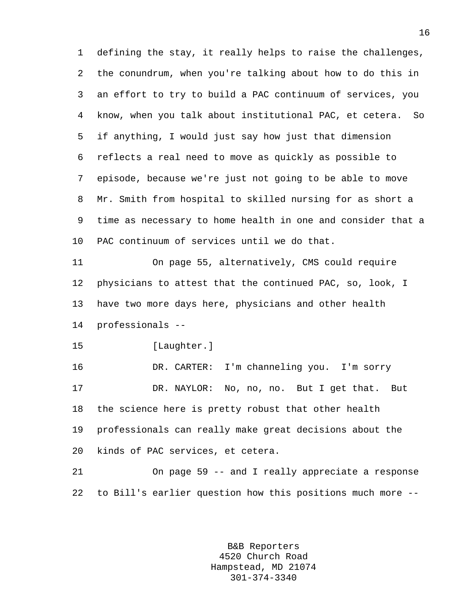1 defining the stay, it really helps to raise the challenges, 2 the conundrum, when you're talking about how to do this in 3 an effort to try to build a PAC continuum of services, you 4 know, when you talk about institutional PAC, et cetera. So 5 if anything, I would just say how just that dimension 6 reflects a real need to move as quickly as possible to 7 episode, because we're just not going to be able to move 8 Mr. Smith from hospital to skilled nursing for as short a 9 time as necessary to home health in one and consider that a 10 PAC continuum of services until we do that. 11 On page 55, alternatively, CMS could require

12 physicians to attest that the continued PAC, so, look, I 13 have two more days here, physicians and other health 14 professionals --

15 [Laughter.]

16 DR. CARTER: I'm channeling you. I'm sorry 17 DR. NAYLOR: No, no, no. But I get that. But 18 the science here is pretty robust that other health 19 professionals can really make great decisions about the 20 kinds of PAC services, et cetera.

21 On page 59 -- and I really appreciate a response 22 to Bill's earlier question how this positions much more --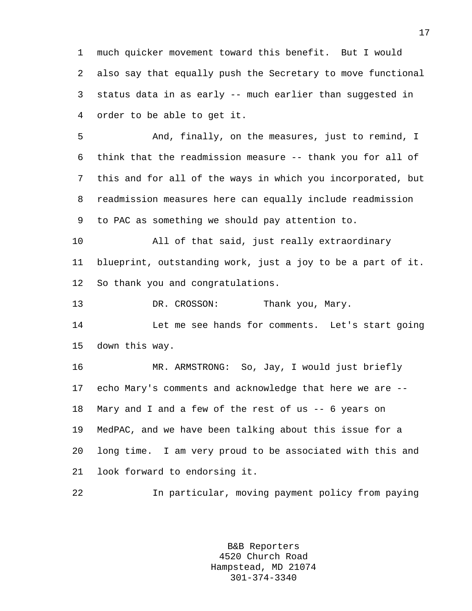1 much quicker movement toward this benefit. But I would 2 also say that equally push the Secretary to move functional 3 status data in as early -- much earlier than suggested in 4 order to be able to get it.

5 And, finally, on the measures, just to remind, I 6 think that the readmission measure -- thank you for all of 7 this and for all of the ways in which you incorporated, but 8 readmission measures here can equally include readmission 9 to PAC as something we should pay attention to.

10 All of that said, just really extraordinary 11 blueprint, outstanding work, just a joy to be a part of it. 12 So thank you and congratulations.

13 DR. CROSSON: Thank you, Mary.

14 Let me see hands for comments. Let's start going 15 down this way.

16 MR. ARMSTRONG: So, Jay, I would just briefly 17 echo Mary's comments and acknowledge that here we are -- 18 Mary and I and a few of the rest of us -- 6 years on 19 MedPAC, and we have been talking about this issue for a 20 long time. I am very proud to be associated with this and 21 look forward to endorsing it.

22 In particular, moving payment policy from paying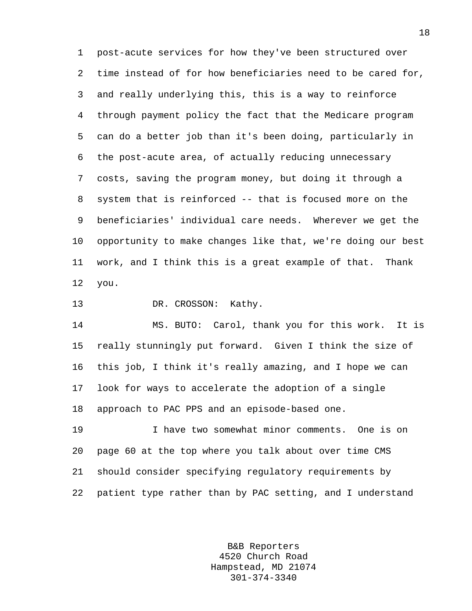1 post-acute services for how they've been structured over 2 time instead of for how beneficiaries need to be cared for, 3 and really underlying this, this is a way to reinforce 4 through payment policy the fact that the Medicare program 5 can do a better job than it's been doing, particularly in 6 the post-acute area, of actually reducing unnecessary 7 costs, saving the program money, but doing it through a 8 system that is reinforced -- that is focused more on the 9 beneficiaries' individual care needs. Wherever we get the 10 opportunity to make changes like that, we're doing our best 11 work, and I think this is a great example of that. Thank 12 you.

13 DR. CROSSON: Kathy.

14 MS. BUTO: Carol, thank you for this work. It is 15 really stunningly put forward. Given I think the size of 16 this job, I think it's really amazing, and I hope we can 17 look for ways to accelerate the adoption of a single 18 approach to PAC PPS and an episode-based one.

19 I have two somewhat minor comments. One is on 20 page 60 at the top where you talk about over time CMS 21 should consider specifying regulatory requirements by 22 patient type rather than by PAC setting, and I understand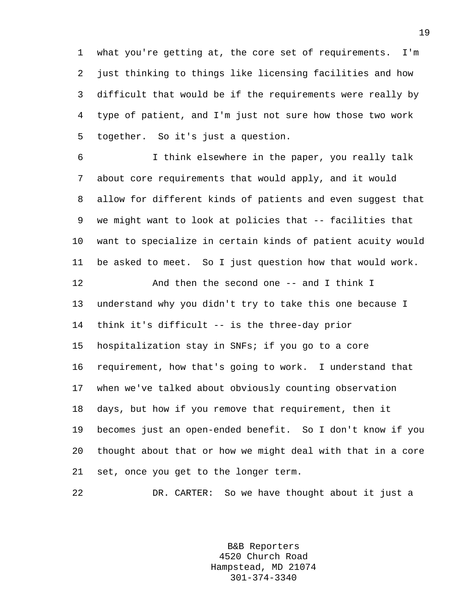1 what you're getting at, the core set of requirements. I'm 2 just thinking to things like licensing facilities and how 3 difficult that would be if the requirements were really by 4 type of patient, and I'm just not sure how those two work 5 together. So it's just a question.

6 I think elsewhere in the paper, you really talk 7 about core requirements that would apply, and it would 8 allow for different kinds of patients and even suggest that 9 we might want to look at policies that -- facilities that 10 want to specialize in certain kinds of patient acuity would 11 be asked to meet. So I just question how that would work.

12 And then the second one -- and I think I 13 understand why you didn't try to take this one because I 14 think it's difficult -- is the three-day prior 15 hospitalization stay in SNFs; if you go to a core 16 requirement, how that's going to work. I understand that 17 when we've talked about obviously counting observation 18 days, but how if you remove that requirement, then it 19 becomes just an open-ended benefit. So I don't know if you 20 thought about that or how we might deal with that in a core 21 set, once you get to the longer term.

22 DR. CARTER: So we have thought about it just a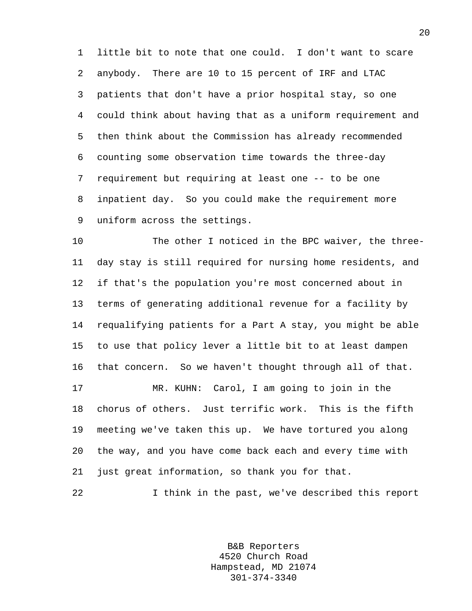1 little bit to note that one could. I don't want to scare 2 anybody. There are 10 to 15 percent of IRF and LTAC 3 patients that don't have a prior hospital stay, so one 4 could think about having that as a uniform requirement and 5 then think about the Commission has already recommended 6 counting some observation time towards the three-day 7 requirement but requiring at least one -- to be one 8 inpatient day. So you could make the requirement more 9 uniform across the settings.

10 The other I noticed in the BPC waiver, the three-11 day stay is still required for nursing home residents, and 12 if that's the population you're most concerned about in 13 terms of generating additional revenue for a facility by 14 requalifying patients for a Part A stay, you might be able 15 to use that policy lever a little bit to at least dampen 16 that concern. So we haven't thought through all of that. 17 MR. KUHN: Carol, I am going to join in the 18 chorus of others. Just terrific work. This is the fifth

19 meeting we've taken this up. We have tortured you along 20 the way, and you have come back each and every time with 21 just great information, so thank you for that.

22 I think in the past, we've described this report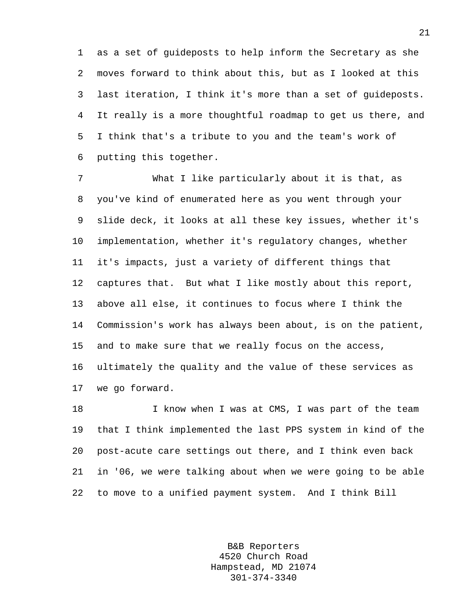1 as a set of guideposts to help inform the Secretary as she 2 moves forward to think about this, but as I looked at this 3 last iteration, I think it's more than a set of guideposts. 4 It really is a more thoughtful roadmap to get us there, and 5 I think that's a tribute to you and the team's work of 6 putting this together.

7 What I like particularly about it is that, as 8 you've kind of enumerated here as you went through your 9 slide deck, it looks at all these key issues, whether it's 10 implementation, whether it's regulatory changes, whether 11 it's impacts, just a variety of different things that 12 captures that. But what I like mostly about this report, 13 above all else, it continues to focus where I think the 14 Commission's work has always been about, is on the patient, 15 and to make sure that we really focus on the access, 16 ultimately the quality and the value of these services as 17 we go forward.

18 I know when I was at CMS, I was part of the team 19 that I think implemented the last PPS system in kind of the 20 post-acute care settings out there, and I think even back 21 in '06, we were talking about when we were going to be able 22 to move to a unified payment system. And I think Bill

> B&B Reporters 4520 Church Road Hampstead, MD 21074 301-374-3340

21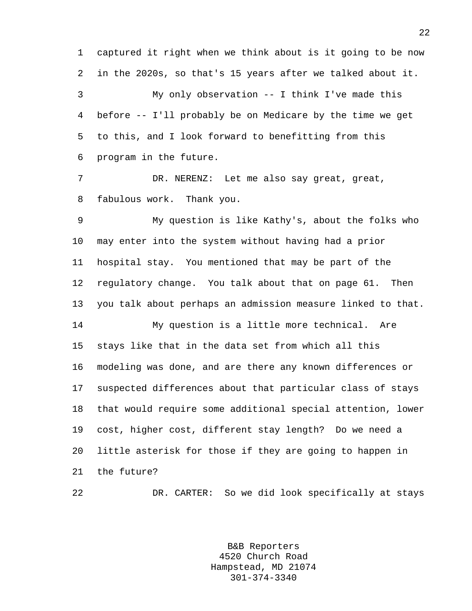1 captured it right when we think about is it going to be now 2 in the 2020s, so that's 15 years after we talked about it. 3 My only observation -- I think I've made this 4 before -- I'll probably be on Medicare by the time we get 5 to this, and I look forward to benefitting from this 6 program in the future.

7 DR. NERENZ: Let me also say great, great, 8 fabulous work. Thank you.

9 My question is like Kathy's, about the folks who 10 may enter into the system without having had a prior 11 hospital stay. You mentioned that may be part of the 12 regulatory change. You talk about that on page 61. Then 13 you talk about perhaps an admission measure linked to that. 14 My question is a little more technical. Are 15 stays like that in the data set from which all this 16 modeling was done, and are there any known differences or 17 suspected differences about that particular class of stays 18 that would require some additional special attention, lower

19 cost, higher cost, different stay length? Do we need a 20 little asterisk for those if they are going to happen in 21 the future?

22 DR. CARTER: So we did look specifically at stays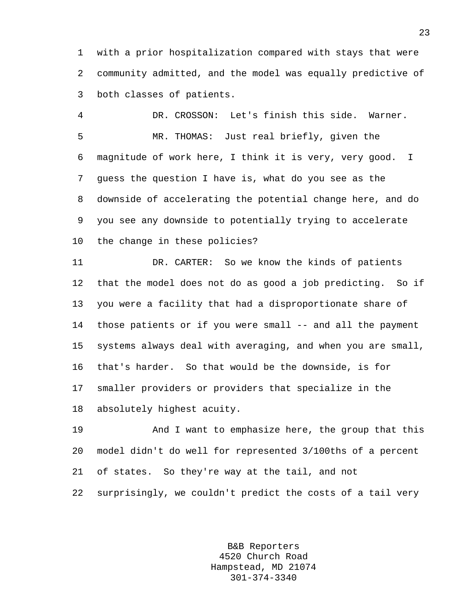1 with a prior hospitalization compared with stays that were 2 community admitted, and the model was equally predictive of 3 both classes of patients.

4 DR. CROSSON: Let's finish this side. Warner. 5 MR. THOMAS: Just real briefly, given the 6 magnitude of work here, I think it is very, very good. I 7 guess the question I have is, what do you see as the 8 downside of accelerating the potential change here, and do 9 you see any downside to potentially trying to accelerate 10 the change in these policies?

11 DR. CARTER: So we know the kinds of patients 12 that the model does not do as good a job predicting. So if 13 you were a facility that had a disproportionate share of 14 those patients or if you were small -- and all the payment 15 systems always deal with averaging, and when you are small, 16 that's harder. So that would be the downside, is for 17 smaller providers or providers that specialize in the 18 absolutely highest acuity.

19 And I want to emphasize here, the group that this 20 model didn't do well for represented 3/100ths of a percent 21 of states. So they're way at the tail, and not 22 surprisingly, we couldn't predict the costs of a tail very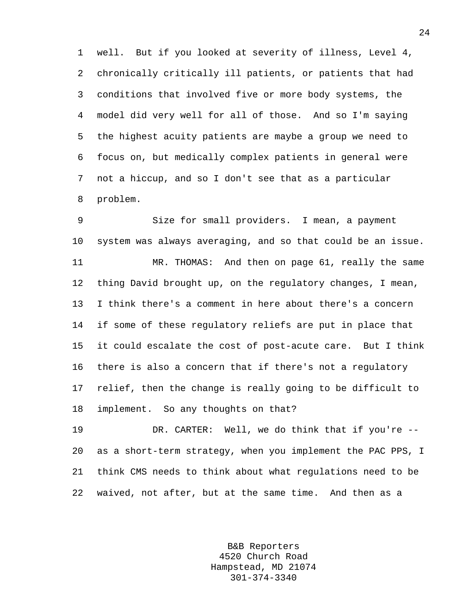1 well. But if you looked at severity of illness, Level 4, 2 chronically critically ill patients, or patients that had 3 conditions that involved five or more body systems, the 4 model did very well for all of those. And so I'm saying 5 the highest acuity patients are maybe a group we need to 6 focus on, but medically complex patients in general were 7 not a hiccup, and so I don't see that as a particular 8 problem.

9 Size for small providers. I mean, a payment 10 system was always averaging, and so that could be an issue. 11 MR. THOMAS: And then on page 61, really the same 12 thing David brought up, on the regulatory changes, I mean, 13 I think there's a comment in here about there's a concern 14 if some of these regulatory reliefs are put in place that 15 it could escalate the cost of post-acute care. But I think 16 there is also a concern that if there's not a regulatory 17 relief, then the change is really going to be difficult to 18 implement. So any thoughts on that?

19 DR. CARTER: Well, we do think that if you're -- 20 as a short-term strategy, when you implement the PAC PPS, I 21 think CMS needs to think about what regulations need to be 22 waived, not after, but at the same time. And then as a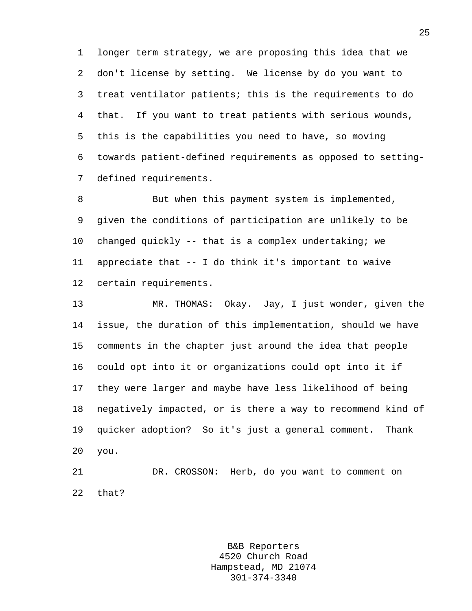1 longer term strategy, we are proposing this idea that we 2 don't license by setting. We license by do you want to 3 treat ventilator patients; this is the requirements to do 4 that. If you want to treat patients with serious wounds, 5 this is the capabilities you need to have, so moving 6 towards patient-defined requirements as opposed to setting-7 defined requirements.

8 But when this payment system is implemented, 9 given the conditions of participation are unlikely to be 10 changed quickly -- that is a complex undertaking; we 11 appreciate that -- I do think it's important to waive 12 certain requirements.

13 MR. THOMAS: Okay. Jay, I just wonder, given the 14 issue, the duration of this implementation, should we have 15 comments in the chapter just around the idea that people 16 could opt into it or organizations could opt into it if 17 they were larger and maybe have less likelihood of being 18 negatively impacted, or is there a way to recommend kind of 19 quicker adoption? So it's just a general comment. Thank 20 you.

21 DR. CROSSON: Herb, do you want to comment on 22 that?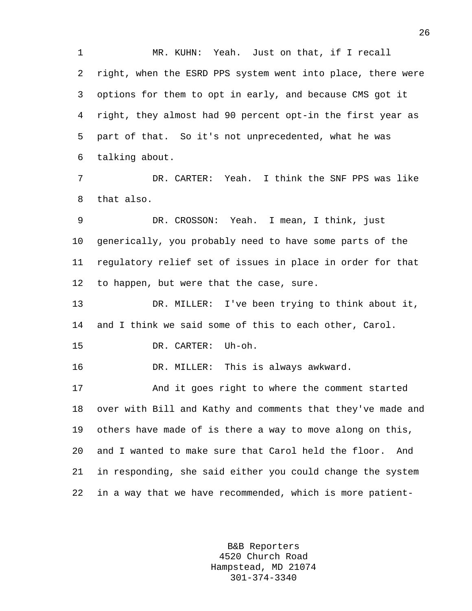1 MR. KUHN: Yeah. Just on that, if I recall 2 right, when the ESRD PPS system went into place, there were 3 options for them to opt in early, and because CMS got it 4 right, they almost had 90 percent opt-in the first year as 5 part of that. So it's not unprecedented, what he was 6 talking about.

7 DR. CARTER: Yeah. I think the SNF PPS was like 8 that also.

9 DR. CROSSON: Yeah. I mean, I think, just 10 generically, you probably need to have some parts of the 11 regulatory relief set of issues in place in order for that 12 to happen, but were that the case, sure.

13 DR. MILLER: I've been trying to think about it, 14 and I think we said some of this to each other, Carol.

15 DR. CARTER: Uh-oh.

16 DR. MILLER: This is always awkward.

17 And it goes right to where the comment started 18 over with Bill and Kathy and comments that they've made and 19 others have made of is there a way to move along on this, 20 and I wanted to make sure that Carol held the floor. And 21 in responding, she said either you could change the system 22 in a way that we have recommended, which is more patient-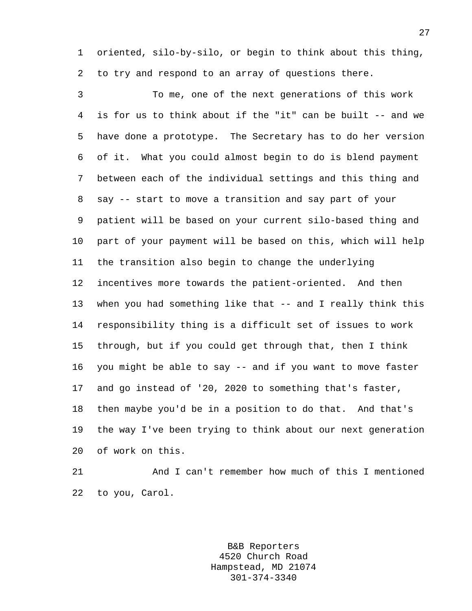1 oriented, silo-by-silo, or begin to think about this thing, 2 to try and respond to an array of questions there.

3 To me, one of the next generations of this work 4 is for us to think about if the "it" can be built -- and we 5 have done a prototype. The Secretary has to do her version 6 of it. What you could almost begin to do is blend payment 7 between each of the individual settings and this thing and 8 say -- start to move a transition and say part of your 9 patient will be based on your current silo-based thing and 10 part of your payment will be based on this, which will help 11 the transition also begin to change the underlying 12 incentives more towards the patient-oriented. And then 13 when you had something like that -- and I really think this 14 responsibility thing is a difficult set of issues to work 15 through, but if you could get through that, then I think 16 you might be able to say -- and if you want to move faster 17 and go instead of '20, 2020 to something that's faster, 18 then maybe you'd be in a position to do that. And that's 19 the way I've been trying to think about our next generation 20 of work on this.

21 And I can't remember how much of this I mentioned 22 to you, Carol.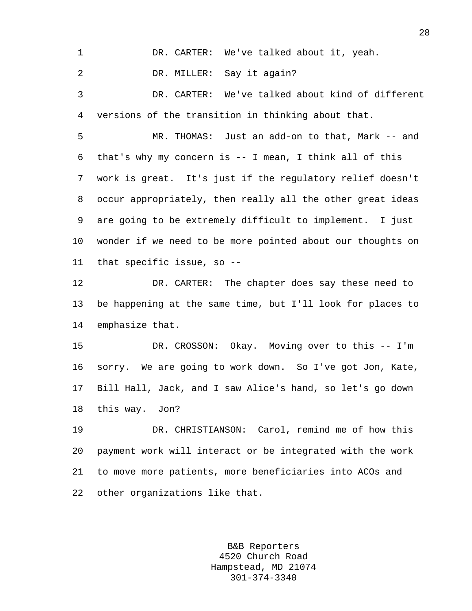1 DR. CARTER: We've talked about it, yeah.

2 DR. MILLER: Say it again?

3 DR. CARTER: We've talked about kind of different 4 versions of the transition in thinking about that.

5 MR. THOMAS: Just an add-on to that, Mark -- and 6 that's why my concern is -- I mean, I think all of this 7 work is great. It's just if the regulatory relief doesn't 8 occur appropriately, then really all the other great ideas 9 are going to be extremely difficult to implement. I just 10 wonder if we need to be more pointed about our thoughts on 11 that specific issue, so --

12 DR. CARTER: The chapter does say these need to 13 be happening at the same time, but I'll look for places to 14 emphasize that.

15 DR. CROSSON: Okay. Moving over to this -- I'm 16 sorry. We are going to work down. So I've got Jon, Kate, 17 Bill Hall, Jack, and I saw Alice's hand, so let's go down 18 this way. Jon?

19 DR. CHRISTIANSON: Carol, remind me of how this 20 payment work will interact or be integrated with the work 21 to move more patients, more beneficiaries into ACOs and 22 other organizations like that.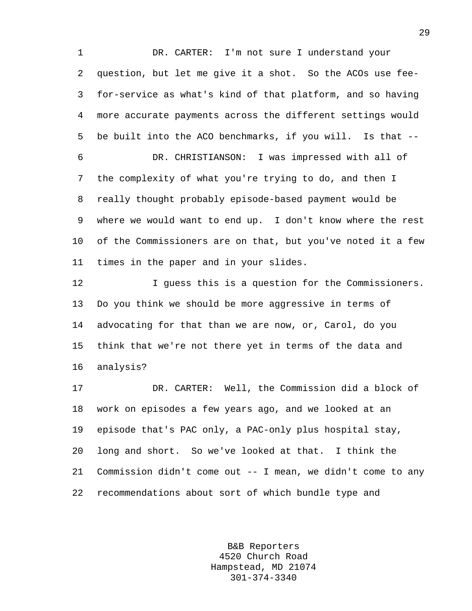1 DR. CARTER: I'm not sure I understand your 2 question, but let me give it a shot. So the ACOs use fee-3 for-service as what's kind of that platform, and so having 4 more accurate payments across the different settings would 5 be built into the ACO benchmarks, if you will. Is that -- 6 DR. CHRISTIANSON: I was impressed with all of 7 the complexity of what you're trying to do, and then I 8 really thought probably episode-based payment would be 9 where we would want to end up. I don't know where the rest 10 of the Commissioners are on that, but you've noted it a few 11 times in the paper and in your slides.

12 I guess this is a question for the Commissioners. 13 Do you think we should be more aggressive in terms of 14 advocating for that than we are now, or, Carol, do you 15 think that we're not there yet in terms of the data and 16 analysis?

17 DR. CARTER: Well, the Commission did a block of 18 work on episodes a few years ago, and we looked at an 19 episode that's PAC only, a PAC-only plus hospital stay, 20 long and short. So we've looked at that. I think the 21 Commission didn't come out -- I mean, we didn't come to any 22 recommendations about sort of which bundle type and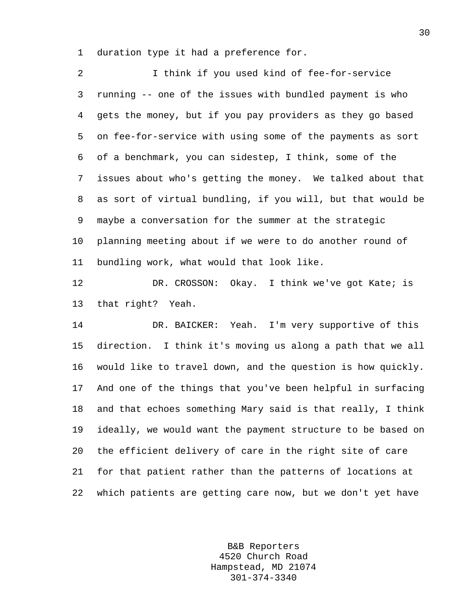1 duration type it had a preference for.

2 I think if you used kind of fee-for-service 3 running -- one of the issues with bundled payment is who 4 gets the money, but if you pay providers as they go based 5 on fee-for-service with using some of the payments as sort 6 of a benchmark, you can sidestep, I think, some of the 7 issues about who's getting the money. We talked about that 8 as sort of virtual bundling, if you will, but that would be 9 maybe a conversation for the summer at the strategic 10 planning meeting about if we were to do another round of 11 bundling work, what would that look like. 12 DR. CROSSON: Okay. I think we've got Kate; is 13 that right? Yeah. 14 DR. BAICKER: Yeah. I'm very supportive of this 15 direction. I think it's moving us along a path that we all 16 would like to travel down, and the question is how quickly. 17 And one of the things that you've been helpful in surfacing 18 and that echoes something Mary said is that really, I think 19 ideally, we would want the payment structure to be based on 20 the efficient delivery of care in the right site of care 21 for that patient rather than the patterns of locations at

22 which patients are getting care now, but we don't yet have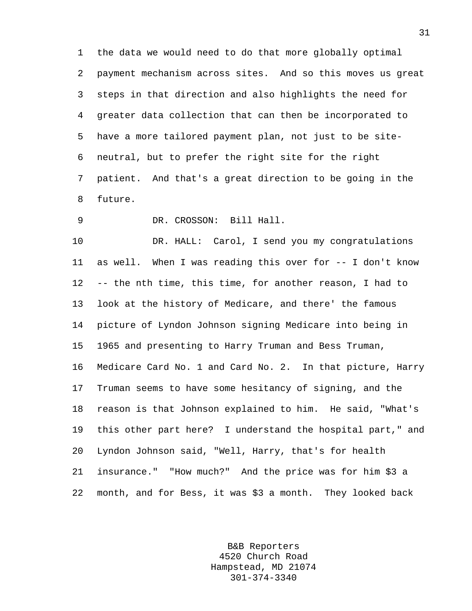1 the data we would need to do that more globally optimal 2 payment mechanism across sites. And so this moves us great 3 steps in that direction and also highlights the need for 4 greater data collection that can then be incorporated to 5 have a more tailored payment plan, not just to be site-6 neutral, but to prefer the right site for the right 7 patient. And that's a great direction to be going in the 8 future.

9 DR. CROSSON: Bill Hall.

10 DR. HALL: Carol, I send you my congratulations 11 as well. When I was reading this over for -- I don't know 12 -- the nth time, this time, for another reason, I had to 13 look at the history of Medicare, and there' the famous 14 picture of Lyndon Johnson signing Medicare into being in 15 1965 and presenting to Harry Truman and Bess Truman, 16 Medicare Card No. 1 and Card No. 2. In that picture, Harry 17 Truman seems to have some hesitancy of signing, and the 18 reason is that Johnson explained to him. He said, "What's 19 this other part here? I understand the hospital part," and 20 Lyndon Johnson said, "Well, Harry, that's for health 21 insurance." "How much?" And the price was for him \$3 a 22 month, and for Bess, it was \$3 a month. They looked back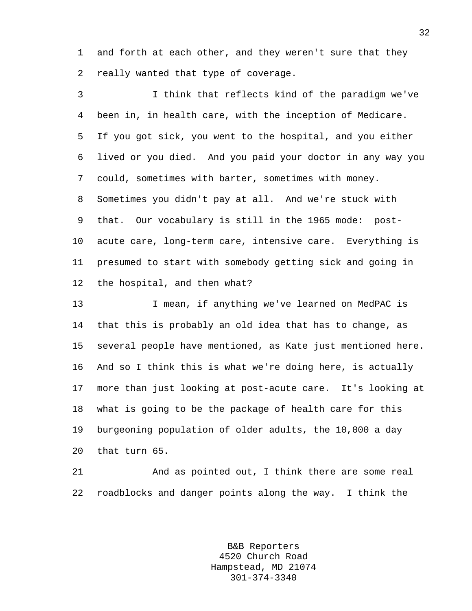1 and forth at each other, and they weren't sure that they 2 really wanted that type of coverage.

3 I think that reflects kind of the paradigm we've 4 been in, in health care, with the inception of Medicare. 5 If you got sick, you went to the hospital, and you either 6 lived or you died. And you paid your doctor in any way you 7 could, sometimes with barter, sometimes with money. 8 Sometimes you didn't pay at all. And we're stuck with 9 that. Our vocabulary is still in the 1965 mode: post-10 acute care, long-term care, intensive care. Everything is 11 presumed to start with somebody getting sick and going in 12 the hospital, and then what?

13 I mean, if anything we've learned on MedPAC is 14 that this is probably an old idea that has to change, as 15 several people have mentioned, as Kate just mentioned here. 16 And so I think this is what we're doing here, is actually 17 more than just looking at post-acute care. It's looking at 18 what is going to be the package of health care for this 19 burgeoning population of older adults, the 10,000 a day 20 that turn 65.

21 And as pointed out, I think there are some real 22 roadblocks and danger points along the way. I think the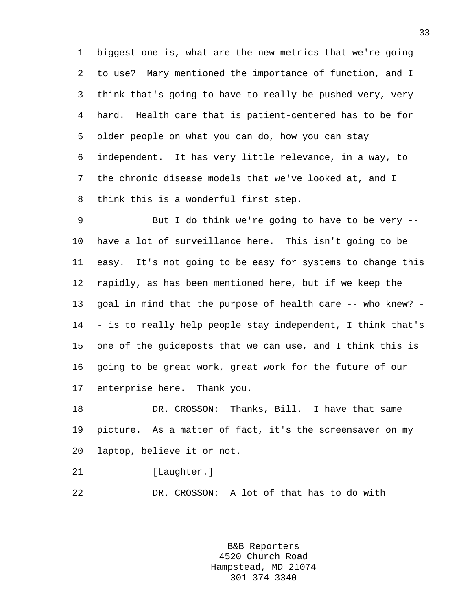1 biggest one is, what are the new metrics that we're going 2 to use? Mary mentioned the importance of function, and I 3 think that's going to have to really be pushed very, very 4 hard. Health care that is patient-centered has to be for 5 older people on what you can do, how you can stay 6 independent. It has very little relevance, in a way, to 7 the chronic disease models that we've looked at, and I 8 think this is a wonderful first step.

9 But I do think we're going to have to be very -- 10 have a lot of surveillance here. This isn't going to be 11 easy. It's not going to be easy for systems to change this 12 rapidly, as has been mentioned here, but if we keep the 13 goal in mind that the purpose of health care -- who knew? - 14 - is to really help people stay independent, I think that's 15 one of the guideposts that we can use, and I think this is 16 going to be great work, great work for the future of our 17 enterprise here. Thank you.

18 DR. CROSSON: Thanks, Bill. I have that same 19 picture. As a matter of fact, it's the screensaver on my 20 laptop, believe it or not.

21 [Laughter.]

22 DR. CROSSON: A lot of that has to do with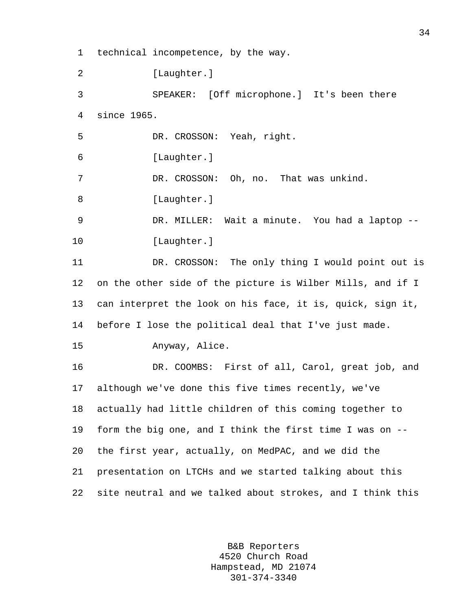1 technical incompetence, by the way.

2 [Laughter.]

3 SPEAKER: [Off microphone.] It's been there 4 since 1965.

5 DR. CROSSON: Yeah, right.

6 [Laughter.]

7 DR. CROSSON: Oh, no. That was unkind.

8 [Laughter.]

9 DR. MILLER: Wait a minute. You had a laptop -- 10 [Laughter.]

11 DR. CROSSON: The only thing I would point out is 12 on the other side of the picture is Wilber Mills, and if I 13 can interpret the look on his face, it is, quick, sign it, 14 before I lose the political deal that I've just made.

15 Anyway, Alice.

16 DR. COOMBS: First of all, Carol, great job, and 17 although we've done this five times recently, we've 18 actually had little children of this coming together to 19 form the big one, and I think the first time I was on -- 20 the first year, actually, on MedPAC, and we did the 21 presentation on LTCHs and we started talking about this 22 site neutral and we talked about strokes, and I think this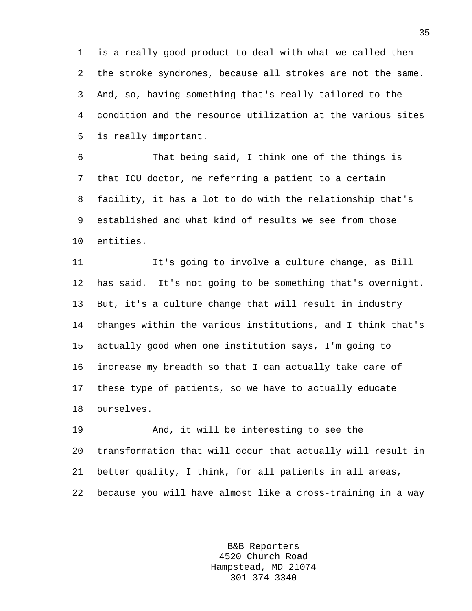1 is a really good product to deal with what we called then 2 the stroke syndromes, because all strokes are not the same. 3 And, so, having something that's really tailored to the 4 condition and the resource utilization at the various sites 5 is really important.

6 That being said, I think one of the things is 7 that ICU doctor, me referring a patient to a certain 8 facility, it has a lot to do with the relationship that's 9 established and what kind of results we see from those 10 entities.

11 It's going to involve a culture change, as Bill 12 has said. It's not going to be something that's overnight. 13 But, it's a culture change that will result in industry 14 changes within the various institutions, and I think that's 15 actually good when one institution says, I'm going to 16 increase my breadth so that I can actually take care of 17 these type of patients, so we have to actually educate 18 ourselves.

19 And, it will be interesting to see the 20 transformation that will occur that actually will result in 21 better quality, I think, for all patients in all areas, 22 because you will have almost like a cross-training in a way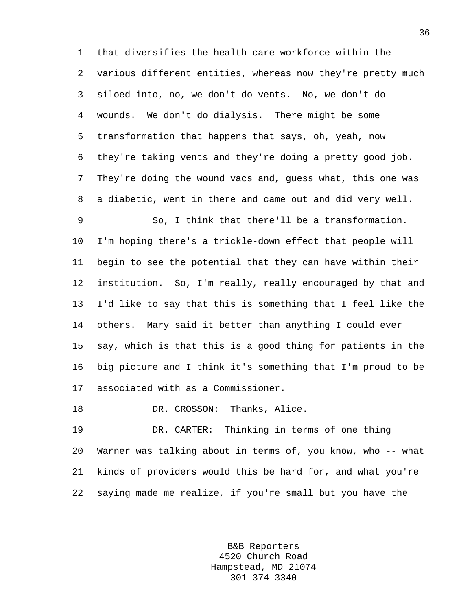1 that diversifies the health care workforce within the 2 various different entities, whereas now they're pretty much 3 siloed into, no, we don't do vents. No, we don't do 4 wounds. We don't do dialysis. There might be some 5 transformation that happens that says, oh, yeah, now 6 they're taking vents and they're doing a pretty good job. 7 They're doing the wound vacs and, guess what, this one was 8 a diabetic, went in there and came out and did very well. 9 So, I think that there'll be a transformation. 10 I'm hoping there's a trickle-down effect that people will 11 begin to see the potential that they can have within their

12 institution. So, I'm really, really encouraged by that and 13 I'd like to say that this is something that I feel like the 14 others. Mary said it better than anything I could ever 15 say, which is that this is a good thing for patients in the 16 big picture and I think it's something that I'm proud to be 17 associated with as a Commissioner.

18 DR. CROSSON: Thanks, Alice.

19 DR. CARTER: Thinking in terms of one thing 20 Warner was talking about in terms of, you know, who -- what 21 kinds of providers would this be hard for, and what you're 22 saying made me realize, if you're small but you have the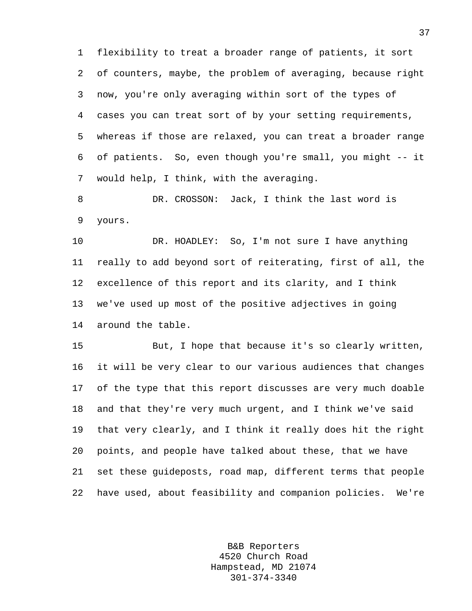1 flexibility to treat a broader range of patients, it sort 2 of counters, maybe, the problem of averaging, because right 3 now, you're only averaging within sort of the types of 4 cases you can treat sort of by your setting requirements, 5 whereas if those are relaxed, you can treat a broader range 6 of patients. So, even though you're small, you might -- it 7 would help, I think, with the averaging.

8 DR. CROSSON: Jack, I think the last word is 9 yours.

10 DR. HOADLEY: So, I'm not sure I have anything 11 really to add beyond sort of reiterating, first of all, the 12 excellence of this report and its clarity, and I think 13 we've used up most of the positive adjectives in going 14 around the table.

15 But, I hope that because it's so clearly written, 16 it will be very clear to our various audiences that changes 17 of the type that this report discusses are very much doable 18 and that they're very much urgent, and I think we've said 19 that very clearly, and I think it really does hit the right 20 points, and people have talked about these, that we have 21 set these guideposts, road map, different terms that people 22 have used, about feasibility and companion policies. We're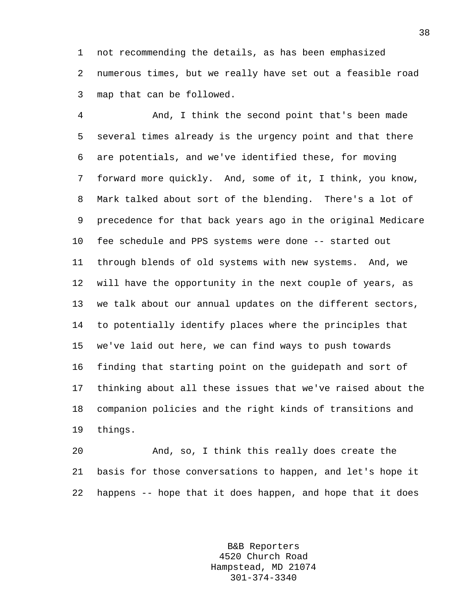1 not recommending the details, as has been emphasized 2 numerous times, but we really have set out a feasible road 3 map that can be followed.

4 And, I think the second point that's been made 5 several times already is the urgency point and that there 6 are potentials, and we've identified these, for moving 7 forward more quickly. And, some of it, I think, you know, 8 Mark talked about sort of the blending. There's a lot of 9 precedence for that back years ago in the original Medicare 10 fee schedule and PPS systems were done -- started out 11 through blends of old systems with new systems. And, we 12 will have the opportunity in the next couple of years, as 13 we talk about our annual updates on the different sectors, 14 to potentially identify places where the principles that 15 we've laid out here, we can find ways to push towards 16 finding that starting point on the guidepath and sort of 17 thinking about all these issues that we've raised about the 18 companion policies and the right kinds of transitions and 19 things.

20 And, so, I think this really does create the 21 basis for those conversations to happen, and let's hope it 22 happens -- hope that it does happen, and hope that it does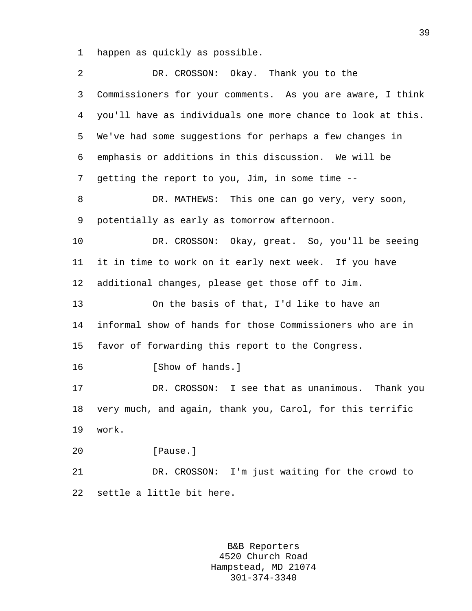1 happen as quickly as possible.

| $\overline{2}$  | DR. CROSSON: Okay. Thank you to the                         |
|-----------------|-------------------------------------------------------------|
| 3               | Commissioners for your comments. As you are aware, I think  |
| 4               | you'll have as individuals one more chance to look at this. |
| 5               | We've had some suggestions for perhaps a few changes in     |
| 6               | emphasis or additions in this discussion. We will be        |
| 7               | getting the report to you, Jim, in some time --             |
| 8               | DR. MATHEWS: This one can go very, very soon,               |
| 9               | potentially as early as tomorrow afternoon.                 |
| 10              | DR. CROSSON: Okay, great. So, you'll be seeing              |
| 11              | it in time to work on it early next week. If you have       |
| 12 <sub>2</sub> | additional changes, please get those off to Jim.            |
| 13              | On the basis of that, I'd like to have an                   |
| 14              | informal show of hands for those Commissioners who are in   |
| 15 <sub>1</sub> | favor of forwarding this report to the Congress.            |
| 16              | [Show of hands.]                                            |
| 17              | DR. CROSSON: I see that as unanimous. Thank you             |
| 18              | very much, and again, thank you, Carol, for this terrific   |
| 19              | work.                                                       |
| 20              | [Pause.]                                                    |
| 21              | DR. CROSSON: I'm just waiting for the crowd to              |
| 22              | settle a little bit here.                                   |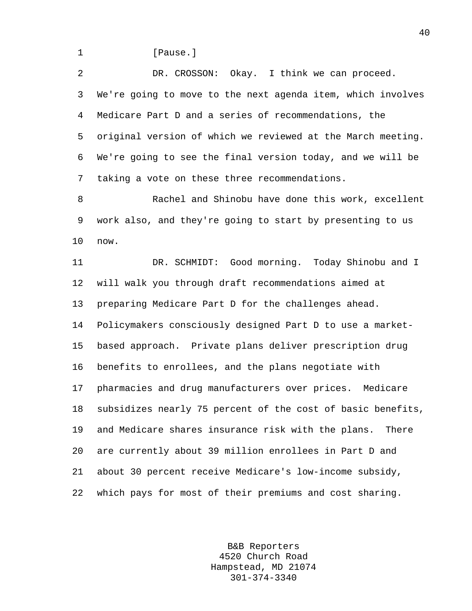1 **I** Pause.

2 DR. CROSSON: Okay. I think we can proceed. 3 We're going to move to the next agenda item, which involves 4 Medicare Part D and a series of recommendations, the 5 original version of which we reviewed at the March meeting. 6 We're going to see the final version today, and we will be 7 taking a vote on these three recommendations.

8 Rachel and Shinobu have done this work, excellent 9 work also, and they're going to start by presenting to us 10 now.

11 DR. SCHMIDT: Good morning. Today Shinobu and I 12 will walk you through draft recommendations aimed at 13 preparing Medicare Part D for the challenges ahead. 14 Policymakers consciously designed Part D to use a market-15 based approach. Private plans deliver prescription drug 16 benefits to enrollees, and the plans negotiate with 17 pharmacies and drug manufacturers over prices. Medicare 18 subsidizes nearly 75 percent of the cost of basic benefits, 19 and Medicare shares insurance risk with the plans. There 20 are currently about 39 million enrollees in Part D and 21 about 30 percent receive Medicare's low-income subsidy, 22 which pays for most of their premiums and cost sharing.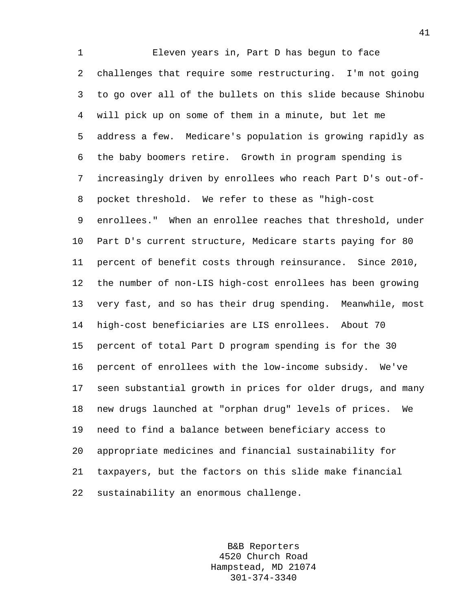1 Eleven years in, Part D has begun to face 2 challenges that require some restructuring. I'm not going 3 to go over all of the bullets on this slide because Shinobu 4 will pick up on some of them in a minute, but let me 5 address a few. Medicare's population is growing rapidly as 6 the baby boomers retire. Growth in program spending is 7 increasingly driven by enrollees who reach Part D's out-of-8 pocket threshold. We refer to these as "high-cost 9 enrollees." When an enrollee reaches that threshold, under 10 Part D's current structure, Medicare starts paying for 80 11 percent of benefit costs through reinsurance. Since 2010, 12 the number of non-LIS high-cost enrollees has been growing 13 very fast, and so has their drug spending. Meanwhile, most 14 high-cost beneficiaries are LIS enrollees. About 70 15 percent of total Part D program spending is for the 30 16 percent of enrollees with the low-income subsidy. We've 17 seen substantial growth in prices for older drugs, and many 18 new drugs launched at "orphan drug" levels of prices. We 19 need to find a balance between beneficiary access to 20 appropriate medicines and financial sustainability for 21 taxpayers, but the factors on this slide make financial 22 sustainability an enormous challenge.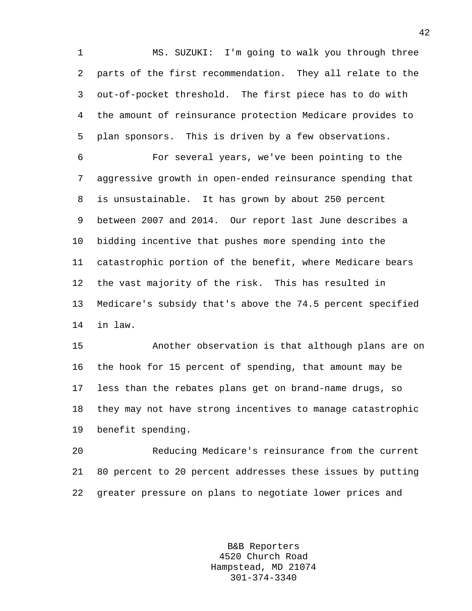1 MS. SUZUKI: I'm going to walk you through three 2 parts of the first recommendation. They all relate to the 3 out-of-pocket threshold. The first piece has to do with 4 the amount of reinsurance protection Medicare provides to 5 plan sponsors. This is driven by a few observations.

6 For several years, we've been pointing to the 7 aggressive growth in open-ended reinsurance spending that 8 is unsustainable. It has grown by about 250 percent 9 between 2007 and 2014. Our report last June describes a 10 bidding incentive that pushes more spending into the 11 catastrophic portion of the benefit, where Medicare bears 12 the vast majority of the risk. This has resulted in 13 Medicare's subsidy that's above the 74.5 percent specified 14 in law.

15 Another observation is that although plans are on 16 the hook for 15 percent of spending, that amount may be 17 less than the rebates plans get on brand-name drugs, so 18 they may not have strong incentives to manage catastrophic 19 benefit spending.

20 Reducing Medicare's reinsurance from the current 21 80 percent to 20 percent addresses these issues by putting 22 greater pressure on plans to negotiate lower prices and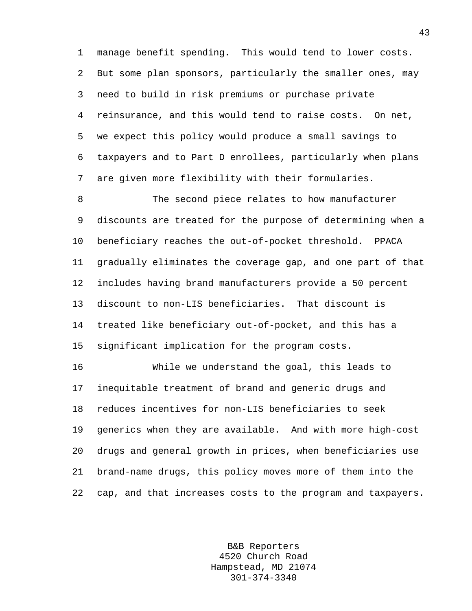1 manage benefit spending. This would tend to lower costs. 2 But some plan sponsors, particularly the smaller ones, may 3 need to build in risk premiums or purchase private 4 reinsurance, and this would tend to raise costs. On net, 5 we expect this policy would produce a small savings to 6 taxpayers and to Part D enrollees, particularly when plans 7 are given more flexibility with their formularies.

8 The second piece relates to how manufacturer 9 discounts are treated for the purpose of determining when a 10 beneficiary reaches the out-of-pocket threshold. PPACA 11 gradually eliminates the coverage gap, and one part of that 12 includes having brand manufacturers provide a 50 percent 13 discount to non-LIS beneficiaries. That discount is 14 treated like beneficiary out-of-pocket, and this has a 15 significant implication for the program costs.

16 While we understand the goal, this leads to 17 inequitable treatment of brand and generic drugs and 18 reduces incentives for non-LIS beneficiaries to seek 19 generics when they are available. And with more high-cost 20 drugs and general growth in prices, when beneficiaries use 21 brand-name drugs, this policy moves more of them into the 22 cap, and that increases costs to the program and taxpayers.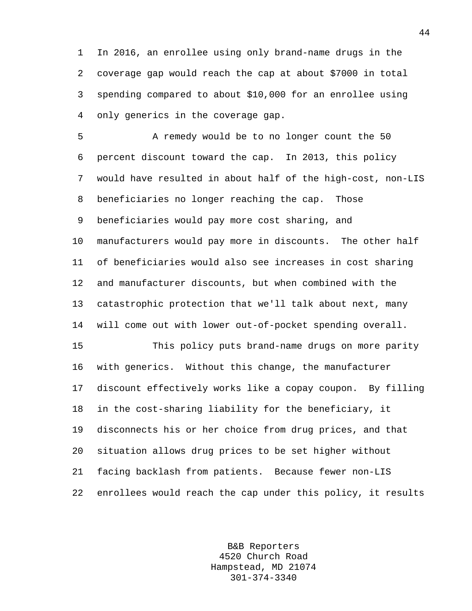1 In 2016, an enrollee using only brand-name drugs in the 2 coverage gap would reach the cap at about \$7000 in total 3 spending compared to about \$10,000 for an enrollee using 4 only generics in the coverage gap.

5 A remedy would be to no longer count the 50 6 percent discount toward the cap. In 2013, this policy 7 would have resulted in about half of the high-cost, non-LIS 8 beneficiaries no longer reaching the cap. Those 9 beneficiaries would pay more cost sharing, and 10 manufacturers would pay more in discounts. The other half 11 of beneficiaries would also see increases in cost sharing 12 and manufacturer discounts, but when combined with the 13 catastrophic protection that we'll talk about next, many 14 will come out with lower out-of-pocket spending overall. 15 This policy puts brand-name drugs on more parity

16 with generics. Without this change, the manufacturer 17 discount effectively works like a copay coupon. By filling 18 in the cost-sharing liability for the beneficiary, it 19 disconnects his or her choice from drug prices, and that 20 situation allows drug prices to be set higher without 21 facing backlash from patients. Because fewer non-LIS 22 enrollees would reach the cap under this policy, it results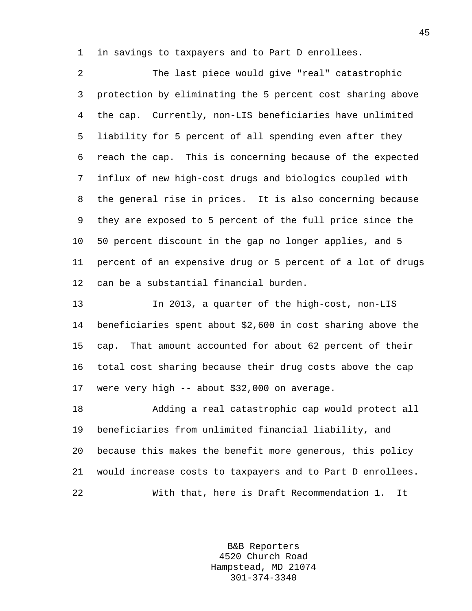1 in savings to taxpayers and to Part D enrollees.

2 The last piece would give "real" catastrophic 3 protection by eliminating the 5 percent cost sharing above 4 the cap. Currently, non-LIS beneficiaries have unlimited 5 liability for 5 percent of all spending even after they 6 reach the cap. This is concerning because of the expected 7 influx of new high-cost drugs and biologics coupled with 8 the general rise in prices. It is also concerning because 9 they are exposed to 5 percent of the full price since the 10 50 percent discount in the gap no longer applies, and 5 11 percent of an expensive drug or 5 percent of a lot of drugs 12 can be a substantial financial burden.

13 In 2013, a quarter of the high-cost, non-LIS 14 beneficiaries spent about \$2,600 in cost sharing above the 15 cap. That amount accounted for about 62 percent of their 16 total cost sharing because their drug costs above the cap 17 were very high -- about \$32,000 on average.

18 Adding a real catastrophic cap would protect all 19 beneficiaries from unlimited financial liability, and 20 because this makes the benefit more generous, this policy 21 would increase costs to taxpayers and to Part D enrollees. 22 With that, here is Draft Recommendation 1. It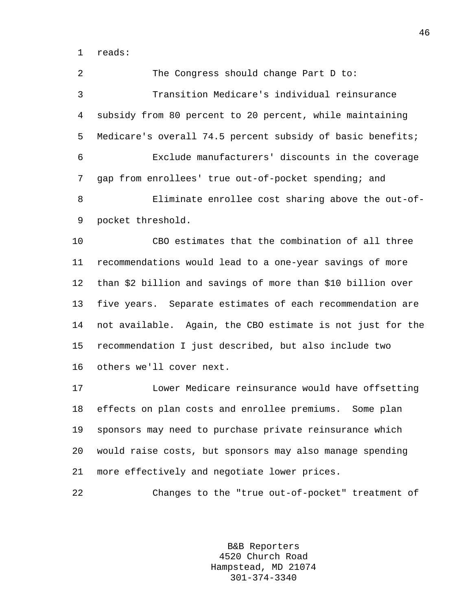1 reads:

2 The Congress should change Part D to: 3 Transition Medicare's individual reinsurance 4 subsidy from 80 percent to 20 percent, while maintaining 5 Medicare's overall 74.5 percent subsidy of basic benefits; 6 Exclude manufacturers' discounts in the coverage 7 gap from enrollees' true out-of-pocket spending; and 8 Eliminate enrollee cost sharing above the out-of-9 pocket threshold. 10 CBO estimates that the combination of all three

11 recommendations would lead to a one-year savings of more 12 than \$2 billion and savings of more than \$10 billion over 13 five years. Separate estimates of each recommendation are 14 not available. Again, the CBO estimate is not just for the 15 recommendation I just described, but also include two 16 others we'll cover next.

17 Lower Medicare reinsurance would have offsetting 18 effects on plan costs and enrollee premiums. Some plan 19 sponsors may need to purchase private reinsurance which 20 would raise costs, but sponsors may also manage spending 21 more effectively and negotiate lower prices.

22 Changes to the "true out-of-pocket" treatment of

B&B Reporters 4520 Church Road Hampstead, MD 21074 301-374-3340

46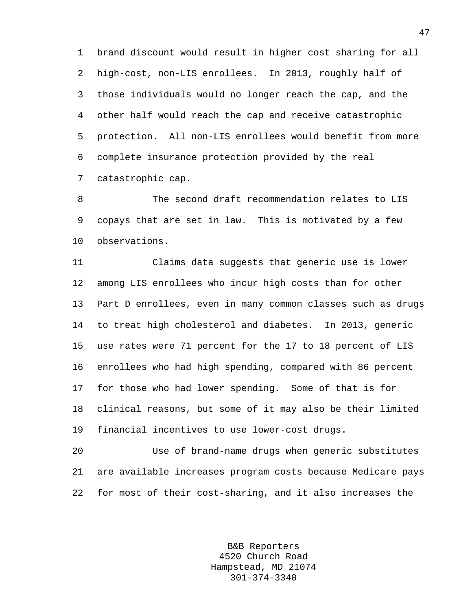1 brand discount would result in higher cost sharing for all 2 high-cost, non-LIS enrollees. In 2013, roughly half of 3 those individuals would no longer reach the cap, and the 4 other half would reach the cap and receive catastrophic 5 protection. All non-LIS enrollees would benefit from more 6 complete insurance protection provided by the real 7 catastrophic cap.

8 The second draft recommendation relates to LIS 9 copays that are set in law. This is motivated by a few 10 observations.

11 Claims data suggests that generic use is lower 12 among LIS enrollees who incur high costs than for other 13 Part D enrollees, even in many common classes such as drugs 14 to treat high cholesterol and diabetes. In 2013, generic 15 use rates were 71 percent for the 17 to 18 percent of LIS 16 enrollees who had high spending, compared with 86 percent 17 for those who had lower spending. Some of that is for 18 clinical reasons, but some of it may also be their limited 19 financial incentives to use lower-cost drugs.

20 Use of brand-name drugs when generic substitutes 21 are available increases program costs because Medicare pays 22 for most of their cost-sharing, and it also increases the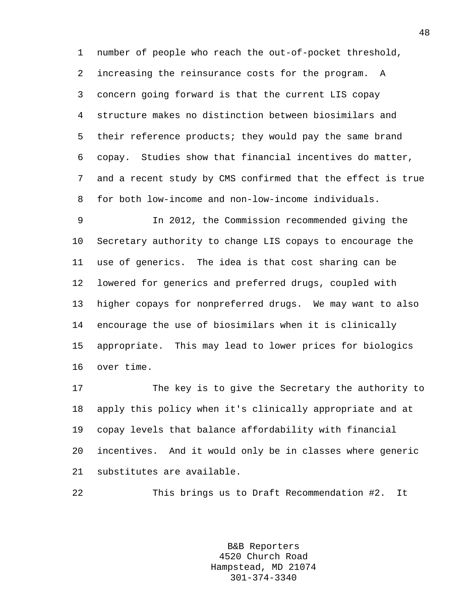1 number of people who reach the out-of-pocket threshold, 2 increasing the reinsurance costs for the program. A 3 concern going forward is that the current LIS copay 4 structure makes no distinction between biosimilars and 5 their reference products; they would pay the same brand 6 copay. Studies show that financial incentives do matter, 7 and a recent study by CMS confirmed that the effect is true 8 for both low-income and non-low-income individuals.

9 In 2012, the Commission recommended giving the 10 Secretary authority to change LIS copays to encourage the 11 use of generics. The idea is that cost sharing can be 12 lowered for generics and preferred drugs, coupled with 13 higher copays for nonpreferred drugs. We may want to also 14 encourage the use of biosimilars when it is clinically 15 appropriate. This may lead to lower prices for biologics 16 over time.

17 The key is to give the Secretary the authority to 18 apply this policy when it's clinically appropriate and at 19 copay levels that balance affordability with financial 20 incentives. And it would only be in classes where generic 21 substitutes are available.

22 This brings us to Draft Recommendation #2. It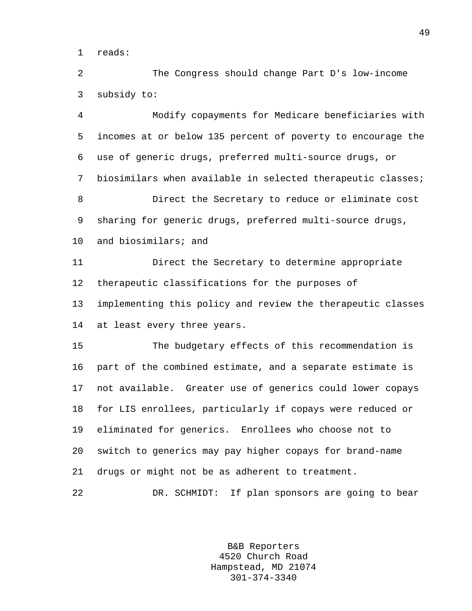1 reads:

2 The Congress should change Part D's low-income 3 subsidy to:

4 Modify copayments for Medicare beneficiaries with 5 incomes at or below 135 percent of poverty to encourage the 6 use of generic drugs, preferred multi-source drugs, or 7 biosimilars when available in selected therapeutic classes; 8 Direct the Secretary to reduce or eliminate cost 9 sharing for generic drugs, preferred multi-source drugs, 10 and biosimilars; and 11 Direct the Secretary to determine appropriate 12 therapeutic classifications for the purposes of 13 implementing this policy and review the therapeutic classes 14 at least every three years. 15 The budgetary effects of this recommendation is

16 part of the combined estimate, and a separate estimate is 17 not available. Greater use of generics could lower copays 18 for LIS enrollees, particularly if copays were reduced or 19 eliminated for generics. Enrollees who choose not to 20 switch to generics may pay higher copays for brand-name 21 drugs or might not be as adherent to treatment.

22 DR. SCHMIDT: If plan sponsors are going to bear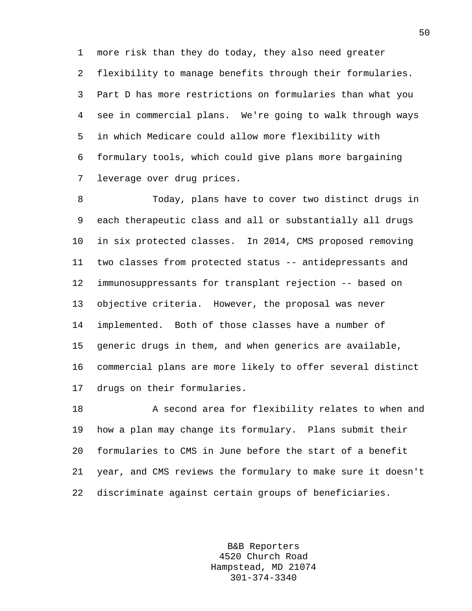1 more risk than they do today, they also need greater 2 flexibility to manage benefits through their formularies. 3 Part D has more restrictions on formularies than what you 4 see in commercial plans. We're going to walk through ways 5 in which Medicare could allow more flexibility with 6 formulary tools, which could give plans more bargaining 7 leverage over drug prices.

8 Today, plans have to cover two distinct drugs in 9 each therapeutic class and all or substantially all drugs 10 in six protected classes. In 2014, CMS proposed removing 11 two classes from protected status -- antidepressants and 12 immunosuppressants for transplant rejection -- based on 13 objective criteria. However, the proposal was never 14 implemented. Both of those classes have a number of 15 generic drugs in them, and when generics are available, 16 commercial plans are more likely to offer several distinct 17 drugs on their formularies.

18 A second area for flexibility relates to when and 19 how a plan may change its formulary. Plans submit their 20 formularies to CMS in June before the start of a benefit 21 year, and CMS reviews the formulary to make sure it doesn't 22 discriminate against certain groups of beneficiaries.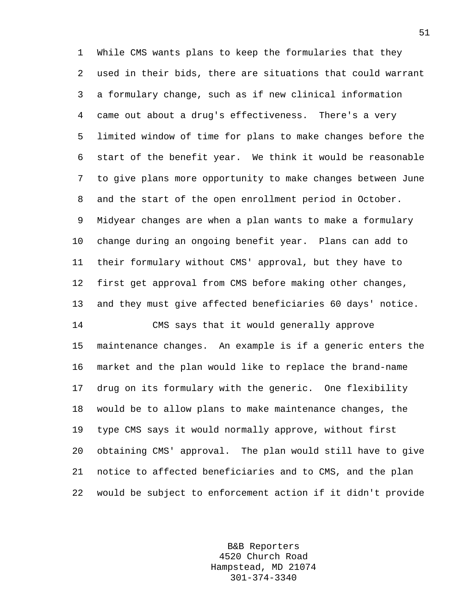1 While CMS wants plans to keep the formularies that they 2 used in their bids, there are situations that could warrant 3 a formulary change, such as if new clinical information 4 came out about a drug's effectiveness. There's a very 5 limited window of time for plans to make changes before the 6 start of the benefit year. We think it would be reasonable 7 to give plans more opportunity to make changes between June 8 and the start of the open enrollment period in October. 9 Midyear changes are when a plan wants to make a formulary 10 change during an ongoing benefit year. Plans can add to 11 their formulary without CMS' approval, but they have to 12 first get approval from CMS before making other changes, 13 and they must give affected beneficiaries 60 days' notice. 14 CMS says that it would generally approve 15 maintenance changes. An example is if a generic enters the 16 market and the plan would like to replace the brand-name 17 drug on its formulary with the generic. One flexibility 18 would be to allow plans to make maintenance changes, the 19 type CMS says it would normally approve, without first 20 obtaining CMS' approval. The plan would still have to give 21 notice to affected beneficiaries and to CMS, and the plan

22 would be subject to enforcement action if it didn't provide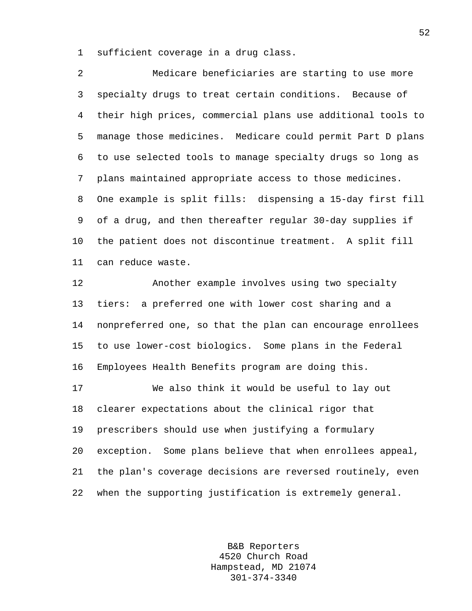1 sufficient coverage in a drug class.

2 Medicare beneficiaries are starting to use more 3 specialty drugs to treat certain conditions. Because of 4 their high prices, commercial plans use additional tools to 5 manage those medicines. Medicare could permit Part D plans 6 to use selected tools to manage specialty drugs so long as 7 plans maintained appropriate access to those medicines. 8 One example is split fills: dispensing a 15-day first fill 9 of a drug, and then thereafter regular 30-day supplies if 10 the patient does not discontinue treatment. A split fill 11 can reduce waste.

12 Another example involves using two specialty 13 tiers: a preferred one with lower cost sharing and a 14 nonpreferred one, so that the plan can encourage enrollees 15 to use lower-cost biologics. Some plans in the Federal 16 Employees Health Benefits program are doing this.

17 We also think it would be useful to lay out 18 clearer expectations about the clinical rigor that 19 prescribers should use when justifying a formulary 20 exception. Some plans believe that when enrollees appeal, 21 the plan's coverage decisions are reversed routinely, even 22 when the supporting justification is extremely general.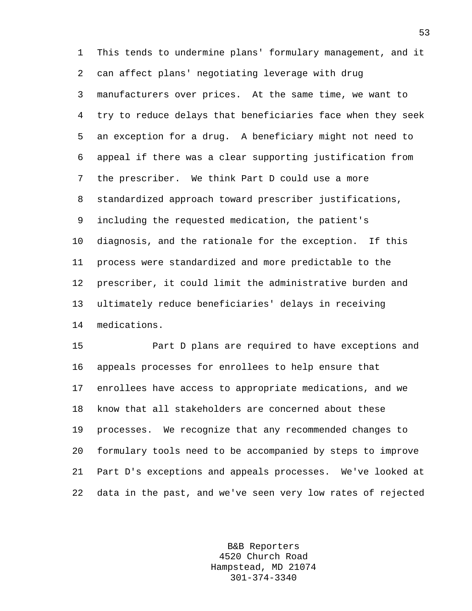1 This tends to undermine plans' formulary management, and it 2 can affect plans' negotiating leverage with drug 3 manufacturers over prices. At the same time, we want to 4 try to reduce delays that beneficiaries face when they seek 5 an exception for a drug. A beneficiary might not need to 6 appeal if there was a clear supporting justification from 7 the prescriber. We think Part D could use a more 8 standardized approach toward prescriber justifications, 9 including the requested medication, the patient's 10 diagnosis, and the rationale for the exception. If this 11 process were standardized and more predictable to the 12 prescriber, it could limit the administrative burden and 13 ultimately reduce beneficiaries' delays in receiving 14 medications.

15 Part D plans are required to have exceptions and 16 appeals processes for enrollees to help ensure that 17 enrollees have access to appropriate medications, and we 18 know that all stakeholders are concerned about these 19 processes. We recognize that any recommended changes to 20 formulary tools need to be accompanied by steps to improve 21 Part D's exceptions and appeals processes. We've looked at 22 data in the past, and we've seen very low rates of rejected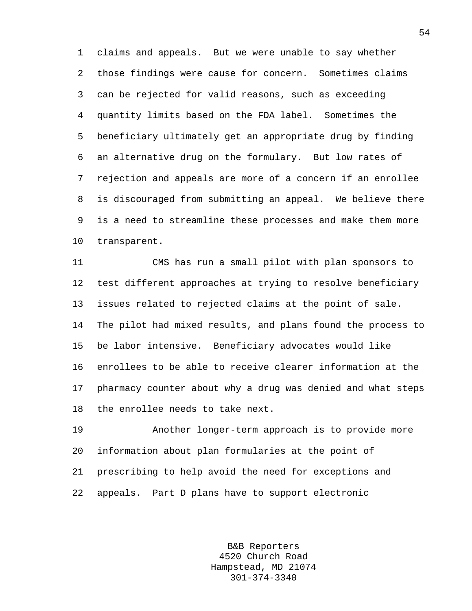1 claims and appeals. But we were unable to say whether 2 those findings were cause for concern. Sometimes claims 3 can be rejected for valid reasons, such as exceeding 4 quantity limits based on the FDA label. Sometimes the 5 beneficiary ultimately get an appropriate drug by finding 6 an alternative drug on the formulary. But low rates of 7 rejection and appeals are more of a concern if an enrollee 8 is discouraged from submitting an appeal. We believe there 9 is a need to streamline these processes and make them more 10 transparent.

11 CMS has run a small pilot with plan sponsors to 12 test different approaches at trying to resolve beneficiary 13 issues related to rejected claims at the point of sale. 14 The pilot had mixed results, and plans found the process to 15 be labor intensive. Beneficiary advocates would like 16 enrollees to be able to receive clearer information at the 17 pharmacy counter about why a drug was denied and what steps 18 the enrollee needs to take next.

19 Another longer-term approach is to provide more 20 information about plan formularies at the point of 21 prescribing to help avoid the need for exceptions and 22 appeals. Part D plans have to support electronic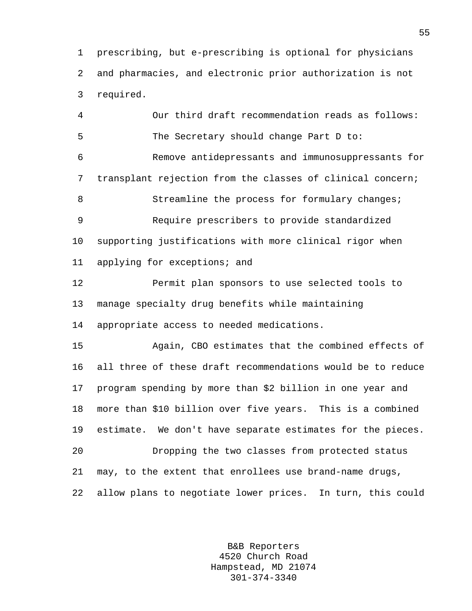1 prescribing, but e-prescribing is optional for physicians 2 and pharmacies, and electronic prior authorization is not 3 required.

4 Our third draft recommendation reads as follows: 5 The Secretary should change Part D to: 6 Remove antidepressants and immunosuppressants for 7 transplant rejection from the classes of clinical concern; 8 Streamline the process for formulary changes; 9 Require prescribers to provide standardized 10 supporting justifications with more clinical rigor when 11 applying for exceptions; and 12 Permit plan sponsors to use selected tools to 13 manage specialty drug benefits while maintaining 14 appropriate access to needed medications. 15 Again, CBO estimates that the combined effects of 16 all three of these draft recommendations would be to reduce 17 program spending by more than \$2 billion in one year and 18 more than \$10 billion over five years. This is a combined 19 estimate. We don't have separate estimates for the pieces. 20 Dropping the two classes from protected status 21 may, to the extent that enrollees use brand-name drugs, 22 allow plans to negotiate lower prices. In turn, this could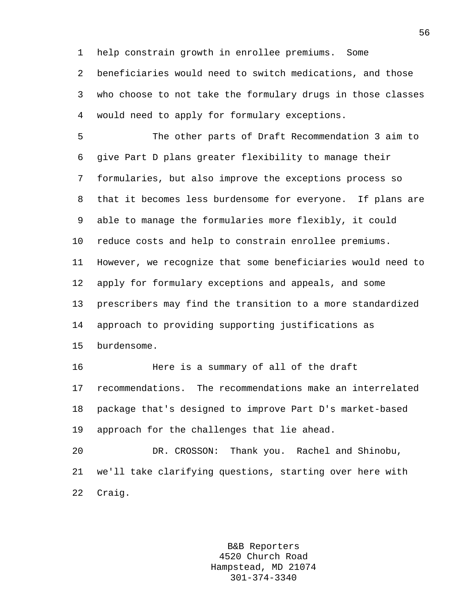1 help constrain growth in enrollee premiums. Some

2 beneficiaries would need to switch medications, and those 3 who choose to not take the formulary drugs in those classes 4 would need to apply for formulary exceptions.

5 The other parts of Draft Recommendation 3 aim to 6 give Part D plans greater flexibility to manage their 7 formularies, but also improve the exceptions process so 8 that it becomes less burdensome for everyone. If plans are 9 able to manage the formularies more flexibly, it could 10 reduce costs and help to constrain enrollee premiums. 11 However, we recognize that some beneficiaries would need to 12 apply for formulary exceptions and appeals, and some 13 prescribers may find the transition to a more standardized 14 approach to providing supporting justifications as 15 burdensome. 16 Here is a summary of all of the draft 17 recommendations. The recommendations make an interrelated 18 package that's designed to improve Part D's market-based 19 approach for the challenges that lie ahead. 20 DR. CROSSON: Thank you. Rachel and Shinobu, 21 we'll take clarifying questions, starting over here with

22 Craig.

B&B Reporters 4520 Church Road Hampstead, MD 21074 301-374-3340

56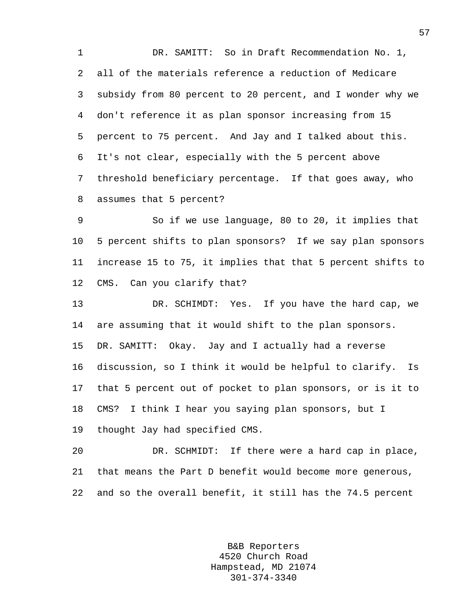1 DR. SAMITT: So in Draft Recommendation No. 1, 2 all of the materials reference a reduction of Medicare 3 subsidy from 80 percent to 20 percent, and I wonder why we 4 don't reference it as plan sponsor increasing from 15 5 percent to 75 percent. And Jay and I talked about this. 6 It's not clear, especially with the 5 percent above 7 threshold beneficiary percentage. If that goes away, who 8 assumes that 5 percent?

9 So if we use language, 80 to 20, it implies that 10 5 percent shifts to plan sponsors? If we say plan sponsors 11 increase 15 to 75, it implies that that 5 percent shifts to 12 CMS. Can you clarify that?

13 DR. SCHIMDT: Yes. If you have the hard cap, we 14 are assuming that it would shift to the plan sponsors. 15 DR. SAMITT: Okay. Jay and I actually had a reverse 16 discussion, so I think it would be helpful to clarify. Is 17 that 5 percent out of pocket to plan sponsors, or is it to 18 CMS? I think I hear you saying plan sponsors, but I 19 thought Jay had specified CMS.

20 DR. SCHMIDT: If there were a hard cap in place, 21 that means the Part D benefit would become more generous, 22 and so the overall benefit, it still has the 74.5 percent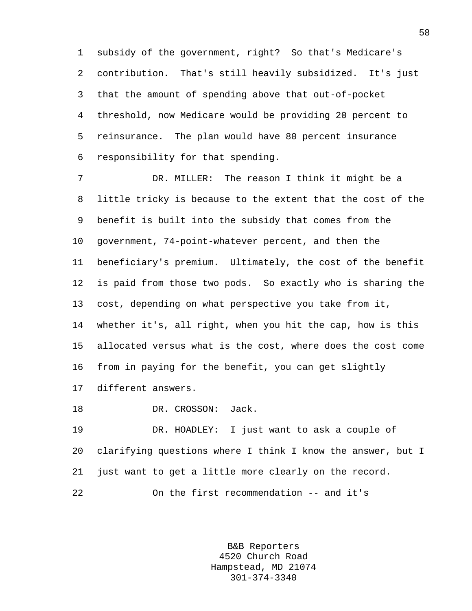1 subsidy of the government, right? So that's Medicare's 2 contribution. That's still heavily subsidized. It's just 3 that the amount of spending above that out-of-pocket 4 threshold, now Medicare would be providing 20 percent to 5 reinsurance. The plan would have 80 percent insurance 6 responsibility for that spending.

7 DR. MILLER: The reason I think it might be a 8 little tricky is because to the extent that the cost of the 9 benefit is built into the subsidy that comes from the 10 government, 74-point-whatever percent, and then the 11 beneficiary's premium. Ultimately, the cost of the benefit 12 is paid from those two pods. So exactly who is sharing the 13 cost, depending on what perspective you take from it, 14 whether it's, all right, when you hit the cap, how is this 15 allocated versus what is the cost, where does the cost come 16 from in paying for the benefit, you can get slightly 17 different answers.

18 DR. CROSSON: Jack.

19 DR. HOADLEY: I just want to ask a couple of 20 clarifying questions where I think I know the answer, but I 21 just want to get a little more clearly on the record. 22 On the first recommendation -- and it's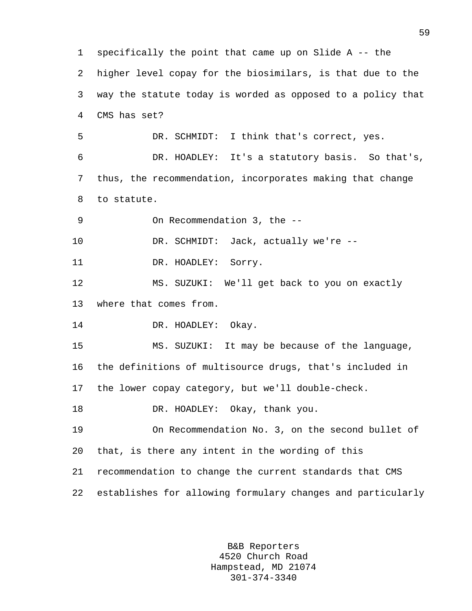1 specifically the point that came up on Slide A -- the 2 higher level copay for the biosimilars, is that due to the 3 way the statute today is worded as opposed to a policy that 4 CMS has set? 5 DR. SCHMIDT: I think that's correct, yes. 6 DR. HOADLEY: It's a statutory basis. So that's, 7 thus, the recommendation, incorporates making that change 8 to statute. 9 On Recommendation 3, the -- 10 DR. SCHMIDT: Jack, actually we're -- 11 DR. HOADLEY: Sorry. 12 MS. SUZUKI: We'll get back to you on exactly 13 where that comes from. 14 DR. HOADLEY: Okay. 15 MS. SUZUKI: It may be because of the language, 16 the definitions of multisource drugs, that's included in 17 the lower copay category, but we'll double-check. 18 DR. HOADLEY: Okay, thank you. 19 On Recommendation No. 3, on the second bullet of 20 that, is there any intent in the wording of this 21 recommendation to change the current standards that CMS 22 establishes for allowing formulary changes and particularly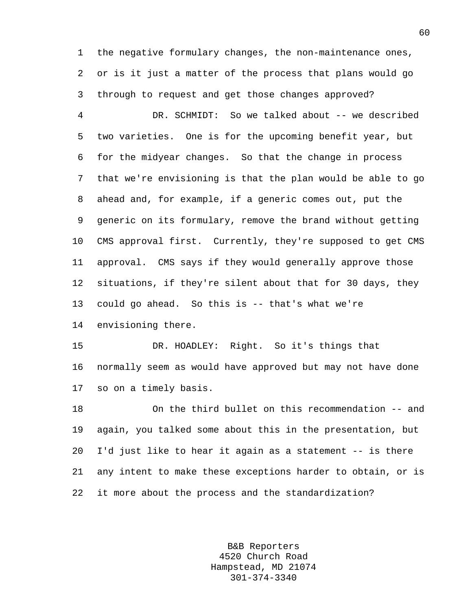1 the negative formulary changes, the non-maintenance ones, 2 or is it just a matter of the process that plans would go 3 through to request and get those changes approved?

4 DR. SCHMIDT: So we talked about -- we described 5 two varieties. One is for the upcoming benefit year, but 6 for the midyear changes. So that the change in process 7 that we're envisioning is that the plan would be able to go 8 ahead and, for example, if a generic comes out, put the 9 generic on its formulary, remove the brand without getting 10 CMS approval first. Currently, they're supposed to get CMS 11 approval. CMS says if they would generally approve those 12 situations, if they're silent about that for 30 days, they 13 could go ahead. So this is -- that's what we're 14 envisioning there.

15 DR. HOADLEY: Right. So it's things that 16 normally seem as would have approved but may not have done 17 so on a timely basis.

18 On the third bullet on this recommendation -- and 19 again, you talked some about this in the presentation, but 20 I'd just like to hear it again as a statement -- is there 21 any intent to make these exceptions harder to obtain, or is 22 it more about the process and the standardization?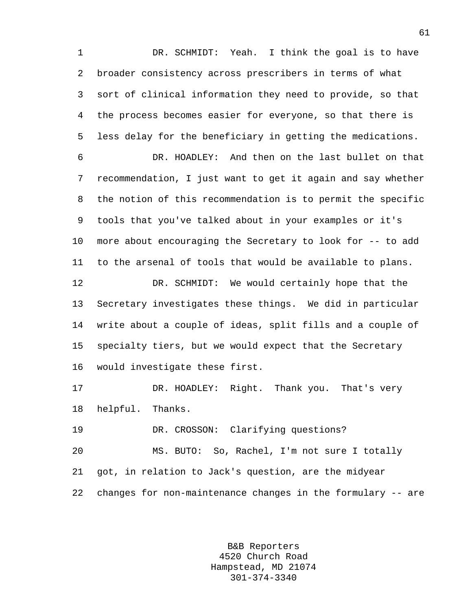1 DR. SCHMIDT: Yeah. I think the goal is to have 2 broader consistency across prescribers in terms of what 3 sort of clinical information they need to provide, so that 4 the process becomes easier for everyone, so that there is 5 less delay for the beneficiary in getting the medications.

6 DR. HOADLEY: And then on the last bullet on that 7 recommendation, I just want to get it again and say whether 8 the notion of this recommendation is to permit the specific 9 tools that you've talked about in your examples or it's 10 more about encouraging the Secretary to look for -- to add 11 to the arsenal of tools that would be available to plans.

12 DR. SCHMIDT: We would certainly hope that the 13 Secretary investigates these things. We did in particular 14 write about a couple of ideas, split fills and a couple of 15 specialty tiers, but we would expect that the Secretary 16 would investigate these first.

17 DR. HOADLEY: Right. Thank you. That's very 18 helpful. Thanks.

19 DR. CROSSON: Clarifying questions?

20 MS. BUTO: So, Rachel, I'm not sure I totally 21 got, in relation to Jack's question, are the midyear 22 changes for non-maintenance changes in the formulary -- are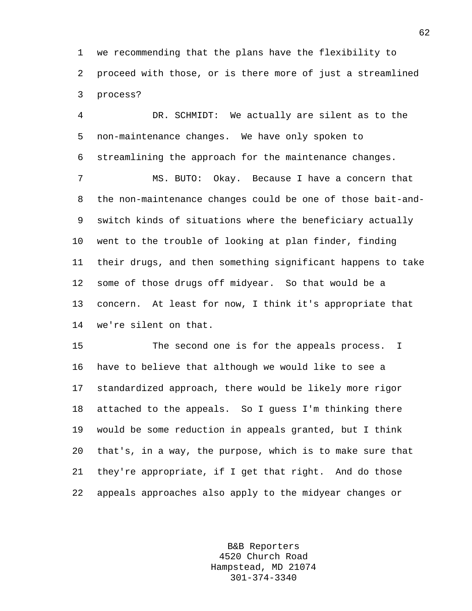1 we recommending that the plans have the flexibility to 2 proceed with those, or is there more of just a streamlined 3 process?

4 DR. SCHMIDT: We actually are silent as to the 5 non-maintenance changes. We have only spoken to 6 streamlining the approach for the maintenance changes. 7 MS. BUTO: Okay. Because I have a concern that 8 the non-maintenance changes could be one of those bait-and-9 switch kinds of situations where the beneficiary actually 10 went to the trouble of looking at plan finder, finding 11 their drugs, and then something significant happens to take 12 some of those drugs off midyear. So that would be a 13 concern. At least for now, I think it's appropriate that 14 we're silent on that.

15 The second one is for the appeals process. I 16 have to believe that although we would like to see a 17 standardized approach, there would be likely more rigor 18 attached to the appeals. So I guess I'm thinking there 19 would be some reduction in appeals granted, but I think 20 that's, in a way, the purpose, which is to make sure that 21 they're appropriate, if I get that right. And do those 22 appeals approaches also apply to the midyear changes or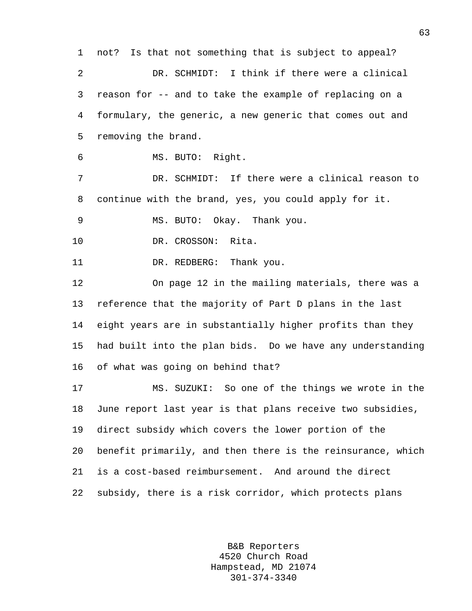1 not? Is that not something that is subject to appeal? 2 DR. SCHMIDT: I think if there were a clinical 3 reason for -- and to take the example of replacing on a 4 formulary, the generic, a new generic that comes out and 5 removing the brand. 6 MS. BUTO: Right. 7 DR. SCHMIDT: If there were a clinical reason to 8 continue with the brand, yes, you could apply for it. 9 MS. BUTO: Okay. Thank you. 10 DR. CROSSON: Rita. 11 DR. REDBERG: Thank you. 12 On page 12 in the mailing materials, there was a 13 reference that the majority of Part D plans in the last 14 eight years are in substantially higher profits than they 15 had built into the plan bids. Do we have any understanding 16 of what was going on behind that? 17 MS. SUZUKI: So one of the things we wrote in the 18 June report last year is that plans receive two subsidies, 19 direct subsidy which covers the lower portion of the 20 benefit primarily, and then there is the reinsurance, which 21 is a cost-based reimbursement. And around the direct 22 subsidy, there is a risk corridor, which protects plans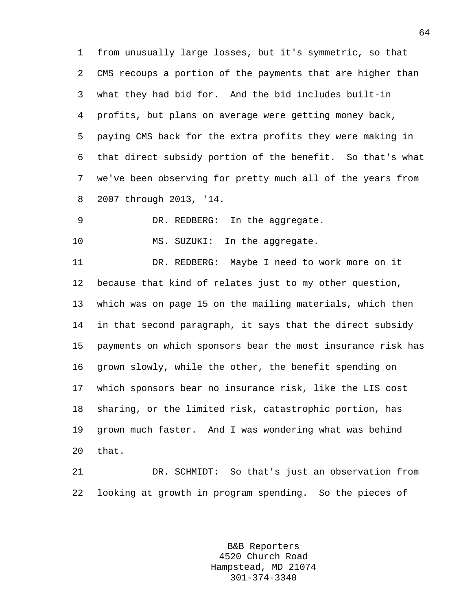1 from unusually large losses, but it's symmetric, so that 2 CMS recoups a portion of the payments that are higher than 3 what they had bid for. And the bid includes built-in 4 profits, but plans on average were getting money back, 5 paying CMS back for the extra profits they were making in 6 that direct subsidy portion of the benefit. So that's what 7 we've been observing for pretty much all of the years from 8 2007 through 2013, '14.

9 DR. REDBERG: In the aggregate.

10 MS. SUZUKI: In the aggregate.

11 DR. REDBERG: Maybe I need to work more on it 12 because that kind of relates just to my other question, 13 which was on page 15 on the mailing materials, which then 14 in that second paragraph, it says that the direct subsidy 15 payments on which sponsors bear the most insurance risk has 16 grown slowly, while the other, the benefit spending on 17 which sponsors bear no insurance risk, like the LIS cost 18 sharing, or the limited risk, catastrophic portion, has 19 grown much faster. And I was wondering what was behind 20 that.

21 DR. SCHMIDT: So that's just an observation from 22 looking at growth in program spending. So the pieces of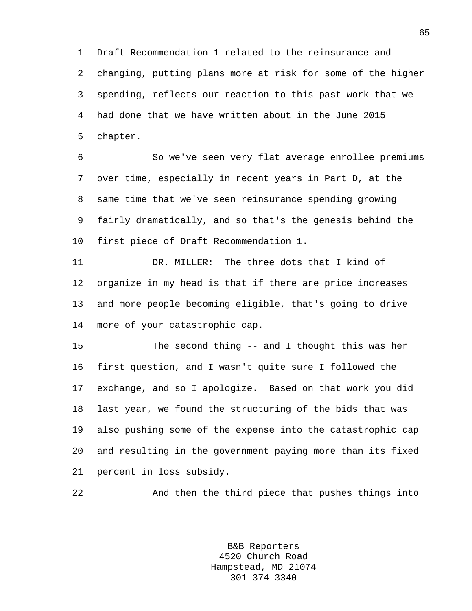1 Draft Recommendation 1 related to the reinsurance and 2 changing, putting plans more at risk for some of the higher 3 spending, reflects our reaction to this past work that we 4 had done that we have written about in the June 2015 5 chapter.

6 So we've seen very flat average enrollee premiums 7 over time, especially in recent years in Part D, at the 8 same time that we've seen reinsurance spending growing 9 fairly dramatically, and so that's the genesis behind the 10 first piece of Draft Recommendation 1.

11 DR. MILLER: The three dots that I kind of 12 organize in my head is that if there are price increases 13 and more people becoming eligible, that's going to drive 14 more of your catastrophic cap.

15 The second thing -- and I thought this was her 16 first question, and I wasn't quite sure I followed the 17 exchange, and so I apologize. Based on that work you did 18 last year, we found the structuring of the bids that was 19 also pushing some of the expense into the catastrophic cap 20 and resulting in the government paying more than its fixed 21 percent in loss subsidy.

22 And then the third piece that pushes things into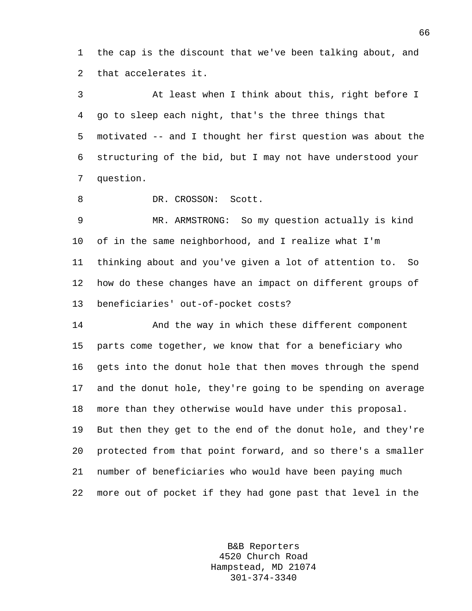1 the cap is the discount that we've been talking about, and 2 that accelerates it.

3 At least when I think about this, right before I 4 go to sleep each night, that's the three things that 5 motivated -- and I thought her first question was about the 6 structuring of the bid, but I may not have understood your 7 question.

8 DR. CROSSON: Scott.

9 MR. ARMSTRONG: So my question actually is kind 10 of in the same neighborhood, and I realize what I'm 11 thinking about and you've given a lot of attention to. So 12 how do these changes have an impact on different groups of 13 beneficiaries' out-of-pocket costs?

14 And the way in which these different component 15 parts come together, we know that for a beneficiary who 16 gets into the donut hole that then moves through the spend 17 and the donut hole, they're going to be spending on average 18 more than they otherwise would have under this proposal. 19 But then they get to the end of the donut hole, and they're 20 protected from that point forward, and so there's a smaller 21 number of beneficiaries who would have been paying much 22 more out of pocket if they had gone past that level in the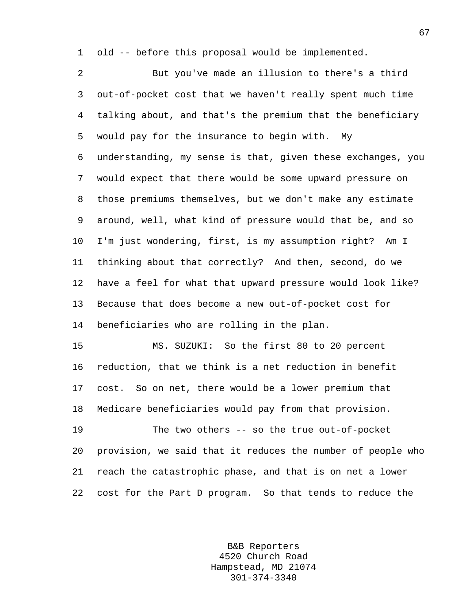1 old -- before this proposal would be implemented.

2 But you've made an illusion to there's a third 3 out-of-pocket cost that we haven't really spent much time 4 talking about, and that's the premium that the beneficiary 5 would pay for the insurance to begin with. My 6 understanding, my sense is that, given these exchanges, you 7 would expect that there would be some upward pressure on 8 those premiums themselves, but we don't make any estimate 9 around, well, what kind of pressure would that be, and so 10 I'm just wondering, first, is my assumption right? Am I 11 thinking about that correctly? And then, second, do we 12 have a feel for what that upward pressure would look like? 13 Because that does become a new out-of-pocket cost for 14 beneficiaries who are rolling in the plan. 15 MS. SUZUKI: So the first 80 to 20 percent 16 reduction, that we think is a net reduction in benefit 17 cost. So on net, there would be a lower premium that

18 Medicare beneficiaries would pay from that provision.

19 The two others -- so the true out-of-pocket 20 provision, we said that it reduces the number of people who 21 reach the catastrophic phase, and that is on net a lower 22 cost for the Part D program. So that tends to reduce the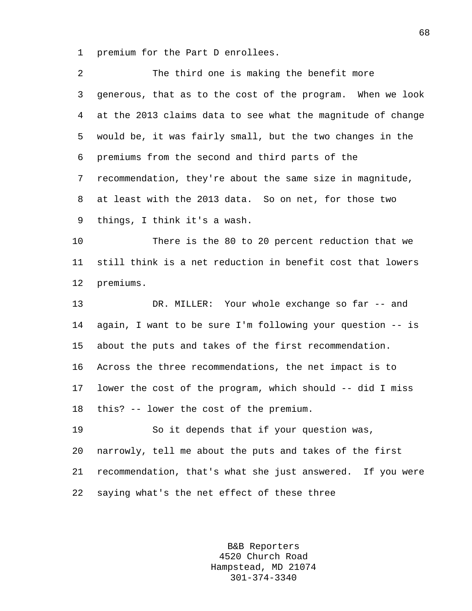1 premium for the Part D enrollees.

| 2  | The third one is making the benefit more                    |
|----|-------------------------------------------------------------|
| 3  | generous, that as to the cost of the program. When we look  |
| 4  | at the 2013 claims data to see what the magnitude of change |
| 5  | would be, it was fairly small, but the two changes in the   |
| 6  | premiums from the second and third parts of the             |
| 7  | recommendation, they're about the same size in magnitude,   |
| 8  | at least with the 2013 data. So on net, for those two       |
| 9  | things, I think it's a wash.                                |
| 10 | There is the 80 to 20 percent reduction that we             |
| 11 | still think is a net reduction in benefit cost that lowers  |
| 12 | premiums.                                                   |
| 13 | DR. MILLER: Your whole exchange so far -- and               |
| 14 | again, I want to be sure I'm following your question -- is  |
| 15 | about the puts and takes of the first recommendation.       |
| 16 | Across the three recommendations, the net impact is to      |
| 17 | lower the cost of the program, which should -- did I miss   |
| 18 | this? -- lower the cost of the premium.                     |
| 19 | So it depends that if your question was,                    |
| 20 | narrowly, tell me about the puts and takes of the first     |
| 21 | recommendation, that's what she just answered. If you were  |
| 22 | saying what's the net effect of these three                 |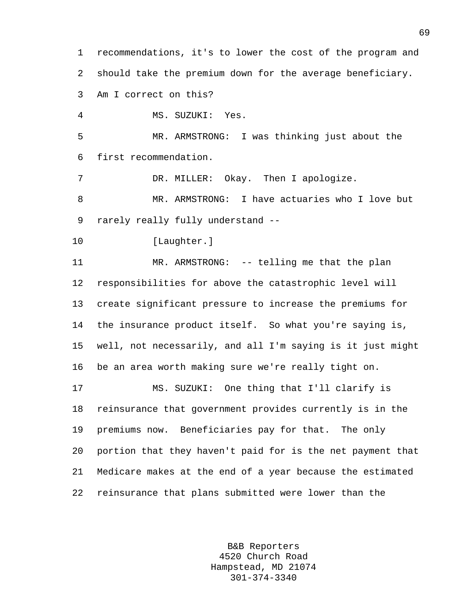1 recommendations, it's to lower the cost of the program and 2 should take the premium down for the average beneficiary. 3 Am I correct on this?

4 MS. SUZUKI: Yes.

5 MR. ARMSTRONG: I was thinking just about the 6 first recommendation.

7 DR. MILLER: Okay. Then I apologize.

8 MR. ARMSTRONG: I have actuaries who I love but 9 rarely really fully understand --

10 [Laughter.]

11 MR. ARMSTRONG: -- telling me that the plan 12 responsibilities for above the catastrophic level will 13 create significant pressure to increase the premiums for 14 the insurance product itself. So what you're saying is, 15 well, not necessarily, and all I'm saying is it just might 16 be an area worth making sure we're really tight on.

17 MS. SUZUKI: One thing that I'll clarify is 18 reinsurance that government provides currently is in the 19 premiums now. Beneficiaries pay for that. The only 20 portion that they haven't paid for is the net payment that 21 Medicare makes at the end of a year because the estimated 22 reinsurance that plans submitted were lower than the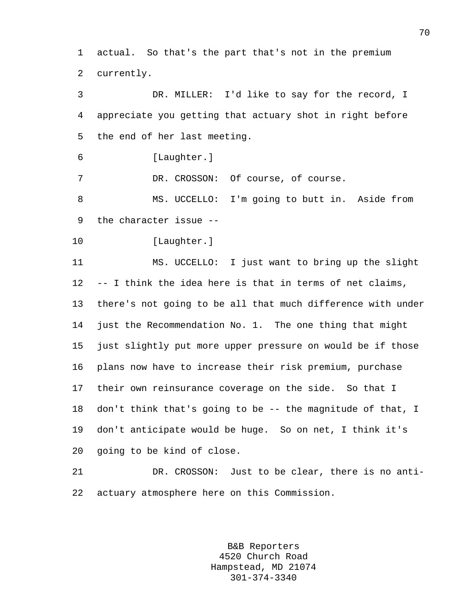1 actual. So that's the part that's not in the premium 2 currently.

3 DR. MILLER: I'd like to say for the record, I 4 appreciate you getting that actuary shot in right before 5 the end of her last meeting.

6 [Laughter.]

7 DR. CROSSON: Of course, of course.

8 MS. UCCELLO: I'm going to butt in. Aside from 9 the character issue --

10 [Laughter.]

11 MS. UCCELLO: I just want to bring up the slight 12 -- I think the idea here is that in terms of net claims, 13 there's not going to be all that much difference with under 14 just the Recommendation No. 1. The one thing that might 15 just slightly put more upper pressure on would be if those 16 plans now have to increase their risk premium, purchase 17 their own reinsurance coverage on the side. So that I 18 don't think that's going to be -- the magnitude of that, I 19 don't anticipate would be huge. So on net, I think it's 20 going to be kind of close.

21 DR. CROSSON: Just to be clear, there is no anti-22 actuary atmosphere here on this Commission.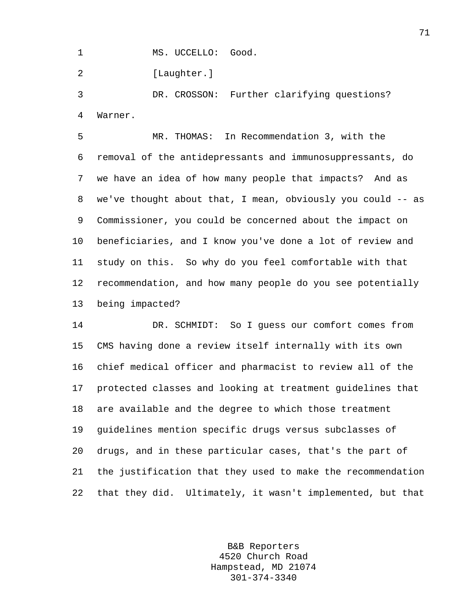1 MS. UCCELLO: Good.

2 [Laughter.]

3 DR. CROSSON: Further clarifying questions? 4 Warner.

5 MR. THOMAS: In Recommendation 3, with the 6 removal of the antidepressants and immunosuppressants, do 7 we have an idea of how many people that impacts? And as 8 we've thought about that, I mean, obviously you could -- as 9 Commissioner, you could be concerned about the impact on 10 beneficiaries, and I know you've done a lot of review and 11 study on this. So why do you feel comfortable with that 12 recommendation, and how many people do you see potentially 13 being impacted?

14 DR. SCHMIDT: So I guess our comfort comes from 15 CMS having done a review itself internally with its own 16 chief medical officer and pharmacist to review all of the 17 protected classes and looking at treatment guidelines that 18 are available and the degree to which those treatment 19 guidelines mention specific drugs versus subclasses of 20 drugs, and in these particular cases, that's the part of 21 the justification that they used to make the recommendation 22 that they did. Ultimately, it wasn't implemented, but that

> B&B Reporters 4520 Church Road Hampstead, MD 21074 301-374-3340

71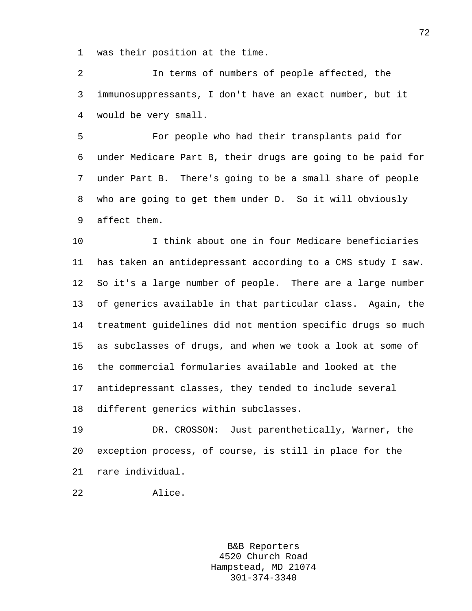1 was their position at the time.

2 In terms of numbers of people affected, the 3 immunosuppressants, I don't have an exact number, but it 4 would be very small.

5 For people who had their transplants paid for 6 under Medicare Part B, their drugs are going to be paid for 7 under Part B. There's going to be a small share of people 8 who are going to get them under D. So it will obviously 9 affect them.

10 I think about one in four Medicare beneficiaries 11 has taken an antidepressant according to a CMS study I saw. 12 So it's a large number of people. There are a large number 13 of generics available in that particular class. Again, the 14 treatment guidelines did not mention specific drugs so much 15 as subclasses of drugs, and when we took a look at some of 16 the commercial formularies available and looked at the 17 antidepressant classes, they tended to include several 18 different generics within subclasses.

19 DR. CROSSON: Just parenthetically, Warner, the 20 exception process, of course, is still in place for the 21 rare individual.

```
22 Alice.
```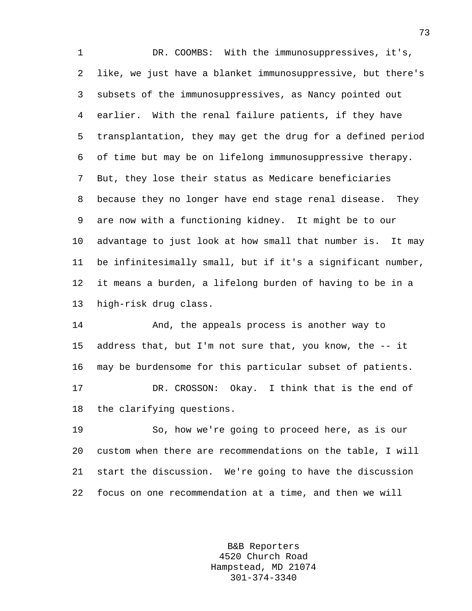1 DR. COOMBS: With the immunosuppressives, it's, 2 like, we just have a blanket immunosuppressive, but there's 3 subsets of the immunosuppressives, as Nancy pointed out 4 earlier. With the renal failure patients, if they have 5 transplantation, they may get the drug for a defined period 6 of time but may be on lifelong immunosuppressive therapy. 7 But, they lose their status as Medicare beneficiaries 8 because they no longer have end stage renal disease. They 9 are now with a functioning kidney. It might be to our 10 advantage to just look at how small that number is. It may 11 be infinitesimally small, but if it's a significant number, 12 it means a burden, a lifelong burden of having to be in a 13 high-risk drug class.

14 And, the appeals process is another way to 15 address that, but I'm not sure that, you know, the -- it 16 may be burdensome for this particular subset of patients. 17 DR. CROSSON: Okay. I think that is the end of 18 the clarifying questions.

19 So, how we're going to proceed here, as is our 20 custom when there are recommendations on the table, I will 21 start the discussion. We're going to have the discussion 22 focus on one recommendation at a time, and then we will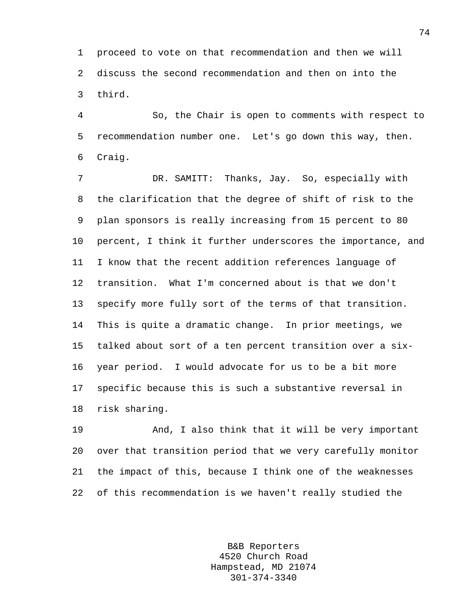1 proceed to vote on that recommendation and then we will 2 discuss the second recommendation and then on into the 3 third.

4 So, the Chair is open to comments with respect to 5 recommendation number one. Let's go down this way, then. 6 Craig.

7 DR. SAMITT: Thanks, Jay. So, especially with 8 the clarification that the degree of shift of risk to the 9 plan sponsors is really increasing from 15 percent to 80 10 percent, I think it further underscores the importance, and 11 I know that the recent addition references language of 12 transition. What I'm concerned about is that we don't 13 specify more fully sort of the terms of that transition. 14 This is quite a dramatic change. In prior meetings, we 15 talked about sort of a ten percent transition over a six-16 year period. I would advocate for us to be a bit more 17 specific because this is such a substantive reversal in 18 risk sharing.

19 And, I also think that it will be very important 20 over that transition period that we very carefully monitor 21 the impact of this, because I think one of the weaknesses 22 of this recommendation is we haven't really studied the

> B&B Reporters 4520 Church Road Hampstead, MD 21074 301-374-3340

74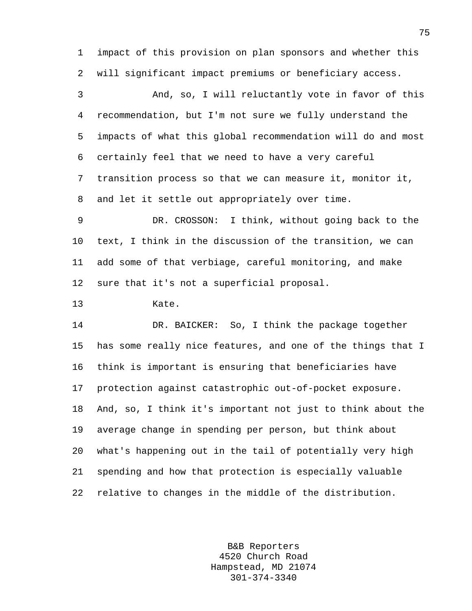1 impact of this provision on plan sponsors and whether this 2 will significant impact premiums or beneficiary access.

3 And, so, I will reluctantly vote in favor of this 4 recommendation, but I'm not sure we fully understand the 5 impacts of what this global recommendation will do and most 6 certainly feel that we need to have a very careful 7 transition process so that we can measure it, monitor it, 8 and let it settle out appropriately over time.

9 DR. CROSSON: I think, without going back to the 10 text, I think in the discussion of the transition, we can 11 add some of that verbiage, careful monitoring, and make 12 sure that it's not a superficial proposal.

13 Kate.

14 DR. BAICKER: So, I think the package together 15 has some really nice features, and one of the things that I 16 think is important is ensuring that beneficiaries have 17 protection against catastrophic out-of-pocket exposure. 18 And, so, I think it's important not just to think about the 19 average change in spending per person, but think about 20 what's happening out in the tail of potentially very high 21 spending and how that protection is especially valuable 22 relative to changes in the middle of the distribution.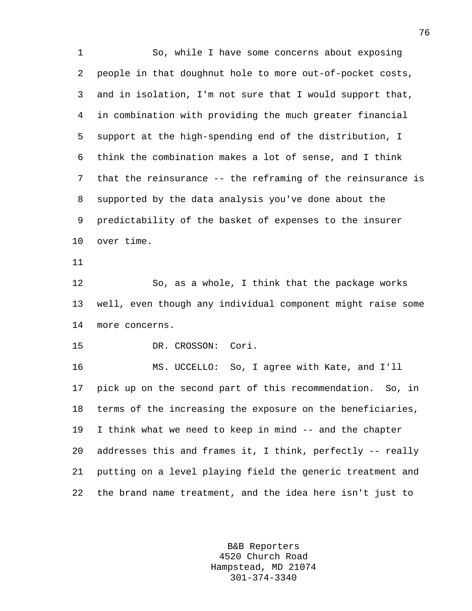1 So, while I have some concerns about exposing 2 people in that doughnut hole to more out-of-pocket costs, 3 and in isolation, I'm not sure that I would support that, 4 in combination with providing the much greater financial 5 support at the high-spending end of the distribution, I 6 think the combination makes a lot of sense, and I think 7 that the reinsurance -- the reframing of the reinsurance is 8 supported by the data analysis you've done about the 9 predictability of the basket of expenses to the insurer 10 over time. 11 12 So, as a whole, I think that the package works 13 well, even though any individual component might raise some 14 more concerns. 15 DR. CROSSON: Cori. 16 MS. UCCELLO: So, I agree with Kate, and I'll 17 pick up on the second part of this recommendation. So, in 18 terms of the increasing the exposure on the beneficiaries, 19 I think what we need to keep in mind -- and the chapter 20 addresses this and frames it, I think, perfectly -- really 21 putting on a level playing field the generic treatment and 22 the brand name treatment, and the idea here isn't just to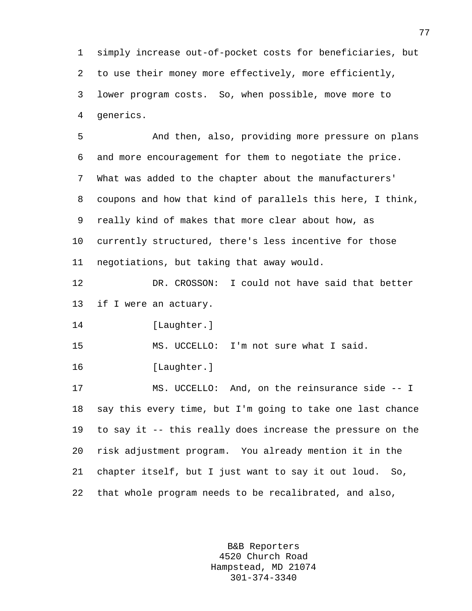1 simply increase out-of-pocket costs for beneficiaries, but 2 to use their money more effectively, more efficiently, 3 lower program costs. So, when possible, move more to 4 generics.

5 And then, also, providing more pressure on plans 6 and more encouragement for them to negotiate the price. 7 What was added to the chapter about the manufacturers' 8 coupons and how that kind of parallels this here, I think, 9 really kind of makes that more clear about how, as 10 currently structured, there's less incentive for those 11 negotiations, but taking that away would.

12 DR. CROSSON: I could not have said that better 13 if I were an actuary.

14 [Laughter.]

15 MS. UCCELLO: I'm not sure what I said.

16 [Laughter.]

17 MS. UCCELLO: And, on the reinsurance side -- I 18 say this every time, but I'm going to take one last chance 19 to say it -- this really does increase the pressure on the 20 risk adjustment program. You already mention it in the 21 chapter itself, but I just want to say it out loud. So, 22 that whole program needs to be recalibrated, and also,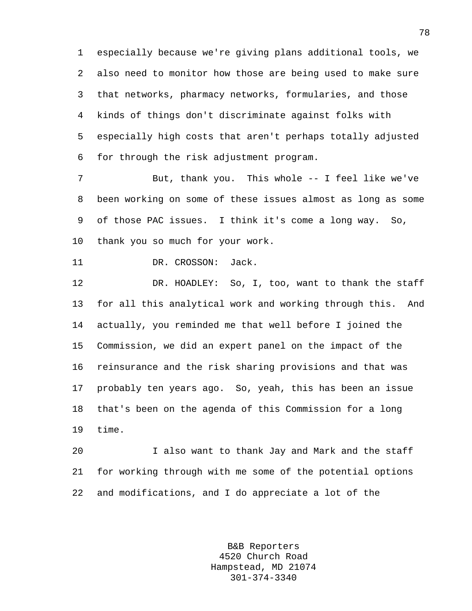1 especially because we're giving plans additional tools, we 2 also need to monitor how those are being used to make sure 3 that networks, pharmacy networks, formularies, and those 4 kinds of things don't discriminate against folks with 5 especially high costs that aren't perhaps totally adjusted 6 for through the risk adjustment program.

7 But, thank you. This whole -- I feel like we've 8 been working on some of these issues almost as long as some 9 of those PAC issues. I think it's come a long way. So, 10 thank you so much for your work.

```
11 DR. CROSSON: Jack.
```
12 DR. HOADLEY: So, I, too, want to thank the staff 13 for all this analytical work and working through this. And 14 actually, you reminded me that well before I joined the 15 Commission, we did an expert panel on the impact of the 16 reinsurance and the risk sharing provisions and that was 17 probably ten years ago. So, yeah, this has been an issue 18 that's been on the agenda of this Commission for a long 19 time.

20 I also want to thank Jay and Mark and the staff 21 for working through with me some of the potential options 22 and modifications, and I do appreciate a lot of the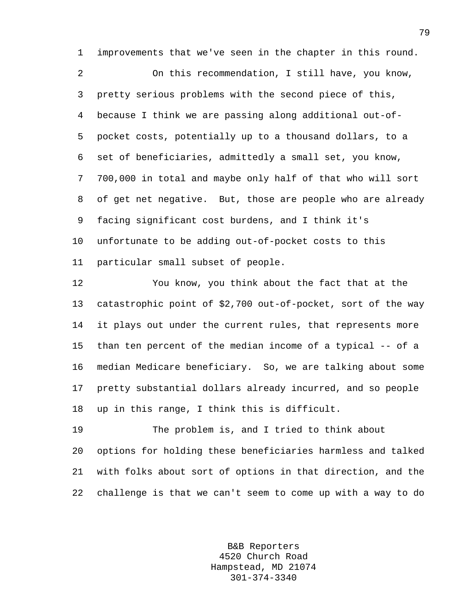1 improvements that we've seen in the chapter in this round.

2 On this recommendation, I still have, you know, 3 pretty serious problems with the second piece of this, 4 because I think we are passing along additional out-of-5 pocket costs, potentially up to a thousand dollars, to a 6 set of beneficiaries, admittedly a small set, you know, 7 700,000 in total and maybe only half of that who will sort 8 of get net negative. But, those are people who are already 9 facing significant cost burdens, and I think it's 10 unfortunate to be adding out-of-pocket costs to this 11 particular small subset of people.

12 You know, you think about the fact that at the 13 catastrophic point of \$2,700 out-of-pocket, sort of the way 14 it plays out under the current rules, that represents more 15 than ten percent of the median income of a typical -- of a 16 median Medicare beneficiary. So, we are talking about some 17 pretty substantial dollars already incurred, and so people 18 up in this range, I think this is difficult.

19 The problem is, and I tried to think about 20 options for holding these beneficiaries harmless and talked 21 with folks about sort of options in that direction, and the 22 challenge is that we can't seem to come up with a way to do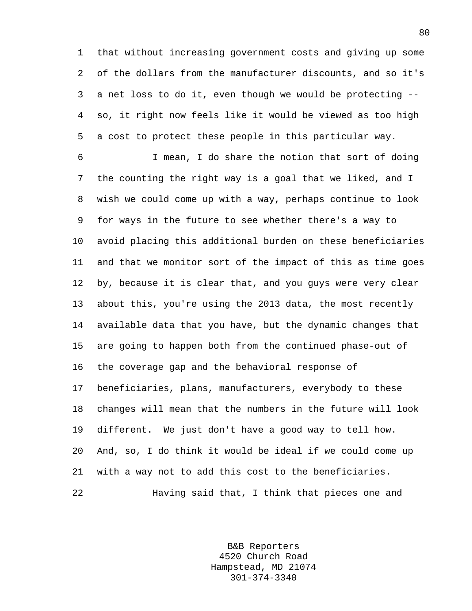1 that without increasing government costs and giving up some 2 of the dollars from the manufacturer discounts, and so it's 3 a net loss to do it, even though we would be protecting -- 4 so, it right now feels like it would be viewed as too high 5 a cost to protect these people in this particular way.

6 I mean, I do share the notion that sort of doing 7 the counting the right way is a goal that we liked, and I 8 wish we could come up with a way, perhaps continue to look 9 for ways in the future to see whether there's a way to 10 avoid placing this additional burden on these beneficiaries 11 and that we monitor sort of the impact of this as time goes 12 by, because it is clear that, and you guys were very clear 13 about this, you're using the 2013 data, the most recently 14 available data that you have, but the dynamic changes that 15 are going to happen both from the continued phase-out of 16 the coverage gap and the behavioral response of 17 beneficiaries, plans, manufacturers, everybody to these 18 changes will mean that the numbers in the future will look 19 different. We just don't have a good way to tell how. 20 And, so, I do think it would be ideal if we could come up 21 with a way not to add this cost to the beneficiaries. 22 Having said that, I think that pieces one and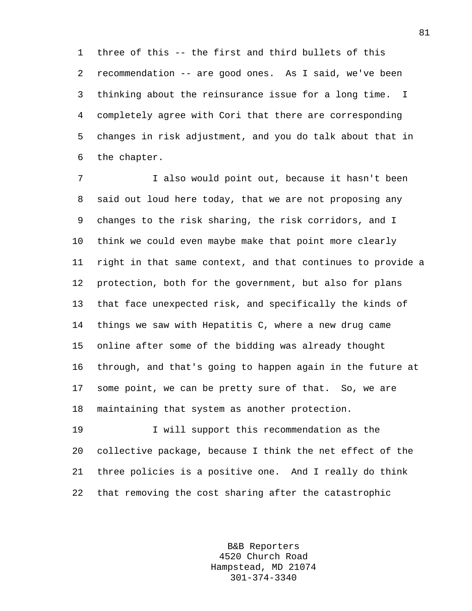1 three of this -- the first and third bullets of this 2 recommendation -- are good ones. As I said, we've been 3 thinking about the reinsurance issue for a long time. I 4 completely agree with Cori that there are corresponding 5 changes in risk adjustment, and you do talk about that in 6 the chapter.

7 I also would point out, because it hasn't been 8 said out loud here today, that we are not proposing any 9 changes to the risk sharing, the risk corridors, and I 10 think we could even maybe make that point more clearly 11 right in that same context, and that continues to provide a 12 protection, both for the government, but also for plans 13 that face unexpected risk, and specifically the kinds of 14 things we saw with Hepatitis C, where a new drug came 15 online after some of the bidding was already thought 16 through, and that's going to happen again in the future at 17 some point, we can be pretty sure of that. So, we are 18 maintaining that system as another protection.

19 I will support this recommendation as the 20 collective package, because I think the net effect of the 21 three policies is a positive one. And I really do think 22 that removing the cost sharing after the catastrophic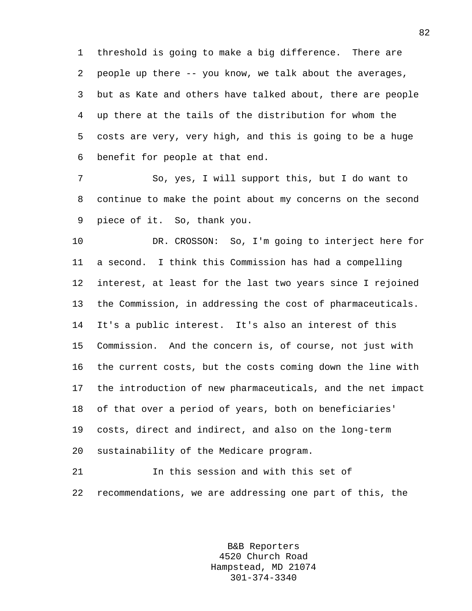1 threshold is going to make a big difference. There are 2 people up there -- you know, we talk about the averages, 3 but as Kate and others have talked about, there are people 4 up there at the tails of the distribution for whom the 5 costs are very, very high, and this is going to be a huge 6 benefit for people at that end.

7 So, yes, I will support this, but I do want to 8 continue to make the point about my concerns on the second 9 piece of it. So, thank you.

10 DR. CROSSON: So, I'm going to interject here for 11 a second. I think this Commission has had a compelling 12 interest, at least for the last two years since I rejoined 13 the Commission, in addressing the cost of pharmaceuticals. 14 It's a public interest. It's also an interest of this 15 Commission. And the concern is, of course, not just with 16 the current costs, but the costs coming down the line with 17 the introduction of new pharmaceuticals, and the net impact 18 of that over a period of years, both on beneficiaries' 19 costs, direct and indirect, and also on the long-term 20 sustainability of the Medicare program.

21 In this session and with this set of 22 recommendations, we are addressing one part of this, the

> B&B Reporters 4520 Church Road Hampstead, MD 21074 301-374-3340

82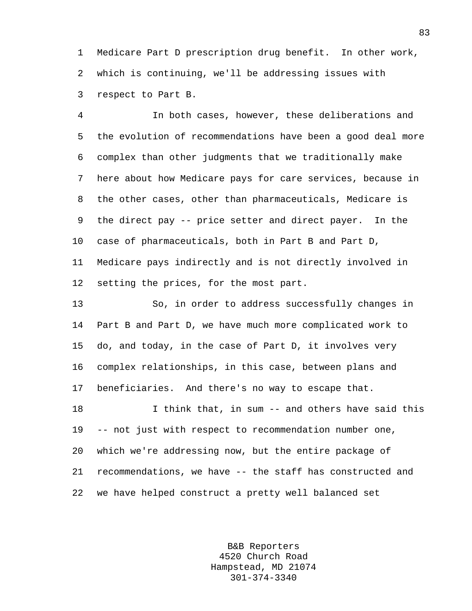1 Medicare Part D prescription drug benefit. In other work, 2 which is continuing, we'll be addressing issues with 3 respect to Part B.

4 In both cases, however, these deliberations and 5 the evolution of recommendations have been a good deal more 6 complex than other judgments that we traditionally make 7 here about how Medicare pays for care services, because in 8 the other cases, other than pharmaceuticals, Medicare is 9 the direct pay -- price setter and direct payer. In the 10 case of pharmaceuticals, both in Part B and Part D, 11 Medicare pays indirectly and is not directly involved in 12 setting the prices, for the most part.

13 So, in order to address successfully changes in 14 Part B and Part D, we have much more complicated work to 15 do, and today, in the case of Part D, it involves very 16 complex relationships, in this case, between plans and 17 beneficiaries. And there's no way to escape that.

18 I think that, in sum -- and others have said this 19 -- not just with respect to recommendation number one, 20 which we're addressing now, but the entire package of 21 recommendations, we have -- the staff has constructed and 22 we have helped construct a pretty well balanced set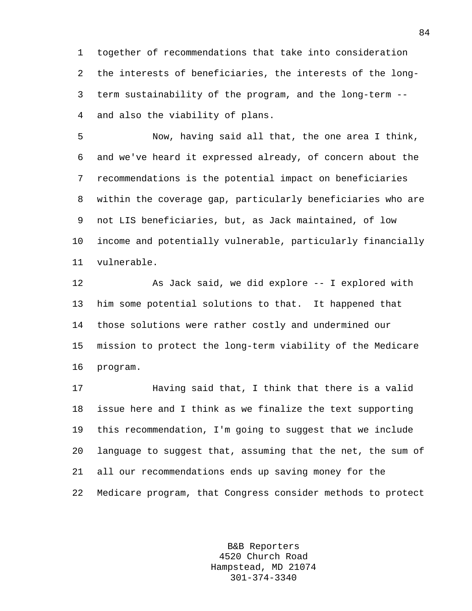1 together of recommendations that take into consideration 2 the interests of beneficiaries, the interests of the long-3 term sustainability of the program, and the long-term -- 4 and also the viability of plans.

5 Now, having said all that, the one area I think, 6 and we've heard it expressed already, of concern about the 7 recommendations is the potential impact on beneficiaries 8 within the coverage gap, particularly beneficiaries who are 9 not LIS beneficiaries, but, as Jack maintained, of low 10 income and potentially vulnerable, particularly financially 11 vulnerable.

12 As Jack said, we did explore -- I explored with 13 him some potential solutions to that. It happened that 14 those solutions were rather costly and undermined our 15 mission to protect the long-term viability of the Medicare 16 program.

17 Having said that, I think that there is a valid 18 issue here and I think as we finalize the text supporting 19 this recommendation, I'm going to suggest that we include 20 language to suggest that, assuming that the net, the sum of 21 all our recommendations ends up saving money for the 22 Medicare program, that Congress consider methods to protect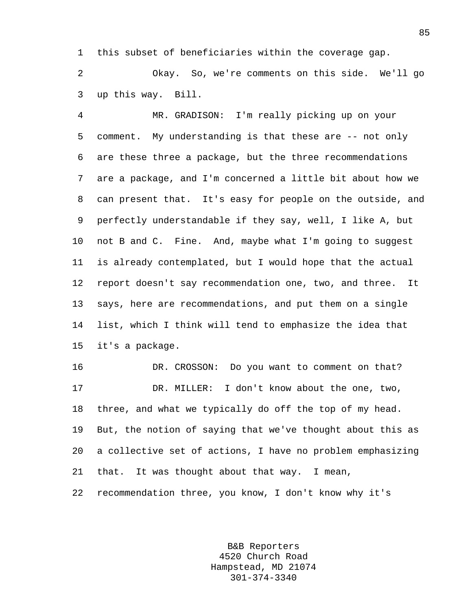1 this subset of beneficiaries within the coverage gap.

2 Okay. So, we're comments on this side. We'll go 3 up this way. Bill.

4 MR. GRADISON: I'm really picking up on your 5 comment. My understanding is that these are -- not only 6 are these three a package, but the three recommendations 7 are a package, and I'm concerned a little bit about how we 8 can present that. It's easy for people on the outside, and 9 perfectly understandable if they say, well, I like A, but 10 not B and C. Fine. And, maybe what I'm going to suggest 11 is already contemplated, but I would hope that the actual 12 report doesn't say recommendation one, two, and three. It 13 says, here are recommendations, and put them on a single 14 list, which I think will tend to emphasize the idea that 15 it's a package.

16 DR. CROSSON: Do you want to comment on that? 17 DR. MILLER: I don't know about the one, two, 18 three, and what we typically do off the top of my head. 19 But, the notion of saying that we've thought about this as 20 a collective set of actions, I have no problem emphasizing 21 that. It was thought about that way. I mean, 22 recommendation three, you know, I don't know why it's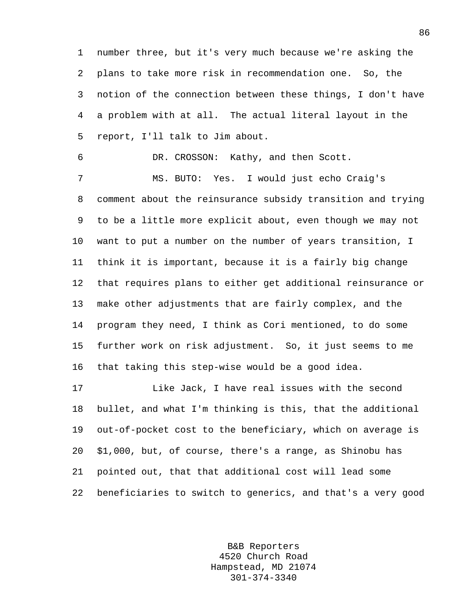1 number three, but it's very much because we're asking the 2 plans to take more risk in recommendation one. So, the 3 notion of the connection between these things, I don't have 4 a problem with at all. The actual literal layout in the 5 report, I'll talk to Jim about.

6 DR. CROSSON: Kathy, and then Scott. 7 MS. BUTO: Yes. I would just echo Craig's

9 to be a little more explicit about, even though we may not 10 want to put a number on the number of years transition, I 11 think it is important, because it is a fairly big change 12 that requires plans to either get additional reinsurance or 13 make other adjustments that are fairly complex, and the 14 program they need, I think as Cori mentioned, to do some 15 further work on risk adjustment. So, it just seems to me 16 that taking this step-wise would be a good idea.

8 comment about the reinsurance subsidy transition and trying

17 Like Jack, I have real issues with the second 18 bullet, and what I'm thinking is this, that the additional 19 out-of-pocket cost to the beneficiary, which on average is 20 \$1,000, but, of course, there's a range, as Shinobu has 21 pointed out, that that additional cost will lead some 22 beneficiaries to switch to generics, and that's a very good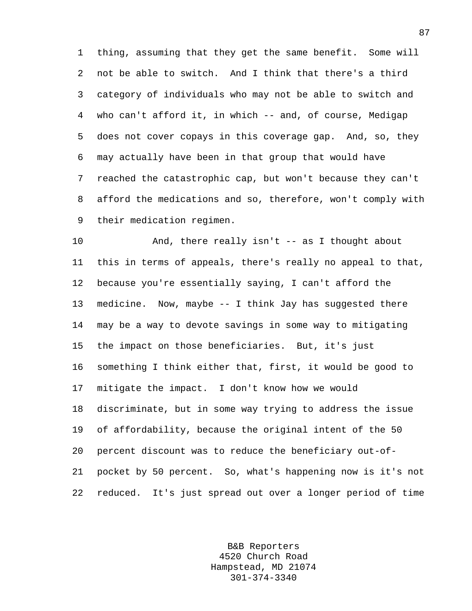1 thing, assuming that they get the same benefit. Some will 2 not be able to switch. And I think that there's a third 3 category of individuals who may not be able to switch and 4 who can't afford it, in which -- and, of course, Medigap 5 does not cover copays in this coverage gap. And, so, they 6 may actually have been in that group that would have 7 reached the catastrophic cap, but won't because they can't 8 afford the medications and so, therefore, won't comply with 9 their medication regimen.

10 And, there really isn't -- as I thought about 11 this in terms of appeals, there's really no appeal to that, 12 because you're essentially saying, I can't afford the 13 medicine. Now, maybe -- I think Jay has suggested there 14 may be a way to devote savings in some way to mitigating 15 the impact on those beneficiaries. But, it's just 16 something I think either that, first, it would be good to 17 mitigate the impact. I don't know how we would 18 discriminate, but in some way trying to address the issue 19 of affordability, because the original intent of the 50 20 percent discount was to reduce the beneficiary out-of-21 pocket by 50 percent. So, what's happening now is it's not 22 reduced. It's just spread out over a longer period of time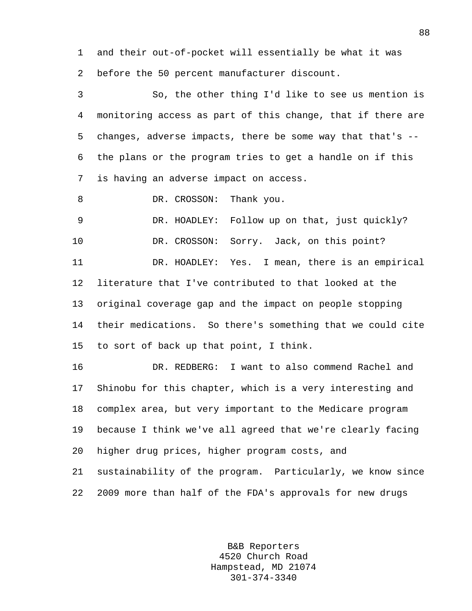1 and their out-of-pocket will essentially be what it was 2 before the 50 percent manufacturer discount.

3 So, the other thing I'd like to see us mention is 4 monitoring access as part of this change, that if there are 5 changes, adverse impacts, there be some way that that's -- 6 the plans or the program tries to get a handle on if this 7 is having an adverse impact on access.

8 DR. CROSSON: Thank you.

9 DR. HOADLEY: Follow up on that, just quickly?

10 DR. CROSSON: Sorry. Jack, on this point?

11 DR. HOADLEY: Yes. I mean, there is an empirical 12 literature that I've contributed to that looked at the 13 original coverage gap and the impact on people stopping 14 their medications. So there's something that we could cite 15 to sort of back up that point, I think.

16 DR. REDBERG: I want to also commend Rachel and 17 Shinobu for this chapter, which is a very interesting and 18 complex area, but very important to the Medicare program 19 because I think we've all agreed that we're clearly facing 20 higher drug prices, higher program costs, and 21 sustainability of the program. Particularly, we know since 22 2009 more than half of the FDA's approvals for new drugs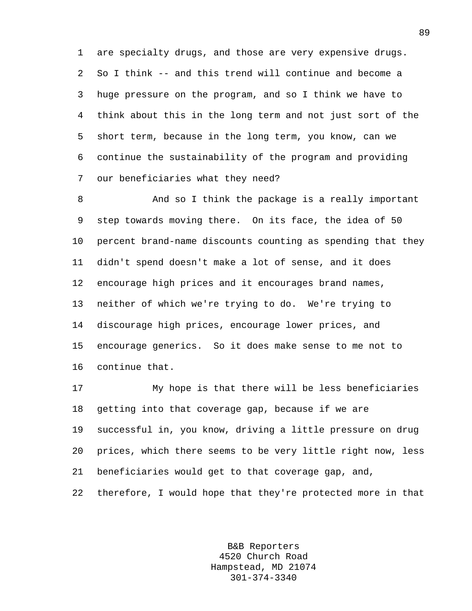1 are specialty drugs, and those are very expensive drugs. 2 So I think -- and this trend will continue and become a 3 huge pressure on the program, and so I think we have to 4 think about this in the long term and not just sort of the 5 short term, because in the long term, you know, can we 6 continue the sustainability of the program and providing 7 our beneficiaries what they need?

8 And so I think the package is a really important 9 step towards moving there. On its face, the idea of 50 10 percent brand-name discounts counting as spending that they 11 didn't spend doesn't make a lot of sense, and it does 12 encourage high prices and it encourages brand names, 13 neither of which we're trying to do. We're trying to 14 discourage high prices, encourage lower prices, and 15 encourage generics. So it does make sense to me not to 16 continue that.

17 My hope is that there will be less beneficiaries 18 getting into that coverage gap, because if we are 19 successful in, you know, driving a little pressure on drug 20 prices, which there seems to be very little right now, less 21 beneficiaries would get to that coverage gap, and, 22 therefore, I would hope that they're protected more in that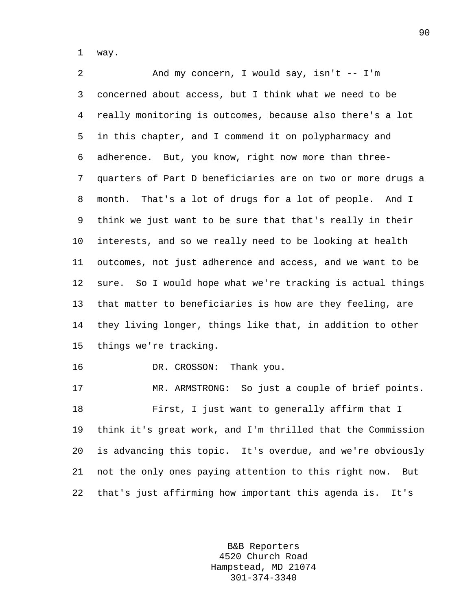1 way.

2 And my concern, I would say, isn't -- I'm 3 concerned about access, but I think what we need to be 4 really monitoring is outcomes, because also there's a lot 5 in this chapter, and I commend it on polypharmacy and 6 adherence. But, you know, right now more than three-7 quarters of Part D beneficiaries are on two or more drugs a 8 month. That's a lot of drugs for a lot of people. And I 9 think we just want to be sure that that's really in their 10 interests, and so we really need to be looking at health 11 outcomes, not just adherence and access, and we want to be 12 sure. So I would hope what we're tracking is actual things 13 that matter to beneficiaries is how are they feeling, are 14 they living longer, things like that, in addition to other 15 things we're tracking. 16 DR. CROSSON: Thank you. 17 MR. ARMSTRONG: So just a couple of brief points. 18 First, I just want to generally affirm that I 19 think it's great work, and I'm thrilled that the Commission

20 is advancing this topic. It's overdue, and we're obviously 21 not the only ones paying attention to this right now. But 22 that's just affirming how important this agenda is. It's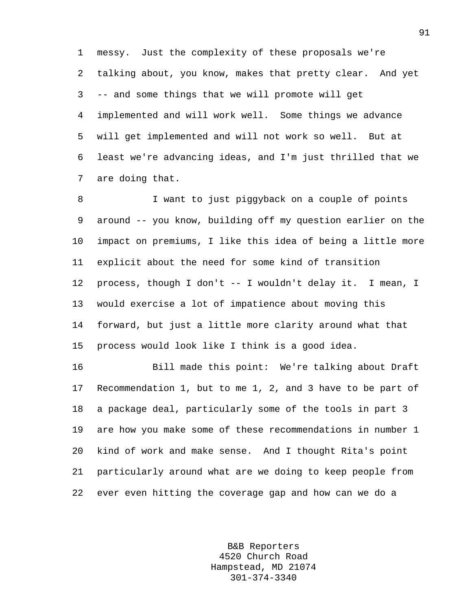1 messy. Just the complexity of these proposals we're 2 talking about, you know, makes that pretty clear. And yet 3 -- and some things that we will promote will get 4 implemented and will work well. Some things we advance 5 will get implemented and will not work so well. But at 6 least we're advancing ideas, and I'm just thrilled that we 7 are doing that.

8 I want to just piggyback on a couple of points 9 around -- you know, building off my question earlier on the 10 impact on premiums, I like this idea of being a little more 11 explicit about the need for some kind of transition 12 process, though I don't -- I wouldn't delay it. I mean, I 13 would exercise a lot of impatience about moving this 14 forward, but just a little more clarity around what that 15 process would look like I think is a good idea.

16 Bill made this point: We're talking about Draft 17 Recommendation 1, but to me 1, 2, and 3 have to be part of 18 a package deal, particularly some of the tools in part 3 19 are how you make some of these recommendations in number 1 20 kind of work and make sense. And I thought Rita's point 21 particularly around what are we doing to keep people from 22 ever even hitting the coverage gap and how can we do a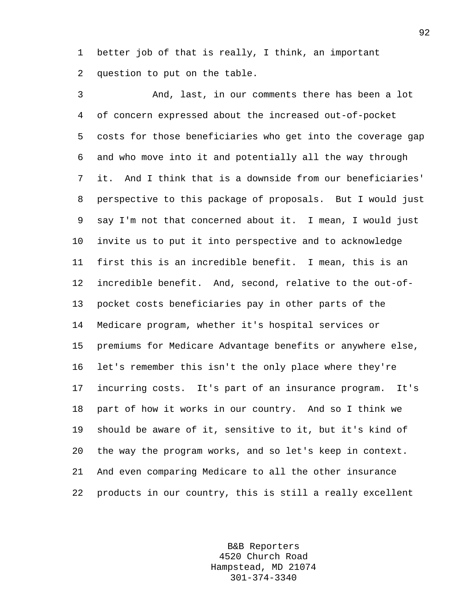1 better job of that is really, I think, an important 2 question to put on the table.

3 And, last, in our comments there has been a lot 4 of concern expressed about the increased out-of-pocket 5 costs for those beneficiaries who get into the coverage gap 6 and who move into it and potentially all the way through 7 it. And I think that is a downside from our beneficiaries' 8 perspective to this package of proposals. But I would just 9 say I'm not that concerned about it. I mean, I would just 10 invite us to put it into perspective and to acknowledge 11 first this is an incredible benefit. I mean, this is an 12 incredible benefit. And, second, relative to the out-of-13 pocket costs beneficiaries pay in other parts of the 14 Medicare program, whether it's hospital services or 15 premiums for Medicare Advantage benefits or anywhere else, 16 let's remember this isn't the only place where they're 17 incurring costs. It's part of an insurance program. It's 18 part of how it works in our country. And so I think we 19 should be aware of it, sensitive to it, but it's kind of 20 the way the program works, and so let's keep in context. 21 And even comparing Medicare to all the other insurance 22 products in our country, this is still a really excellent

> B&B Reporters 4520 Church Road Hampstead, MD 21074 301-374-3340

92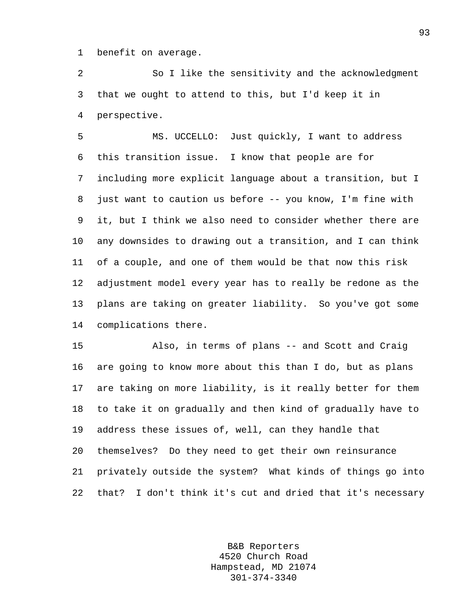1 benefit on average.

2 So I like the sensitivity and the acknowledgment 3 that we ought to attend to this, but I'd keep it in 4 perspective.

5 MS. UCCELLO: Just quickly, I want to address 6 this transition issue. I know that people are for 7 including more explicit language about a transition, but I 8 just want to caution us before -- you know, I'm fine with 9 it, but I think we also need to consider whether there are 10 any downsides to drawing out a transition, and I can think 11 of a couple, and one of them would be that now this risk 12 adjustment model every year has to really be redone as the 13 plans are taking on greater liability. So you've got some 14 complications there.

15 Also, in terms of plans -- and Scott and Craig 16 are going to know more about this than I do, but as plans 17 are taking on more liability, is it really better for them 18 to take it on gradually and then kind of gradually have to 19 address these issues of, well, can they handle that 20 themselves? Do they need to get their own reinsurance 21 privately outside the system? What kinds of things go into 22 that? I don't think it's cut and dried that it's necessary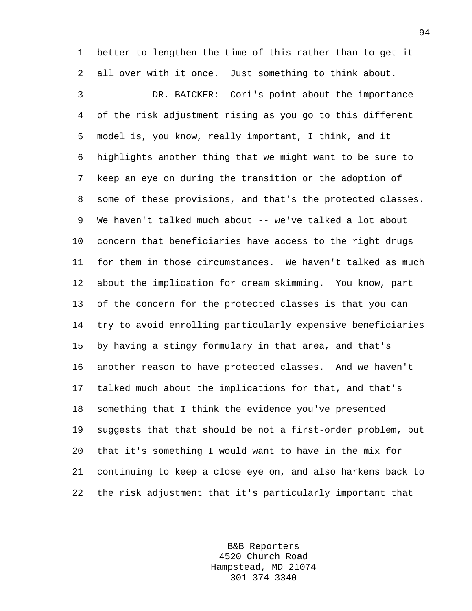1 better to lengthen the time of this rather than to get it 2 all over with it once. Just something to think about.

3 DR. BAICKER: Cori's point about the importance 4 of the risk adjustment rising as you go to this different 5 model is, you know, really important, I think, and it 6 highlights another thing that we might want to be sure to 7 keep an eye on during the transition or the adoption of 8 some of these provisions, and that's the protected classes. 9 We haven't talked much about -- we've talked a lot about 10 concern that beneficiaries have access to the right drugs 11 for them in those circumstances. We haven't talked as much 12 about the implication for cream skimming. You know, part 13 of the concern for the protected classes is that you can 14 try to avoid enrolling particularly expensive beneficiaries 15 by having a stingy formulary in that area, and that's 16 another reason to have protected classes. And we haven't 17 talked much about the implications for that, and that's 18 something that I think the evidence you've presented 19 suggests that that should be not a first-order problem, but 20 that it's something I would want to have in the mix for 21 continuing to keep a close eye on, and also harkens back to 22 the risk adjustment that it's particularly important that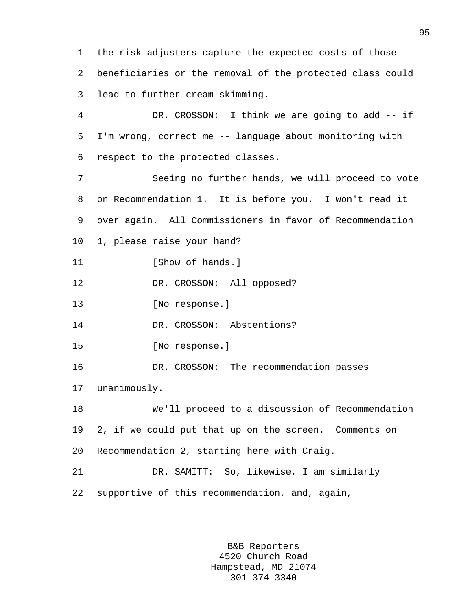1 the risk adjusters capture the expected costs of those 2 beneficiaries or the removal of the protected class could 3 lead to further cream skimming.

4 DR. CROSSON: I think we are going to add -- if 5 I'm wrong, correct me -- language about monitoring with 6 respect to the protected classes.

7 Seeing no further hands, we will proceed to vote 8 on Recommendation 1. It is before you. I won't read it 9 over again. All Commissioners in favor of Recommendation 10 1, please raise your hand?

11 [Show of hands.]

12 DR. CROSSON: All opposed?

13 [No response.]

14 DR. CROSSON: Abstentions?

15 [No response.]

16 DR. CROSSON: The recommendation passes

17 unanimously.

18 We'll proceed to a discussion of Recommendation 19 2, if we could put that up on the screen. Comments on 20 Recommendation 2, starting here with Craig.

21 DR. SAMITT: So, likewise, I am similarly 22 supportive of this recommendation, and, again,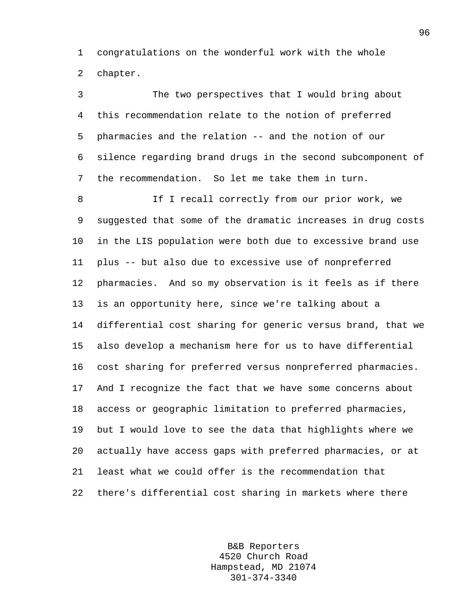1 congratulations on the wonderful work with the whole 2 chapter.

3 The two perspectives that I would bring about 4 this recommendation relate to the notion of preferred 5 pharmacies and the relation -- and the notion of our 6 silence regarding brand drugs in the second subcomponent of 7 the recommendation. So let me take them in turn.

8 1f I recall correctly from our prior work, we 9 suggested that some of the dramatic increases in drug costs 10 in the LIS population were both due to excessive brand use 11 plus -- but also due to excessive use of nonpreferred 12 pharmacies. And so my observation is it feels as if there 13 is an opportunity here, since we're talking about a 14 differential cost sharing for generic versus brand, that we 15 also develop a mechanism here for us to have differential 16 cost sharing for preferred versus nonpreferred pharmacies. 17 And I recognize the fact that we have some concerns about 18 access or geographic limitation to preferred pharmacies, 19 but I would love to see the data that highlights where we 20 actually have access gaps with preferred pharmacies, or at 21 least what we could offer is the recommendation that 22 there's differential cost sharing in markets where there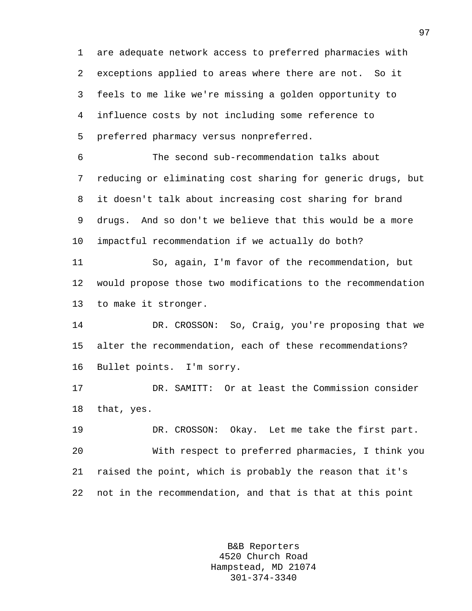1 are adequate network access to preferred pharmacies with 2 exceptions applied to areas where there are not. So it 3 feels to me like we're missing a golden opportunity to 4 influence costs by not including some reference to 5 preferred pharmacy versus nonpreferred.

6 The second sub-recommendation talks about 7 reducing or eliminating cost sharing for generic drugs, but 8 it doesn't talk about increasing cost sharing for brand 9 drugs. And so don't we believe that this would be a more 10 impactful recommendation if we actually do both?

11 So, again, I'm favor of the recommendation, but 12 would propose those two modifications to the recommendation 13 to make it stronger.

14 DR. CROSSON: So, Craig, you're proposing that we 15 alter the recommendation, each of these recommendations? 16 Bullet points. I'm sorry.

17 DR. SAMITT: Or at least the Commission consider 18 that, yes.

19 DR. CROSSON: Okay. Let me take the first part. 20 With respect to preferred pharmacies, I think you 21 raised the point, which is probably the reason that it's 22 not in the recommendation, and that is that at this point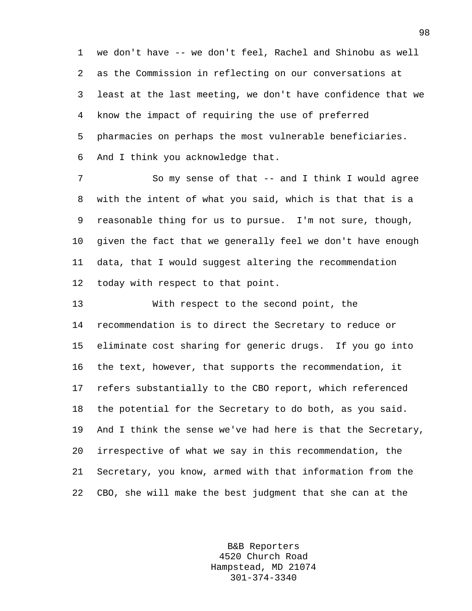1 we don't have -- we don't feel, Rachel and Shinobu as well 2 as the Commission in reflecting on our conversations at 3 least at the last meeting, we don't have confidence that we 4 know the impact of requiring the use of preferred 5 pharmacies on perhaps the most vulnerable beneficiaries. 6 And I think you acknowledge that.

7 So my sense of that -- and I think I would agree 8 with the intent of what you said, which is that that is a 9 reasonable thing for us to pursue. I'm not sure, though, 10 given the fact that we generally feel we don't have enough 11 data, that I would suggest altering the recommendation 12 today with respect to that point.

13 With respect to the second point, the 14 recommendation is to direct the Secretary to reduce or 15 eliminate cost sharing for generic drugs. If you go into 16 the text, however, that supports the recommendation, it 17 refers substantially to the CBO report, which referenced 18 the potential for the Secretary to do both, as you said. 19 And I think the sense we've had here is that the Secretary, 20 irrespective of what we say in this recommendation, the 21 Secretary, you know, armed with that information from the 22 CBO, she will make the best judgment that she can at the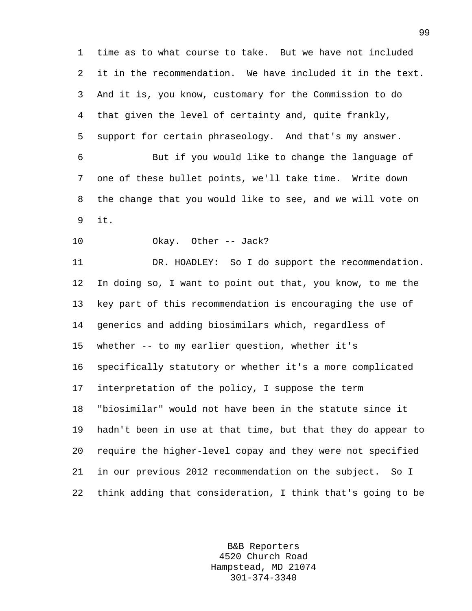1 time as to what course to take. But we have not included 2 it in the recommendation. We have included it in the text. 3 And it is, you know, customary for the Commission to do 4 that given the level of certainty and, quite frankly, 5 support for certain phraseology. And that's my answer. 6 But if you would like to change the language of 7 one of these bullet points, we'll take time. Write down 8 the change that you would like to see, and we will vote on 9 it. 10 Okay. Other -- Jack? 11 DR. HOADLEY: So I do support the recommendation. 12 In doing so, I want to point out that, you know, to me the 13 key part of this recommendation is encouraging the use of 14 generics and adding biosimilars which, regardless of 15 whether -- to my earlier question, whether it's 16 specifically statutory or whether it's a more complicated 17 interpretation of the policy, I suppose the term 18 "biosimilar" would not have been in the statute since it 19 hadn't been in use at that time, but that they do appear to 20 require the higher-level copay and they were not specified 21 in our previous 2012 recommendation on the subject. So I 22 think adding that consideration, I think that's going to be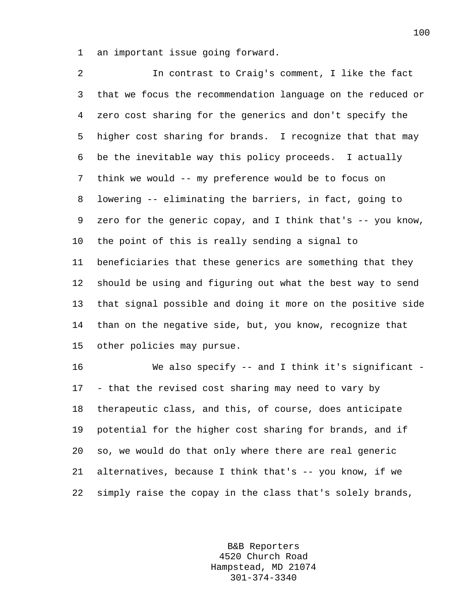1 an important issue going forward.

2 In contrast to Craig's comment, I like the fact 3 that we focus the recommendation language on the reduced or 4 zero cost sharing for the generics and don't specify the 5 higher cost sharing for brands. I recognize that that may 6 be the inevitable way this policy proceeds. I actually 7 think we would -- my preference would be to focus on 8 lowering -- eliminating the barriers, in fact, going to 9 zero for the generic copay, and I think that's -- you know, 10 the point of this is really sending a signal to 11 beneficiaries that these generics are something that they 12 should be using and figuring out what the best way to send 13 that signal possible and doing it more on the positive side 14 than on the negative side, but, you know, recognize that 15 other policies may pursue.

16 We also specify -- and I think it's significant - 17 - that the revised cost sharing may need to vary by 18 therapeutic class, and this, of course, does anticipate 19 potential for the higher cost sharing for brands, and if 20 so, we would do that only where there are real generic 21 alternatives, because I think that's -- you know, if we 22 simply raise the copay in the class that's solely brands,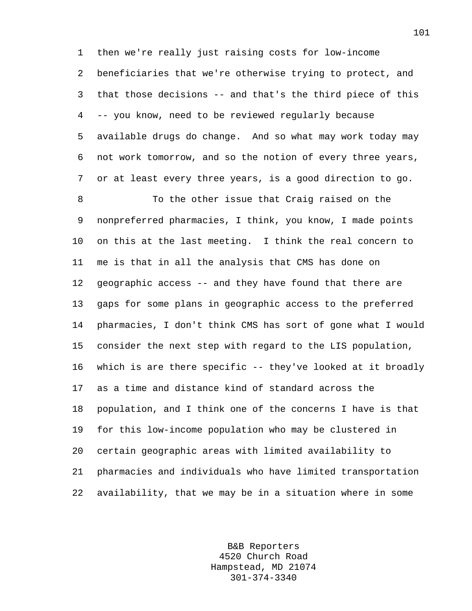1 then we're really just raising costs for low-income 2 beneficiaries that we're otherwise trying to protect, and 3 that those decisions -- and that's the third piece of this 4 -- you know, need to be reviewed regularly because 5 available drugs do change. And so what may work today may 6 not work tomorrow, and so the notion of every three years, 7 or at least every three years, is a good direction to go.

8 To the other issue that Craig raised on the 9 nonpreferred pharmacies, I think, you know, I made points 10 on this at the last meeting. I think the real concern to 11 me is that in all the analysis that CMS has done on 12 geographic access -- and they have found that there are 13 gaps for some plans in geographic access to the preferred 14 pharmacies, I don't think CMS has sort of gone what I would 15 consider the next step with regard to the LIS population, 16 which is are there specific -- they've looked at it broadly 17 as a time and distance kind of standard across the 18 population, and I think one of the concerns I have is that 19 for this low-income population who may be clustered in 20 certain geographic areas with limited availability to 21 pharmacies and individuals who have limited transportation 22 availability, that we may be in a situation where in some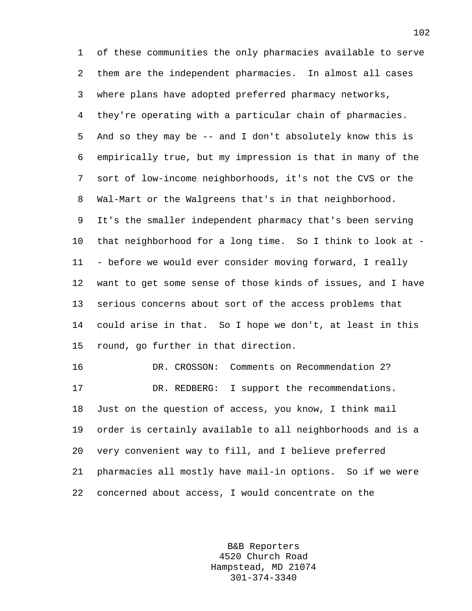1 of these communities the only pharmacies available to serve 2 them are the independent pharmacies. In almost all cases 3 where plans have adopted preferred pharmacy networks, 4 they're operating with a particular chain of pharmacies. 5 And so they may be -- and I don't absolutely know this is 6 empirically true, but my impression is that in many of the 7 sort of low-income neighborhoods, it's not the CVS or the 8 Wal-Mart or the Walgreens that's in that neighborhood. 9 It's the smaller independent pharmacy that's been serving 10 that neighborhood for a long time. So I think to look at - 11 - before we would ever consider moving forward, I really 12 want to get some sense of those kinds of issues, and I have 13 serious concerns about sort of the access problems that 14 could arise in that. So I hope we don't, at least in this 15 round, go further in that direction.

16 DR. CROSSON: Comments on Recommendation 2? 17 DR. REDBERG: I support the recommendations. 18 Just on the question of access, you know, I think mail 19 order is certainly available to all neighborhoods and is a 20 very convenient way to fill, and I believe preferred 21 pharmacies all mostly have mail-in options. So if we were 22 concerned about access, I would concentrate on the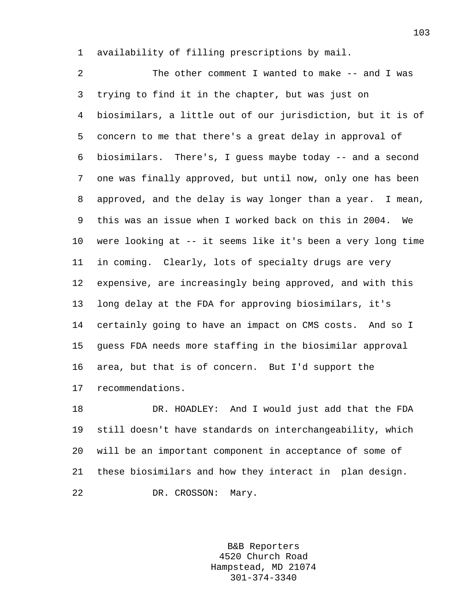1 availability of filling prescriptions by mail.

2 The other comment I wanted to make -- and I was 3 trying to find it in the chapter, but was just on 4 biosimilars, a little out of our jurisdiction, but it is of 5 concern to me that there's a great delay in approval of 6 biosimilars. There's, I guess maybe today -- and a second 7 one was finally approved, but until now, only one has been 8 approved, and the delay is way longer than a year. I mean, 9 this was an issue when I worked back on this in 2004. We 10 were looking at -- it seems like it's been a very long time 11 in coming. Clearly, lots of specialty drugs are very 12 expensive, are increasingly being approved, and with this 13 long delay at the FDA for approving biosimilars, it's 14 certainly going to have an impact on CMS costs. And so I 15 guess FDA needs more staffing in the biosimilar approval 16 area, but that is of concern. But I'd support the 17 recommendations.

18 DR. HOADLEY: And I would just add that the FDA 19 still doesn't have standards on interchangeability, which 20 will be an important component in acceptance of some of 21 these biosimilars and how they interact in plan design. 22 DR. CROSSON: Mary.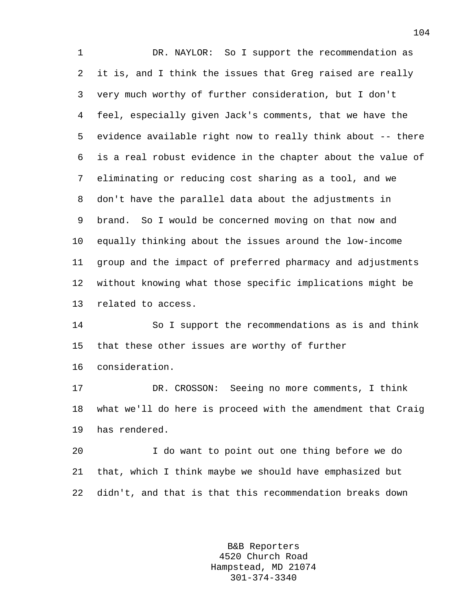1 DR. NAYLOR: So I support the recommendation as 2 it is, and I think the issues that Greg raised are really 3 very much worthy of further consideration, but I don't 4 feel, especially given Jack's comments, that we have the 5 evidence available right now to really think about -- there 6 is a real robust evidence in the chapter about the value of 7 eliminating or reducing cost sharing as a tool, and we 8 don't have the parallel data about the adjustments in 9 brand. So I would be concerned moving on that now and 10 equally thinking about the issues around the low-income 11 group and the impact of preferred pharmacy and adjustments 12 without knowing what those specific implications might be 13 related to access.

14 So I support the recommendations as is and think 15 that these other issues are worthy of further

16 consideration.

17 DR. CROSSON: Seeing no more comments, I think 18 what we'll do here is proceed with the amendment that Craig 19 has rendered.

20 I do want to point out one thing before we do 21 that, which I think maybe we should have emphasized but 22 didn't, and that is that this recommendation breaks down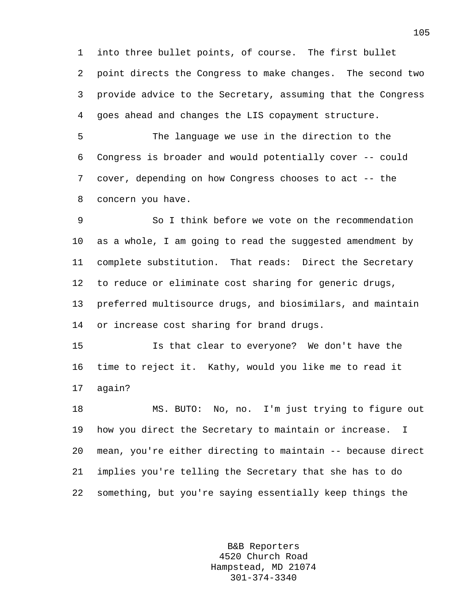1 into three bullet points, of course. The first bullet 2 point directs the Congress to make changes. The second two 3 provide advice to the Secretary, assuming that the Congress 4 goes ahead and changes the LIS copayment structure.

5 The language we use in the direction to the 6 Congress is broader and would potentially cover -- could 7 cover, depending on how Congress chooses to act -- the 8 concern you have.

9 So I think before we vote on the recommendation 10 as a whole, I am going to read the suggested amendment by 11 complete substitution. That reads: Direct the Secretary 12 to reduce or eliminate cost sharing for generic drugs, 13 preferred multisource drugs, and biosimilars, and maintain 14 or increase cost sharing for brand drugs.

15 Is that clear to everyone? We don't have the 16 time to reject it. Kathy, would you like me to read it 17 again?

18 MS. BUTO: No, no. I'm just trying to figure out 19 how you direct the Secretary to maintain or increase. I 20 mean, you're either directing to maintain -- because direct 21 implies you're telling the Secretary that she has to do 22 something, but you're saying essentially keep things the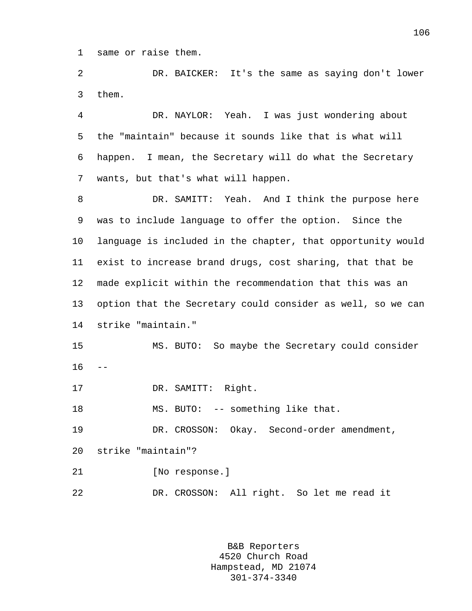1 same or raise them.

2 DR. BAICKER: It's the same as saying don't lower 3 them.

4 DR. NAYLOR: Yeah. I was just wondering about 5 the "maintain" because it sounds like that is what will 6 happen. I mean, the Secretary will do what the Secretary 7 wants, but that's what will happen.

8 DR. SAMITT: Yeah. And I think the purpose here 9 was to include language to offer the option. Since the 10 language is included in the chapter, that opportunity would 11 exist to increase brand drugs, cost sharing, that that be 12 made explicit within the recommendation that this was an 13 option that the Secretary could consider as well, so we can 14 strike "maintain."

15 MS. BUTO: So maybe the Secretary could consider  $16 - -$ 

17 DR. SAMITT: Right.

18 MS. BUTO: -- something like that.

19 DR. CROSSON: Okay. Second-order amendment,

20 strike "maintain"?

21 [No response.]

22 DR. CROSSON: All right. So let me read it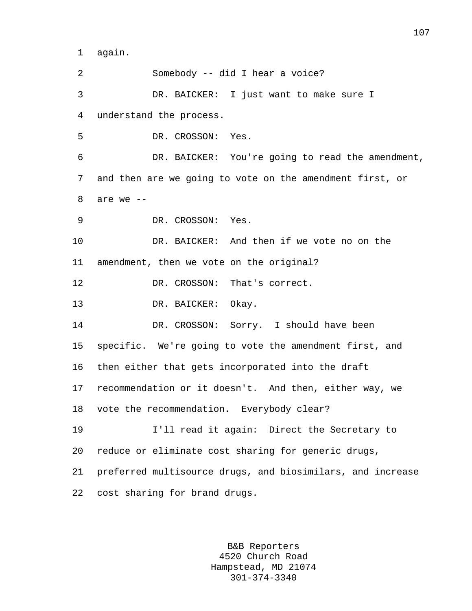1 again.

2 Somebody -- did I hear a voice? 3 DR. BAICKER: I just want to make sure I 4 understand the process. 5 DR. CROSSON: Yes. 6 DR. BAICKER: You're going to read the amendment, 7 and then are we going to vote on the amendment first, or 8 are we -- 9 DR. CROSSON: Yes. 10 DR. BAICKER: And then if we vote no on the 11 amendment, then we vote on the original? 12 DR. CROSSON: That's correct. 13 DR. BAICKER: Okay. 14 DR. CROSSON: Sorry. I should have been 15 specific. We're going to vote the amendment first, and 16 then either that gets incorporated into the draft 17 recommendation or it doesn't. And then, either way, we 18 vote the recommendation. Everybody clear? 19 I'll read it again: Direct the Secretary to 20 reduce or eliminate cost sharing for generic drugs, 21 preferred multisource drugs, and biosimilars, and increase 22 cost sharing for brand drugs.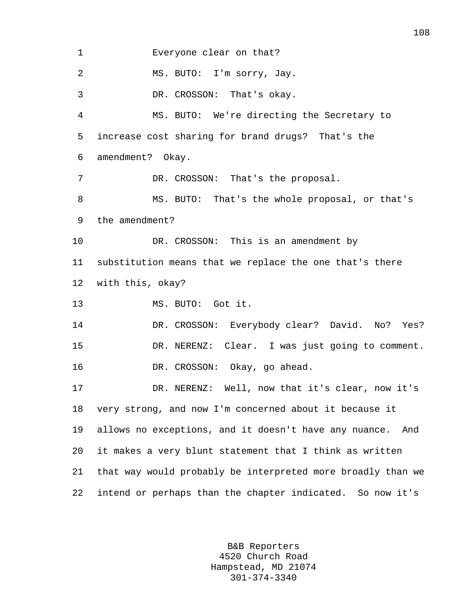1 Everyone clear on that? 2 MS. BUTO: I'm sorry, Jay. 3 DR. CROSSON: That's okay. 4 MS. BUTO: We're directing the Secretary to 5 increase cost sharing for brand drugs? That's the 6 amendment? Okay. 7 DR. CROSSON: That's the proposal. 8 MS. BUTO: That's the whole proposal, or that's 9 the amendment? 10 DR. CROSSON: This is an amendment by 11 substitution means that we replace the one that's there 12 with this, okay? 13 MS. BUTO: Got it. 14 DR. CROSSON: Everybody clear? David. No? Yes? 15 DR. NERENZ: Clear. I was just going to comment. 16 DR. CROSSON: Okay, go ahead. 17 DR. NERENZ: Well, now that it's clear, now it's 18 very strong, and now I'm concerned about it because it 19 allows no exceptions, and it doesn't have any nuance. And 20 it makes a very blunt statement that I think as written 21 that way would probably be interpreted more broadly than we 22 intend or perhaps than the chapter indicated. So now it's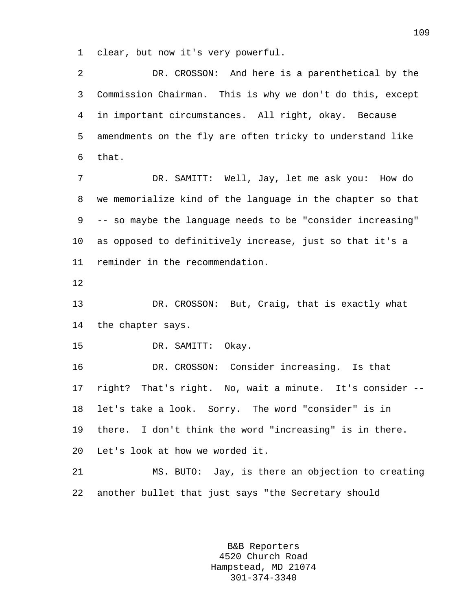1 clear, but now it's very powerful.

2 DR. CROSSON: And here is a parenthetical by the 3 Commission Chairman. This is why we don't do this, except 4 in important circumstances. All right, okay. Because 5 amendments on the fly are often tricky to understand like 6 that.

7 DR. SAMITT: Well, Jay, let me ask you: How do 8 we memorialize kind of the language in the chapter so that 9 -- so maybe the language needs to be "consider increasing" 10 as opposed to definitively increase, just so that it's a 11 reminder in the recommendation.

12

13 DR. CROSSON: But, Craig, that is exactly what 14 the chapter says.

15 DR. SAMITT: Okay.

16 DR. CROSSON: Consider increasing. Is that 17 right? That's right. No, wait a minute. It's consider -- 18 let's take a look. Sorry. The word "consider" is in 19 there. I don't think the word "increasing" is in there. 20 Let's look at how we worded it.

21 MS. BUTO: Jay, is there an objection to creating 22 another bullet that just says "the Secretary should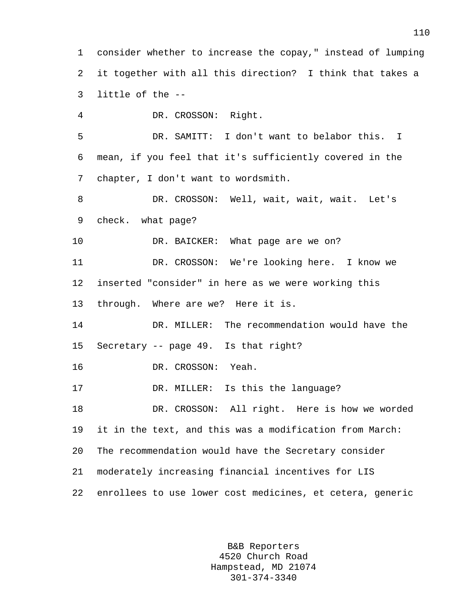1 consider whether to increase the copay," instead of lumping 2 it together with all this direction? I think that takes a 3 little of the --

4 DR. CROSSON: Right. 5 DR. SAMITT: I don't want to belabor this. I 6 mean, if you feel that it's sufficiently covered in the 7 chapter, I don't want to wordsmith. 8 DR. CROSSON: Well, wait, wait, wait. Let's 9 check. what page? 10 DR. BAICKER: What page are we on? 11 DR. CROSSON: We're looking here. I know we 12 inserted "consider" in here as we were working this 13 through. Where are we? Here it is. 14 DR. MILLER: The recommendation would have the 15 Secretary -- page 49. Is that right? 16 DR. CROSSON: Yeah. 17 DR. MILLER: Is this the language? 18 DR. CROSSON: All right. Here is how we worded 19 it in the text, and this was a modification from March: 20 The recommendation would have the Secretary consider 21 moderately increasing financial incentives for LIS 22 enrollees to use lower cost medicines, et cetera, generic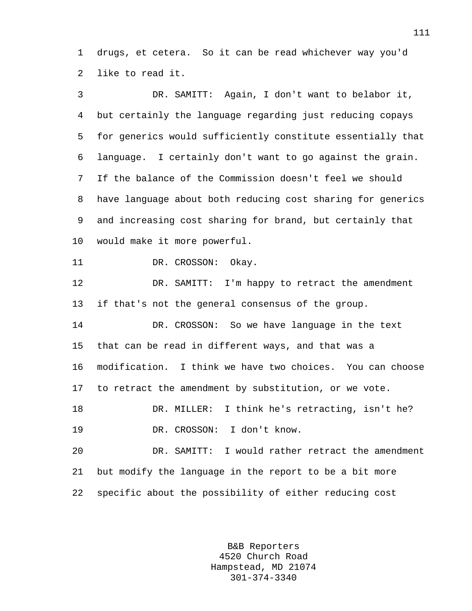1 drugs, et cetera. So it can be read whichever way you'd 2 like to read it.

3 DR. SAMITT: Again, I don't want to belabor it, 4 but certainly the language regarding just reducing copays 5 for generics would sufficiently constitute essentially that 6 language. I certainly don't want to go against the grain. 7 If the balance of the Commission doesn't feel we should 8 have language about both reducing cost sharing for generics 9 and increasing cost sharing for brand, but certainly that 10 would make it more powerful. 11 DR. CROSSON: Okay. 12 DR. SAMITT: I'm happy to retract the amendment 13 if that's not the general consensus of the group. 14 DR. CROSSON: So we have language in the text 15 that can be read in different ways, and that was a 16 modification. I think we have two choices. You can choose 17 to retract the amendment by substitution, or we vote. 18 DR. MILLER: I think he's retracting, isn't he? 19 DR. CROSSON: I don't know. 20 DR. SAMITT: I would rather retract the amendment 21 but modify the language in the report to be a bit more

22 specific about the possibility of either reducing cost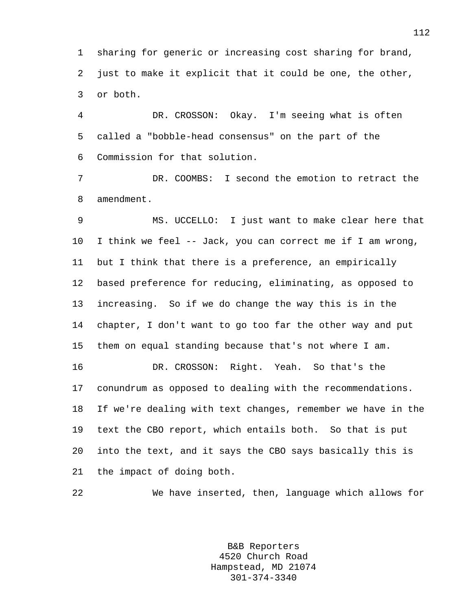1 sharing for generic or increasing cost sharing for brand, 2 just to make it explicit that it could be one, the other, 3 or both.

4 DR. CROSSON: Okay. I'm seeing what is often 5 called a "bobble-head consensus" on the part of the 6 Commission for that solution.

7 DR. COOMBS: I second the emotion to retract the 8 amendment.

9 MS. UCCELLO: I just want to make clear here that 10 I think we feel -- Jack, you can correct me if I am wrong, 11 but I think that there is a preference, an empirically 12 based preference for reducing, eliminating, as opposed to 13 increasing. So if we do change the way this is in the 14 chapter, I don't want to go too far the other way and put 15 them on equal standing because that's not where I am. 16 DR. CROSSON: Right. Yeah. So that's the

17 conundrum as opposed to dealing with the recommendations. 18 If we're dealing with text changes, remember we have in the 19 text the CBO report, which entails both. So that is put 20 into the text, and it says the CBO says basically this is 21 the impact of doing both.

22 We have inserted, then, language which allows for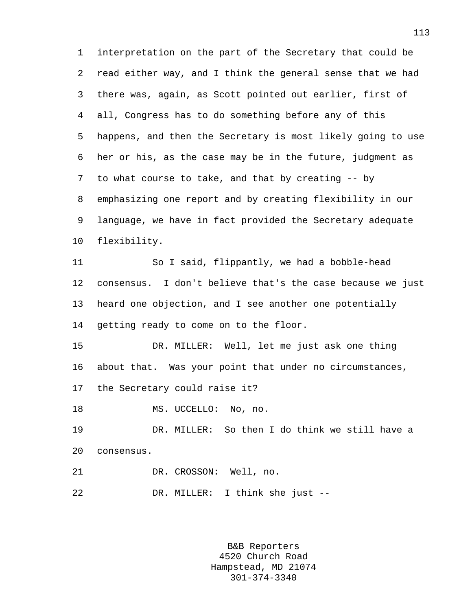1 interpretation on the part of the Secretary that could be 2 read either way, and I think the general sense that we had 3 there was, again, as Scott pointed out earlier, first of 4 all, Congress has to do something before any of this 5 happens, and then the Secretary is most likely going to use 6 her or his, as the case may be in the future, judgment as 7 to what course to take, and that by creating -- by 8 emphasizing one report and by creating flexibility in our 9 language, we have in fact provided the Secretary adequate 10 flexibility. 11 So I said, flippantly, we had a bobble-head 12 consensus. I don't believe that's the case because we just 13 heard one objection, and I see another one potentially 14 getting ready to come on to the floor. 15 DR. MILLER: Well, let me just ask one thing 16 about that. Was your point that under no circumstances, 17 the Secretary could raise it? 18 MS. UCCELLO: No, no. 19 DR. MILLER: So then I do think we still have a 20 consensus.

21 DR. CROSSON: Well, no.

22 DR. MILLER: I think she just --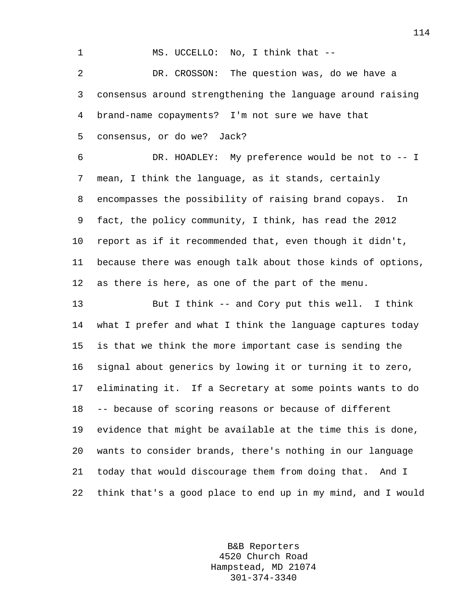1 MS. UCCELLO: No, I think that --

2 DR. CROSSON: The question was, do we have a 3 consensus around strengthening the language around raising 4 brand-name copayments? I'm not sure we have that 5 consensus, or do we? Jack?

6 DR. HOADLEY: My preference would be not to -- I 7 mean, I think the language, as it stands, certainly 8 encompasses the possibility of raising brand copays. In 9 fact, the policy community, I think, has read the 2012 10 report as if it recommended that, even though it didn't, 11 because there was enough talk about those kinds of options, 12 as there is here, as one of the part of the menu.

13 But I think -- and Cory put this well. I think 14 what I prefer and what I think the language captures today 15 is that we think the more important case is sending the 16 signal about generics by lowing it or turning it to zero, 17 eliminating it. If a Secretary at some points wants to do 18 -- because of scoring reasons or because of different 19 evidence that might be available at the time this is done, 20 wants to consider brands, there's nothing in our language 21 today that would discourage them from doing that. And I 22 think that's a good place to end up in my mind, and I would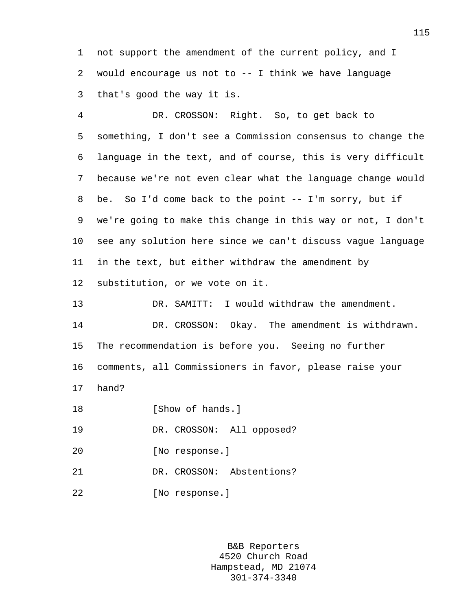1 not support the amendment of the current policy, and I 2 would encourage us not to -- I think we have language 3 that's good the way it is.

4 DR. CROSSON: Right. So, to get back to 5 something, I don't see a Commission consensus to change the 6 language in the text, and of course, this is very difficult 7 because we're not even clear what the language change would 8 be. So I'd come back to the point -- I'm sorry, but if 9 we're going to make this change in this way or not, I don't 10 see any solution here since we can't discuss vague language 11 in the text, but either withdraw the amendment by 12 substitution, or we vote on it. 13 DR. SAMITT: I would withdraw the amendment. 14 DR. CROSSON: Okay. The amendment is withdrawn.

15 The recommendation is before you. Seeing no further 16 comments, all Commissioners in favor, please raise your

- 17 hand?
- 18 **I**Show of hands.

19 DR. CROSSON: All opposed?

- 20 [No response.]
- 21 DR. CROSSON: Abstentions?
- 22 [No response.]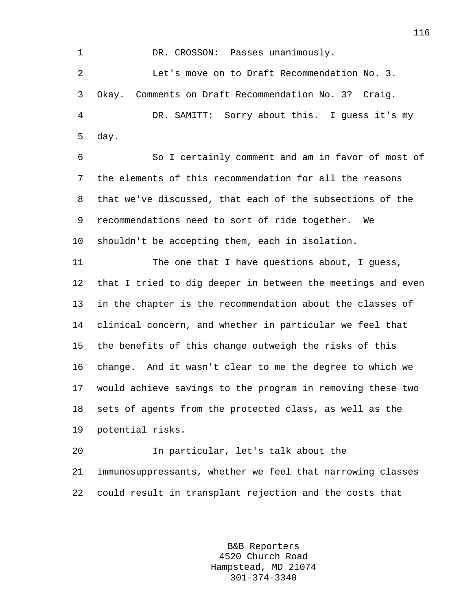1 DR. CROSSON: Passes unanimously. 2 Let's move on to Draft Recommendation No. 3. 3 Okay. Comments on Draft Recommendation No. 3? Craig. 4 DR. SAMITT: Sorry about this. I guess it's my 5 day.

6 So I certainly comment and am in favor of most of 7 the elements of this recommendation for all the reasons 8 that we've discussed, that each of the subsections of the 9 recommendations need to sort of ride together. We 10 shouldn't be accepting them, each in isolation.

11 The one that I have questions about, I guess, 12 that I tried to dig deeper in between the meetings and even 13 in the chapter is the recommendation about the classes of 14 clinical concern, and whether in particular we feel that 15 the benefits of this change outweigh the risks of this 16 change. And it wasn't clear to me the degree to which we 17 would achieve savings to the program in removing these two 18 sets of agents from the protected class, as well as the 19 potential risks.

20 In particular, let's talk about the 21 immunosuppressants, whether we feel that narrowing classes 22 could result in transplant rejection and the costs that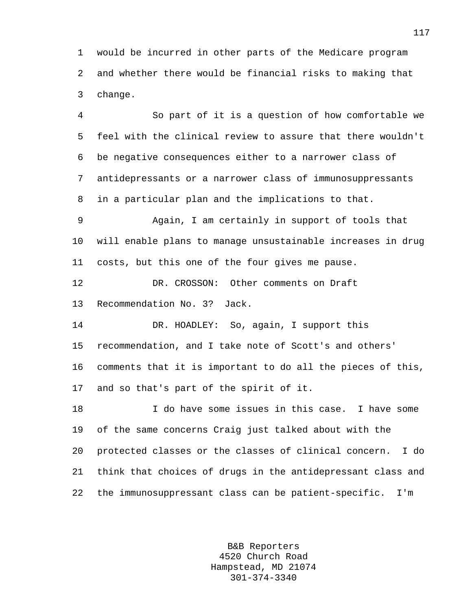1 would be incurred in other parts of the Medicare program 2 and whether there would be financial risks to making that 3 change.

4 So part of it is a question of how comfortable we 5 feel with the clinical review to assure that there wouldn't 6 be negative consequences either to a narrower class of 7 antidepressants or a narrower class of immunosuppressants 8 in a particular plan and the implications to that.

9 Again, I am certainly in support of tools that 10 will enable plans to manage unsustainable increases in drug 11 costs, but this one of the four gives me pause.

12 DR. CROSSON: Other comments on Draft 13 Recommendation No. 3? Jack.

14 DR. HOADLEY: So, again, I support this 15 recommendation, and I take note of Scott's and others' 16 comments that it is important to do all the pieces of this, 17 and so that's part of the spirit of it.

18 I do have some issues in this case. I have some 19 of the same concerns Craig just talked about with the 20 protected classes or the classes of clinical concern. I do 21 think that choices of drugs in the antidepressant class and 22 the immunosuppressant class can be patient-specific. I'm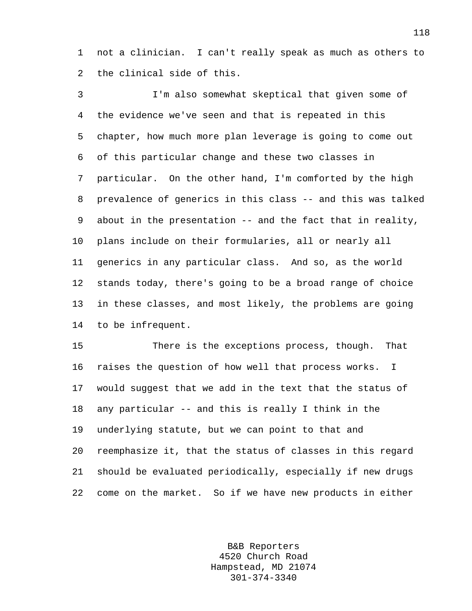1 not a clinician. I can't really speak as much as others to 2 the clinical side of this.

3 I'm also somewhat skeptical that given some of 4 the evidence we've seen and that is repeated in this 5 chapter, how much more plan leverage is going to come out 6 of this particular change and these two classes in 7 particular. On the other hand, I'm comforted by the high 8 prevalence of generics in this class -- and this was talked 9 about in the presentation -- and the fact that in reality, 10 plans include on their formularies, all or nearly all 11 generics in any particular class. And so, as the world 12 stands today, there's going to be a broad range of choice 13 in these classes, and most likely, the problems are going 14 to be infrequent.

15 There is the exceptions process, though. That 16 raises the question of how well that process works. I 17 would suggest that we add in the text that the status of 18 any particular -- and this is really I think in the 19 underlying statute, but we can point to that and 20 reemphasize it, that the status of classes in this regard 21 should be evaluated periodically, especially if new drugs 22 come on the market. So if we have new products in either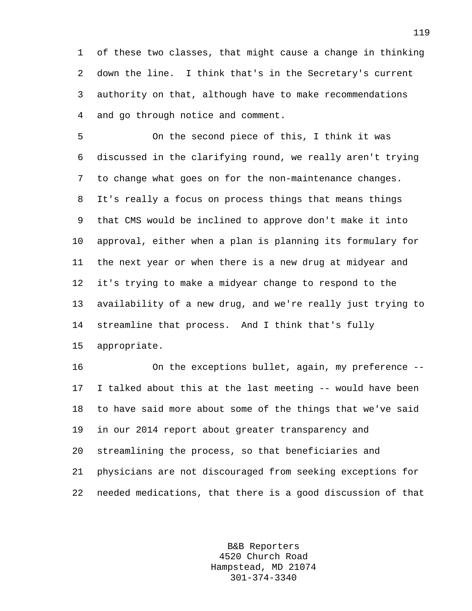1 of these two classes, that might cause a change in thinking 2 down the line. I think that's in the Secretary's current 3 authority on that, although have to make recommendations 4 and go through notice and comment.

5 On the second piece of this, I think it was 6 discussed in the clarifying round, we really aren't trying 7 to change what goes on for the non-maintenance changes. 8 It's really a focus on process things that means things 9 that CMS would be inclined to approve don't make it into 10 approval, either when a plan is planning its formulary for 11 the next year or when there is a new drug at midyear and 12 it's trying to make a midyear change to respond to the 13 availability of a new drug, and we're really just trying to 14 streamline that process. And I think that's fully 15 appropriate.

16 On the exceptions bullet, again, my preference -- 17 I talked about this at the last meeting -- would have been 18 to have said more about some of the things that we've said 19 in our 2014 report about greater transparency and 20 streamlining the process, so that beneficiaries and 21 physicians are not discouraged from seeking exceptions for 22 needed medications, that there is a good discussion of that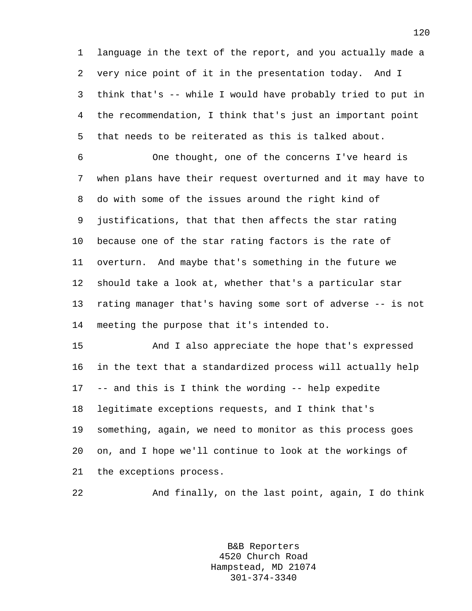1 language in the text of the report, and you actually made a 2 very nice point of it in the presentation today. And I 3 think that's -- while I would have probably tried to put in 4 the recommendation, I think that's just an important point 5 that needs to be reiterated as this is talked about.

6 One thought, one of the concerns I've heard is 7 when plans have their request overturned and it may have to 8 do with some of the issues around the right kind of 9 justifications, that that then affects the star rating 10 because one of the star rating factors is the rate of 11 overturn. And maybe that's something in the future we 12 should take a look at, whether that's a particular star 13 rating manager that's having some sort of adverse -- is not 14 meeting the purpose that it's intended to.

15 And I also appreciate the hope that's expressed 16 in the text that a standardized process will actually help 17 -- and this is I think the wording -- help expedite 18 legitimate exceptions requests, and I think that's 19 something, again, we need to monitor as this process goes 20 on, and I hope we'll continue to look at the workings of 21 the exceptions process.

22 And finally, on the last point, again, I do think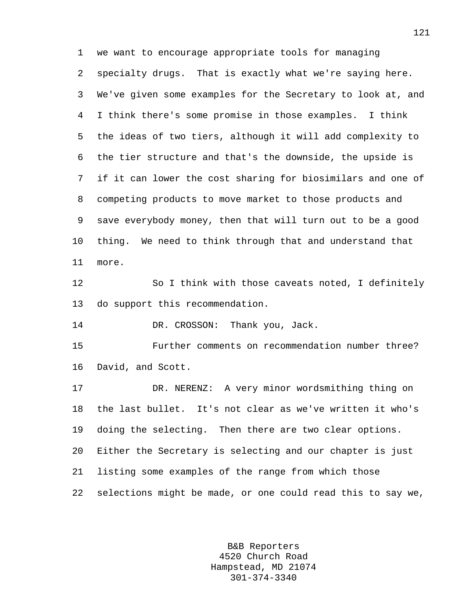1 we want to encourage appropriate tools for managing 2 specialty drugs. That is exactly what we're saying here. 3 We've given some examples for the Secretary to look at, and 4 I think there's some promise in those examples. I think 5 the ideas of two tiers, although it will add complexity to 6 the tier structure and that's the downside, the upside is 7 if it can lower the cost sharing for biosimilars and one of 8 competing products to move market to those products and 9 save everybody money, then that will turn out to be a good 10 thing. We need to think through that and understand that 11 more. 12 So I think with those caveats noted, I definitely

13 do support this recommendation.

14 DR. CROSSON: Thank you, Jack.

15 Further comments on recommendation number three? 16 David, and Scott.

17 DR. NERENZ: A very minor wordsmithing thing on 18 the last bullet. It's not clear as we've written it who's 19 doing the selecting. Then there are two clear options. 20 Either the Secretary is selecting and our chapter is just 21 listing some examples of the range from which those 22 selections might be made, or one could read this to say we,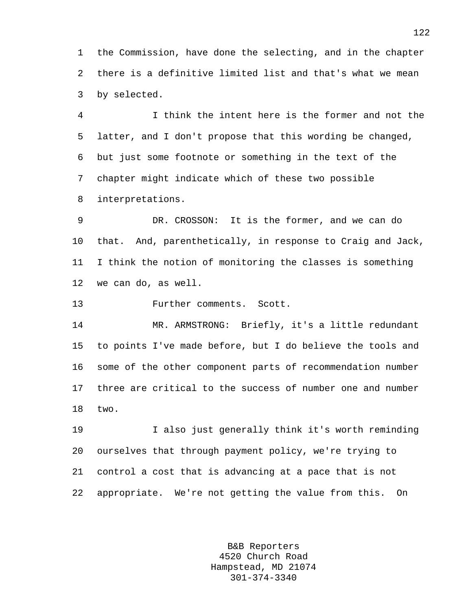1 the Commission, have done the selecting, and in the chapter 2 there is a definitive limited list and that's what we mean 3 by selected.

4 I think the intent here is the former and not the 5 latter, and I don't propose that this wording be changed, 6 but just some footnote or something in the text of the 7 chapter might indicate which of these two possible 8 interpretations.

9 DR. CROSSON: It is the former, and we can do 10 that. And, parenthetically, in response to Craig and Jack, 11 I think the notion of monitoring the classes is something 12 we can do, as well.

13 Further comments. Scott.

14 MR. ARMSTRONG: Briefly, it's a little redundant 15 to points I've made before, but I do believe the tools and 16 some of the other component parts of recommendation number 17 three are critical to the success of number one and number 18 two.

19 I also just generally think it's worth reminding 20 ourselves that through payment policy, we're trying to 21 control a cost that is advancing at a pace that is not 22 appropriate. We're not getting the value from this. On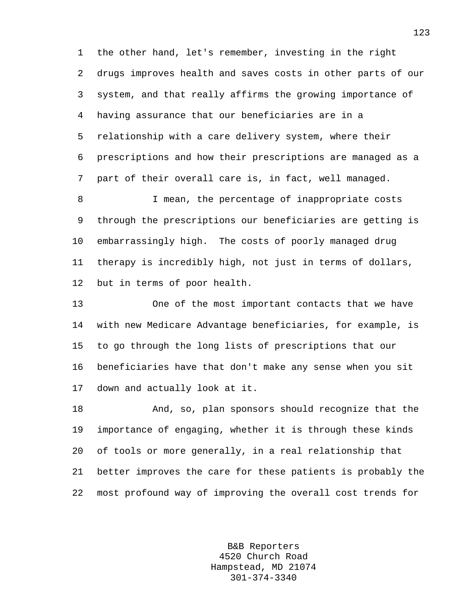1 the other hand, let's remember, investing in the right 2 drugs improves health and saves costs in other parts of our 3 system, and that really affirms the growing importance of 4 having assurance that our beneficiaries are in a 5 relationship with a care delivery system, where their 6 prescriptions and how their prescriptions are managed as a 7 part of their overall care is, in fact, well managed.

8 **I** mean, the percentage of inappropriate costs 9 through the prescriptions our beneficiaries are getting is 10 embarrassingly high. The costs of poorly managed drug 11 therapy is incredibly high, not just in terms of dollars, 12 but in terms of poor health.

13 One of the most important contacts that we have 14 with new Medicare Advantage beneficiaries, for example, is 15 to go through the long lists of prescriptions that our 16 beneficiaries have that don't make any sense when you sit 17 down and actually look at it.

18 And, so, plan sponsors should recognize that the 19 importance of engaging, whether it is through these kinds 20 of tools or more generally, in a real relationship that 21 better improves the care for these patients is probably the 22 most profound way of improving the overall cost trends for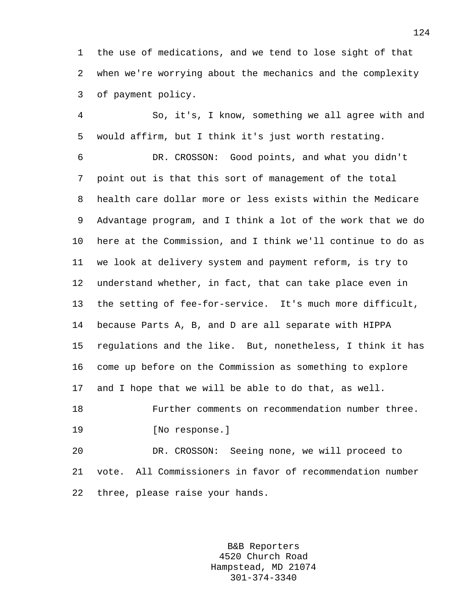1 the use of medications, and we tend to lose sight of that 2 when we're worrying about the mechanics and the complexity 3 of payment policy.

4 So, it's, I know, something we all agree with and 5 would affirm, but I think it's just worth restating.

6 DR. CROSSON: Good points, and what you didn't 7 point out is that this sort of management of the total 8 health care dollar more or less exists within the Medicare 9 Advantage program, and I think a lot of the work that we do 10 here at the Commission, and I think we'll continue to do as 11 we look at delivery system and payment reform, is try to 12 understand whether, in fact, that can take place even in 13 the setting of fee-for-service. It's much more difficult, 14 because Parts A, B, and D are all separate with HIPPA 15 regulations and the like. But, nonetheless, I think it has 16 come up before on the Commission as something to explore 17 and I hope that we will be able to do that, as well. 18 Further comments on recommendation number three.

19 [No response.]

20 DR. CROSSON: Seeing none, we will proceed to 21 vote. All Commissioners in favor of recommendation number 22 three, please raise your hands.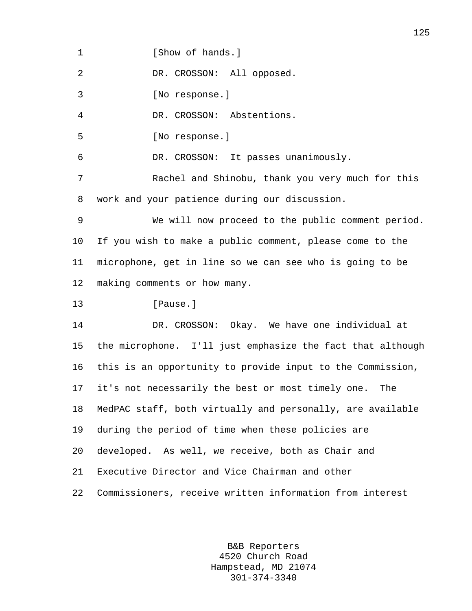1 **I** Show of hands.

2 DR. CROSSON: All opposed.

3 [No response.]

4 DR. CROSSON: Abstentions.

5 [No response.]

6 DR. CROSSON: It passes unanimously.

7 Rachel and Shinobu, thank you very much for this 8 work and your patience during our discussion.

9 We will now proceed to the public comment period. 10 If you wish to make a public comment, please come to the 11 microphone, get in line so we can see who is going to be 12 making comments or how many.

13 **I**Pause.

14 DR. CROSSON: Okay. We have one individual at 15 the microphone. I'll just emphasize the fact that although 16 this is an opportunity to provide input to the Commission, 17 it's not necessarily the best or most timely one. The 18 MedPAC staff, both virtually and personally, are available 19 during the period of time when these policies are 20 developed. As well, we receive, both as Chair and 21 Executive Director and Vice Chairman and other 22 Commissioners, receive written information from interest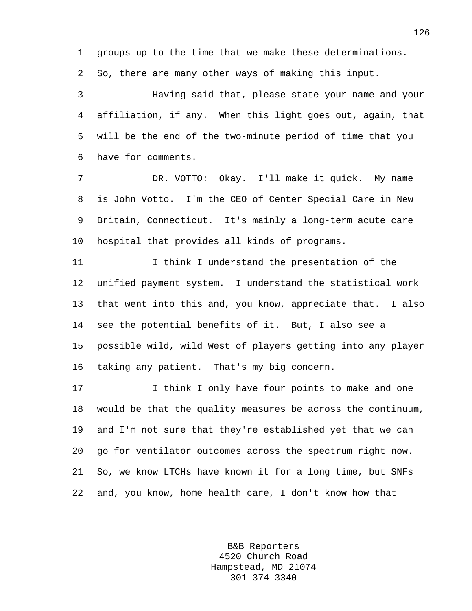1 groups up to the time that we make these determinations.

2 So, there are many other ways of making this input.

3 Having said that, please state your name and your 4 affiliation, if any. When this light goes out, again, that 5 will be the end of the two-minute period of time that you 6 have for comments.

7 DR. VOTTO: Okay. I'll make it quick. My name 8 is John Votto. I'm the CEO of Center Special Care in New 9 Britain, Connecticut. It's mainly a long-term acute care 10 hospital that provides all kinds of programs.

11 I think I understand the presentation of the 12 unified payment system. I understand the statistical work 13 that went into this and, you know, appreciate that. I also 14 see the potential benefits of it. But, I also see a 15 possible wild, wild West of players getting into any player 16 taking any patient. That's my big concern.

17 I think I only have four points to make and one 18 would be that the quality measures be across the continuum, 19 and I'm not sure that they're established yet that we can 20 go for ventilator outcomes across the spectrum right now. 21 So, we know LTCHs have known it for a long time, but SNFs 22 and, you know, home health care, I don't know how that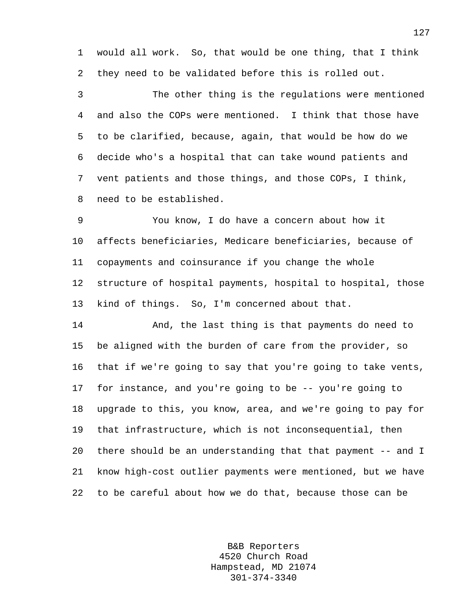1 would all work. So, that would be one thing, that I think 2 they need to be validated before this is rolled out.

3 The other thing is the regulations were mentioned 4 and also the COPs were mentioned. I think that those have 5 to be clarified, because, again, that would be how do we 6 decide who's a hospital that can take wound patients and 7 vent patients and those things, and those COPs, I think, 8 need to be established.

9 You know, I do have a concern about how it 10 affects beneficiaries, Medicare beneficiaries, because of 11 copayments and coinsurance if you change the whole 12 structure of hospital payments, hospital to hospital, those 13 kind of things. So, I'm concerned about that.

14 And, the last thing is that payments do need to 15 be aligned with the burden of care from the provider, so 16 that if we're going to say that you're going to take vents, 17 for instance, and you're going to be -- you're going to 18 upgrade to this, you know, area, and we're going to pay for 19 that infrastructure, which is not inconsequential, then 20 there should be an understanding that that payment -- and I 21 know high-cost outlier payments were mentioned, but we have 22 to be careful about how we do that, because those can be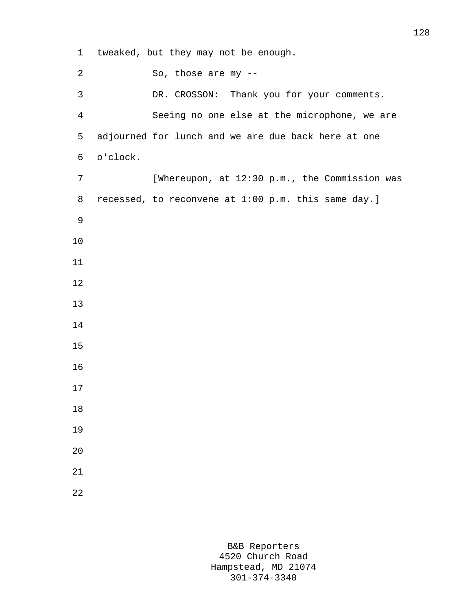1 tweaked, but they may not be enough. 2 So, those are my -- 3 DR. CROSSON: Thank you for your comments. 4 Seeing no one else at the microphone, we are 5 adjourned for lunch and we are due back here at one 6 o'clock. 7 [Whereupon, at 12:30 p.m., the Commission was 8 recessed, to reconvene at 1:00 p.m. this same day.] 9 10 11 12 13 14 15 16 17 18 19 20 21 22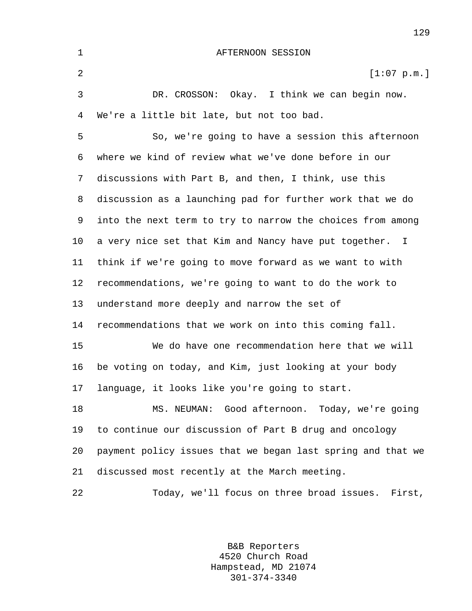1 AFTERNOON SESSION 2  $[1:07 \text{ p.m.}]$ 3 DR. CROSSON: Okay. I think we can begin now. 4 We're a little bit late, but not too bad. 5 So, we're going to have a session this afternoon 6 where we kind of review what we've done before in our 7 discussions with Part B, and then, I think, use this 8 discussion as a launching pad for further work that we do 9 into the next term to try to narrow the choices from among 10 a very nice set that Kim and Nancy have put together. I 11 think if we're going to move forward as we want to with 12 recommendations, we're going to want to do the work to 13 understand more deeply and narrow the set of 14 recommendations that we work on into this coming fall. 15 We do have one recommendation here that we will 16 be voting on today, and Kim, just looking at your body 17 language, it looks like you're going to start. 18 MS. NEUMAN: Good afternoon. Today, we're going 19 to continue our discussion of Part B drug and oncology 20 payment policy issues that we began last spring and that we 21 discussed most recently at the March meeting. 22 Today, we'll focus on three broad issues. First,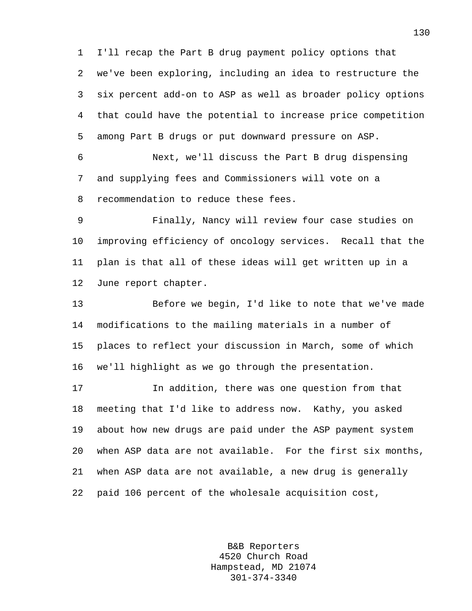1 I'll recap the Part B drug payment policy options that 2 we've been exploring, including an idea to restructure the 3 six percent add-on to ASP as well as broader policy options 4 that could have the potential to increase price competition 5 among Part B drugs or put downward pressure on ASP.

6 Next, we'll discuss the Part B drug dispensing 7 and supplying fees and Commissioners will vote on a 8 recommendation to reduce these fees.

9 Finally, Nancy will review four case studies on 10 improving efficiency of oncology services. Recall that the 11 plan is that all of these ideas will get written up in a 12 June report chapter.

13 Before we begin, I'd like to note that we've made 14 modifications to the mailing materials in a number of 15 places to reflect your discussion in March, some of which 16 we'll highlight as we go through the presentation.

17 In addition, there was one question from that 18 meeting that I'd like to address now. Kathy, you asked 19 about how new drugs are paid under the ASP payment system 20 when ASP data are not available. For the first six months, 21 when ASP data are not available, a new drug is generally 22 paid 106 percent of the wholesale acquisition cost,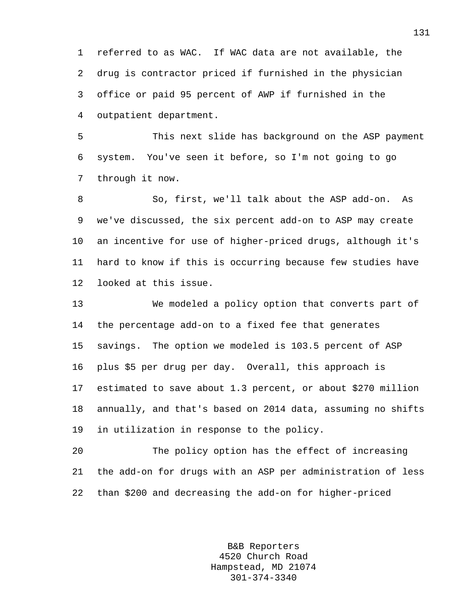1 referred to as WAC. If WAC data are not available, the 2 drug is contractor priced if furnished in the physician 3 office or paid 95 percent of AWP if furnished in the 4 outpatient department.

5 This next slide has background on the ASP payment 6 system. You've seen it before, so I'm not going to go 7 through it now.

8 So, first, we'll talk about the ASP add-on. As 9 we've discussed, the six percent add-on to ASP may create 10 an incentive for use of higher-priced drugs, although it's 11 hard to know if this is occurring because few studies have 12 looked at this issue.

13 We modeled a policy option that converts part of 14 the percentage add-on to a fixed fee that generates 15 savings. The option we modeled is 103.5 percent of ASP 16 plus \$5 per drug per day. Overall, this approach is 17 estimated to save about 1.3 percent, or about \$270 million 18 annually, and that's based on 2014 data, assuming no shifts 19 in utilization in response to the policy.

20 The policy option has the effect of increasing 21 the add-on for drugs with an ASP per administration of less 22 than \$200 and decreasing the add-on for higher-priced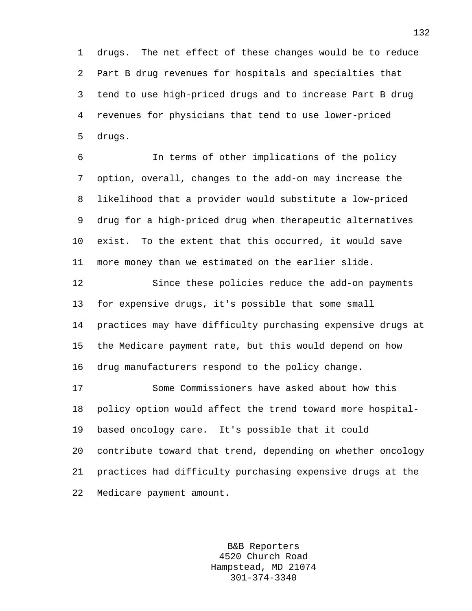1 drugs. The net effect of these changes would be to reduce 2 Part B drug revenues for hospitals and specialties that 3 tend to use high-priced drugs and to increase Part B drug 4 revenues for physicians that tend to use lower-priced 5 drugs.

6 In terms of other implications of the policy 7 option, overall, changes to the add-on may increase the 8 likelihood that a provider would substitute a low-priced 9 drug for a high-priced drug when therapeutic alternatives 10 exist. To the extent that this occurred, it would save 11 more money than we estimated on the earlier slide.

12 Since these policies reduce the add-on payments 13 for expensive drugs, it's possible that some small 14 practices may have difficulty purchasing expensive drugs at 15 the Medicare payment rate, but this would depend on how 16 drug manufacturers respond to the policy change.

17 Some Commissioners have asked about how this 18 policy option would affect the trend toward more hospital-19 based oncology care. It's possible that it could 20 contribute toward that trend, depending on whether oncology 21 practices had difficulty purchasing expensive drugs at the 22 Medicare payment amount.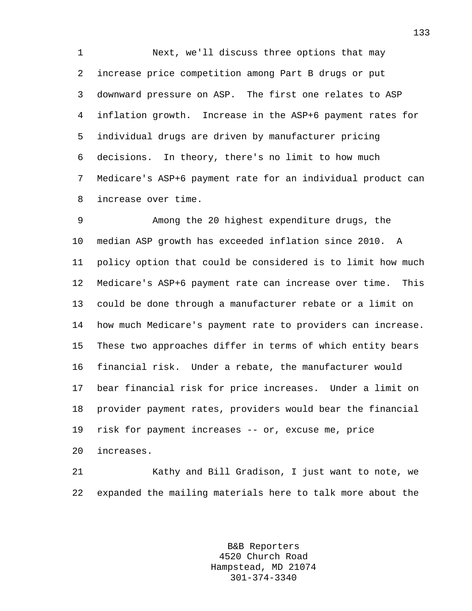1 Next, we'll discuss three options that may 2 increase price competition among Part B drugs or put 3 downward pressure on ASP. The first one relates to ASP 4 inflation growth. Increase in the ASP+6 payment rates for 5 individual drugs are driven by manufacturer pricing 6 decisions. In theory, there's no limit to how much 7 Medicare's ASP+6 payment rate for an individual product can 8 increase over time.

9 Among the 20 highest expenditure drugs, the 10 median ASP growth has exceeded inflation since 2010. A 11 policy option that could be considered is to limit how much 12 Medicare's ASP+6 payment rate can increase over time. This 13 could be done through a manufacturer rebate or a limit on 14 how much Medicare's payment rate to providers can increase. 15 These two approaches differ in terms of which entity bears 16 financial risk. Under a rebate, the manufacturer would 17 bear financial risk for price increases. Under a limit on 18 provider payment rates, providers would bear the financial 19 risk for payment increases -- or, excuse me, price 20 increases.

21 Kathy and Bill Gradison, I just want to note, we 22 expanded the mailing materials here to talk more about the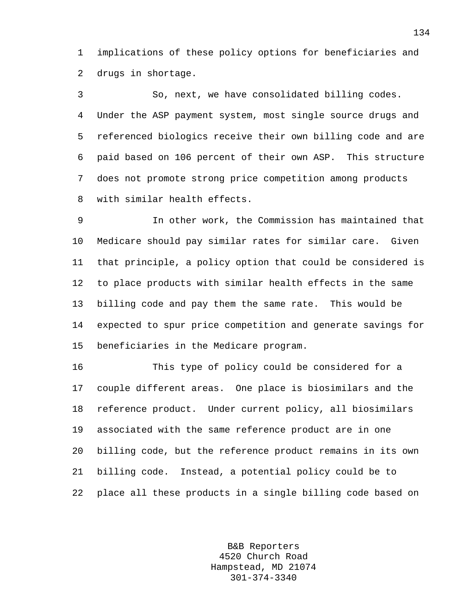1 implications of these policy options for beneficiaries and 2 drugs in shortage.

3 So, next, we have consolidated billing codes. 4 Under the ASP payment system, most single source drugs and 5 referenced biologics receive their own billing code and are 6 paid based on 106 percent of their own ASP. This structure 7 does not promote strong price competition among products 8 with similar health effects.

9 In other work, the Commission has maintained that 10 Medicare should pay similar rates for similar care. Given 11 that principle, a policy option that could be considered is 12 to place products with similar health effects in the same 13 billing code and pay them the same rate. This would be 14 expected to spur price competition and generate savings for 15 beneficiaries in the Medicare program.

16 This type of policy could be considered for a 17 couple different areas. One place is biosimilars and the 18 reference product. Under current policy, all biosimilars 19 associated with the same reference product are in one 20 billing code, but the reference product remains in its own 21 billing code. Instead, a potential policy could be to 22 place all these products in a single billing code based on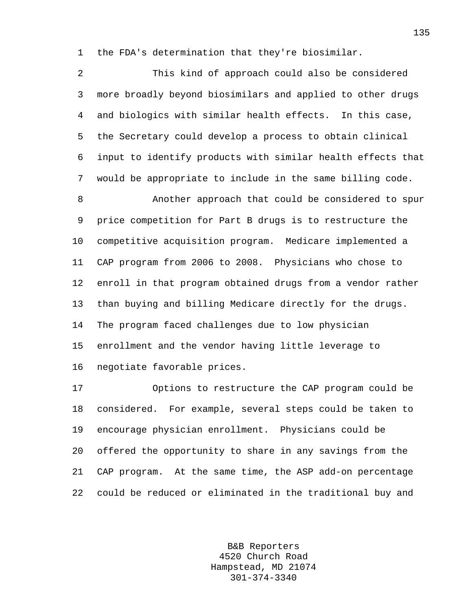1 the FDA's determination that they're biosimilar.

2 This kind of approach could also be considered 3 more broadly beyond biosimilars and applied to other drugs 4 and biologics with similar health effects. In this case, 5 the Secretary could develop a process to obtain clinical 6 input to identify products with similar health effects that 7 would be appropriate to include in the same billing code.

8 Another approach that could be considered to spur 9 price competition for Part B drugs is to restructure the 10 competitive acquisition program. Medicare implemented a 11 CAP program from 2006 to 2008. Physicians who chose to 12 enroll in that program obtained drugs from a vendor rather 13 than buying and billing Medicare directly for the drugs. 14 The program faced challenges due to low physician 15 enrollment and the vendor having little leverage to 16 negotiate favorable prices.

17 Options to restructure the CAP program could be 18 considered. For example, several steps could be taken to 19 encourage physician enrollment. Physicians could be 20 offered the opportunity to share in any savings from the 21 CAP program. At the same time, the ASP add-on percentage 22 could be reduced or eliminated in the traditional buy and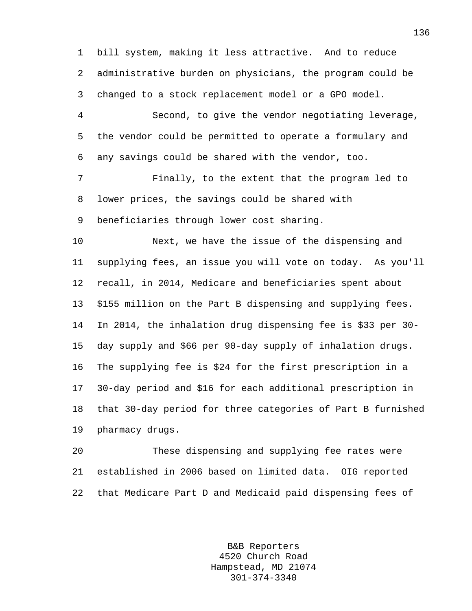1 bill system, making it less attractive. And to reduce 2 administrative burden on physicians, the program could be 3 changed to a stock replacement model or a GPO model.

4 Second, to give the vendor negotiating leverage, 5 the vendor could be permitted to operate a formulary and 6 any savings could be shared with the vendor, too.

7 Finally, to the extent that the program led to 8 lower prices, the savings could be shared with 9 beneficiaries through lower cost sharing.

10 Next, we have the issue of the dispensing and 11 supplying fees, an issue you will vote on today. As you'll 12 recall, in 2014, Medicare and beneficiaries spent about 13 \$155 million on the Part B dispensing and supplying fees. 14 In 2014, the inhalation drug dispensing fee is \$33 per 30- 15 day supply and \$66 per 90-day supply of inhalation drugs. 16 The supplying fee is \$24 for the first prescription in a 17 30-day period and \$16 for each additional prescription in 18 that 30-day period for three categories of Part B furnished 19 pharmacy drugs.

20 These dispensing and supplying fee rates were 21 established in 2006 based on limited data. OIG reported 22 that Medicare Part D and Medicaid paid dispensing fees of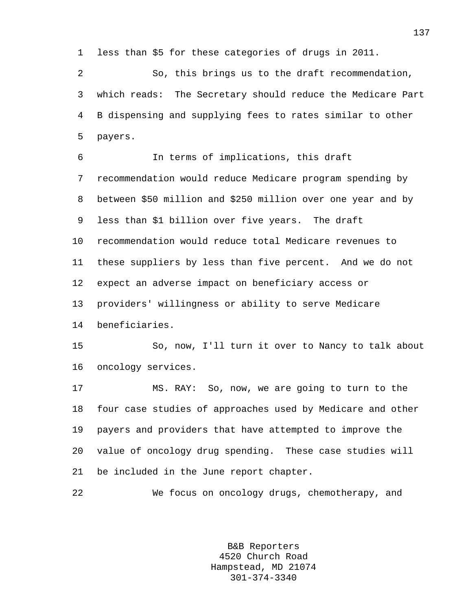1 less than \$5 for these categories of drugs in 2011.

2 So, this brings us to the draft recommendation, 3 which reads: The Secretary should reduce the Medicare Part 4 B dispensing and supplying fees to rates similar to other 5 payers.

6 In terms of implications, this draft 7 recommendation would reduce Medicare program spending by 8 between \$50 million and \$250 million over one year and by 9 less than \$1 billion over five years. The draft 10 recommendation would reduce total Medicare revenues to 11 these suppliers by less than five percent. And we do not 12 expect an adverse impact on beneficiary access or 13 providers' willingness or ability to serve Medicare 14 beneficiaries. 15 So, now, I'll turn it over to Nancy to talk about 16 oncology services. 17 MS. RAY: So, now, we are going to turn to the 18 four case studies of approaches used by Medicare and other 19 payers and providers that have attempted to improve the

20 value of oncology drug spending. These case studies will

21 be included in the June report chapter.

22 We focus on oncology drugs, chemotherapy, and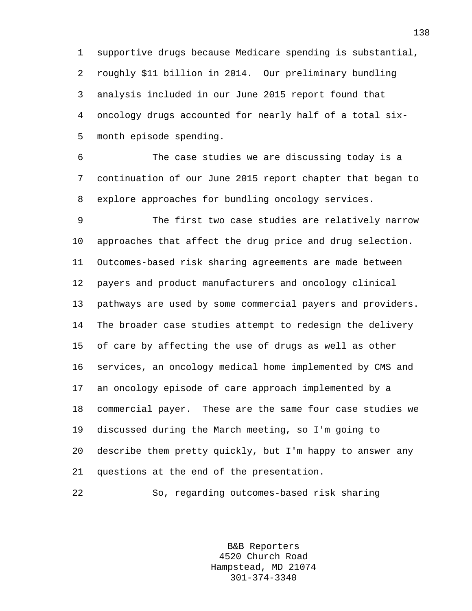1 supportive drugs because Medicare spending is substantial, 2 roughly \$11 billion in 2014. Our preliminary bundling 3 analysis included in our June 2015 report found that 4 oncology drugs accounted for nearly half of a total six-5 month episode spending.

6 The case studies we are discussing today is a 7 continuation of our June 2015 report chapter that began to 8 explore approaches for bundling oncology services.

9 The first two case studies are relatively narrow 10 approaches that affect the drug price and drug selection. 11 Outcomes-based risk sharing agreements are made between 12 payers and product manufacturers and oncology clinical 13 pathways are used by some commercial payers and providers. 14 The broader case studies attempt to redesign the delivery 15 of care by affecting the use of drugs as well as other 16 services, an oncology medical home implemented by CMS and 17 an oncology episode of care approach implemented by a 18 commercial payer. These are the same four case studies we 19 discussed during the March meeting, so I'm going to 20 describe them pretty quickly, but I'm happy to answer any 21 questions at the end of the presentation.

22 So, regarding outcomes-based risk sharing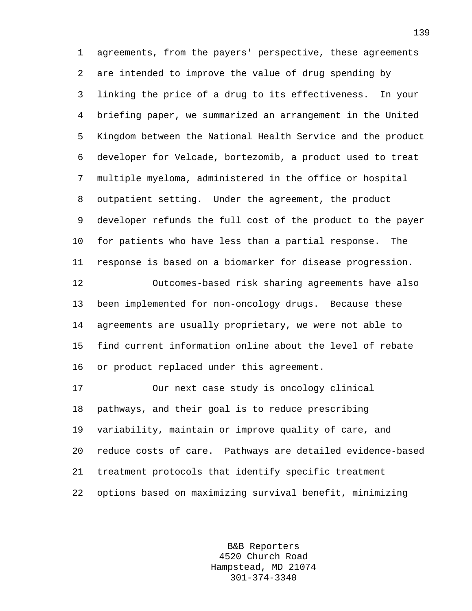1 agreements, from the payers' perspective, these agreements 2 are intended to improve the value of drug spending by 3 linking the price of a drug to its effectiveness. In your 4 briefing paper, we summarized an arrangement in the United 5 Kingdom between the National Health Service and the product 6 developer for Velcade, bortezomib, a product used to treat 7 multiple myeloma, administered in the office or hospital 8 outpatient setting. Under the agreement, the product 9 developer refunds the full cost of the product to the payer 10 for patients who have less than a partial response. The 11 response is based on a biomarker for disease progression. 12 Outcomes-based risk sharing agreements have also 13 been implemented for non-oncology drugs. Because these 14 agreements are usually proprietary, we were not able to 15 find current information online about the level of rebate 16 or product replaced under this agreement. 17 Our next case study is oncology clinical 18 pathways, and their goal is to reduce prescribing 19 variability, maintain or improve quality of care, and 20 reduce costs of care. Pathways are detailed evidence-based 21 treatment protocols that identify specific treatment

22 options based on maximizing survival benefit, minimizing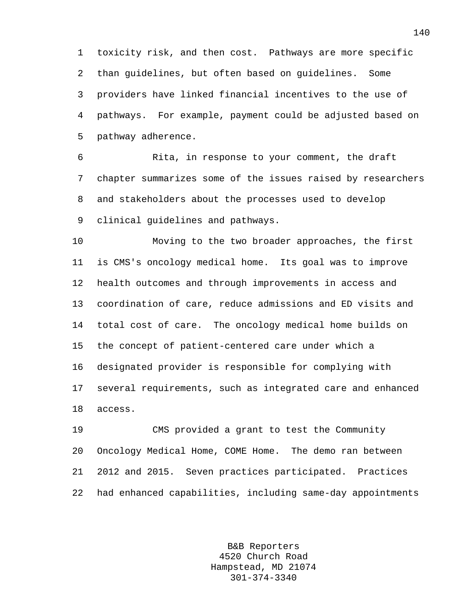1 toxicity risk, and then cost. Pathways are more specific 2 than guidelines, but often based on guidelines. Some 3 providers have linked financial incentives to the use of 4 pathways. For example, payment could be adjusted based on 5 pathway adherence.

6 Rita, in response to your comment, the draft 7 chapter summarizes some of the issues raised by researchers 8 and stakeholders about the processes used to develop 9 clinical guidelines and pathways.

10 Moving to the two broader approaches, the first 11 is CMS's oncology medical home. Its goal was to improve 12 health outcomes and through improvements in access and 13 coordination of care, reduce admissions and ED visits and 14 total cost of care. The oncology medical home builds on 15 the concept of patient-centered care under which a 16 designated provider is responsible for complying with 17 several requirements, such as integrated care and enhanced 18 access.

19 CMS provided a grant to test the Community 20 Oncology Medical Home, COME Home. The demo ran between 21 2012 and 2015. Seven practices participated. Practices 22 had enhanced capabilities, including same-day appointments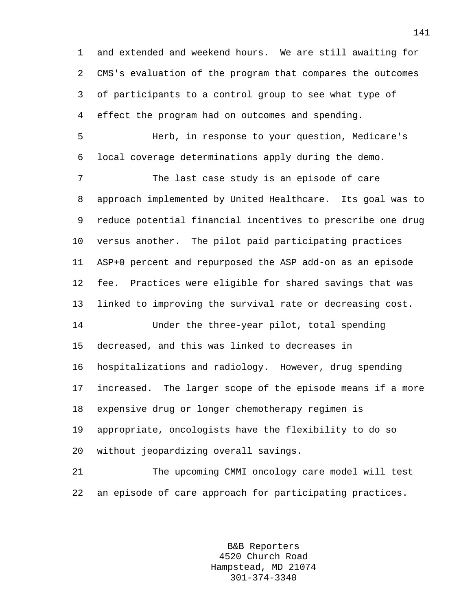1 and extended and weekend hours. We are still awaiting for 2 CMS's evaluation of the program that compares the outcomes 3 of participants to a control group to see what type of 4 effect the program had on outcomes and spending.

5 Herb, in response to your question, Medicare's 6 local coverage determinations apply during the demo.

7 The last case study is an episode of care 8 approach implemented by United Healthcare. Its goal was to 9 reduce potential financial incentives to prescribe one drug 10 versus another. The pilot paid participating practices 11 ASP+0 percent and repurposed the ASP add-on as an episode 12 fee. Practices were eligible for shared savings that was 13 linked to improving the survival rate or decreasing cost.

14 Under the three-year pilot, total spending 15 decreased, and this was linked to decreases in 16 hospitalizations and radiology. However, drug spending 17 increased. The larger scope of the episode means if a more 18 expensive drug or longer chemotherapy regimen is 19 appropriate, oncologists have the flexibility to do so 20 without jeopardizing overall savings.

21 The upcoming CMMI oncology care model will test 22 an episode of care approach for participating practices.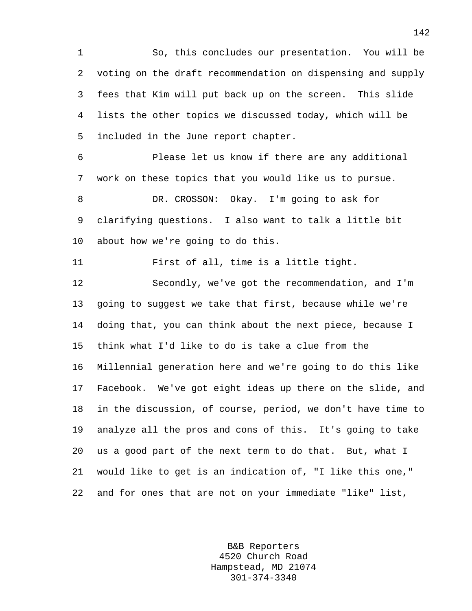1 So, this concludes our presentation. You will be 2 voting on the draft recommendation on dispensing and supply 3 fees that Kim will put back up on the screen. This slide 4 lists the other topics we discussed today, which will be 5 included in the June report chapter.

6 Please let us know if there are any additional 7 work on these topics that you would like us to pursue. 8 DR. CROSSON: Okay. I'm going to ask for

9 clarifying questions. I also want to talk a little bit 10 about how we're going to do this.

11 First of all, time is a little tight.

12 Secondly, we've got the recommendation, and I'm 13 going to suggest we take that first, because while we're 14 doing that, you can think about the next piece, because I 15 think what I'd like to do is take a clue from the 16 Millennial generation here and we're going to do this like 17 Facebook. We've got eight ideas up there on the slide, and 18 in the discussion, of course, period, we don't have time to 19 analyze all the pros and cons of this. It's going to take 20 us a good part of the next term to do that. But, what I 21 would like to get is an indication of, "I like this one," 22 and for ones that are not on your immediate "like" list,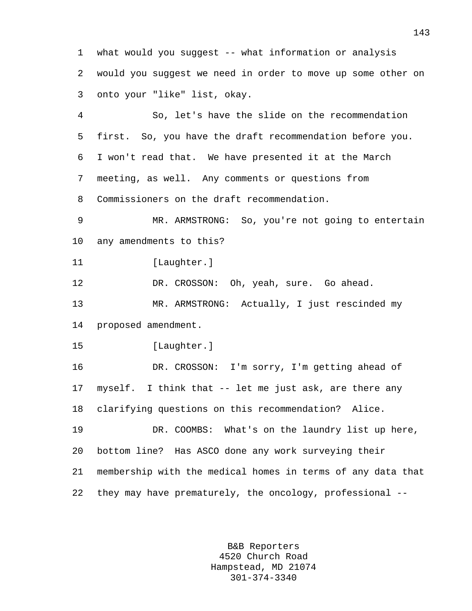1 what would you suggest -- what information or analysis 2 would you suggest we need in order to move up some other on 3 onto your "like" list, okay.

4 So, let's have the slide on the recommendation 5 first. So, you have the draft recommendation before you. 6 I won't read that. We have presented it at the March 7 meeting, as well. Any comments or questions from 8 Commissioners on the draft recommendation.

9 MR. ARMSTRONG: So, you're not going to entertain 10 any amendments to this?

11 [Laughter.]

12 DR. CROSSON: Oh, yeah, sure. Go ahead. 13 MR. ARMSTRONG: Actually, I just rescinded my

14 proposed amendment.

15 [Laughter.]

16 DR. CROSSON: I'm sorry, I'm getting ahead of 17 myself. I think that -- let me just ask, are there any 18 clarifying questions on this recommendation? Alice.

19 DR. COOMBS: What's on the laundry list up here, 20 bottom line? Has ASCO done any work surveying their 21 membership with the medical homes in terms of any data that 22 they may have prematurely, the oncology, professional --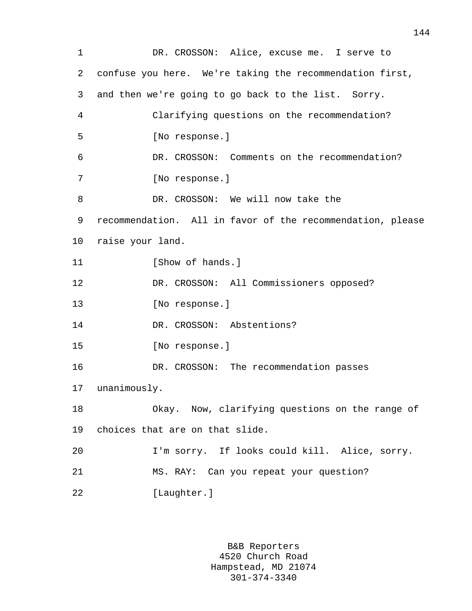1 DR. CROSSON: Alice, excuse me. I serve to 2 confuse you here. We're taking the recommendation first, 3 and then we're going to go back to the list. Sorry. 4 Clarifying questions on the recommendation? 5 [No response.] 6 DR. CROSSON: Comments on the recommendation? 7 [No response.] 8 DR. CROSSON: We will now take the 9 recommendation. All in favor of the recommendation, please 10 raise your land. 11 [Show of hands.] 12 DR. CROSSON: All Commissioners opposed? 13 [No response.] 14 DR. CROSSON: Abstentions? 15 [No response.] 16 DR. CROSSON: The recommendation passes 17 unanimously. 18 Okay. Now, clarifying questions on the range of 19 choices that are on that slide. 20 I'm sorry. If looks could kill. Alice, sorry. 21 MS. RAY: Can you repeat your question? 22 [Laughter.]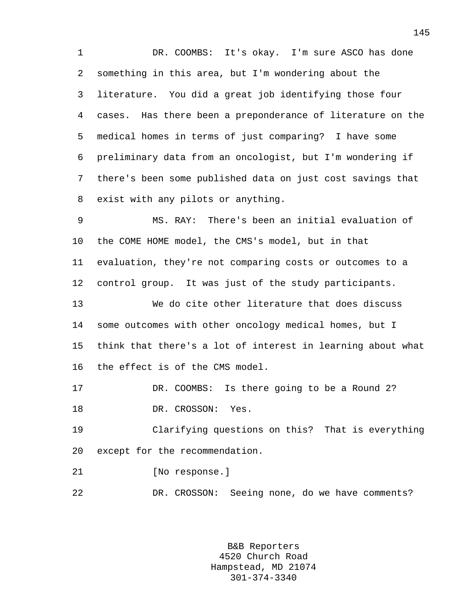1 DR. COOMBS: It's okay. I'm sure ASCO has done 2 something in this area, but I'm wondering about the 3 literature. You did a great job identifying those four 4 cases. Has there been a preponderance of literature on the 5 medical homes in terms of just comparing? I have some 6 preliminary data from an oncologist, but I'm wondering if 7 there's been some published data on just cost savings that 8 exist with any pilots or anything.

9 MS. RAY: There's been an initial evaluation of 10 the COME HOME model, the CMS's model, but in that 11 evaluation, they're not comparing costs or outcomes to a 12 control group. It was just of the study participants.

13 We do cite other literature that does discuss 14 some outcomes with other oncology medical homes, but I 15 think that there's a lot of interest in learning about what 16 the effect is of the CMS model.

17 DR. COOMBS: Is there going to be a Round 2? 18 DR. CROSSON: Yes.

19 Clarifying questions on this? That is everything 20 except for the recommendation.

21 [No response.]

22 DR. CROSSON: Seeing none, do we have comments?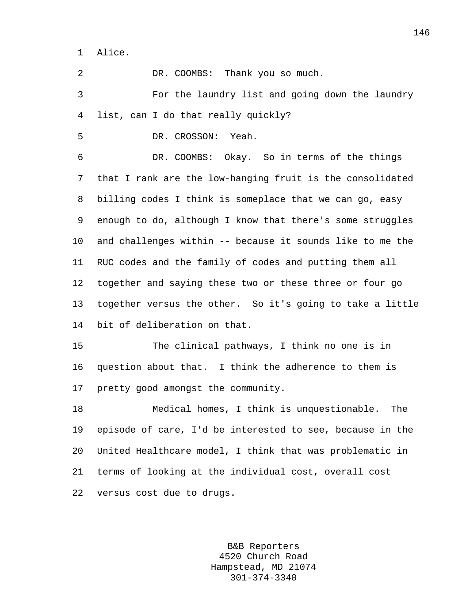1 Alice.

2 DR. COOMBS: Thank you so much.

3 For the laundry list and going down the laundry 4 list, can I do that really quickly?

5 DR. CROSSON: Yeah.

6 DR. COOMBS: Okay. So in terms of the things 7 that I rank are the low-hanging fruit is the consolidated 8 billing codes I think is someplace that we can go, easy 9 enough to do, although I know that there's some struggles 10 and challenges within -- because it sounds like to me the 11 RUC codes and the family of codes and putting them all 12 together and saying these two or these three or four go 13 together versus the other. So it's going to take a little 14 bit of deliberation on that.

15 The clinical pathways, I think no one is in 16 question about that. I think the adherence to them is 17 pretty good amongst the community.

18 Medical homes, I think is unquestionable. The 19 episode of care, I'd be interested to see, because in the 20 United Healthcare model, I think that was problematic in 21 terms of looking at the individual cost, overall cost 22 versus cost due to drugs.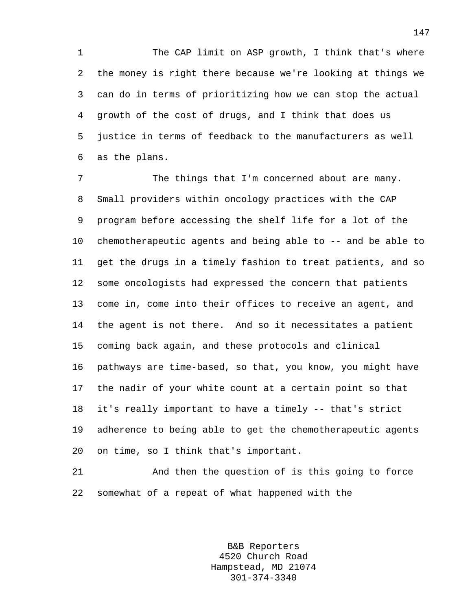1 The CAP limit on ASP growth, I think that's where 2 the money is right there because we're looking at things we 3 can do in terms of prioritizing how we can stop the actual 4 growth of the cost of drugs, and I think that does us 5 justice in terms of feedback to the manufacturers as well 6 as the plans.

7 The things that I'm concerned about are many. 8 Small providers within oncology practices with the CAP 9 program before accessing the shelf life for a lot of the 10 chemotherapeutic agents and being able to -- and be able to 11 get the drugs in a timely fashion to treat patients, and so 12 some oncologists had expressed the concern that patients 13 come in, come into their offices to receive an agent, and 14 the agent is not there. And so it necessitates a patient 15 coming back again, and these protocols and clinical 16 pathways are time-based, so that, you know, you might have 17 the nadir of your white count at a certain point so that 18 it's really important to have a timely -- that's strict 19 adherence to being able to get the chemotherapeutic agents 20 on time, so I think that's important.

21 And then the question of is this going to force 22 somewhat of a repeat of what happened with the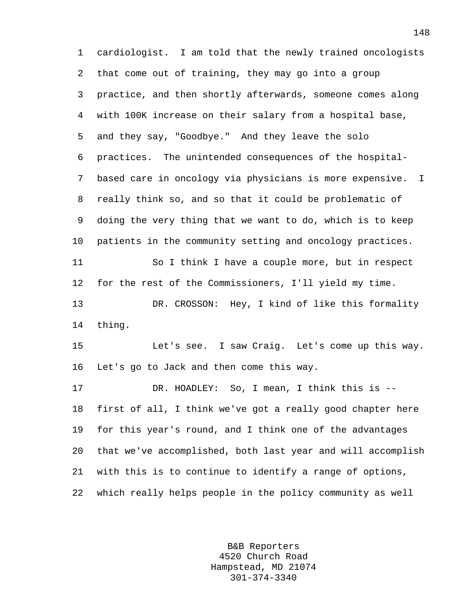1 cardiologist. I am told that the newly trained oncologists 2 that come out of training, they may go into a group 3 practice, and then shortly afterwards, someone comes along 4 with 100K increase on their salary from a hospital base, 5 and they say, "Goodbye." And they leave the solo 6 practices. The unintended consequences of the hospital-7 based care in oncology via physicians is more expensive. I 8 really think so, and so that it could be problematic of 9 doing the very thing that we want to do, which is to keep 10 patients in the community setting and oncology practices. 11 So I think I have a couple more, but in respect 12 for the rest of the Commissioners, I'll yield my time. 13 DR. CROSSON: Hey, I kind of like this formality 14 thing. 15 Let's see. I saw Craig. Let's come up this way. 16 Let's go to Jack and then come this way. 17 DR. HOADLEY: So, I mean, I think this is -- 18 first of all, I think we've got a really good chapter here 19 for this year's round, and I think one of the advantages 20 that we've accomplished, both last year and will accomplish 21 with this is to continue to identify a range of options, 22 which really helps people in the policy community as well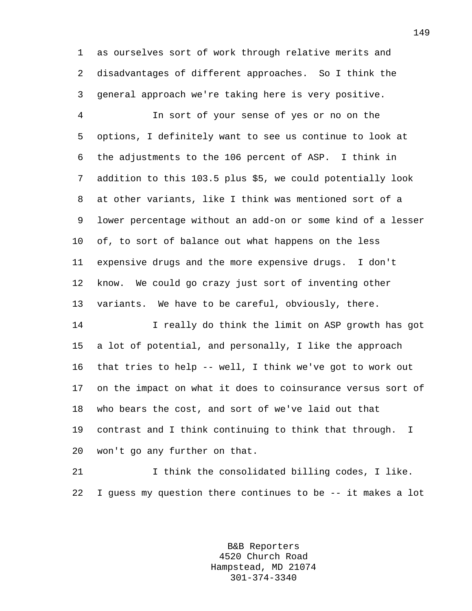1 as ourselves sort of work through relative merits and 2 disadvantages of different approaches. So I think the 3 general approach we're taking here is very positive.

4 In sort of your sense of yes or no on the 5 options, I definitely want to see us continue to look at 6 the adjustments to the 106 percent of ASP. I think in 7 addition to this 103.5 plus \$5, we could potentially look 8 at other variants, like I think was mentioned sort of a 9 lower percentage without an add-on or some kind of a lesser 10 of, to sort of balance out what happens on the less 11 expensive drugs and the more expensive drugs. I don't 12 know. We could go crazy just sort of inventing other 13 variants. We have to be careful, obviously, there.

14 I really do think the limit on ASP growth has got 15 a lot of potential, and personally, I like the approach 16 that tries to help -- well, I think we've got to work out 17 on the impact on what it does to coinsurance versus sort of 18 who bears the cost, and sort of we've laid out that 19 contrast and I think continuing to think that through. I 20 won't go any further on that.

21 I think the consolidated billing codes, I like. 22 I guess my question there continues to be -- it makes a lot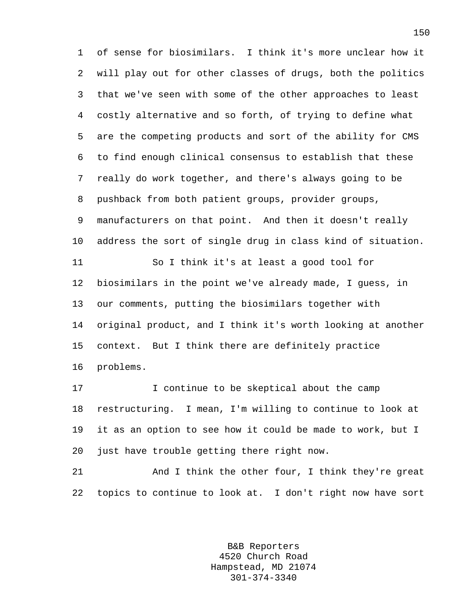1 of sense for biosimilars. I think it's more unclear how it 2 will play out for other classes of drugs, both the politics 3 that we've seen with some of the other approaches to least 4 costly alternative and so forth, of trying to define what 5 are the competing products and sort of the ability for CMS 6 to find enough clinical consensus to establish that these 7 really do work together, and there's always going to be 8 pushback from both patient groups, provider groups, 9 manufacturers on that point. And then it doesn't really 10 address the sort of single drug in class kind of situation. 11 So I think it's at least a good tool for 12 biosimilars in the point we've already made, I guess, in 13 our comments, putting the biosimilars together with 14 original product, and I think it's worth looking at another 15 context. But I think there are definitely practice 16 problems.

17 I continue to be skeptical about the camp 18 restructuring. I mean, I'm willing to continue to look at 19 it as an option to see how it could be made to work, but I 20 just have trouble getting there right now.

21 And I think the other four, I think they're great 22 topics to continue to look at. I don't right now have sort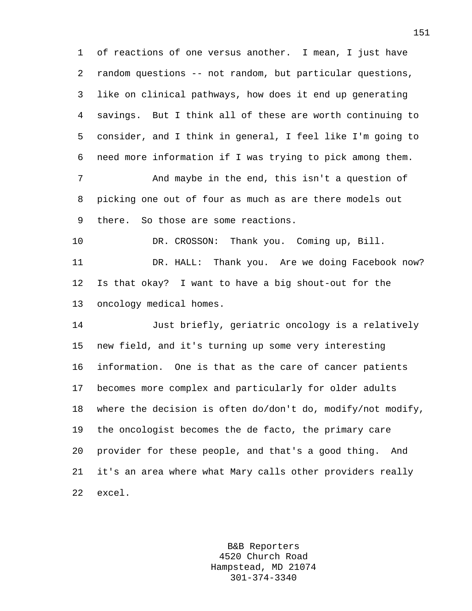1 of reactions of one versus another. I mean, I just have 2 random questions -- not random, but particular questions, 3 like on clinical pathways, how does it end up generating 4 savings. But I think all of these are worth continuing to 5 consider, and I think in general, I feel like I'm going to 6 need more information if I was trying to pick among them.

7 And maybe in the end, this isn't a question of 8 picking one out of four as much as are there models out 9 there. So those are some reactions.

10 DR. CROSSON: Thank you. Coming up, Bill. 11 DR. HALL: Thank you. Are we doing Facebook now? 12 Is that okay? I want to have a big shout-out for the 13 oncology medical homes.

14 Just briefly, geriatric oncology is a relatively 15 new field, and it's turning up some very interesting 16 information. One is that as the care of cancer patients 17 becomes more complex and particularly for older adults 18 where the decision is often do/don't do, modify/not modify, 19 the oncologist becomes the de facto, the primary care 20 provider for these people, and that's a good thing. And 21 it's an area where what Mary calls other providers really 22 excel.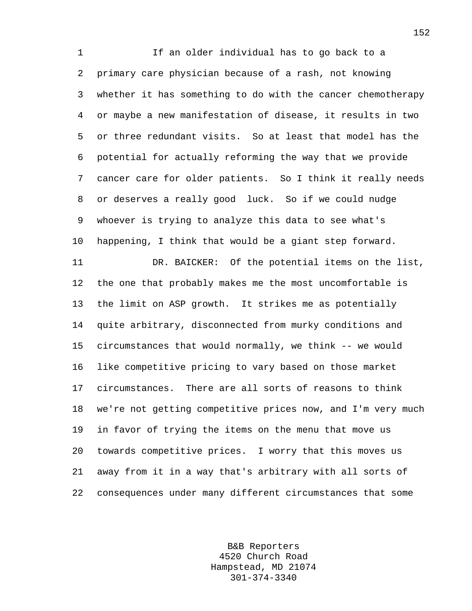1 If an older individual has to go back to a 2 primary care physician because of a rash, not knowing 3 whether it has something to do with the cancer chemotherapy 4 or maybe a new manifestation of disease, it results in two 5 or three redundant visits. So at least that model has the 6 potential for actually reforming the way that we provide 7 cancer care for older patients. So I think it really needs 8 or deserves a really good luck. So if we could nudge 9 whoever is trying to analyze this data to see what's 10 happening, I think that would be a giant step forward. 11 DR. BAICKER: Of the potential items on the list, 12 the one that probably makes me the most uncomfortable is 13 the limit on ASP growth. It strikes me as potentially 14 quite arbitrary, disconnected from murky conditions and 15 circumstances that would normally, we think -- we would 16 like competitive pricing to vary based on those market 17 circumstances. There are all sorts of reasons to think 18 we're not getting competitive prices now, and I'm very much 19 in favor of trying the items on the menu that move us 20 towards competitive prices. I worry that this moves us 21 away from it in a way that's arbitrary with all sorts of 22 consequences under many different circumstances that some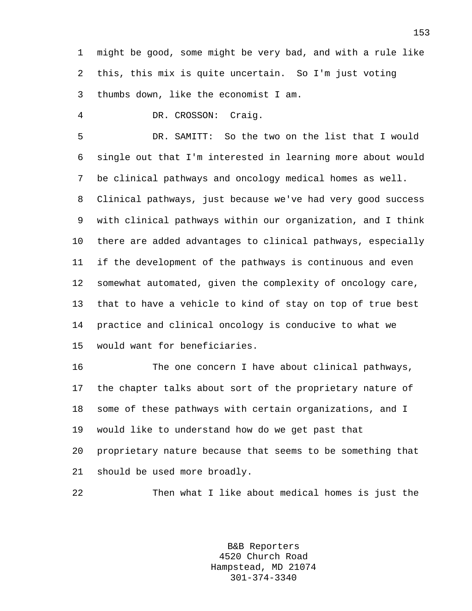1 might be good, some might be very bad, and with a rule like 2 this, this mix is quite uncertain. So I'm just voting 3 thumbs down, like the economist I am.

4 DR. CROSSON: Craig.

5 DR. SAMITT: So the two on the list that I would 6 single out that I'm interested in learning more about would 7 be clinical pathways and oncology medical homes as well. 8 Clinical pathways, just because we've had very good success 9 with clinical pathways within our organization, and I think 10 there are added advantages to clinical pathways, especially 11 if the development of the pathways is continuous and even 12 somewhat automated, given the complexity of oncology care, 13 that to have a vehicle to kind of stay on top of true best 14 practice and clinical oncology is conducive to what we 15 would want for beneficiaries.

16 The one concern I have about clinical pathways, 17 the chapter talks about sort of the proprietary nature of 18 some of these pathways with certain organizations, and I 19 would like to understand how do we get past that 20 proprietary nature because that seems to be something that 21 should be used more broadly.

22 Then what I like about medical homes is just the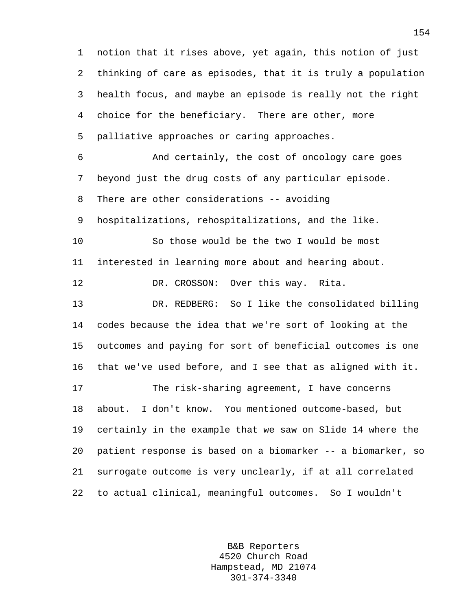1 notion that it rises above, yet again, this notion of just 2 thinking of care as episodes, that it is truly a population 3 health focus, and maybe an episode is really not the right 4 choice for the beneficiary. There are other, more 5 palliative approaches or caring approaches. 6 And certainly, the cost of oncology care goes 7 beyond just the drug costs of any particular episode. 8 There are other considerations -- avoiding 9 hospitalizations, rehospitalizations, and the like. 10 So those would be the two I would be most 11 interested in learning more about and hearing about. 12 DR. CROSSON: Over this way. Rita. 13 DR. REDBERG: So I like the consolidated billing 14 codes because the idea that we're sort of looking at the 15 outcomes and paying for sort of beneficial outcomes is one 16 that we've used before, and I see that as aligned with it. 17 The risk-sharing agreement, I have concerns 18 about. I don't know. You mentioned outcome-based, but 19 certainly in the example that we saw on Slide 14 where the 20 patient response is based on a biomarker -- a biomarker, so 21 surrogate outcome is very unclearly, if at all correlated 22 to actual clinical, meaningful outcomes. So I wouldn't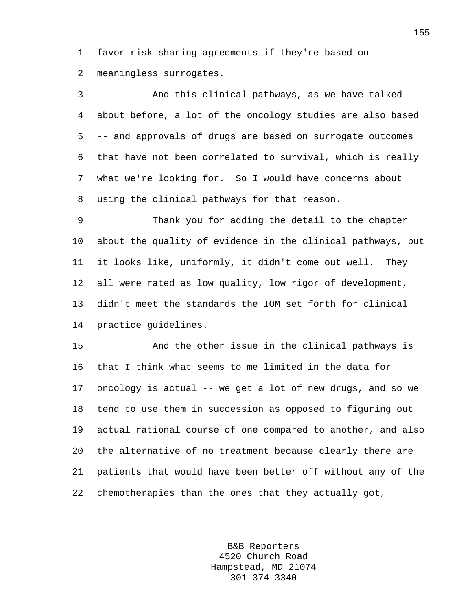1 favor risk-sharing agreements if they're based on 2 meaningless surrogates.

3 And this clinical pathways, as we have talked 4 about before, a lot of the oncology studies are also based 5 -- and approvals of drugs are based on surrogate outcomes 6 that have not been correlated to survival, which is really 7 what we're looking for. So I would have concerns about 8 using the clinical pathways for that reason.

9 Thank you for adding the detail to the chapter 10 about the quality of evidence in the clinical pathways, but 11 it looks like, uniformly, it didn't come out well. They 12 all were rated as low quality, low rigor of development, 13 didn't meet the standards the IOM set forth for clinical 14 practice guidelines.

15 And the other issue in the clinical pathways is 16 that I think what seems to me limited in the data for 17 oncology is actual -- we get a lot of new drugs, and so we 18 tend to use them in succession as opposed to figuring out 19 actual rational course of one compared to another, and also 20 the alternative of no treatment because clearly there are 21 patients that would have been better off without any of the 22 chemotherapies than the ones that they actually got,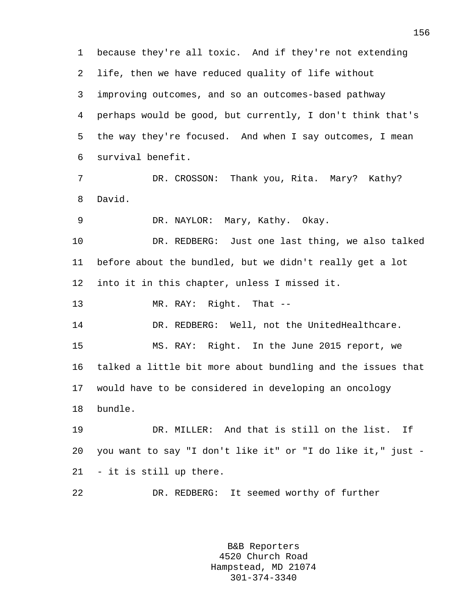1 because they're all toxic. And if they're not extending 2 life, then we have reduced quality of life without 3 improving outcomes, and so an outcomes-based pathway 4 perhaps would be good, but currently, I don't think that's 5 the way they're focused. And when I say outcomes, I mean 6 survival benefit. 7 DR. CROSSON: Thank you, Rita. Mary? Kathy? 8 David. 9 DR. NAYLOR: Mary, Kathy. Okay. 10 DR. REDBERG: Just one last thing, we also talked 11 before about the bundled, but we didn't really get a lot 12 into it in this chapter, unless I missed it. 13 MR. RAY: Right. That -- 14 DR. REDBERG: Well, not the UnitedHealthcare. 15 MS. RAY: Right. In the June 2015 report, we 16 talked a little bit more about bundling and the issues that 17 would have to be considered in developing an oncology 18 bundle. 19 DR. MILLER: And that is still on the list. If 20 you want to say "I don't like it" or "I do like it," just - 21 - it is still up there. 22 DR. REDBERG: It seemed worthy of further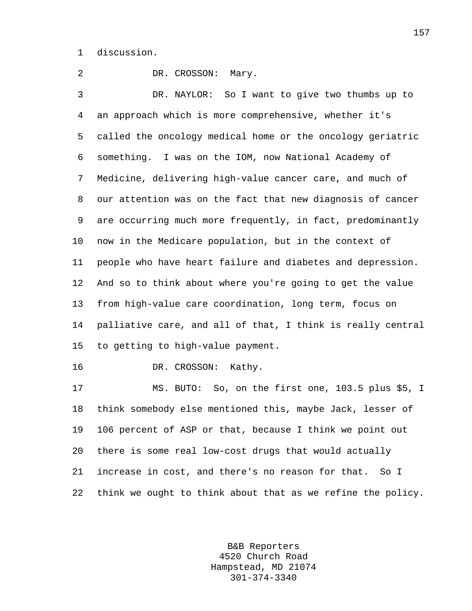1 discussion.

2 DR. CROSSON: Mary. 3 DR. NAYLOR: So I want to give two thumbs up to 4 an approach which is more comprehensive, whether it's 5 called the oncology medical home or the oncology geriatric 6 something. I was on the IOM, now National Academy of 7 Medicine, delivering high-value cancer care, and much of 8 our attention was on the fact that new diagnosis of cancer 9 are occurring much more frequently, in fact, predominantly 10 now in the Medicare population, but in the context of 11 people who have heart failure and diabetes and depression. 12 And so to think about where you're going to get the value 13 from high-value care coordination, long term, focus on 14 palliative care, and all of that, I think is really central 15 to getting to high-value payment. 16 DR. CROSSON: Kathy.

17 MS. BUTO: So, on the first one, 103.5 plus \$5, I 18 think somebody else mentioned this, maybe Jack, lesser of 19 106 percent of ASP or that, because I think we point out 20 there is some real low-cost drugs that would actually 21 increase in cost, and there's no reason for that. So I 22 think we ought to think about that as we refine the policy.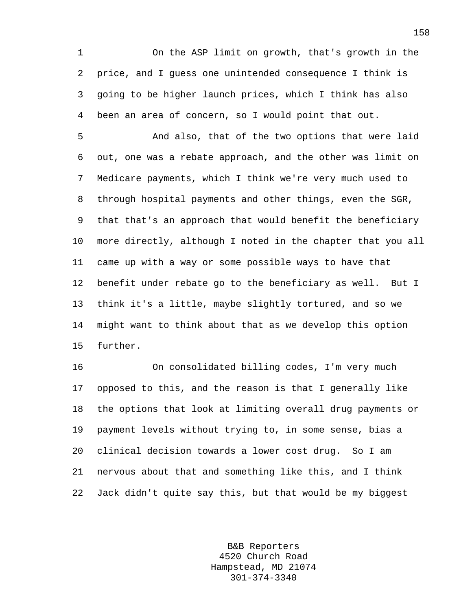1 On the ASP limit on growth, that's growth in the 2 price, and I guess one unintended consequence I think is 3 going to be higher launch prices, which I think has also 4 been an area of concern, so I would point that out.

5 And also, that of the two options that were laid 6 out, one was a rebate approach, and the other was limit on 7 Medicare payments, which I think we're very much used to 8 through hospital payments and other things, even the SGR, 9 that that's an approach that would benefit the beneficiary 10 more directly, although I noted in the chapter that you all 11 came up with a way or some possible ways to have that 12 benefit under rebate go to the beneficiary as well. But I 13 think it's a little, maybe slightly tortured, and so we 14 might want to think about that as we develop this option 15 further.

16 On consolidated billing codes, I'm very much 17 opposed to this, and the reason is that I generally like 18 the options that look at limiting overall drug payments or 19 payment levels without trying to, in some sense, bias a 20 clinical decision towards a lower cost drug. So I am 21 nervous about that and something like this, and I think 22 Jack didn't quite say this, but that would be my biggest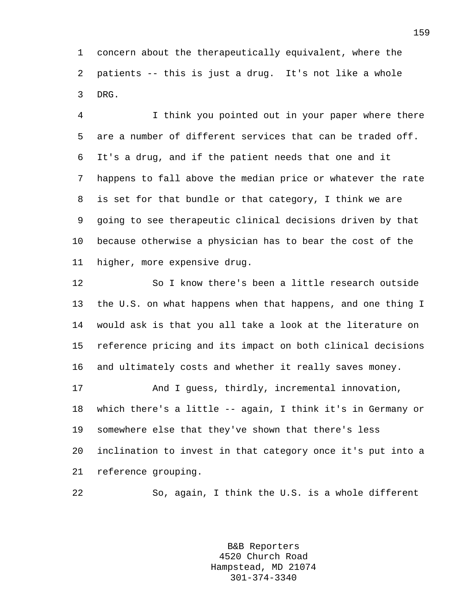1 concern about the therapeutically equivalent, where the 2 patients -- this is just a drug. It's not like a whole 3 DRG.

4 I think you pointed out in your paper where there 5 are a number of different services that can be traded off. 6 It's a drug, and if the patient needs that one and it 7 happens to fall above the median price or whatever the rate 8 is set for that bundle or that category, I think we are 9 going to see therapeutic clinical decisions driven by that 10 because otherwise a physician has to bear the cost of the 11 higher, more expensive drug.

12 So I know there's been a little research outside 13 the U.S. on what happens when that happens, and one thing I 14 would ask is that you all take a look at the literature on 15 reference pricing and its impact on both clinical decisions 16 and ultimately costs and whether it really saves money. 17 And I guess, thirdly, incremental innovation, 18 which there's a little -- again, I think it's in Germany or 19 somewhere else that they've shown that there's less

20 inclination to invest in that category once it's put into a 21 reference grouping.

22 So, again, I think the U.S. is a whole different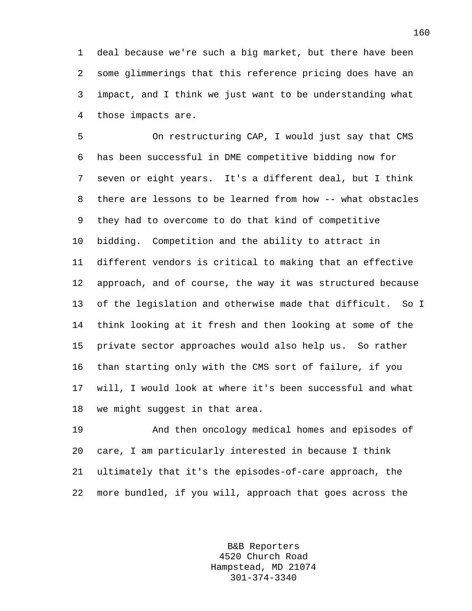1 deal because we're such a big market, but there have been 2 some glimmerings that this reference pricing does have an 3 impact, and I think we just want to be understanding what 4 those impacts are.

5 On restructuring CAP, I would just say that CMS 6 has been successful in DME competitive bidding now for 7 seven or eight years. It's a different deal, but I think 8 there are lessons to be learned from how -- what obstacles 9 they had to overcome to do that kind of competitive 10 bidding. Competition and the ability to attract in 11 different vendors is critical to making that an effective 12 approach, and of course, the way it was structured because 13 of the legislation and otherwise made that difficult. So I 14 think looking at it fresh and then looking at some of the 15 private sector approaches would also help us. So rather 16 than starting only with the CMS sort of failure, if you 17 will, I would look at where it's been successful and what 18 we might suggest in that area.

19 And then oncology medical homes and episodes of 20 care, I am particularly interested in because I think 21 ultimately that it's the episodes-of-care approach, the 22 more bundled, if you will, approach that goes across the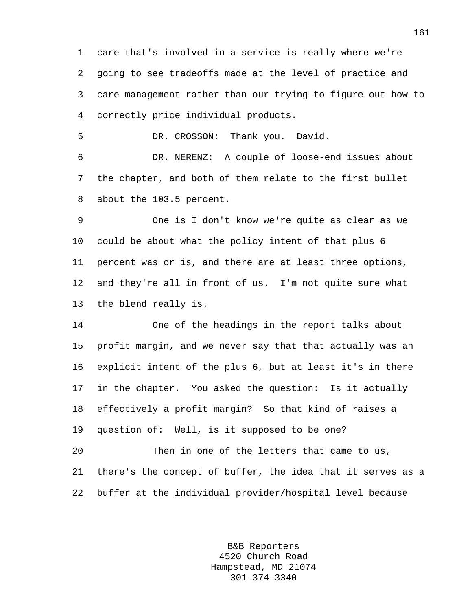1 care that's involved in a service is really where we're 2 going to see tradeoffs made at the level of practice and 3 care management rather than our trying to figure out how to 4 correctly price individual products.

5 DR. CROSSON: Thank you. David.

6 DR. NERENZ: A couple of loose-end issues about 7 the chapter, and both of them relate to the first bullet 8 about the 103.5 percent.

9 One is I don't know we're quite as clear as we 10 could be about what the policy intent of that plus 6 11 percent was or is, and there are at least three options, 12 and they're all in front of us. I'm not quite sure what 13 the blend really is.

14 One of the headings in the report talks about 15 profit margin, and we never say that that actually was an 16 explicit intent of the plus 6, but at least it's in there 17 in the chapter. You asked the question: Is it actually 18 effectively a profit margin? So that kind of raises a 19 question of: Well, is it supposed to be one?

20 Then in one of the letters that came to us, 21 there's the concept of buffer, the idea that it serves as a 22 buffer at the individual provider/hospital level because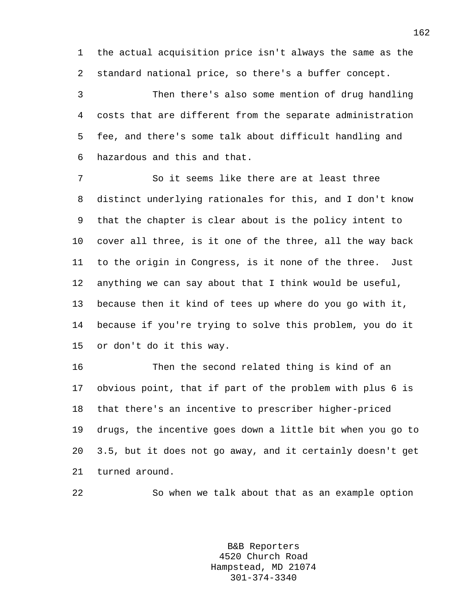1 the actual acquisition price isn't always the same as the 2 standard national price, so there's a buffer concept.

3 Then there's also some mention of drug handling 4 costs that are different from the separate administration 5 fee, and there's some talk about difficult handling and 6 hazardous and this and that.

7 So it seems like there are at least three 8 distinct underlying rationales for this, and I don't know 9 that the chapter is clear about is the policy intent to 10 cover all three, is it one of the three, all the way back 11 to the origin in Congress, is it none of the three. Just 12 anything we can say about that I think would be useful, 13 because then it kind of tees up where do you go with it, 14 because if you're trying to solve this problem, you do it 15 or don't do it this way.

16 Then the second related thing is kind of an 17 obvious point, that if part of the problem with plus 6 is 18 that there's an incentive to prescriber higher-priced 19 drugs, the incentive goes down a little bit when you go to 20 3.5, but it does not go away, and it certainly doesn't get 21 turned around.

22 So when we talk about that as an example option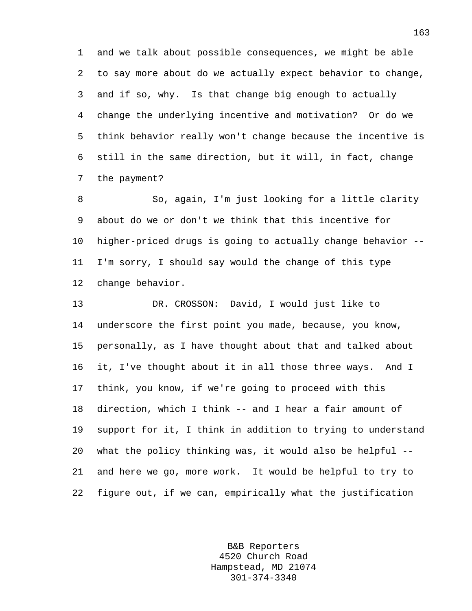1 and we talk about possible consequences, we might be able 2 to say more about do we actually expect behavior to change, 3 and if so, why. Is that change big enough to actually 4 change the underlying incentive and motivation? Or do we 5 think behavior really won't change because the incentive is 6 still in the same direction, but it will, in fact, change 7 the payment?

8 So, again, I'm just looking for a little clarity 9 about do we or don't we think that this incentive for 10 higher-priced drugs is going to actually change behavior -- 11 I'm sorry, I should say would the change of this type 12 change behavior.

13 DR. CROSSON: David, I would just like to 14 underscore the first point you made, because, you know, 15 personally, as I have thought about that and talked about 16 it, I've thought about it in all those three ways. And I 17 think, you know, if we're going to proceed with this 18 direction, which I think -- and I hear a fair amount of 19 support for it, I think in addition to trying to understand 20 what the policy thinking was, it would also be helpful -- 21 and here we go, more work. It would be helpful to try to 22 figure out, if we can, empirically what the justification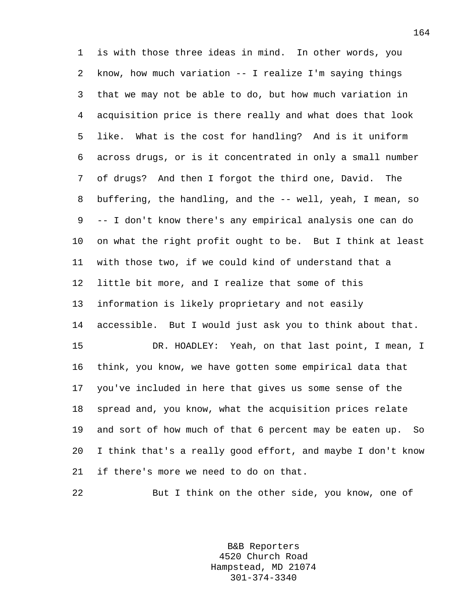1 is with those three ideas in mind. In other words, you 2 know, how much variation -- I realize I'm saying things 3 that we may not be able to do, but how much variation in 4 acquisition price is there really and what does that look 5 like. What is the cost for handling? And is it uniform 6 across drugs, or is it concentrated in only a small number 7 of drugs? And then I forgot the third one, David. The 8 buffering, the handling, and the -- well, yeah, I mean, so 9 -- I don't know there's any empirical analysis one can do 10 on what the right profit ought to be. But I think at least 11 with those two, if we could kind of understand that a 12 little bit more, and I realize that some of this 13 information is likely proprietary and not easily 14 accessible. But I would just ask you to think about that. 15 DR. HOADLEY: Yeah, on that last point, I mean, I 16 think, you know, we have gotten some empirical data that 17 you've included in here that gives us some sense of the 18 spread and, you know, what the acquisition prices relate 19 and sort of how much of that 6 percent may be eaten up. So 20 I think that's a really good effort, and maybe I don't know 21 if there's more we need to do on that.

22 But I think on the other side, you know, one of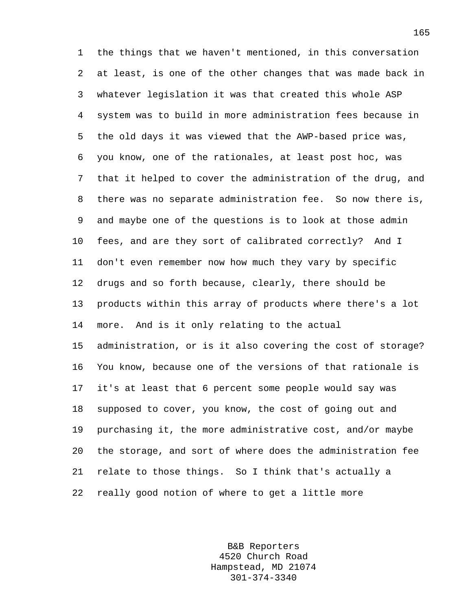1 the things that we haven't mentioned, in this conversation 2 at least, is one of the other changes that was made back in 3 whatever legislation it was that created this whole ASP 4 system was to build in more administration fees because in 5 the old days it was viewed that the AWP-based price was, 6 you know, one of the rationales, at least post hoc, was 7 that it helped to cover the administration of the drug, and 8 there was no separate administration fee. So now there is, 9 and maybe one of the questions is to look at those admin 10 fees, and are they sort of calibrated correctly? And I 11 don't even remember now how much they vary by specific 12 drugs and so forth because, clearly, there should be 13 products within this array of products where there's a lot 14 more. And is it only relating to the actual 15 administration, or is it also covering the cost of storage? 16 You know, because one of the versions of that rationale is 17 it's at least that 6 percent some people would say was 18 supposed to cover, you know, the cost of going out and 19 purchasing it, the more administrative cost, and/or maybe 20 the storage, and sort of where does the administration fee 21 relate to those things. So I think that's actually a 22 really good notion of where to get a little more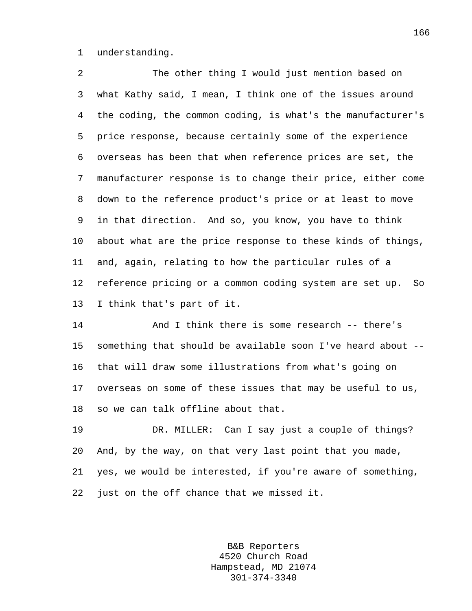1 understanding.

2 The other thing I would just mention based on 3 what Kathy said, I mean, I think one of the issues around 4 the coding, the common coding, is what's the manufacturer's 5 price response, because certainly some of the experience 6 overseas has been that when reference prices are set, the 7 manufacturer response is to change their price, either come 8 down to the reference product's price or at least to move 9 in that direction. And so, you know, you have to think 10 about what are the price response to these kinds of things, 11 and, again, relating to how the particular rules of a 12 reference pricing or a common coding system are set up. So 13 I think that's part of it.

14 And I think there is some research -- there's 15 something that should be available soon I've heard about -- 16 that will draw some illustrations from what's going on 17 overseas on some of these issues that may be useful to us, 18 so we can talk offline about that.

19 DR. MILLER: Can I say just a couple of things? 20 And, by the way, on that very last point that you made, 21 yes, we would be interested, if you're aware of something, 22 just on the off chance that we missed it.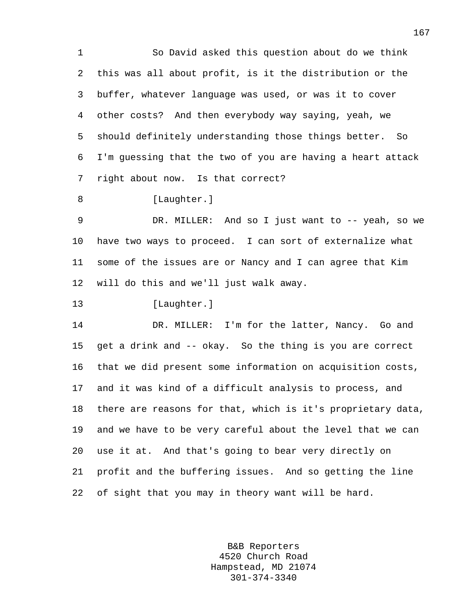1 So David asked this question about do we think 2 this was all about profit, is it the distribution or the 3 buffer, whatever language was used, or was it to cover 4 other costs? And then everybody way saying, yeah, we 5 should definitely understanding those things better. So 6 I'm guessing that the two of you are having a heart attack 7 right about now. Is that correct?

8 [Laughter.]

9 DR. MILLER: And so I just want to -- yeah, so we 10 have two ways to proceed. I can sort of externalize what 11 some of the issues are or Nancy and I can agree that Kim 12 will do this and we'll just walk away.

13 [Laughter.]

14 DR. MILLER: I'm for the latter, Nancy. Go and 15 get a drink and -- okay. So the thing is you are correct 16 that we did present some information on acquisition costs, 17 and it was kind of a difficult analysis to process, and 18 there are reasons for that, which is it's proprietary data, 19 and we have to be very careful about the level that we can 20 use it at. And that's going to bear very directly on 21 profit and the buffering issues. And so getting the line 22 of sight that you may in theory want will be hard.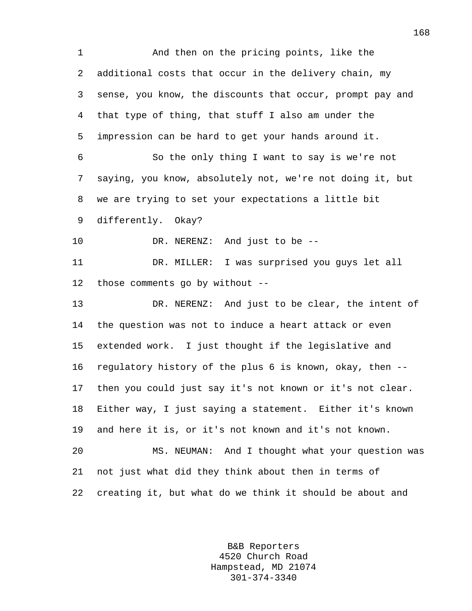1 And then on the pricing points, like the 2 additional costs that occur in the delivery chain, my 3 sense, you know, the discounts that occur, prompt pay and 4 that type of thing, that stuff I also am under the 5 impression can be hard to get your hands around it. 6 So the only thing I want to say is we're not 7 saying, you know, absolutely not, we're not doing it, but 8 we are trying to set your expectations a little bit 9 differently. Okay? 10 DR. NERENZ: And just to be -- 11 DR. MILLER: I was surprised you guys let all 12 those comments go by without -- 13 DR. NERENZ: And just to be clear, the intent of 14 the question was not to induce a heart attack or even 15 extended work. I just thought if the legislative and 16 regulatory history of the plus 6 is known, okay, then -- 17 then you could just say it's not known or it's not clear. 18 Either way, I just saying a statement. Either it's known 19 and here it is, or it's not known and it's not known. 20 MS. NEUMAN: And I thought what your question was 21 not just what did they think about then in terms of 22 creating it, but what do we think it should be about and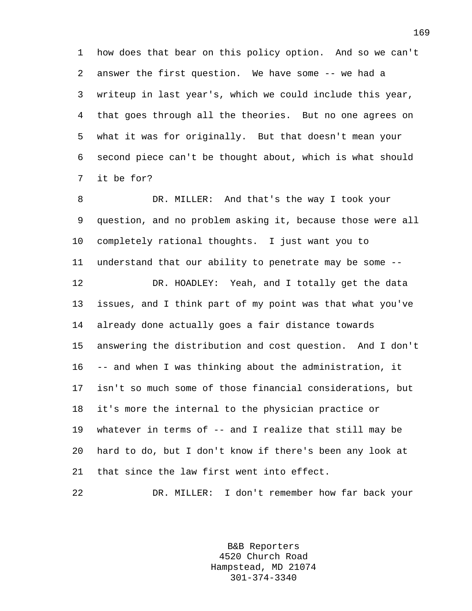1 how does that bear on this policy option. And so we can't 2 answer the first question. We have some -- we had a 3 writeup in last year's, which we could include this year, 4 that goes through all the theories. But no one agrees on 5 what it was for originally. But that doesn't mean your 6 second piece can't be thought about, which is what should 7 it be for?

8 DR. MILLER: And that's the way I took your 9 question, and no problem asking it, because those were all 10 completely rational thoughts. I just want you to 11 understand that our ability to penetrate may be some -- 12 DR. HOADLEY: Yeah, and I totally get the data 13 issues, and I think part of my point was that what you've 14 already done actually goes a fair distance towards 15 answering the distribution and cost question. And I don't 16 -- and when I was thinking about the administration, it 17 isn't so much some of those financial considerations, but 18 it's more the internal to the physician practice or 19 whatever in terms of -- and I realize that still may be 20 hard to do, but I don't know if there's been any look at 21 that since the law first went into effect.

22 DR. MILLER: I don't remember how far back your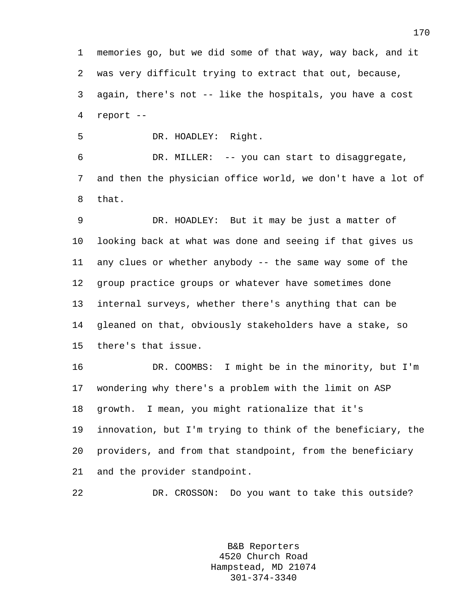1 memories go, but we did some of that way, way back, and it 2 was very difficult trying to extract that out, because, 3 again, there's not -- like the hospitals, you have a cost 4 report --

5 DR. HOADLEY: Right.

6 DR. MILLER: -- you can start to disaggregate, 7 and then the physician office world, we don't have a lot of 8 that.

9 DR. HOADLEY: But it may be just a matter of 10 looking back at what was done and seeing if that gives us 11 any clues or whether anybody -- the same way some of the 12 group practice groups or whatever have sometimes done 13 internal surveys, whether there's anything that can be 14 gleaned on that, obviously stakeholders have a stake, so 15 there's that issue.

16 DR. COOMBS: I might be in the minority, but I'm 17 wondering why there's a problem with the limit on ASP 18 growth. I mean, you might rationalize that it's 19 innovation, but I'm trying to think of the beneficiary, the 20 providers, and from that standpoint, from the beneficiary 21 and the provider standpoint.

22 DR. CROSSON: Do you want to take this outside?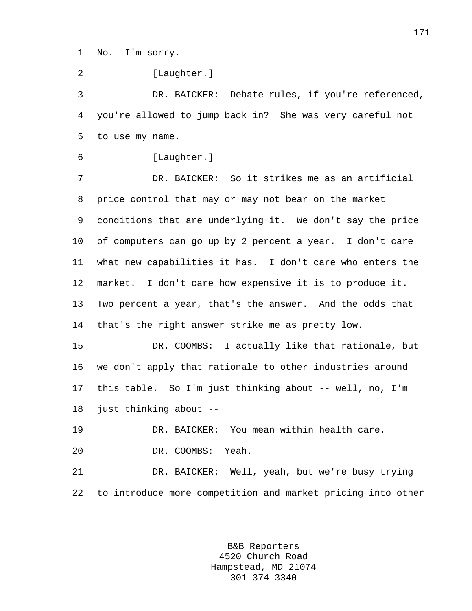1 No. I'm sorry.

2 [Laughter.]

3 DR. BAICKER: Debate rules, if you're referenced, 4 you're allowed to jump back in? She was very careful not 5 to use my name.

```
6 [Laughter.]
```
7 DR. BAICKER: So it strikes me as an artificial 8 price control that may or may not bear on the market 9 conditions that are underlying it. We don't say the price 10 of computers can go up by 2 percent a year. I don't care 11 what new capabilities it has. I don't care who enters the 12 market. I don't care how expensive it is to produce it. 13 Two percent a year, that's the answer. And the odds that 14 that's the right answer strike me as pretty low.

15 DR. COOMBS: I actually like that rationale, but 16 we don't apply that rationale to other industries around 17 this table. So I'm just thinking about -- well, no, I'm 18 just thinking about --

19 DR. BAICKER: You mean within health care.

20 DR. COOMBS: Yeah.

21 DR. BAICKER: Well, yeah, but we're busy trying 22 to introduce more competition and market pricing into other

> B&B Reporters 4520 Church Road Hampstead, MD 21074 301-374-3340

171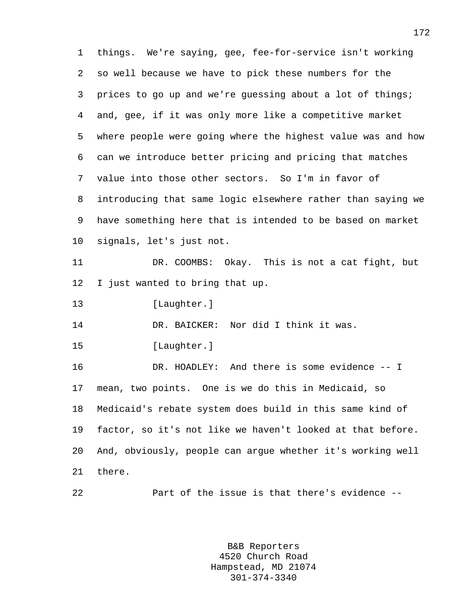1 things. We're saying, gee, fee-for-service isn't working 2 so well because we have to pick these numbers for the 3 prices to go up and we're guessing about a lot of things; 4 and, gee, if it was only more like a competitive market 5 where people were going where the highest value was and how 6 can we introduce better pricing and pricing that matches 7 value into those other sectors. So I'm in favor of 8 introducing that same logic elsewhere rather than saying we 9 have something here that is intended to be based on market 10 signals, let's just not. 11 DR. COOMBS: Okay. This is not a cat fight, but 12 I just wanted to bring that up. 13 [Laughter.] 14 DR. BAICKER: Nor did I think it was. 15 [Laughter.] 16 DR. HOADLEY: And there is some evidence -- I 17 mean, two points. One is we do this in Medicaid, so 18 Medicaid's rebate system does build in this same kind of 19 factor, so it's not like we haven't looked at that before. 20 And, obviously, people can argue whether it's working well 21 there. 22 Part of the issue is that there's evidence --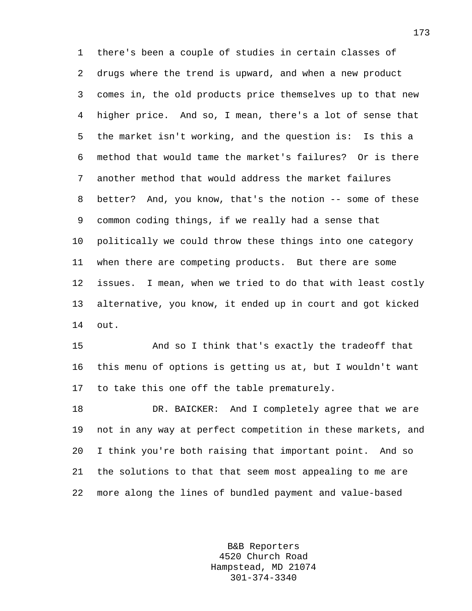1 there's been a couple of studies in certain classes of 2 drugs where the trend is upward, and when a new product 3 comes in, the old products price themselves up to that new 4 higher price. And so, I mean, there's a lot of sense that 5 the market isn't working, and the question is: Is this a 6 method that would tame the market's failures? Or is there 7 another method that would address the market failures 8 better? And, you know, that's the notion -- some of these 9 common coding things, if we really had a sense that 10 politically we could throw these things into one category 11 when there are competing products. But there are some 12 issues. I mean, when we tried to do that with least costly 13 alternative, you know, it ended up in court and got kicked 14 out.

15 And so I think that's exactly the tradeoff that 16 this menu of options is getting us at, but I wouldn't want 17 to take this one off the table prematurely.

18 DR. BAICKER: And I completely agree that we are 19 not in any way at perfect competition in these markets, and 20 I think you're both raising that important point. And so 21 the solutions to that that seem most appealing to me are 22 more along the lines of bundled payment and value-based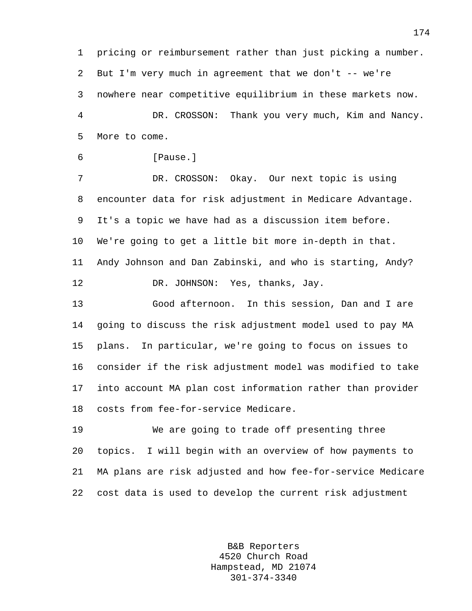1 pricing or reimbursement rather than just picking a number. 2 But I'm very much in agreement that we don't -- we're 3 nowhere near competitive equilibrium in these markets now. 4 DR. CROSSON: Thank you very much, Kim and Nancy. 5 More to come.

```
6 [Pause.]
```
7 DR. CROSSON: Okay. Our next topic is using 8 encounter data for risk adjustment in Medicare Advantage. 9 It's a topic we have had as a discussion item before. 10 We're going to get a little bit more in-depth in that. 11 Andy Johnson and Dan Zabinski, and who is starting, Andy? 12 DR. JOHNSON: Yes, thanks, Jay.

13 Good afternoon. In this session, Dan and I are 14 going to discuss the risk adjustment model used to pay MA 15 plans. In particular, we're going to focus on issues to 16 consider if the risk adjustment model was modified to take 17 into account MA plan cost information rather than provider 18 costs from fee-for-service Medicare.

19 We are going to trade off presenting three 20 topics. I will begin with an overview of how payments to 21 MA plans are risk adjusted and how fee-for-service Medicare 22 cost data is used to develop the current risk adjustment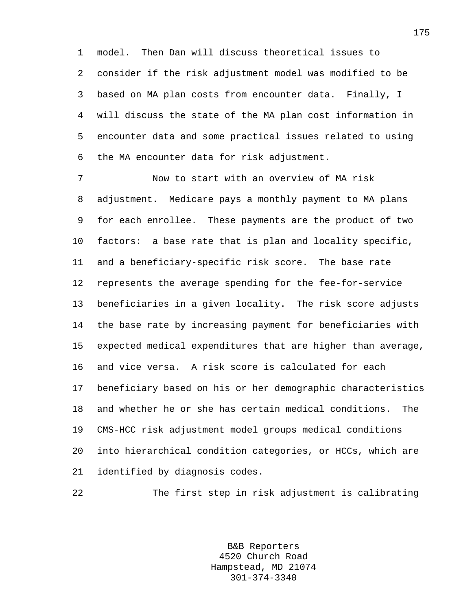1 model. Then Dan will discuss theoretical issues to 2 consider if the risk adjustment model was modified to be 3 based on MA plan costs from encounter data. Finally, I 4 will discuss the state of the MA plan cost information in 5 encounter data and some practical issues related to using 6 the MA encounter data for risk adjustment.

7 Now to start with an overview of MA risk 8 adjustment. Medicare pays a monthly payment to MA plans 9 for each enrollee. These payments are the product of two 10 factors: a base rate that is plan and locality specific, 11 and a beneficiary-specific risk score. The base rate 12 represents the average spending for the fee-for-service 13 beneficiaries in a given locality. The risk score adjusts 14 the base rate by increasing payment for beneficiaries with 15 expected medical expenditures that are higher than average, 16 and vice versa. A risk score is calculated for each 17 beneficiary based on his or her demographic characteristics 18 and whether he or she has certain medical conditions. The 19 CMS-HCC risk adjustment model groups medical conditions 20 into hierarchical condition categories, or HCCs, which are 21 identified by diagnosis codes.

22 The first step in risk adjustment is calibrating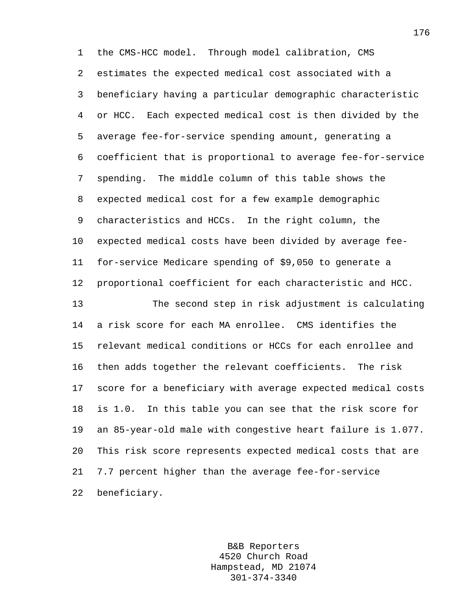1 the CMS-HCC model. Through model calibration, CMS 2 estimates the expected medical cost associated with a 3 beneficiary having a particular demographic characteristic 4 or HCC. Each expected medical cost is then divided by the 5 average fee-for-service spending amount, generating a 6 coefficient that is proportional to average fee-for-service 7 spending. The middle column of this table shows the 8 expected medical cost for a few example demographic 9 characteristics and HCCs. In the right column, the 10 expected medical costs have been divided by average fee-11 for-service Medicare spending of \$9,050 to generate a 12 proportional coefficient for each characteristic and HCC. 13 The second step in risk adjustment is calculating 14 a risk score for each MA enrollee. CMS identifies the 15 relevant medical conditions or HCCs for each enrollee and 16 then adds together the relevant coefficients. The risk 17 score for a beneficiary with average expected medical costs 18 is 1.0. In this table you can see that the risk score for 19 an 85-year-old male with congestive heart failure is 1.077. 20 This risk score represents expected medical costs that are 21 7.7 percent higher than the average fee-for-service 22 beneficiary.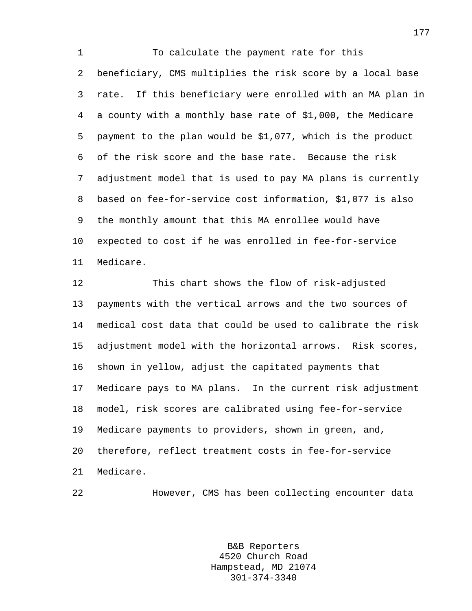1 To calculate the payment rate for this 2 beneficiary, CMS multiplies the risk score by a local base 3 rate. If this beneficiary were enrolled with an MA plan in 4 a county with a monthly base rate of \$1,000, the Medicare 5 payment to the plan would be \$1,077, which is the product 6 of the risk score and the base rate. Because the risk 7 adjustment model that is used to pay MA plans is currently 8 based on fee-for-service cost information, \$1,077 is also 9 the monthly amount that this MA enrollee would have 10 expected to cost if he was enrolled in fee-for-service 11 Medicare.

12 This chart shows the flow of risk-adjusted 13 payments with the vertical arrows and the two sources of 14 medical cost data that could be used to calibrate the risk 15 adjustment model with the horizontal arrows. Risk scores, 16 shown in yellow, adjust the capitated payments that 17 Medicare pays to MA plans. In the current risk adjustment 18 model, risk scores are calibrated using fee-for-service 19 Medicare payments to providers, shown in green, and, 20 therefore, reflect treatment costs in fee-for-service 21 Medicare.

22 However, CMS has been collecting encounter data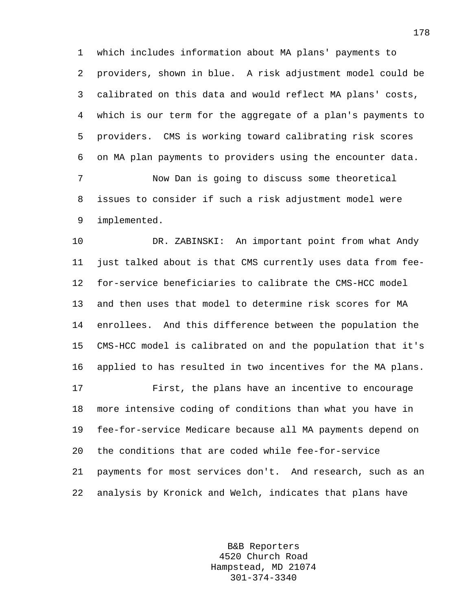1 which includes information about MA plans' payments to 2 providers, shown in blue. A risk adjustment model could be 3 calibrated on this data and would reflect MA plans' costs, 4 which is our term for the aggregate of a plan's payments to 5 providers. CMS is working toward calibrating risk scores 6 on MA plan payments to providers using the encounter data. 7 Now Dan is going to discuss some theoretical

8 issues to consider if such a risk adjustment model were 9 implemented.

10 DR. ZABINSKI: An important point from what Andy 11 just talked about is that CMS currently uses data from fee-12 for-service beneficiaries to calibrate the CMS-HCC model 13 and then uses that model to determine risk scores for MA 14 enrollees. And this difference between the population the 15 CMS-HCC model is calibrated on and the population that it's 16 applied to has resulted in two incentives for the MA plans.

17 First, the plans have an incentive to encourage 18 more intensive coding of conditions than what you have in 19 fee-for-service Medicare because all MA payments depend on 20 the conditions that are coded while fee-for-service 21 payments for most services don't. And research, such as an 22 analysis by Kronick and Welch, indicates that plans have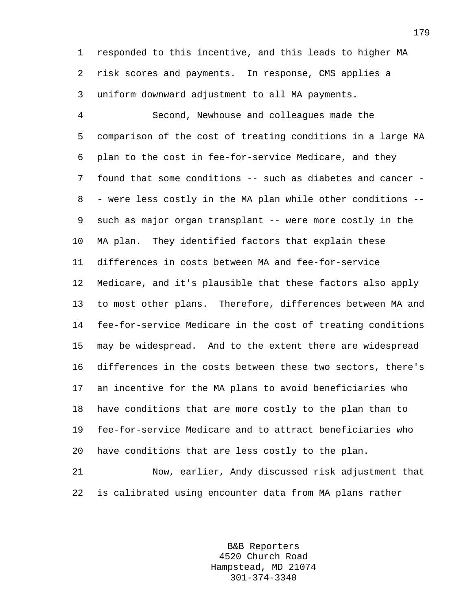1 responded to this incentive, and this leads to higher MA 2 risk scores and payments. In response, CMS applies a 3 uniform downward adjustment to all MA payments.

4 Second, Newhouse and colleagues made the 5 comparison of the cost of treating conditions in a large MA 6 plan to the cost in fee-for-service Medicare, and they 7 found that some conditions -- such as diabetes and cancer - 8 - were less costly in the MA plan while other conditions -- 9 such as major organ transplant -- were more costly in the 10 MA plan. They identified factors that explain these 11 differences in costs between MA and fee-for-service 12 Medicare, and it's plausible that these factors also apply 13 to most other plans. Therefore, differences between MA and 14 fee-for-service Medicare in the cost of treating conditions 15 may be widespread. And to the extent there are widespread 16 differences in the costs between these two sectors, there's 17 an incentive for the MA plans to avoid beneficiaries who 18 have conditions that are more costly to the plan than to 19 fee-for-service Medicare and to attract beneficiaries who 20 have conditions that are less costly to the plan.

21 Now, earlier, Andy discussed risk adjustment that 22 is calibrated using encounter data from MA plans rather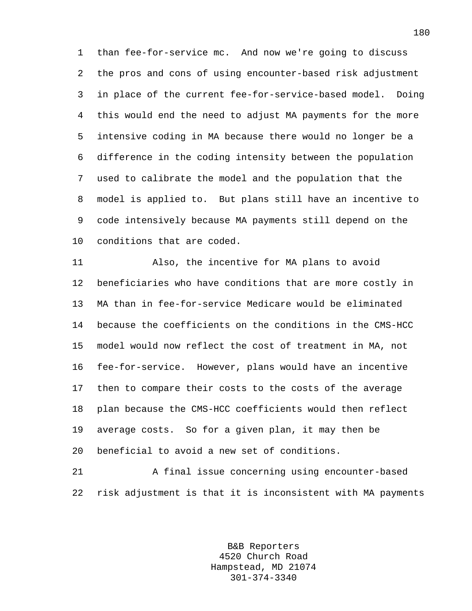1 than fee-for-service mc. And now we're going to discuss 2 the pros and cons of using encounter-based risk adjustment 3 in place of the current fee-for-service-based model. Doing 4 this would end the need to adjust MA payments for the more 5 intensive coding in MA because there would no longer be a 6 difference in the coding intensity between the population 7 used to calibrate the model and the population that the 8 model is applied to. But plans still have an incentive to 9 code intensively because MA payments still depend on the 10 conditions that are coded.

11 Also, the incentive for MA plans to avoid 12 beneficiaries who have conditions that are more costly in 13 MA than in fee-for-service Medicare would be eliminated 14 because the coefficients on the conditions in the CMS-HCC 15 model would now reflect the cost of treatment in MA, not 16 fee-for-service. However, plans would have an incentive 17 then to compare their costs to the costs of the average 18 plan because the CMS-HCC coefficients would then reflect 19 average costs. So for a given plan, it may then be 20 beneficial to avoid a new set of conditions.

21 A final issue concerning using encounter-based 22 risk adjustment is that it is inconsistent with MA payments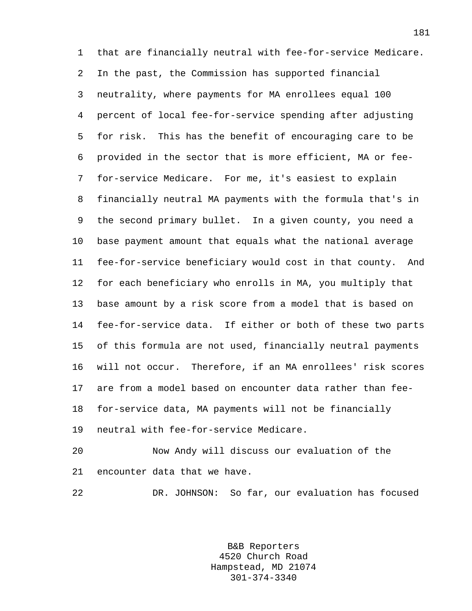1 that are financially neutral with fee-for-service Medicare. 2 In the past, the Commission has supported financial 3 neutrality, where payments for MA enrollees equal 100 4 percent of local fee-for-service spending after adjusting 5 for risk. This has the benefit of encouraging care to be 6 provided in the sector that is more efficient, MA or fee-7 for-service Medicare. For me, it's easiest to explain 8 financially neutral MA payments with the formula that's in 9 the second primary bullet. In a given county, you need a 10 base payment amount that equals what the national average 11 fee-for-service beneficiary would cost in that county. And 12 for each beneficiary who enrolls in MA, you multiply that 13 base amount by a risk score from a model that is based on 14 fee-for-service data. If either or both of these two parts 15 of this formula are not used, financially neutral payments 16 will not occur. Therefore, if an MA enrollees' risk scores 17 are from a model based on encounter data rather than fee-18 for-service data, MA payments will not be financially 19 neutral with fee-for-service Medicare.

20 Now Andy will discuss our evaluation of the 21 encounter data that we have.

22 DR. JOHNSON: So far, our evaluation has focused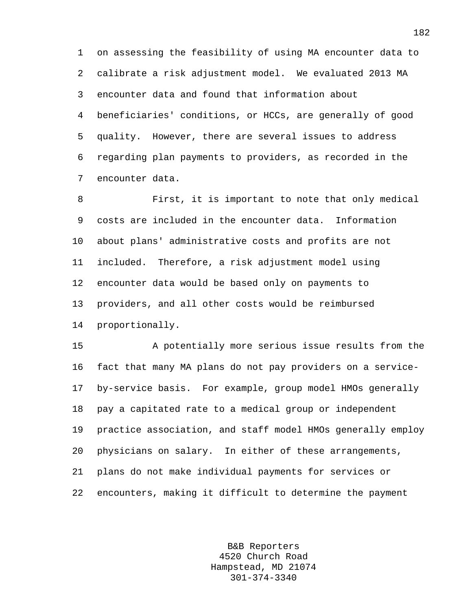1 on assessing the feasibility of using MA encounter data to 2 calibrate a risk adjustment model. We evaluated 2013 MA 3 encounter data and found that information about 4 beneficiaries' conditions, or HCCs, are generally of good 5 quality. However, there are several issues to address 6 regarding plan payments to providers, as recorded in the 7 encounter data.

8 First, it is important to note that only medical 9 costs are included in the encounter data. Information 10 about plans' administrative costs and profits are not 11 included. Therefore, a risk adjustment model using 12 encounter data would be based only on payments to 13 providers, and all other costs would be reimbursed 14 proportionally.

15 A potentially more serious issue results from the 16 fact that many MA plans do not pay providers on a service-17 by-service basis. For example, group model HMOs generally 18 pay a capitated rate to a medical group or independent 19 practice association, and staff model HMOs generally employ 20 physicians on salary. In either of these arrangements, 21 plans do not make individual payments for services or 22 encounters, making it difficult to determine the payment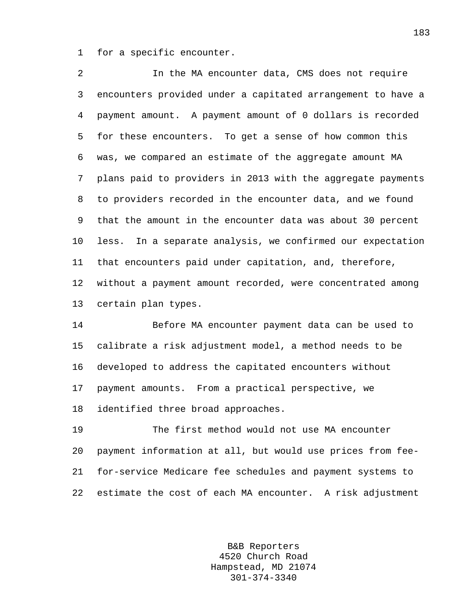1 for a specific encounter.

2 In the MA encounter data, CMS does not require 3 encounters provided under a capitated arrangement to have a 4 payment amount. A payment amount of 0 dollars is recorded 5 for these encounters. To get a sense of how common this 6 was, we compared an estimate of the aggregate amount MA 7 plans paid to providers in 2013 with the aggregate payments 8 to providers recorded in the encounter data, and we found 9 that the amount in the encounter data was about 30 percent 10 less. In a separate analysis, we confirmed our expectation 11 that encounters paid under capitation, and, therefore, 12 without a payment amount recorded, were concentrated among 13 certain plan types.

14 Before MA encounter payment data can be used to 15 calibrate a risk adjustment model, a method needs to be 16 developed to address the capitated encounters without 17 payment amounts. From a practical perspective, we 18 identified three broad approaches.

19 The first method would not use MA encounter 20 payment information at all, but would use prices from fee-21 for-service Medicare fee schedules and payment systems to 22 estimate the cost of each MA encounter. A risk adjustment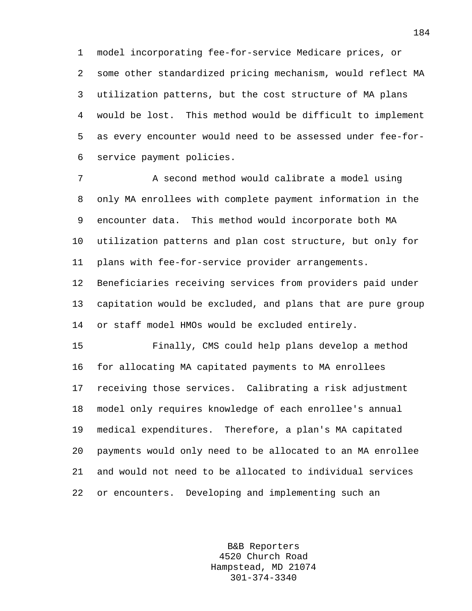1 model incorporating fee-for-service Medicare prices, or 2 some other standardized pricing mechanism, would reflect MA 3 utilization patterns, but the cost structure of MA plans 4 would be lost. This method would be difficult to implement 5 as every encounter would need to be assessed under fee-for-6 service payment policies.

7 A second method would calibrate a model using 8 only MA enrollees with complete payment information in the 9 encounter data. This method would incorporate both MA 10 utilization patterns and plan cost structure, but only for 11 plans with fee-for-service provider arrangements.

12 Beneficiaries receiving services from providers paid under 13 capitation would be excluded, and plans that are pure group 14 or staff model HMOs would be excluded entirely.

15 Finally, CMS could help plans develop a method 16 for allocating MA capitated payments to MA enrollees 17 receiving those services. Calibrating a risk adjustment 18 model only requires knowledge of each enrollee's annual 19 medical expenditures. Therefore, a plan's MA capitated 20 payments would only need to be allocated to an MA enrollee 21 and would not need to be allocated to individual services 22 or encounters. Developing and implementing such an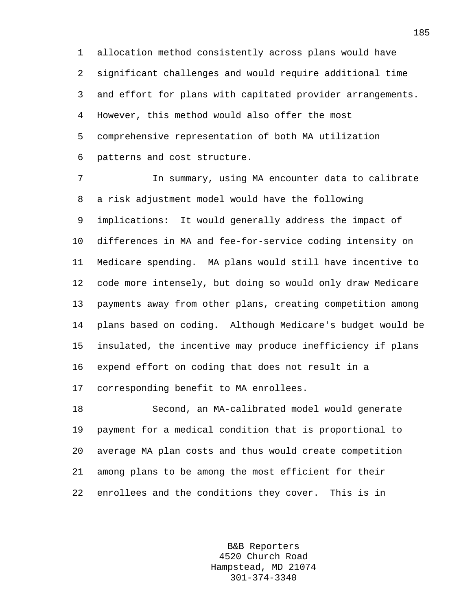1 allocation method consistently across plans would have 2 significant challenges and would require additional time 3 and effort for plans with capitated provider arrangements. 4 However, this method would also offer the most 5 comprehensive representation of both MA utilization 6 patterns and cost structure.

7 In summary, using MA encounter data to calibrate 8 a risk adjustment model would have the following 9 implications: It would generally address the impact of 10 differences in MA and fee-for-service coding intensity on 11 Medicare spending. MA plans would still have incentive to 12 code more intensely, but doing so would only draw Medicare 13 payments away from other plans, creating competition among 14 plans based on coding. Although Medicare's budget would be 15 insulated, the incentive may produce inefficiency if plans 16 expend effort on coding that does not result in a 17 corresponding benefit to MA enrollees.

18 Second, an MA-calibrated model would generate 19 payment for a medical condition that is proportional to 20 average MA plan costs and thus would create competition 21 among plans to be among the most efficient for their 22 enrollees and the conditions they cover. This is in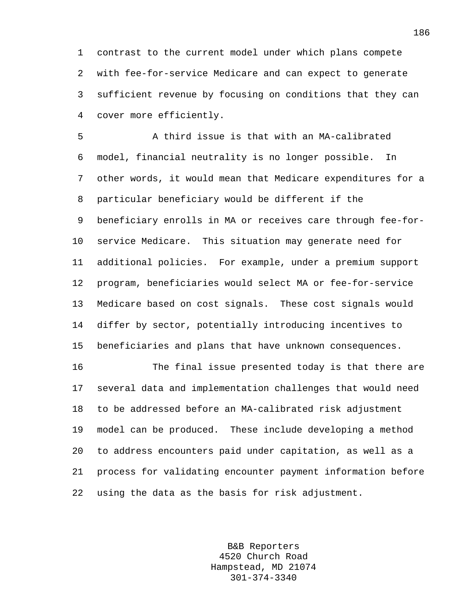1 contrast to the current model under which plans compete 2 with fee-for-service Medicare and can expect to generate 3 sufficient revenue by focusing on conditions that they can 4 cover more efficiently.

5 A third issue is that with an MA-calibrated 6 model, financial neutrality is no longer possible. In 7 other words, it would mean that Medicare expenditures for a 8 particular beneficiary would be different if the 9 beneficiary enrolls in MA or receives care through fee-for-10 service Medicare. This situation may generate need for 11 additional policies. For example, under a premium support 12 program, beneficiaries would select MA or fee-for-service 13 Medicare based on cost signals. These cost signals would 14 differ by sector, potentially introducing incentives to 15 beneficiaries and plans that have unknown consequences.

16 The final issue presented today is that there are 17 several data and implementation challenges that would need 18 to be addressed before an MA-calibrated risk adjustment 19 model can be produced. These include developing a method 20 to address encounters paid under capitation, as well as a 21 process for validating encounter payment information before 22 using the data as the basis for risk adjustment.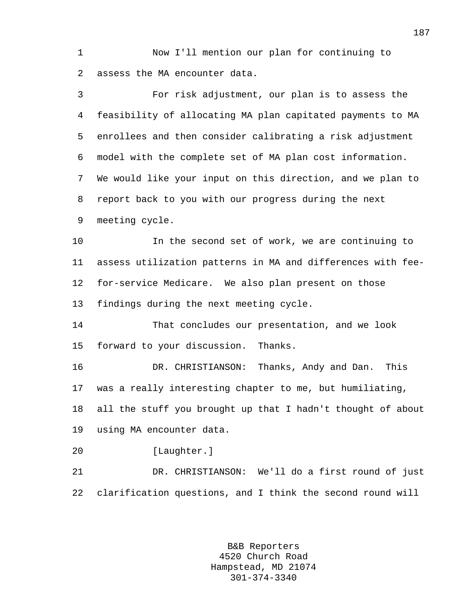1 Now I'll mention our plan for continuing to 2 assess the MA encounter data.

3 For risk adjustment, our plan is to assess the 4 feasibility of allocating MA plan capitated payments to MA 5 enrollees and then consider calibrating a risk adjustment 6 model with the complete set of MA plan cost information. 7 We would like your input on this direction, and we plan to 8 report back to you with our progress during the next 9 meeting cycle. 10 In the second set of work, we are continuing to 11 assess utilization patterns in MA and differences with fee-12 for-service Medicare. We also plan present on those 13 findings during the next meeting cycle. 14 That concludes our presentation, and we look 15 forward to your discussion. Thanks. 16 DR. CHRISTIANSON: Thanks, Andy and Dan. This 17 was a really interesting chapter to me, but humiliating, 18 all the stuff you brought up that I hadn't thought of about 19 using MA encounter data. 20 [Laughter.] 21 DR. CHRISTIANSON: We'll do a first round of just 22 clarification questions, and I think the second round will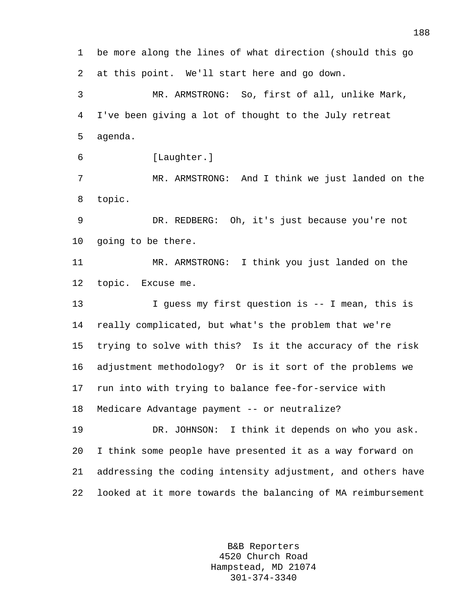1 be more along the lines of what direction (should this go 2 at this point. We'll start here and go down. 3 MR. ARMSTRONG: So, first of all, unlike Mark, 4 I've been giving a lot of thought to the July retreat 5 agenda. 6 [Laughter.] 7 MR. ARMSTRONG: And I think we just landed on the 8 topic. 9 DR. REDBERG: Oh, it's just because you're not 10 going to be there. 11 MR. ARMSTRONG: I think you just landed on the 12 topic. Excuse me. 13 I guess my first question is -- I mean, this is 14 really complicated, but what's the problem that we're 15 trying to solve with this? Is it the accuracy of the risk 16 adjustment methodology? Or is it sort of the problems we 17 run into with trying to balance fee-for-service with 18 Medicare Advantage payment -- or neutralize? 19 DR. JOHNSON: I think it depends on who you ask. 20 I think some people have presented it as a way forward on 21 addressing the coding intensity adjustment, and others have 22 looked at it more towards the balancing of MA reimbursement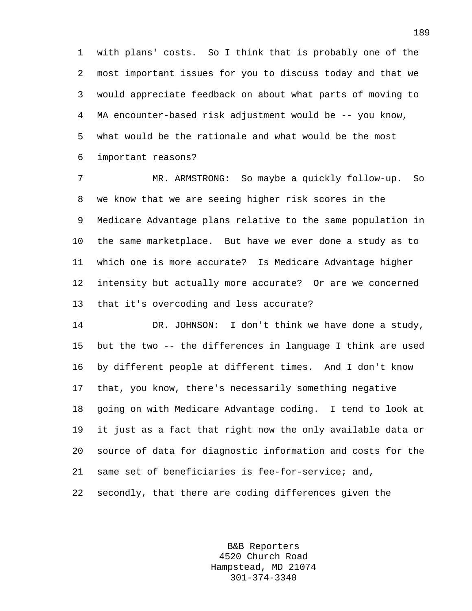1 with plans' costs. So I think that is probably one of the 2 most important issues for you to discuss today and that we 3 would appreciate feedback on about what parts of moving to 4 MA encounter-based risk adjustment would be -- you know, 5 what would be the rationale and what would be the most 6 important reasons?

7 MR. ARMSTRONG: So maybe a quickly follow-up. So 8 we know that we are seeing higher risk scores in the 9 Medicare Advantage plans relative to the same population in 10 the same marketplace. But have we ever done a study as to 11 which one is more accurate? Is Medicare Advantage higher 12 intensity but actually more accurate? Or are we concerned 13 that it's overcoding and less accurate?

14 DR. JOHNSON: I don't think we have done a study, 15 but the two -- the differences in language I think are used 16 by different people at different times. And I don't know 17 that, you know, there's necessarily something negative 18 going on with Medicare Advantage coding. I tend to look at 19 it just as a fact that right now the only available data or 20 source of data for diagnostic information and costs for the 21 same set of beneficiaries is fee-for-service; and, 22 secondly, that there are coding differences given the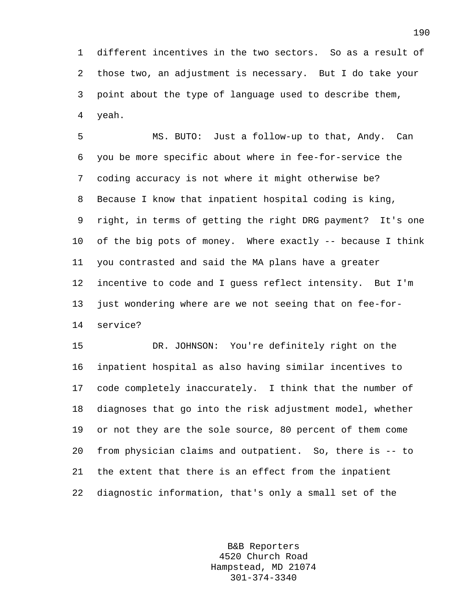1 different incentives in the two sectors. So as a result of 2 those two, an adjustment is necessary. But I do take your 3 point about the type of language used to describe them, 4 yeah.

5 MS. BUTO: Just a follow-up to that, Andy. Can 6 you be more specific about where in fee-for-service the 7 coding accuracy is not where it might otherwise be? 8 Because I know that inpatient hospital coding is king, 9 right, in terms of getting the right DRG payment? It's one 10 of the big pots of money. Where exactly -- because I think 11 you contrasted and said the MA plans have a greater 12 incentive to code and I guess reflect intensity. But I'm 13 just wondering where are we not seeing that on fee-for-14 service?

15 DR. JOHNSON: You're definitely right on the 16 inpatient hospital as also having similar incentives to 17 code completely inaccurately. I think that the number of 18 diagnoses that go into the risk adjustment model, whether 19 or not they are the sole source, 80 percent of them come 20 from physician claims and outpatient. So, there is -- to 21 the extent that there is an effect from the inpatient 22 diagnostic information, that's only a small set of the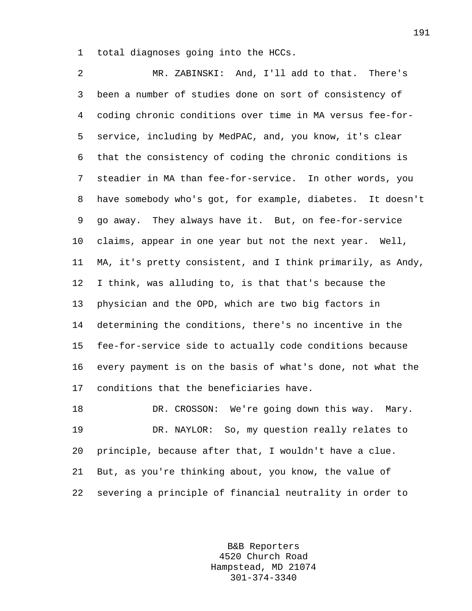1 total diagnoses going into the HCCs.

2 MR. ZABINSKI: And, I'll add to that. There's 3 been a number of studies done on sort of consistency of 4 coding chronic conditions over time in MA versus fee-for-5 service, including by MedPAC, and, you know, it's clear 6 that the consistency of coding the chronic conditions is 7 steadier in MA than fee-for-service. In other words, you 8 have somebody who's got, for example, diabetes. It doesn't 9 go away. They always have it. But, on fee-for-service 10 claims, appear in one year but not the next year. Well, 11 MA, it's pretty consistent, and I think primarily, as Andy, 12 I think, was alluding to, is that that's because the 13 physician and the OPD, which are two big factors in 14 determining the conditions, there's no incentive in the 15 fee-for-service side to actually code conditions because 16 every payment is on the basis of what's done, not what the 17 conditions that the beneficiaries have.

18 DR. CROSSON: We're going down this way. Mary. 19 DR. NAYLOR: So, my question really relates to 20 principle, because after that, I wouldn't have a clue. 21 But, as you're thinking about, you know, the value of 22 severing a principle of financial neutrality in order to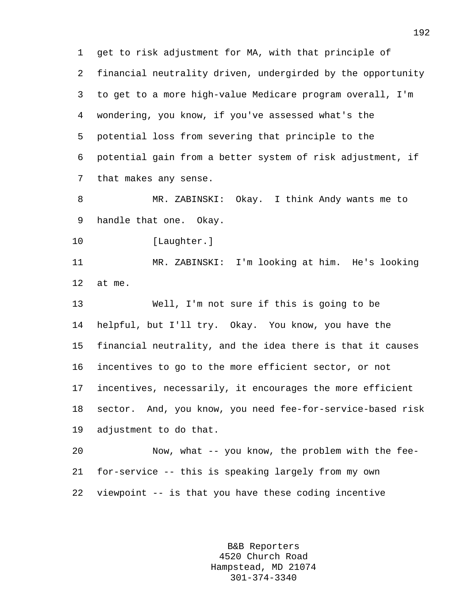1 get to risk adjustment for MA, with that principle of 2 financial neutrality driven, undergirded by the opportunity 3 to get to a more high-value Medicare program overall, I'm 4 wondering, you know, if you've assessed what's the 5 potential loss from severing that principle to the 6 potential gain from a better system of risk adjustment, if 7 that makes any sense.

8 MR. ZABINSKI: Okay. I think Andy wants me to 9 handle that one. Okay.

10 [Laughter.]

11 MR. ZABINSKI: I'm looking at him. He's looking 12 at me.

13 Well, I'm not sure if this is going to be 14 helpful, but I'll try. Okay. You know, you have the 15 financial neutrality, and the idea there is that it causes 16 incentives to go to the more efficient sector, or not 17 incentives, necessarily, it encourages the more efficient 18 sector. And, you know, you need fee-for-service-based risk 19 adjustment to do that.

20 Now, what -- you know, the problem with the fee-21 for-service -- this is speaking largely from my own 22 viewpoint -- is that you have these coding incentive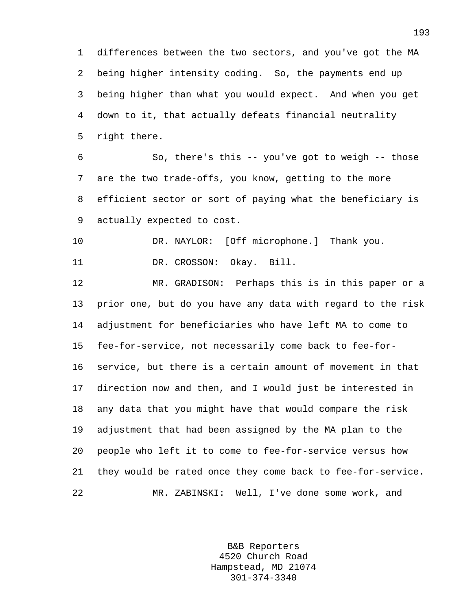1 differences between the two sectors, and you've got the MA 2 being higher intensity coding. So, the payments end up 3 being higher than what you would expect. And when you get 4 down to it, that actually defeats financial neutrality 5 right there.

6 So, there's this -- you've got to weigh -- those 7 are the two trade-offs, you know, getting to the more 8 efficient sector or sort of paying what the beneficiary is 9 actually expected to cost.

10 DR. NAYLOR: [Off microphone.] Thank you.

11 DR. CROSSON: Okay. Bill.

12 MR. GRADISON: Perhaps this is in this paper or a 13 prior one, but do you have any data with regard to the risk 14 adjustment for beneficiaries who have left MA to come to 15 fee-for-service, not necessarily come back to fee-for-16 service, but there is a certain amount of movement in that 17 direction now and then, and I would just be interested in 18 any data that you might have that would compare the risk 19 adjustment that had been assigned by the MA plan to the 20 people who left it to come to fee-for-service versus how 21 they would be rated once they come back to fee-for-service. 22 MR. ZABINSKI: Well, I've done some work, and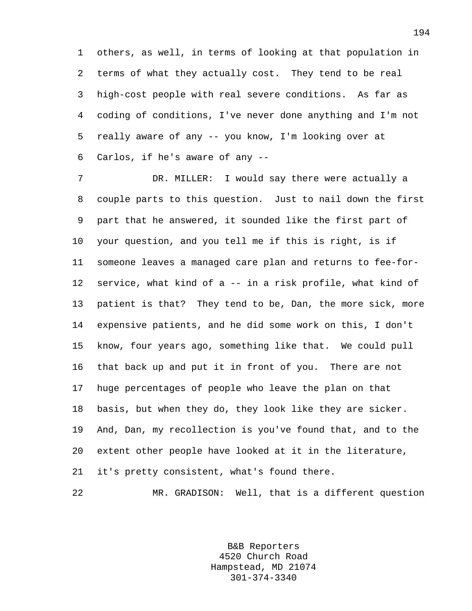1 others, as well, in terms of looking at that population in 2 terms of what they actually cost. They tend to be real 3 high-cost people with real severe conditions. As far as 4 coding of conditions, I've never done anything and I'm not 5 really aware of any -- you know, I'm looking over at 6 Carlos, if he's aware of any --

7 DR. MILLER: I would say there were actually a 8 couple parts to this question. Just to nail down the first 9 part that he answered, it sounded like the first part of 10 your question, and you tell me if this is right, is if 11 someone leaves a managed care plan and returns to fee-for-12 service, what kind of a -- in a risk profile, what kind of 13 patient is that? They tend to be, Dan, the more sick, more 14 expensive patients, and he did some work on this, I don't 15 know, four years ago, something like that. We could pull 16 that back up and put it in front of you. There are not 17 huge percentages of people who leave the plan on that 18 basis, but when they do, they look like they are sicker. 19 And, Dan, my recollection is you've found that, and to the 20 extent other people have looked at it in the literature, 21 it's pretty consistent, what's found there.

22 MR. GRADISON: Well, that is a different question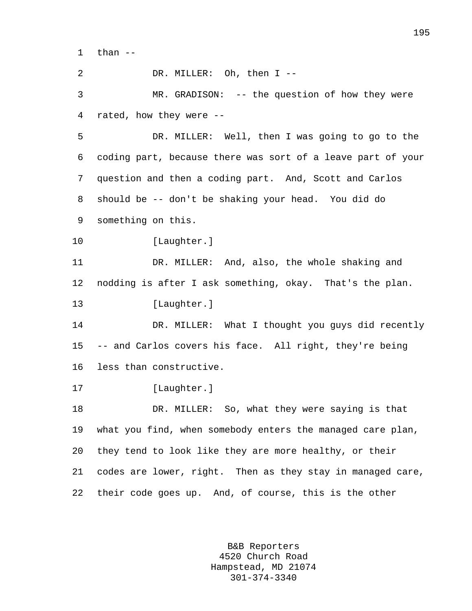$1$  than  $-$ 

2 DR. MILLER: Oh, then I --

3 MR. GRADISON: -- the question of how they were 4 rated, how they were --

5 DR. MILLER: Well, then I was going to go to the 6 coding part, because there was sort of a leave part of your 7 question and then a coding part. And, Scott and Carlos 8 should be -- don't be shaking your head. You did do 9 something on this.

10 [Laughter.]

11 DR. MILLER: And, also, the whole shaking and 12 nodding is after I ask something, okay. That's the plan. 13 [Laughter.]

14 DR. MILLER: What I thought you guys did recently 15 -- and Carlos covers his face. All right, they're being 16 less than constructive.

17 [Laughter.]

18 DR. MILLER: So, what they were saying is that 19 what you find, when somebody enters the managed care plan, 20 they tend to look like they are more healthy, or their 21 codes are lower, right. Then as they stay in managed care, 22 their code goes up. And, of course, this is the other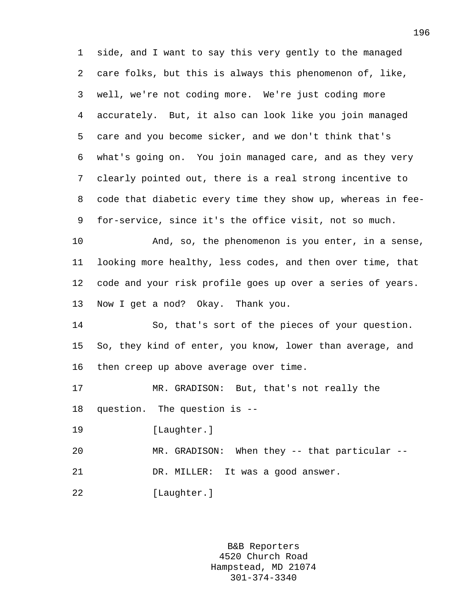1 side, and I want to say this very gently to the managed 2 care folks, but this is always this phenomenon of, like, 3 well, we're not coding more. We're just coding more 4 accurately. But, it also can look like you join managed 5 care and you become sicker, and we don't think that's 6 what's going on. You join managed care, and as they very 7 clearly pointed out, there is a real strong incentive to 8 code that diabetic every time they show up, whereas in fee-9 for-service, since it's the office visit, not so much.

10 And, so, the phenomenon is you enter, in a sense, 11 looking more healthy, less codes, and then over time, that 12 code and your risk profile goes up over a series of years. 13 Now I get a nod? Okay. Thank you.

14 So, that's sort of the pieces of your question. 15 So, they kind of enter, you know, lower than average, and 16 then creep up above average over time.

17 MR. GRADISON: But, that's not really the 18 question. The question is --

19 [Laughter.]

20 MR. GRADISON: When they -- that particular -- 21 DR. MILLER: It was a good answer.

22 [Laughter.]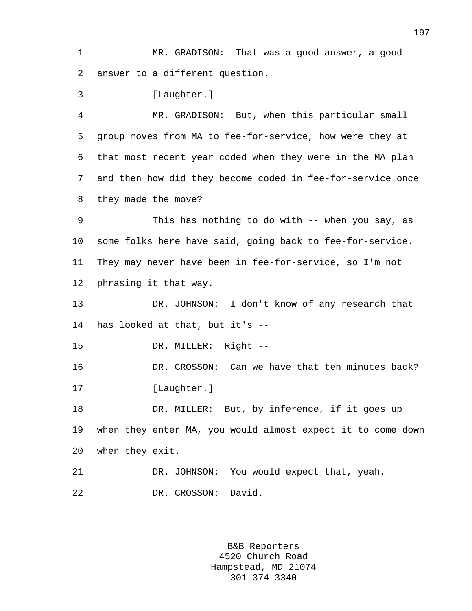1 MR. GRADISON: That was a good answer, a good 2 answer to a different question.

3 [Laughter.]

4 MR. GRADISON: But, when this particular small 5 group moves from MA to fee-for-service, how were they at 6 that most recent year coded when they were in the MA plan 7 and then how did they become coded in fee-for-service once 8 they made the move?

9 This has nothing to do with -- when you say, as 10 some folks here have said, going back to fee-for-service. 11 They may never have been in fee-for-service, so I'm not 12 phrasing it that way.

13 DR. JOHNSON: I don't know of any research that 14 has looked at that, but it's --

15 DR. MILLER: Right --

16 DR. CROSSON: Can we have that ten minutes back? 17 [Laughter.]

18 DR. MILLER: But, by inference, if it goes up 19 when they enter MA, you would almost expect it to come down 20 when they exit.

21 DR. JOHNSON: You would expect that, yeah.

22 DR. CROSSON: David.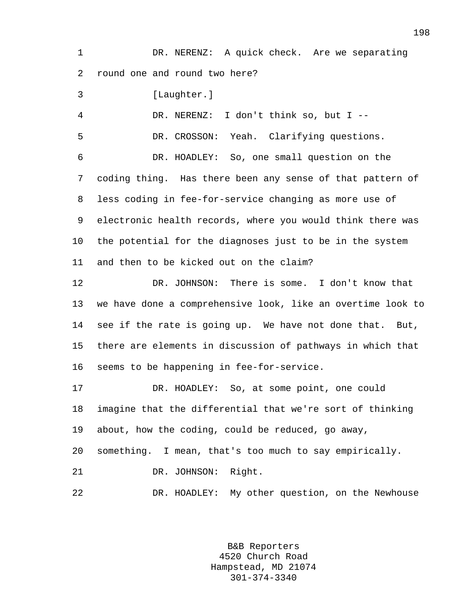1 DR. NERENZ: A quick check. Are we separating 2 round one and round two here?

3 [Laughter.]

4 DR. NERENZ: I don't think so, but I --

5 DR. CROSSON: Yeah. Clarifying questions.

6 DR. HOADLEY: So, one small question on the 7 coding thing. Has there been any sense of that pattern of 8 less coding in fee-for-service changing as more use of 9 electronic health records, where you would think there was 10 the potential for the diagnoses just to be in the system 11 and then to be kicked out on the claim?

12 DR. JOHNSON: There is some. I don't know that 13 we have done a comprehensive look, like an overtime look to 14 see if the rate is going up. We have not done that. But, 15 there are elements in discussion of pathways in which that 16 seems to be happening in fee-for-service.

17 DR. HOADLEY: So, at some point, one could 18 imagine that the differential that we're sort of thinking 19 about, how the coding, could be reduced, go away, 20 something. I mean, that's too much to say empirically. 21 DR. JOHNSON: Right.

22 DR. HOADLEY: My other question, on the Newhouse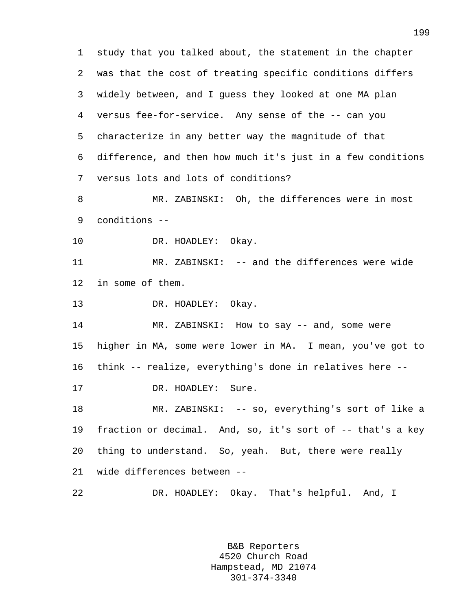1 study that you talked about, the statement in the chapter 2 was that the cost of treating specific conditions differs 3 widely between, and I guess they looked at one MA plan 4 versus fee-for-service. Any sense of the -- can you 5 characterize in any better way the magnitude of that 6 difference, and then how much it's just in a few conditions 7 versus lots and lots of conditions? 8 MR. ZABINSKI: Oh, the differences were in most 9 conditions -- 10 DR. HOADLEY: Okay. 11 MR. ZABINSKI: -- and the differences were wide 12 in some of them. 13 DR. HOADLEY: Okay. 14 MR. ZABINSKI: How to say -- and, some were 15 higher in MA, some were lower in MA. I mean, you've got to 16 think -- realize, everything's done in relatives here -- 17 DR. HOADLEY: Sure. 18 MR. ZABINSKI: -- so, everything's sort of like a 19 fraction or decimal. And, so, it's sort of -- that's a key 20 thing to understand. So, yeah. But, there were really 21 wide differences between -- 22 DR. HOADLEY: Okay. That's helpful. And, I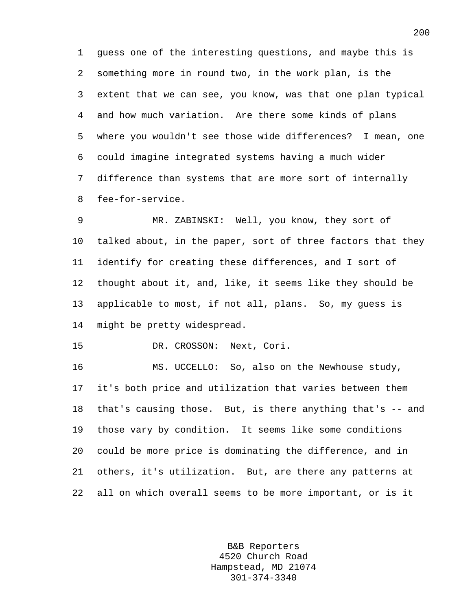1 guess one of the interesting questions, and maybe this is 2 something more in round two, in the work plan, is the 3 extent that we can see, you know, was that one plan typical 4 and how much variation. Are there some kinds of plans 5 where you wouldn't see those wide differences? I mean, one 6 could imagine integrated systems having a much wider 7 difference than systems that are more sort of internally 8 fee-for-service.

9 MR. ZABINSKI: Well, you know, they sort of 10 talked about, in the paper, sort of three factors that they 11 identify for creating these differences, and I sort of 12 thought about it, and, like, it seems like they should be 13 applicable to most, if not all, plans. So, my guess is 14 might be pretty widespread.

15 DR. CROSSON: Next, Cori.

16 MS. UCCELLO: So, also on the Newhouse study, 17 it's both price and utilization that varies between them 18 that's causing those. But, is there anything that's -- and 19 those vary by condition. It seems like some conditions 20 could be more price is dominating the difference, and in 21 others, it's utilization. But, are there any patterns at 22 all on which overall seems to be more important, or is it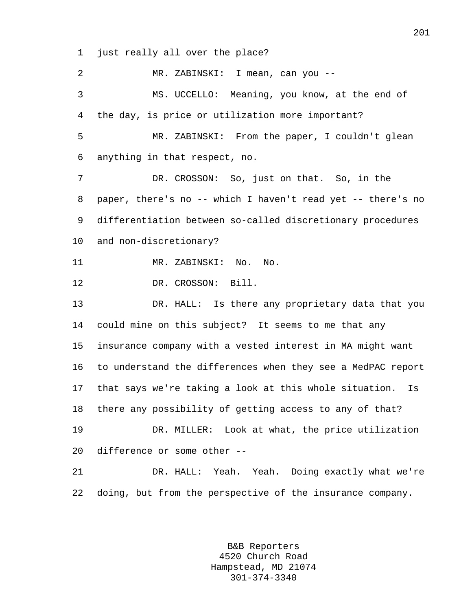1 just really all over the place?

2 MR. ZABINSKI: I mean, can you -- 3 MS. UCCELLO: Meaning, you know, at the end of 4 the day, is price or utilization more important? 5 MR. ZABINSKI: From the paper, I couldn't glean 6 anything in that respect, no. 7 DR. CROSSON: So, just on that. So, in the 8 paper, there's no -- which I haven't read yet -- there's no 9 differentiation between so-called discretionary procedures 10 and non-discretionary? 11 MR. ZABINSKI: No. No. 12 DR. CROSSON: Bill. 13 DR. HALL: Is there any proprietary data that you 14 could mine on this subject? It seems to me that any 15 insurance company with a vested interest in MA might want 16 to understand the differences when they see a MedPAC report 17 that says we're taking a look at this whole situation. Is 18 there any possibility of getting access to any of that? 19 DR. MILLER: Look at what, the price utilization 20 difference or some other -- 21 DR. HALL: Yeah. Yeah. Doing exactly what we're 22 doing, but from the perspective of the insurance company.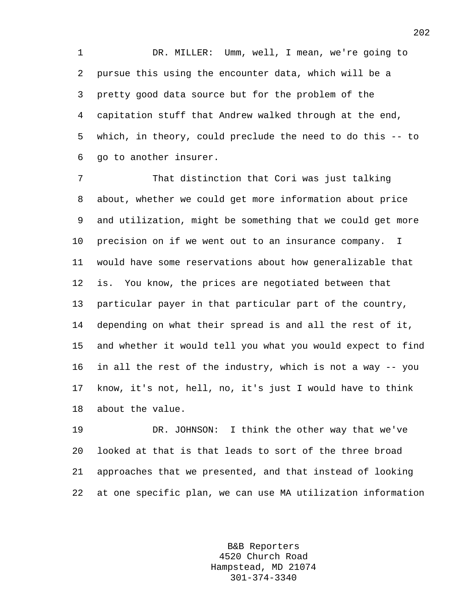1 DR. MILLER: Umm, well, I mean, we're going to 2 pursue this using the encounter data, which will be a 3 pretty good data source but for the problem of the 4 capitation stuff that Andrew walked through at the end, 5 which, in theory, could preclude the need to do this -- to 6 go to another insurer.

7 That distinction that Cori was just talking 8 about, whether we could get more information about price 9 and utilization, might be something that we could get more 10 precision on if we went out to an insurance company. I 11 would have some reservations about how generalizable that 12 is. You know, the prices are negotiated between that 13 particular payer in that particular part of the country, 14 depending on what their spread is and all the rest of it, 15 and whether it would tell you what you would expect to find 16 in all the rest of the industry, which is not a way -- you 17 know, it's not, hell, no, it's just I would have to think 18 about the value.

19 DR. JOHNSON: I think the other way that we've 20 looked at that is that leads to sort of the three broad 21 approaches that we presented, and that instead of looking 22 at one specific plan, we can use MA utilization information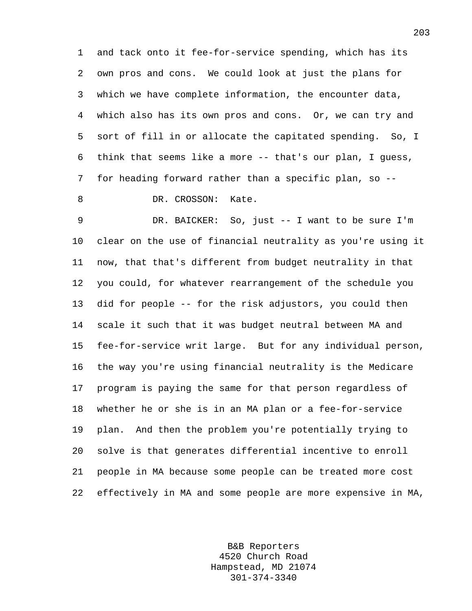1 and tack onto it fee-for-service spending, which has its 2 own pros and cons. We could look at just the plans for 3 which we have complete information, the encounter data, 4 which also has its own pros and cons. Or, we can try and 5 sort of fill in or allocate the capitated spending. So, I 6 think that seems like a more -- that's our plan, I guess, 7 for heading forward rather than a specific plan, so --

8 DR. CROSSON: Kate.

9 DR. BAICKER: So, just -- I want to be sure I'm 10 clear on the use of financial neutrality as you're using it 11 now, that that's different from budget neutrality in that 12 you could, for whatever rearrangement of the schedule you 13 did for people -- for the risk adjustors, you could then 14 scale it such that it was budget neutral between MA and 15 fee-for-service writ large. But for any individual person, 16 the way you're using financial neutrality is the Medicare 17 program is paying the same for that person regardless of 18 whether he or she is in an MA plan or a fee-for-service 19 plan. And then the problem you're potentially trying to 20 solve is that generates differential incentive to enroll 21 people in MA because some people can be treated more cost 22 effectively in MA and some people are more expensive in MA,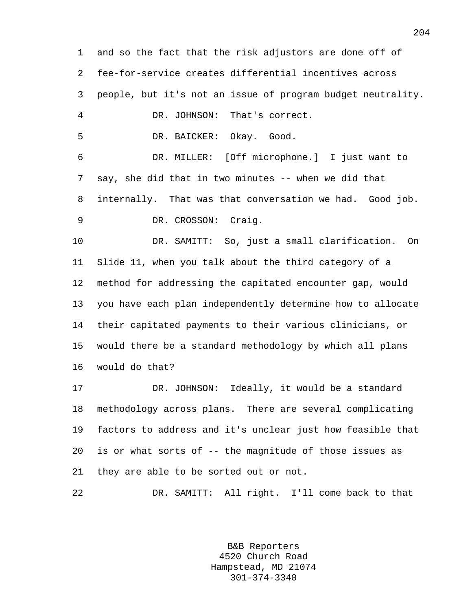1 and so the fact that the risk adjustors are done off of 2 fee-for-service creates differential incentives across 3 people, but it's not an issue of program budget neutrality. 4 DR. JOHNSON: That's correct. 5 DR. BAICKER: Okay. Good. 6 DR. MILLER: [Off microphone.] I just want to 7 say, she did that in two minutes -- when we did that 8 internally. That was that conversation we had. Good job. 9 DR. CROSSON: Craig. 10 DR. SAMITT: So, just a small clarification. On 11 Slide 11, when you talk about the third category of a 12 method for addressing the capitated encounter gap, would 13 you have each plan independently determine how to allocate 14 their capitated payments to their various clinicians, or 15 would there be a standard methodology by which all plans 16 would do that? 17 DR. JOHNSON: Ideally, it would be a standard 18 methodology across plans. There are several complicating 19 factors to address and it's unclear just how feasible that 20 is or what sorts of -- the magnitude of those issues as 21 they are able to be sorted out or not. 22 DR. SAMITT: All right. I'll come back to that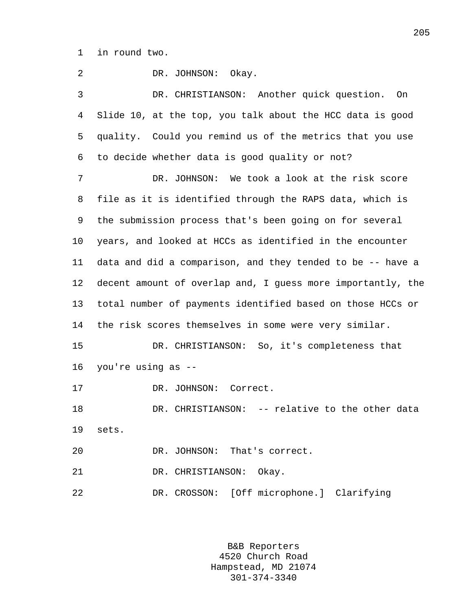1 in round two.

2 DR. JOHNSON: Okay. 3 DR. CHRISTIANSON: Another quick question. On 4 Slide 10, at the top, you talk about the HCC data is good 5 quality. Could you remind us of the metrics that you use 6 to decide whether data is good quality or not? 7 DR. JOHNSON: We took a look at the risk score 8 file as it is identified through the RAPS data, which is 9 the submission process that's been going on for several 10 years, and looked at HCCs as identified in the encounter 11 data and did a comparison, and they tended to be -- have a 12 decent amount of overlap and, I guess more importantly, the 13 total number of payments identified based on those HCCs or 14 the risk scores themselves in some were very similar. 15 DR. CHRISTIANSON: So, it's completeness that 16 you're using as -- 17 DR. JOHNSON: Correct. 18 DR. CHRISTIANSON: -- relative to the other data 19 sets. 20 DR. JOHNSON: That's correct. 21 DR. CHRISTIANSON: Okay. 22 DR. CROSSON: [Off microphone.] Clarifying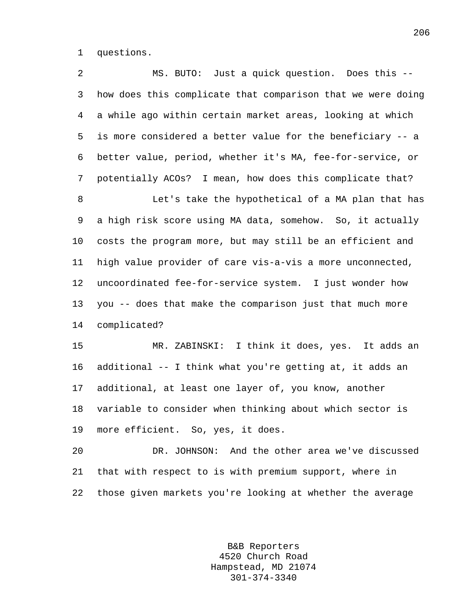1 questions.

2 MS. BUTO: Just a quick question. Does this -- 3 how does this complicate that comparison that we were doing 4 a while ago within certain market areas, looking at which 5 is more considered a better value for the beneficiary -- a 6 better value, period, whether it's MA, fee-for-service, or 7 potentially ACOs? I mean, how does this complicate that? 8 Let's take the hypothetical of a MA plan that has 9 a high risk score using MA data, somehow. So, it actually 10 costs the program more, but may still be an efficient and 11 high value provider of care vis-a-vis a more unconnected, 12 uncoordinated fee-for-service system. I just wonder how 13 you -- does that make the comparison just that much more 14 complicated? 15 MR. ZABINSKI: I think it does, yes. It adds an 16 additional -- I think what you're getting at, it adds an 17 additional, at least one layer of, you know, another 18 variable to consider when thinking about which sector is 19 more efficient. So, yes, it does. 20 DR. JOHNSON: And the other area we've discussed

21 that with respect to is with premium support, where in 22 those given markets you're looking at whether the average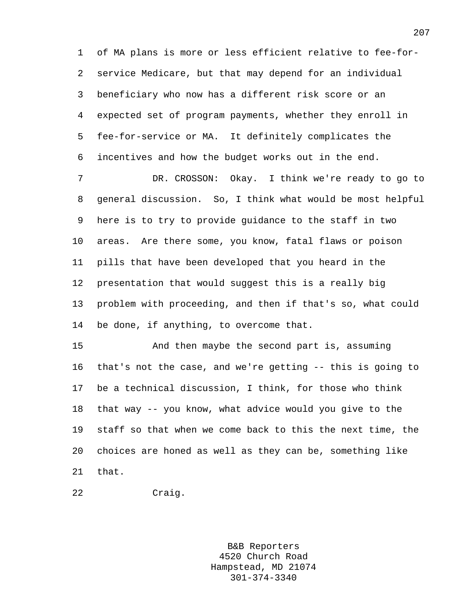1 of MA plans is more or less efficient relative to fee-for-2 service Medicare, but that may depend for an individual 3 beneficiary who now has a different risk score or an 4 expected set of program payments, whether they enroll in 5 fee-for-service or MA. It definitely complicates the 6 incentives and how the budget works out in the end.

7 DR. CROSSON: Okay. I think we're ready to go to 8 general discussion. So, I think what would be most helpful 9 here is to try to provide guidance to the staff in two 10 areas. Are there some, you know, fatal flaws or poison 11 pills that have been developed that you heard in the 12 presentation that would suggest this is a really big 13 problem with proceeding, and then if that's so, what could 14 be done, if anything, to overcome that.

15 And then maybe the second part is, assuming 16 that's not the case, and we're getting -- this is going to 17 be a technical discussion, I think, for those who think 18 that way -- you know, what advice would you give to the 19 staff so that when we come back to this the next time, the 20 choices are honed as well as they can be, something like 21 that.

```
22 Craig.
```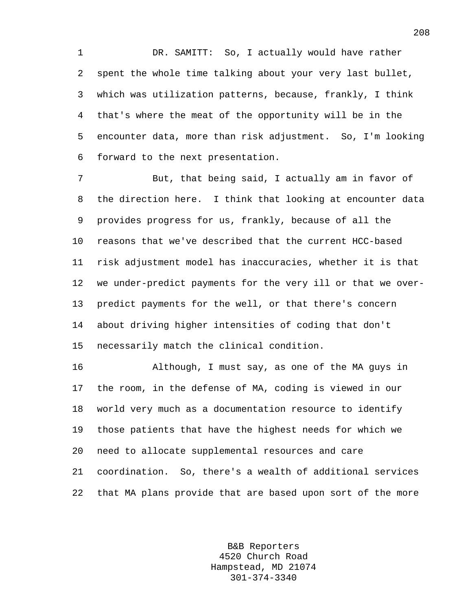1 DR. SAMITT: So, I actually would have rather 2 spent the whole time talking about your very last bullet, 3 which was utilization patterns, because, frankly, I think 4 that's where the meat of the opportunity will be in the 5 encounter data, more than risk adjustment. So, I'm looking 6 forward to the next presentation.

7 But, that being said, I actually am in favor of 8 the direction here. I think that looking at encounter data 9 provides progress for us, frankly, because of all the 10 reasons that we've described that the current HCC-based 11 risk adjustment model has inaccuracies, whether it is that 12 we under-predict payments for the very ill or that we over-13 predict payments for the well, or that there's concern 14 about driving higher intensities of coding that don't 15 necessarily match the clinical condition.

16 Although, I must say, as one of the MA guys in 17 the room, in the defense of MA, coding is viewed in our 18 world very much as a documentation resource to identify 19 those patients that have the highest needs for which we 20 need to allocate supplemental resources and care 21 coordination. So, there's a wealth of additional services 22 that MA plans provide that are based upon sort of the more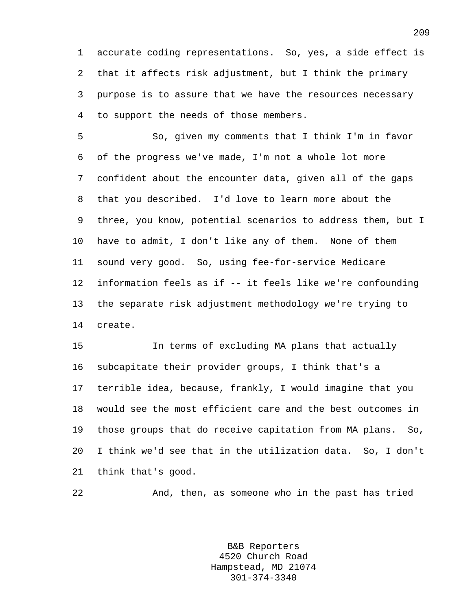1 accurate coding representations. So, yes, a side effect is 2 that it affects risk adjustment, but I think the primary 3 purpose is to assure that we have the resources necessary 4 to support the needs of those members.

5 So, given my comments that I think I'm in favor 6 of the progress we've made, I'm not a whole lot more 7 confident about the encounter data, given all of the gaps 8 that you described. I'd love to learn more about the 9 three, you know, potential scenarios to address them, but I 10 have to admit, I don't like any of them. None of them 11 sound very good. So, using fee-for-service Medicare 12 information feels as if -- it feels like we're confounding 13 the separate risk adjustment methodology we're trying to 14 create.

15 In terms of excluding MA plans that actually 16 subcapitate their provider groups, I think that's a 17 terrible idea, because, frankly, I would imagine that you 18 would see the most efficient care and the best outcomes in 19 those groups that do receive capitation from MA plans. So, 20 I think we'd see that in the utilization data. So, I don't 21 think that's good.

22 And, then, as someone who in the past has tried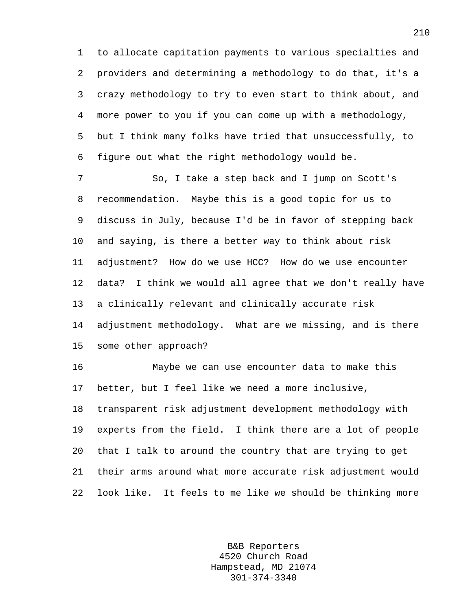1 to allocate capitation payments to various specialties and 2 providers and determining a methodology to do that, it's a 3 crazy methodology to try to even start to think about, and 4 more power to you if you can come up with a methodology, 5 but I think many folks have tried that unsuccessfully, to 6 figure out what the right methodology would be.

7 So, I take a step back and I jump on Scott's 8 recommendation. Maybe this is a good topic for us to 9 discuss in July, because I'd be in favor of stepping back 10 and saying, is there a better way to think about risk 11 adjustment? How do we use HCC? How do we use encounter 12 data? I think we would all agree that we don't really have 13 a clinically relevant and clinically accurate risk 14 adjustment methodology. What are we missing, and is there 15 some other approach?

16 Maybe we can use encounter data to make this 17 better, but I feel like we need a more inclusive, 18 transparent risk adjustment development methodology with 19 experts from the field. I think there are a lot of people 20 that I talk to around the country that are trying to get 21 their arms around what more accurate risk adjustment would 22 look like. It feels to me like we should be thinking more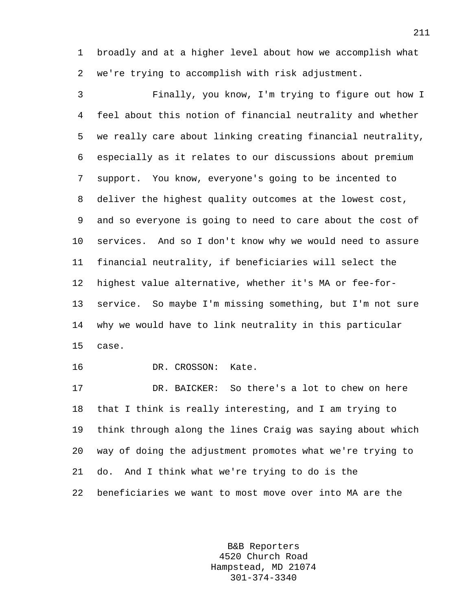1 broadly and at a higher level about how we accomplish what 2 we're trying to accomplish with risk adjustment.

3 Finally, you know, I'm trying to figure out how I 4 feel about this notion of financial neutrality and whether 5 we really care about linking creating financial neutrality, 6 especially as it relates to our discussions about premium 7 support. You know, everyone's going to be incented to 8 deliver the highest quality outcomes at the lowest cost, 9 and so everyone is going to need to care about the cost of 10 services. And so I don't know why we would need to assure 11 financial neutrality, if beneficiaries will select the 12 highest value alternative, whether it's MA or fee-for-13 service. So maybe I'm missing something, but I'm not sure 14 why we would have to link neutrality in this particular 15 case. 16 DR. CROSSON: Kate. 17 DR. BAICKER: So there's a lot to chew on here 18 that I think is really interesting, and I am trying to 19 think through along the lines Craig was saying about which

20 way of doing the adjustment promotes what we're trying to 21 do. And I think what we're trying to do is the

22 beneficiaries we want to most move over into MA are the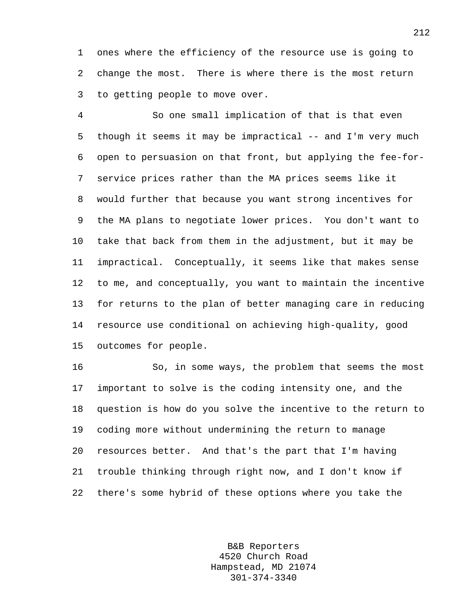1 ones where the efficiency of the resource use is going to 2 change the most. There is where there is the most return 3 to getting people to move over.

4 So one small implication of that is that even 5 though it seems it may be impractical -- and I'm very much 6 open to persuasion on that front, but applying the fee-for-7 service prices rather than the MA prices seems like it 8 would further that because you want strong incentives for 9 the MA plans to negotiate lower prices. You don't want to 10 take that back from them in the adjustment, but it may be 11 impractical. Conceptually, it seems like that makes sense 12 to me, and conceptually, you want to maintain the incentive 13 for returns to the plan of better managing care in reducing 14 resource use conditional on achieving high-quality, good 15 outcomes for people.

16 So, in some ways, the problem that seems the most 17 important to solve is the coding intensity one, and the 18 question is how do you solve the incentive to the return to 19 coding more without undermining the return to manage 20 resources better. And that's the part that I'm having 21 trouble thinking through right now, and I don't know if 22 there's some hybrid of these options where you take the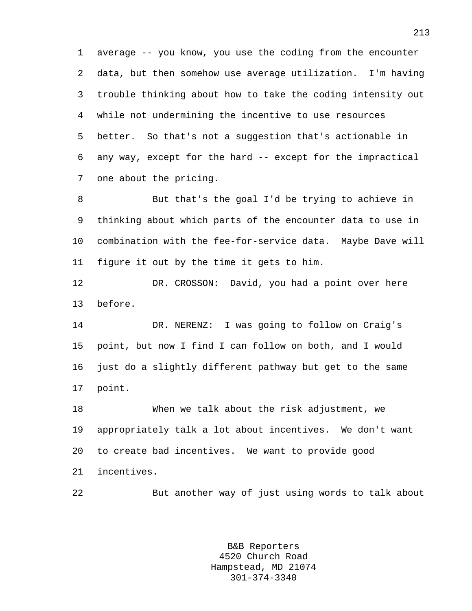1 average -- you know, you use the coding from the encounter 2 data, but then somehow use average utilization. I'm having 3 trouble thinking about how to take the coding intensity out 4 while not undermining the incentive to use resources 5 better. So that's not a suggestion that's actionable in 6 any way, except for the hard -- except for the impractical 7 one about the pricing.

8 But that's the goal I'd be trying to achieve in 9 thinking about which parts of the encounter data to use in 10 combination with the fee-for-service data. Maybe Dave will 11 figure it out by the time it gets to him.

12 DR. CROSSON: David, you had a point over here 13 before.

14 DR. NERENZ: I was going to follow on Craig's 15 point, but now I find I can follow on both, and I would 16 just do a slightly different pathway but get to the same 17 point.

18 When we talk about the risk adjustment, we 19 appropriately talk a lot about incentives. We don't want 20 to create bad incentives. We want to provide good 21 incentives.

22 But another way of just using words to talk about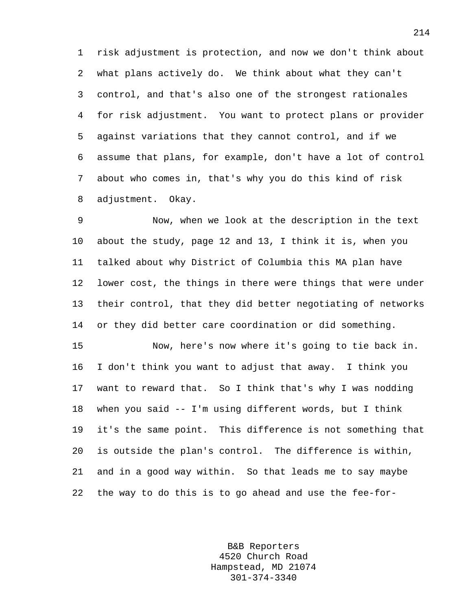1 risk adjustment is protection, and now we don't think about 2 what plans actively do. We think about what they can't 3 control, and that's also one of the strongest rationales 4 for risk adjustment. You want to protect plans or provider 5 against variations that they cannot control, and if we 6 assume that plans, for example, don't have a lot of control 7 about who comes in, that's why you do this kind of risk 8 adjustment. Okay.

9 Now, when we look at the description in the text 10 about the study, page 12 and 13, I think it is, when you 11 talked about why District of Columbia this MA plan have 12 lower cost, the things in there were things that were under 13 their control, that they did better negotiating of networks 14 or they did better care coordination or did something.

15 Now, here's now where it's going to tie back in. 16 I don't think you want to adjust that away. I think you 17 want to reward that. So I think that's why I was nodding 18 when you said -- I'm using different words, but I think 19 it's the same point. This difference is not something that 20 is outside the plan's control. The difference is within, 21 and in a good way within. So that leads me to say maybe 22 the way to do this is to go ahead and use the fee-for-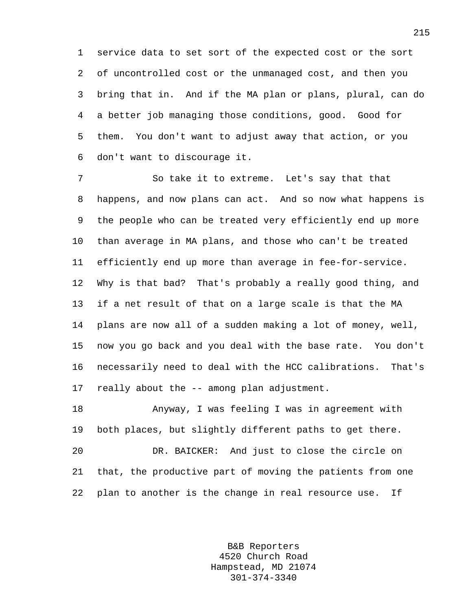1 service data to set sort of the expected cost or the sort 2 of uncontrolled cost or the unmanaged cost, and then you 3 bring that in. And if the MA plan or plans, plural, can do 4 a better job managing those conditions, good. Good for 5 them. You don't want to adjust away that action, or you 6 don't want to discourage it.

7 So take it to extreme. Let's say that that 8 happens, and now plans can act. And so now what happens is 9 the people who can be treated very efficiently end up more 10 than average in MA plans, and those who can't be treated 11 efficiently end up more than average in fee-for-service. 12 Why is that bad? That's probably a really good thing, and 13 if a net result of that on a large scale is that the MA 14 plans are now all of a sudden making a lot of money, well, 15 now you go back and you deal with the base rate. You don't 16 necessarily need to deal with the HCC calibrations. That's 17 really about the -- among plan adjustment.

18 Anyway, I was feeling I was in agreement with 19 both places, but slightly different paths to get there. 20 DR. BAICKER: And just to close the circle on 21 that, the productive part of moving the patients from one 22 plan to another is the change in real resource use. If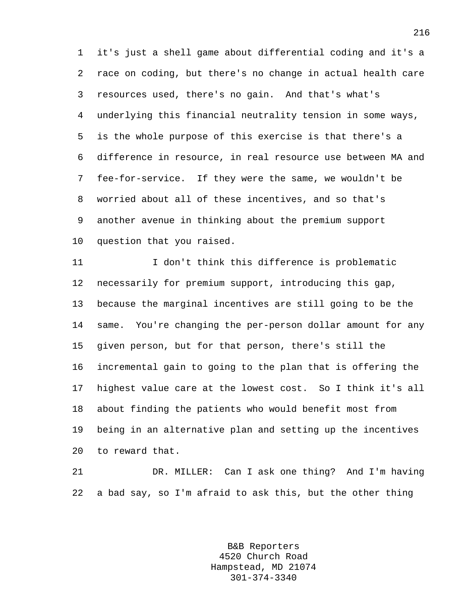1 it's just a shell game about differential coding and it's a 2 race on coding, but there's no change in actual health care 3 resources used, there's no gain. And that's what's 4 underlying this financial neutrality tension in some ways, 5 is the whole purpose of this exercise is that there's a 6 difference in resource, in real resource use between MA and 7 fee-for-service. If they were the same, we wouldn't be 8 worried about all of these incentives, and so that's 9 another avenue in thinking about the premium support 10 question that you raised.

11 I don't think this difference is problematic 12 necessarily for premium support, introducing this gap, 13 because the marginal incentives are still going to be the 14 same. You're changing the per-person dollar amount for any 15 given person, but for that person, there's still the 16 incremental gain to going to the plan that is offering the 17 highest value care at the lowest cost. So I think it's all 18 about finding the patients who would benefit most from 19 being in an alternative plan and setting up the incentives 20 to reward that.

21 DR. MILLER: Can I ask one thing? And I'm having 22 a bad say, so I'm afraid to ask this, but the other thing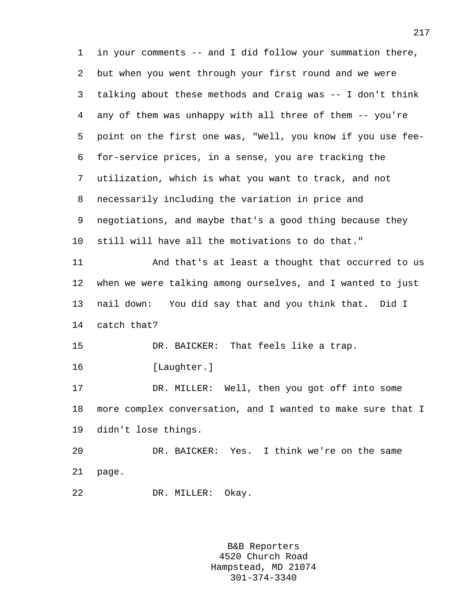1 in your comments -- and I did follow your summation there, 2 but when you went through your first round and we were 3 talking about these methods and Craig was -- I don't think 4 any of them was unhappy with all three of them -- you're 5 point on the first one was, "Well, you know if you use fee-6 for-service prices, in a sense, you are tracking the 7 utilization, which is what you want to track, and not 8 necessarily including the variation in price and 9 negotiations, and maybe that's a good thing because they 10 still will have all the motivations to do that." 11 And that's at least a thought that occurred to us 12 when we were talking among ourselves, and I wanted to just 13 nail down: You did say that and you think that. Did I 14 catch that? 15 DR. BAICKER: That feels like a trap. 16 [Laughter.] 17 DR. MILLER: Well, then you got off into some 18 more complex conversation, and I wanted to make sure that I 19 didn't lose things. 20 DR. BAICKER: Yes. I think we're on the same 21 page.

22 DR. MILLER: Okay.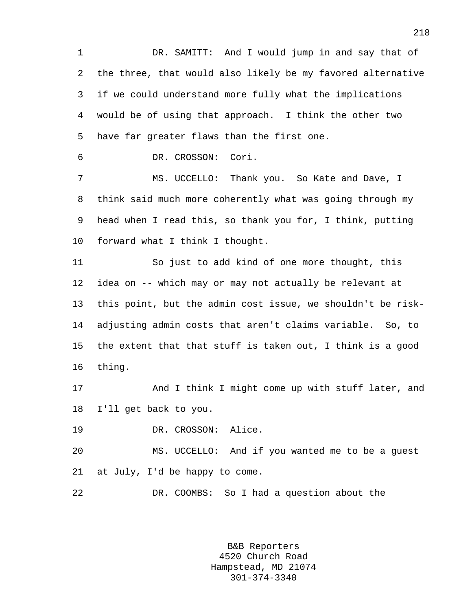1 DR. SAMITT: And I would jump in and say that of 2 the three, that would also likely be my favored alternative 3 if we could understand more fully what the implications 4 would be of using that approach. I think the other two 5 have far greater flaws than the first one.

6 DR. CROSSON: Cori.

7 MS. UCCELLO: Thank you. So Kate and Dave, I 8 think said much more coherently what was going through my 9 head when I read this, so thank you for, I think, putting 10 forward what I think I thought.

11 So just to add kind of one more thought, this 12 idea on -- which may or may not actually be relevant at 13 this point, but the admin cost issue, we shouldn't be risk-14 adjusting admin costs that aren't claims variable. So, to 15 the extent that that stuff is taken out, I think is a good 16 thing.

17 And I think I might come up with stuff later, and 18 I'll get back to you.

19 DR. CROSSON: Alice.

20 MS. UCCELLO: And if you wanted me to be a guest 21 at July, I'd be happy to come.

22 DR. COOMBS: So I had a question about the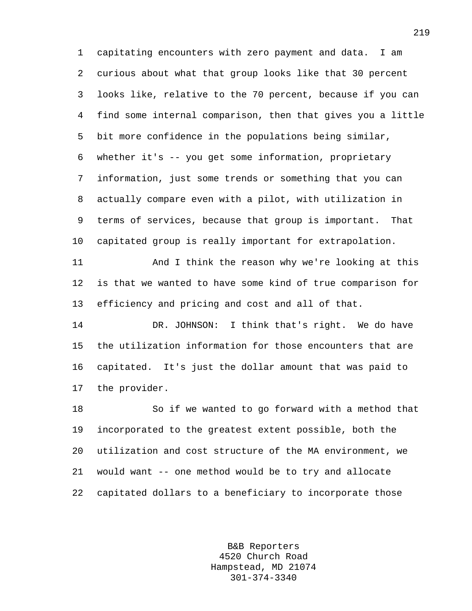1 capitating encounters with zero payment and data. I am 2 curious about what that group looks like that 30 percent 3 looks like, relative to the 70 percent, because if you can 4 find some internal comparison, then that gives you a little 5 bit more confidence in the populations being similar, 6 whether it's -- you get some information, proprietary 7 information, just some trends or something that you can 8 actually compare even with a pilot, with utilization in 9 terms of services, because that group is important. That 10 capitated group is really important for extrapolation.

11 And I think the reason why we're looking at this 12 is that we wanted to have some kind of true comparison for 13 efficiency and pricing and cost and all of that.

14 DR. JOHNSON: I think that's right. We do have 15 the utilization information for those encounters that are 16 capitated. It's just the dollar amount that was paid to 17 the provider.

18 So if we wanted to go forward with a method that 19 incorporated to the greatest extent possible, both the 20 utilization and cost structure of the MA environment, we 21 would want -- one method would be to try and allocate 22 capitated dollars to a beneficiary to incorporate those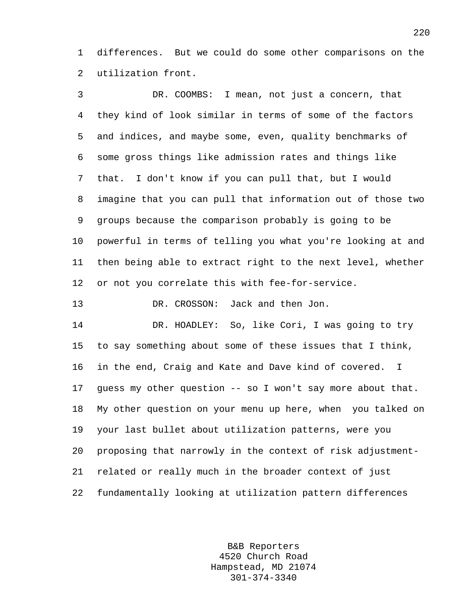1 differences. But we could do some other comparisons on the 2 utilization front.

3 DR. COOMBS: I mean, not just a concern, that 4 they kind of look similar in terms of some of the factors 5 and indices, and maybe some, even, quality benchmarks of 6 some gross things like admission rates and things like 7 that. I don't know if you can pull that, but I would 8 imagine that you can pull that information out of those two 9 groups because the comparison probably is going to be 10 powerful in terms of telling you what you're looking at and 11 then being able to extract right to the next level, whether 12 or not you correlate this with fee-for-service. 13 DR. CROSSON: Jack and then Jon. 14 DR. HOADLEY: So, like Cori, I was going to try 15 to say something about some of these issues that I think, 16 in the end, Craig and Kate and Dave kind of covered. I 17 guess my other question -- so I won't say more about that. 18 My other question on your menu up here, when you talked on 19 your last bullet about utilization patterns, were you 20 proposing that narrowly in the context of risk adjustment-21 related or really much in the broader context of just

> B&B Reporters 4520 Church Road Hampstead, MD 21074 301-374-3340

22 fundamentally looking at utilization pattern differences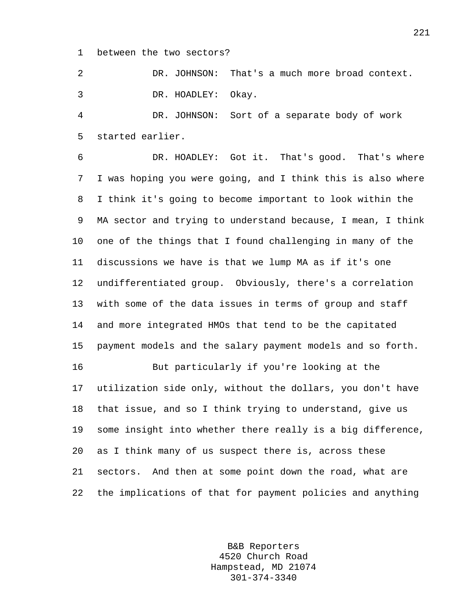1 between the two sectors?

2 DR. JOHNSON: That's a much more broad context. 3 DR. HOADLEY: Okay.

4 DR. JOHNSON: Sort of a separate body of work 5 started earlier.

6 DR. HOADLEY: Got it. That's good. That's where 7 I was hoping you were going, and I think this is also where 8 I think it's going to become important to look within the 9 MA sector and trying to understand because, I mean, I think 10 one of the things that I found challenging in many of the 11 discussions we have is that we lump MA as if it's one 12 undifferentiated group. Obviously, there's a correlation 13 with some of the data issues in terms of group and staff 14 and more integrated HMOs that tend to be the capitated 15 payment models and the salary payment models and so forth.

16 But particularly if you're looking at the 17 utilization side only, without the dollars, you don't have 18 that issue, and so I think trying to understand, give us 19 some insight into whether there really is a big difference, 20 as I think many of us suspect there is, across these 21 sectors. And then at some point down the road, what are 22 the implications of that for payment policies and anything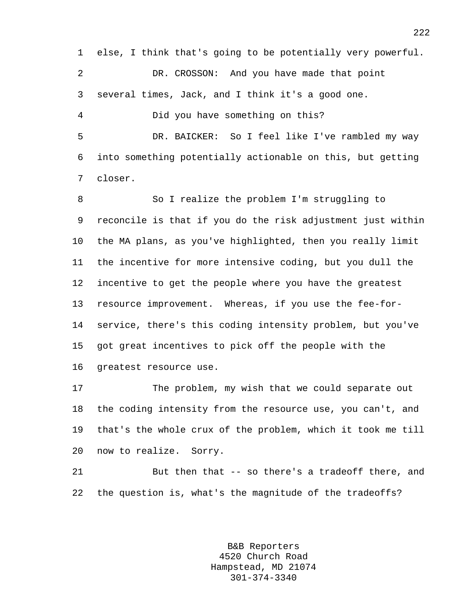1 else, I think that's going to be potentially very powerful. 2 DR. CROSSON: And you have made that point 3 several times, Jack, and I think it's a good one. 4 Did you have something on this? 5 DR. BAICKER: So I feel like I've rambled my way 6 into something potentially actionable on this, but getting 7 closer.

8 So I realize the problem I'm struggling to 9 reconcile is that if you do the risk adjustment just within 10 the MA plans, as you've highlighted, then you really limit 11 the incentive for more intensive coding, but you dull the 12 incentive to get the people where you have the greatest 13 resource improvement. Whereas, if you use the fee-for-14 service, there's this coding intensity problem, but you've 15 got great incentives to pick off the people with the 16 greatest resource use.

17 The problem, my wish that we could separate out 18 the coding intensity from the resource use, you can't, and 19 that's the whole crux of the problem, which it took me till 20 now to realize. Sorry.

21 But then that -- so there's a tradeoff there, and 22 the question is, what's the magnitude of the tradeoffs?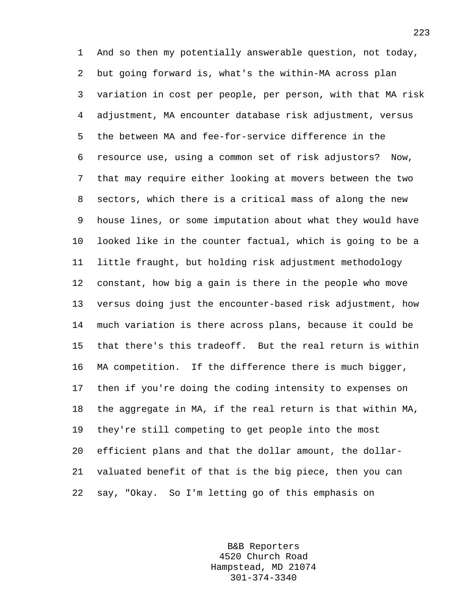1 And so then my potentially answerable question, not today, 2 but going forward is, what's the within-MA across plan 3 variation in cost per people, per person, with that MA risk 4 adjustment, MA encounter database risk adjustment, versus 5 the between MA and fee-for-service difference in the 6 resource use, using a common set of risk adjustors? Now, 7 that may require either looking at movers between the two 8 sectors, which there is a critical mass of along the new 9 house lines, or some imputation about what they would have 10 looked like in the counter factual, which is going to be a 11 little fraught, but holding risk adjustment methodology 12 constant, how big a gain is there in the people who move 13 versus doing just the encounter-based risk adjustment, how 14 much variation is there across plans, because it could be 15 that there's this tradeoff. But the real return is within 16 MA competition. If the difference there is much bigger, 17 then if you're doing the coding intensity to expenses on 18 the aggregate in MA, if the real return is that within MA, 19 they're still competing to get people into the most 20 efficient plans and that the dollar amount, the dollar-21 valuated benefit of that is the big piece, then you can 22 say, "Okay. So I'm letting go of this emphasis on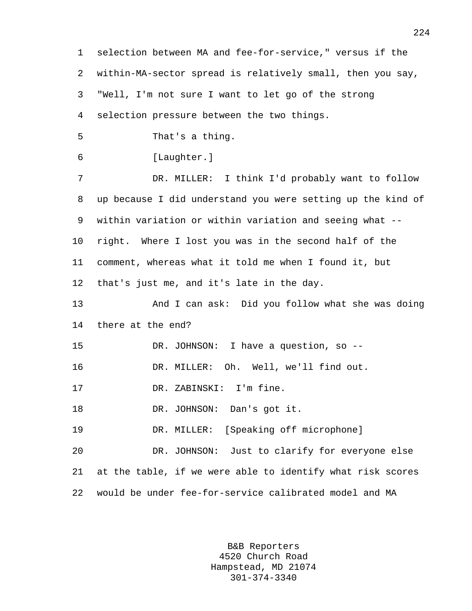1 selection between MA and fee-for-service," versus if the 2 within-MA-sector spread is relatively small, then you say, 3 "Well, I'm not sure I want to let go of the strong 4 selection pressure between the two things. 5 That's a thing. 6 [Laughter.] 7 DR. MILLER: I think I'd probably want to follow 8 up because I did understand you were setting up the kind of 9 within variation or within variation and seeing what -- 10 right. Where I lost you was in the second half of the 11 comment, whereas what it told me when I found it, but 12 that's just me, and it's late in the day. 13 And I can ask: Did you follow what she was doing 14 there at the end? 15 DR. JOHNSON: I have a question, so -- 16 DR. MILLER: Oh. Well, we'll find out. 17 DR. ZABINSKI: I'm fine. 18 DR. JOHNSON: Dan's got it. 19 DR. MILLER: [Speaking off microphone] 20 DR. JOHNSON: Just to clarify for everyone else 21 at the table, if we were able to identify what risk scores 22 would be under fee-for-service calibrated model and MA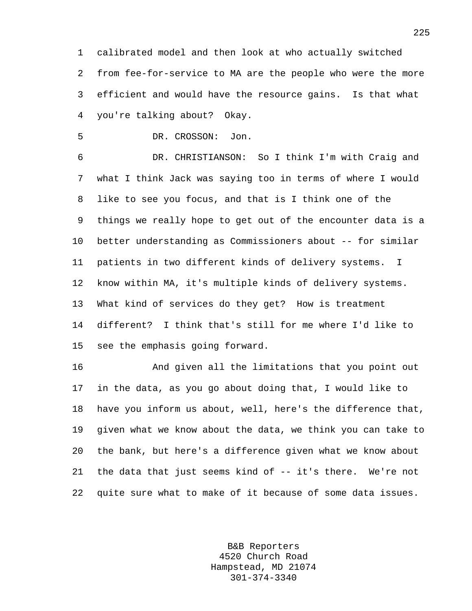1 calibrated model and then look at who actually switched 2 from fee-for-service to MA are the people who were the more 3 efficient and would have the resource gains. Is that what 4 you're talking about? Okay.

5 DR. CROSSON: Jon.

6 DR. CHRISTIANSON: So I think I'm with Craig and 7 what I think Jack was saying too in terms of where I would 8 like to see you focus, and that is I think one of the 9 things we really hope to get out of the encounter data is a 10 better understanding as Commissioners about -- for similar 11 patients in two different kinds of delivery systems. I 12 know within MA, it's multiple kinds of delivery systems. 13 What kind of services do they get? How is treatment 14 different? I think that's still for me where I'd like to 15 see the emphasis going forward.

16 And given all the limitations that you point out 17 in the data, as you go about doing that, I would like to 18 have you inform us about, well, here's the difference that, 19 given what we know about the data, we think you can take to 20 the bank, but here's a difference given what we know about 21 the data that just seems kind of -- it's there. We're not 22 quite sure what to make of it because of some data issues.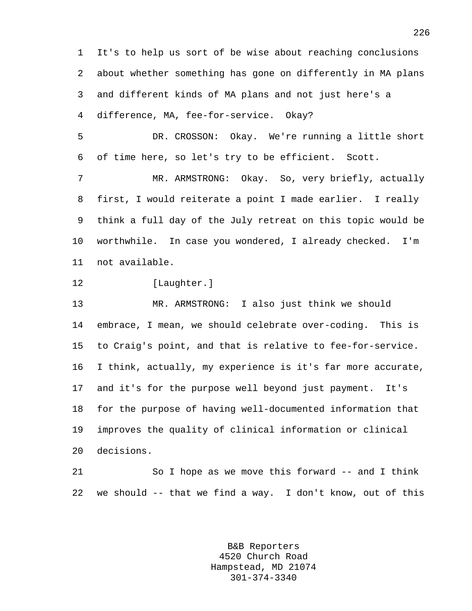1 It's to help us sort of be wise about reaching conclusions 2 about whether something has gone on differently in MA plans 3 and different kinds of MA plans and not just here's a 4 difference, MA, fee-for-service. Okay?

5 DR. CROSSON: Okay. We're running a little short 6 of time here, so let's try to be efficient. Scott.

7 MR. ARMSTRONG: Okay. So, very briefly, actually 8 first, I would reiterate a point I made earlier. I really 9 think a full day of the July retreat on this topic would be 10 worthwhile. In case you wondered, I already checked. I'm 11 not available.

12 [Laughter.]

13 MR. ARMSTRONG: I also just think we should 14 embrace, I mean, we should celebrate over-coding. This is 15 to Craig's point, and that is relative to fee-for-service. 16 I think, actually, my experience is it's far more accurate, 17 and it's for the purpose well beyond just payment. It's 18 for the purpose of having well-documented information that 19 improves the quality of clinical information or clinical 20 decisions.

21 So I hope as we move this forward -- and I think 22 we should -- that we find a way. I don't know, out of this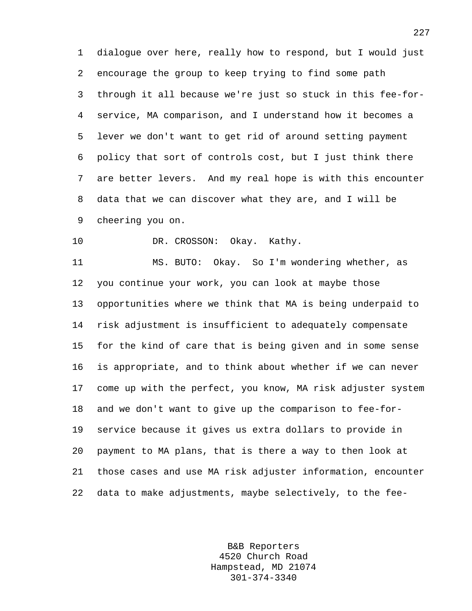1 dialogue over here, really how to respond, but I would just 2 encourage the group to keep trying to find some path 3 through it all because we're just so stuck in this fee-for-4 service, MA comparison, and I understand how it becomes a 5 lever we don't want to get rid of around setting payment 6 policy that sort of controls cost, but I just think there 7 are better levers. And my real hope is with this encounter 8 data that we can discover what they are, and I will be 9 cheering you on.

10 DR. CROSSON: Okay. Kathy.

11 MS. BUTO: Okay. So I'm wondering whether, as 12 you continue your work, you can look at maybe those 13 opportunities where we think that MA is being underpaid to 14 risk adjustment is insufficient to adequately compensate 15 for the kind of care that is being given and in some sense 16 is appropriate, and to think about whether if we can never 17 come up with the perfect, you know, MA risk adjuster system 18 and we don't want to give up the comparison to fee-for-19 service because it gives us extra dollars to provide in 20 payment to MA plans, that is there a way to then look at 21 those cases and use MA risk adjuster information, encounter 22 data to make adjustments, maybe selectively, to the fee-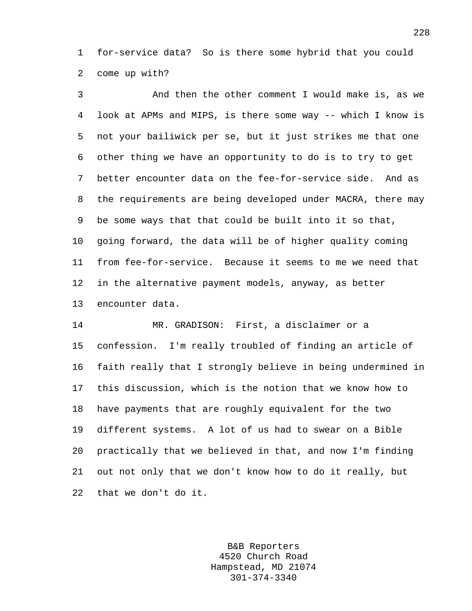1 for-service data? So is there some hybrid that you could 2 come up with?

3 And then the other comment I would make is, as we 4 look at APMs and MIPS, is there some way -- which I know is 5 not your bailiwick per se, but it just strikes me that one 6 other thing we have an opportunity to do is to try to get 7 better encounter data on the fee-for-service side. And as 8 the requirements are being developed under MACRA, there may 9 be some ways that that could be built into it so that, 10 going forward, the data will be of higher quality coming 11 from fee-for-service. Because it seems to me we need that 12 in the alternative payment models, anyway, as better 13 encounter data.

14 MR. GRADISON: First, a disclaimer or a 15 confession. I'm really troubled of finding an article of 16 faith really that I strongly believe in being undermined in 17 this discussion, which is the notion that we know how to 18 have payments that are roughly equivalent for the two 19 different systems. A lot of us had to swear on a Bible 20 practically that we believed in that, and now I'm finding 21 out not only that we don't know how to do it really, but 22 that we don't do it.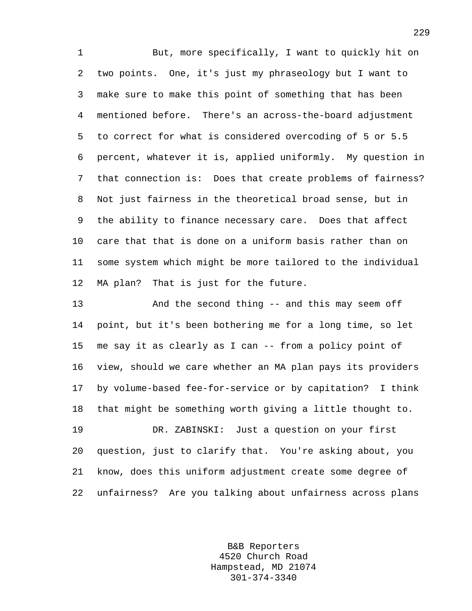1 But, more specifically, I want to quickly hit on 2 two points. One, it's just my phraseology but I want to 3 make sure to make this point of something that has been 4 mentioned before. There's an across-the-board adjustment 5 to correct for what is considered overcoding of 5 or 5.5 6 percent, whatever it is, applied uniformly. My question in 7 that connection is: Does that create problems of fairness? 8 Not just fairness in the theoretical broad sense, but in 9 the ability to finance necessary care. Does that affect 10 care that that is done on a uniform basis rather than on 11 some system which might be more tailored to the individual 12 MA plan? That is just for the future.

13 And the second thing -- and this may seem off 14 point, but it's been bothering me for a long time, so let 15 me say it as clearly as I can -- from a policy point of 16 view, should we care whether an MA plan pays its providers 17 by volume-based fee-for-service or by capitation? I think 18 that might be something worth giving a little thought to.

19 DR. ZABINSKI: Just a question on your first 20 question, just to clarify that. You're asking about, you 21 know, does this uniform adjustment create some degree of 22 unfairness? Are you talking about unfairness across plans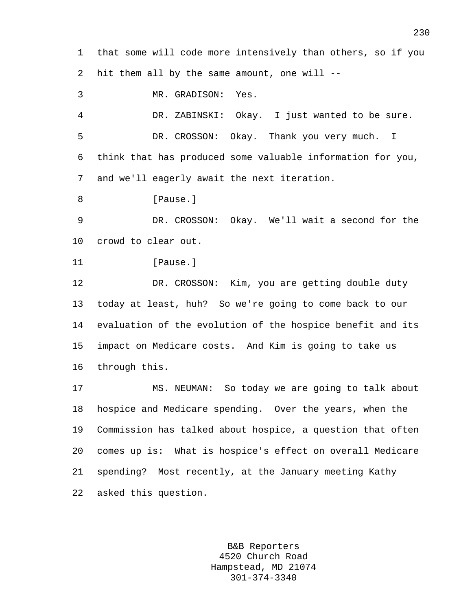1 that some will code more intensively than others, so if you 2 hit them all by the same amount, one will --

3 MR. GRADISON: Yes. 4 DR. ZABINSKI: Okay. I just wanted to be sure. 5 DR. CROSSON: Okay. Thank you very much. I 6 think that has produced some valuable information for you, 7 and we'll eagerly await the next iteration. 8 [Pause.]

9 DR. CROSSON: Okay. We'll wait a second for the 10 crowd to clear out.

```
11 [Pause.]
```
12 DR. CROSSON: Kim, you are getting double duty 13 today at least, huh? So we're going to come back to our 14 evaluation of the evolution of the hospice benefit and its 15 impact on Medicare costs. And Kim is going to take us 16 through this.

17 MS. NEUMAN: So today we are going to talk about 18 hospice and Medicare spending. Over the years, when the 19 Commission has talked about hospice, a question that often 20 comes up is: What is hospice's effect on overall Medicare 21 spending? Most recently, at the January meeting Kathy 22 asked this question.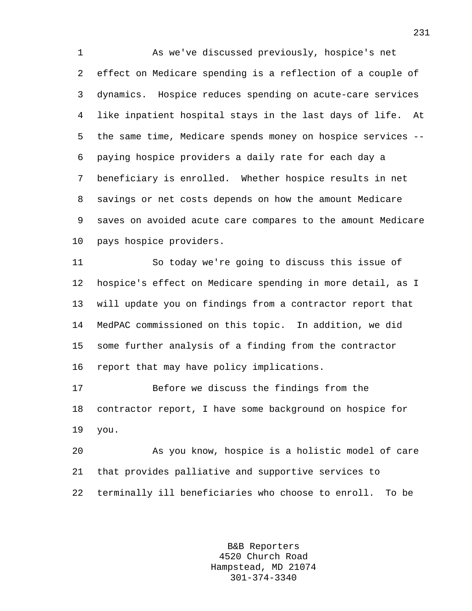1 As we've discussed previously, hospice's net 2 effect on Medicare spending is a reflection of a couple of 3 dynamics. Hospice reduces spending on acute-care services 4 like inpatient hospital stays in the last days of life. At 5 the same time, Medicare spends money on hospice services -- 6 paying hospice providers a daily rate for each day a 7 beneficiary is enrolled. Whether hospice results in net 8 savings or net costs depends on how the amount Medicare 9 saves on avoided acute care compares to the amount Medicare 10 pays hospice providers.

11 So today we're going to discuss this issue of 12 hospice's effect on Medicare spending in more detail, as I 13 will update you on findings from a contractor report that 14 MedPAC commissioned on this topic. In addition, we did 15 some further analysis of a finding from the contractor 16 report that may have policy implications.

17 Before we discuss the findings from the 18 contractor report, I have some background on hospice for 19 you.

20 As you know, hospice is a holistic model of care 21 that provides palliative and supportive services to 22 terminally ill beneficiaries who choose to enroll. To be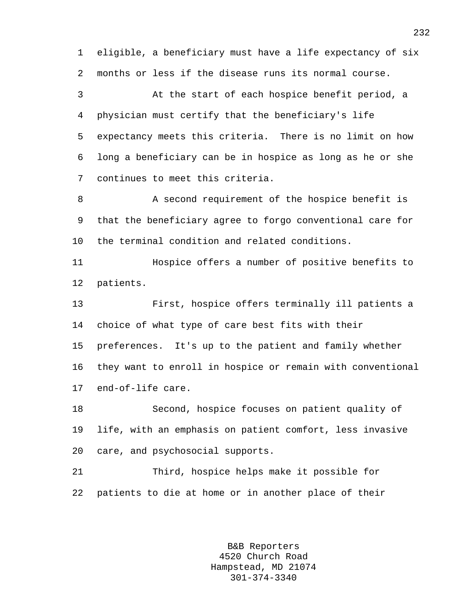1 eligible, a beneficiary must have a life expectancy of six 2 months or less if the disease runs its normal course.

3 At the start of each hospice benefit period, a 4 physician must certify that the beneficiary's life 5 expectancy meets this criteria. There is no limit on how 6 long a beneficiary can be in hospice as long as he or she 7 continues to meet this criteria.

8 A second requirement of the hospice benefit is 9 that the beneficiary agree to forgo conventional care for 10 the terminal condition and related conditions.

11 Hospice offers a number of positive benefits to 12 patients.

13 First, hospice offers terminally ill patients a 14 choice of what type of care best fits with their 15 preferences. It's up to the patient and family whether 16 they want to enroll in hospice or remain with conventional 17 end-of-life care.

18 Second, hospice focuses on patient quality of 19 life, with an emphasis on patient comfort, less invasive 20 care, and psychosocial supports.

21 Third, hospice helps make it possible for 22 patients to die at home or in another place of their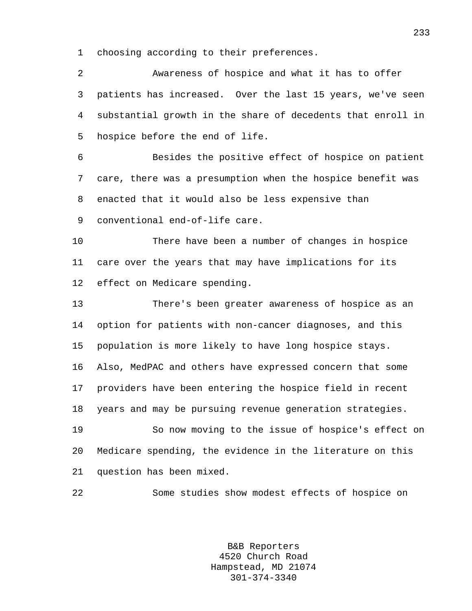1 choosing according to their preferences.

| $\overline{a}$ | Awareness of hospice and what it has to offer               |
|----------------|-------------------------------------------------------------|
| 3              | patients has increased. Over the last 15 years, we've seen  |
| 4              | substantial growth in the share of decedents that enroll in |
| 5              | hospice before the end of life.                             |
| 6              | Besides the positive effect of hospice on patient           |
| 7              | care, there was a presumption when the hospice benefit was  |
| 8              | enacted that it would also be less expensive than           |
| 9              | conventional end-of-life care.                              |
| 10             | There have been a number of changes in hospice              |
| 11             | care over the years that may have implications for its      |
| 12             | effect on Medicare spending.                                |
| 13             | There's been greater awareness of hospice as an             |
| 14             | option for patients with non-cancer diagnoses, and this     |
| 15             | population is more likely to have long hospice stays.       |
| 16             | Also, MedPAC and others have expressed concern that some    |
| 17             | providers have been entering the hospice field in recent    |
| 18             | years and may be pursuing revenue generation strategies.    |
| 19             | So now moving to the issue of hospice's effect on           |
| 20             | Medicare spending, the evidence in the literature on this   |
| 21             | question has been mixed.                                    |
| 22             | Some studies show modest effects of hospice on              |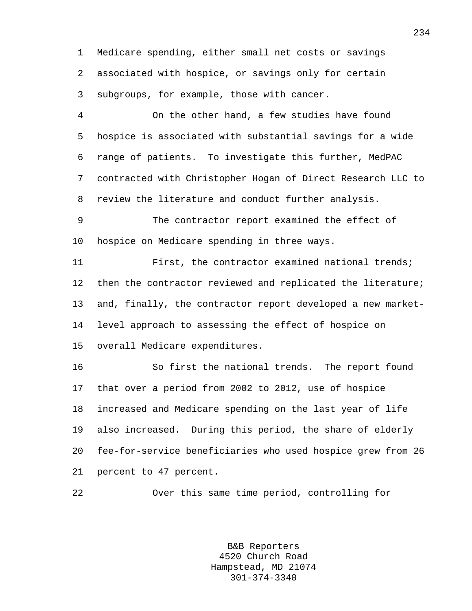1 Medicare spending, either small net costs or savings 2 associated with hospice, or savings only for certain 3 subgroups, for example, those with cancer.

4 On the other hand, a few studies have found 5 hospice is associated with substantial savings for a wide 6 range of patients. To investigate this further, MedPAC 7 contracted with Christopher Hogan of Direct Research LLC to 8 review the literature and conduct further analysis.

9 The contractor report examined the effect of 10 hospice on Medicare spending in three ways.

11 First, the contractor examined national trends; 12 then the contractor reviewed and replicated the literature; 13 and, finally, the contractor report developed a new market-14 level approach to assessing the effect of hospice on 15 overall Medicare expenditures.

16 So first the national trends. The report found 17 that over a period from 2002 to 2012, use of hospice 18 increased and Medicare spending on the last year of life 19 also increased. During this period, the share of elderly 20 fee-for-service beneficiaries who used hospice grew from 26 21 percent to 47 percent.

22 Over this same time period, controlling for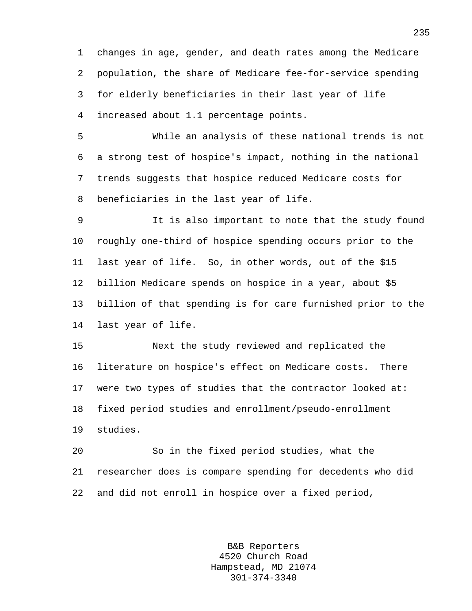1 changes in age, gender, and death rates among the Medicare 2 population, the share of Medicare fee-for-service spending 3 for elderly beneficiaries in their last year of life 4 increased about 1.1 percentage points.

5 While an analysis of these national trends is not 6 a strong test of hospice's impact, nothing in the national 7 trends suggests that hospice reduced Medicare costs for 8 beneficiaries in the last year of life.

9 It is also important to note that the study found 10 roughly one-third of hospice spending occurs prior to the 11 last year of life. So, in other words, out of the \$15 12 billion Medicare spends on hospice in a year, about \$5 13 billion of that spending is for care furnished prior to the 14 last year of life.

15 Next the study reviewed and replicated the 16 literature on hospice's effect on Medicare costs. There 17 were two types of studies that the contractor looked at: 18 fixed period studies and enrollment/pseudo-enrollment 19 studies.

20 So in the fixed period studies, what the 21 researcher does is compare spending for decedents who did 22 and did not enroll in hospice over a fixed period,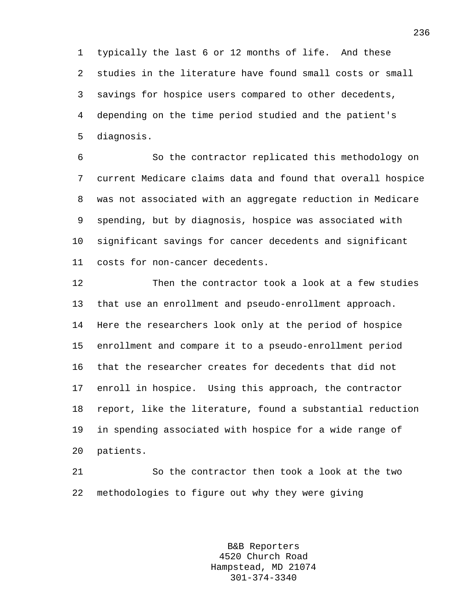1 typically the last 6 or 12 months of life. And these 2 studies in the literature have found small costs or small 3 savings for hospice users compared to other decedents, 4 depending on the time period studied and the patient's 5 diagnosis.

6 So the contractor replicated this methodology on 7 current Medicare claims data and found that overall hospice 8 was not associated with an aggregate reduction in Medicare 9 spending, but by diagnosis, hospice was associated with 10 significant savings for cancer decedents and significant 11 costs for non-cancer decedents.

12 Then the contractor took a look at a few studies 13 that use an enrollment and pseudo-enrollment approach. 14 Here the researchers look only at the period of hospice 15 enrollment and compare it to a pseudo-enrollment period 16 that the researcher creates for decedents that did not 17 enroll in hospice. Using this approach, the contractor 18 report, like the literature, found a substantial reduction 19 in spending associated with hospice for a wide range of 20 patients.

21 So the contractor then took a look at the two 22 methodologies to figure out why they were giving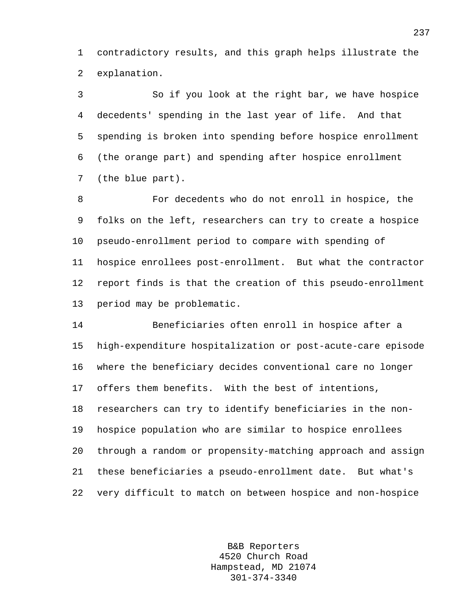1 contradictory results, and this graph helps illustrate the 2 explanation.

3 So if you look at the right bar, we have hospice 4 decedents' spending in the last year of life. And that 5 spending is broken into spending before hospice enrollment 6 (the orange part) and spending after hospice enrollment 7 (the blue part).

8 For decedents who do not enroll in hospice, the 9 folks on the left, researchers can try to create a hospice 10 pseudo-enrollment period to compare with spending of 11 hospice enrollees post-enrollment. But what the contractor 12 report finds is that the creation of this pseudo-enrollment 13 period may be problematic.

14 Beneficiaries often enroll in hospice after a 15 high-expenditure hospitalization or post-acute-care episode 16 where the beneficiary decides conventional care no longer 17 offers them benefits. With the best of intentions, 18 researchers can try to identify beneficiaries in the non-19 hospice population who are similar to hospice enrollees 20 through a random or propensity-matching approach and assign 21 these beneficiaries a pseudo-enrollment date. But what's 22 very difficult to match on between hospice and non-hospice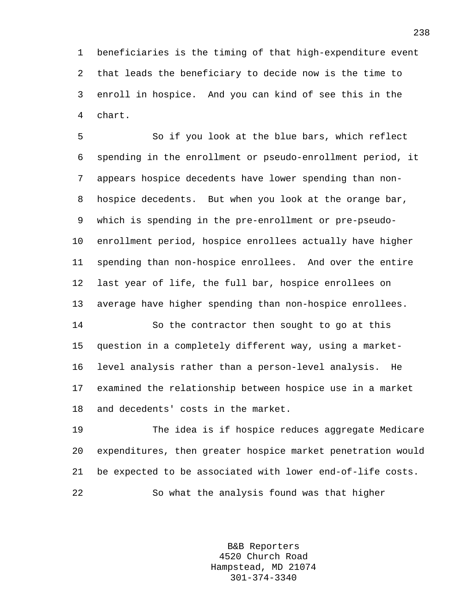1 beneficiaries is the timing of that high-expenditure event 2 that leads the beneficiary to decide now is the time to 3 enroll in hospice. And you can kind of see this in the 4 chart.

5 So if you look at the blue bars, which reflect 6 spending in the enrollment or pseudo-enrollment period, it 7 appears hospice decedents have lower spending than non-8 hospice decedents. But when you look at the orange bar, 9 which is spending in the pre-enrollment or pre-pseudo-10 enrollment period, hospice enrollees actually have higher 11 spending than non-hospice enrollees. And over the entire 12 last year of life, the full bar, hospice enrollees on 13 average have higher spending than non-hospice enrollees.

14 So the contractor then sought to go at this 15 question in a completely different way, using a market-16 level analysis rather than a person-level analysis. He 17 examined the relationship between hospice use in a market 18 and decedents' costs in the market.

19 The idea is if hospice reduces aggregate Medicare 20 expenditures, then greater hospice market penetration would 21 be expected to be associated with lower end-of-life costs. 22 So what the analysis found was that higher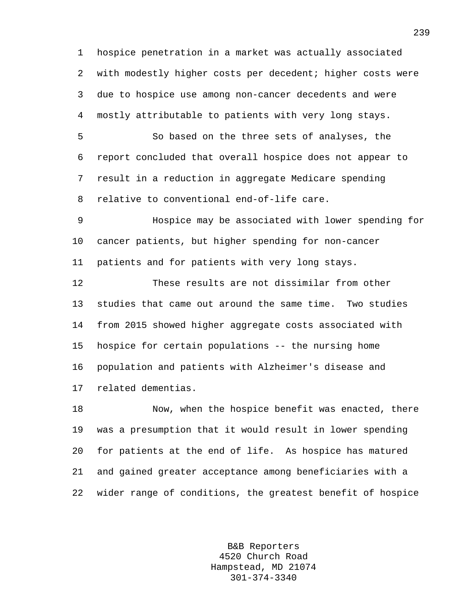1 hospice penetration in a market was actually associated 2 with modestly higher costs per decedent; higher costs were 3 due to hospice use among non-cancer decedents and were 4 mostly attributable to patients with very long stays.

5 So based on the three sets of analyses, the 6 report concluded that overall hospice does not appear to 7 result in a reduction in aggregate Medicare spending 8 relative to conventional end-of-life care.

9 Hospice may be associated with lower spending for 10 cancer patients, but higher spending for non-cancer 11 patients and for patients with very long stays.

12 These results are not dissimilar from other 13 studies that came out around the same time. Two studies 14 from 2015 showed higher aggregate costs associated with 15 hospice for certain populations -- the nursing home 16 population and patients with Alzheimer's disease and 17 related dementias.

18 Now, when the hospice benefit was enacted, there 19 was a presumption that it would result in lower spending 20 for patients at the end of life. As hospice has matured 21 and gained greater acceptance among beneficiaries with a 22 wider range of conditions, the greatest benefit of hospice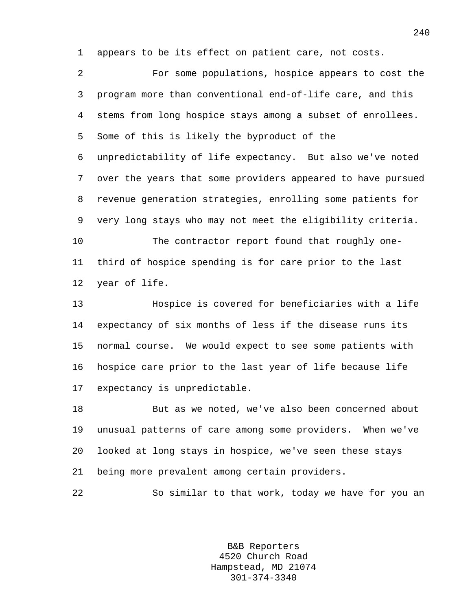1 appears to be its effect on patient care, not costs.

2 For some populations, hospice appears to cost the 3 program more than conventional end-of-life care, and this 4 stems from long hospice stays among a subset of enrollees. 5 Some of this is likely the byproduct of the 6 unpredictability of life expectancy. But also we've noted 7 over the years that some providers appeared to have pursued 8 revenue generation strategies, enrolling some patients for 9 very long stays who may not meet the eligibility criteria. 10 The contractor report found that roughly one-11 third of hospice spending is for care prior to the last 12 year of life. 13 Hospice is covered for beneficiaries with a life 14 expectancy of six months of less if the disease runs its 15 normal course. We would expect to see some patients with 16 hospice care prior to the last year of life because life 17 expectancy is unpredictable.

18 But as we noted, we've also been concerned about 19 unusual patterns of care among some providers. When we've 20 looked at long stays in hospice, we've seen these stays 21 being more prevalent among certain providers.

22 So similar to that work, today we have for you an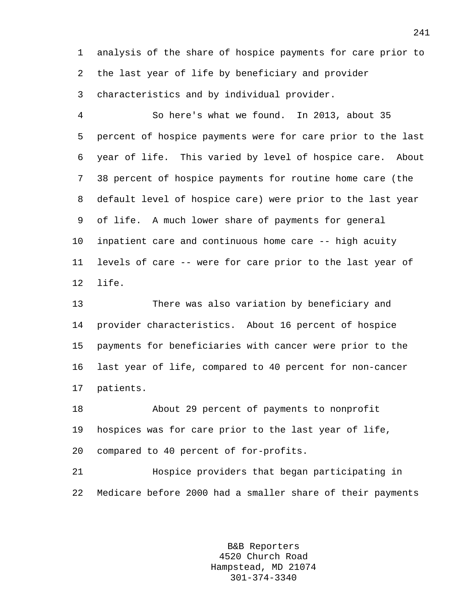1 analysis of the share of hospice payments for care prior to 2 the last year of life by beneficiary and provider 3 characteristics and by individual provider.

4 So here's what we found. In 2013, about 35 5 percent of hospice payments were for care prior to the last 6 year of life. This varied by level of hospice care. About 7 38 percent of hospice payments for routine home care (the 8 default level of hospice care) were prior to the last year 9 of life. A much lower share of payments for general 10 inpatient care and continuous home care -- high acuity 11 levels of care -- were for care prior to the last year of 12 life.

13 There was also variation by beneficiary and 14 provider characteristics. About 16 percent of hospice 15 payments for beneficiaries with cancer were prior to the 16 last year of life, compared to 40 percent for non-cancer 17 patients.

18 About 29 percent of payments to nonprofit 19 hospices was for care prior to the last year of life, 20 compared to 40 percent of for-profits.

21 Hospice providers that began participating in 22 Medicare before 2000 had a smaller share of their payments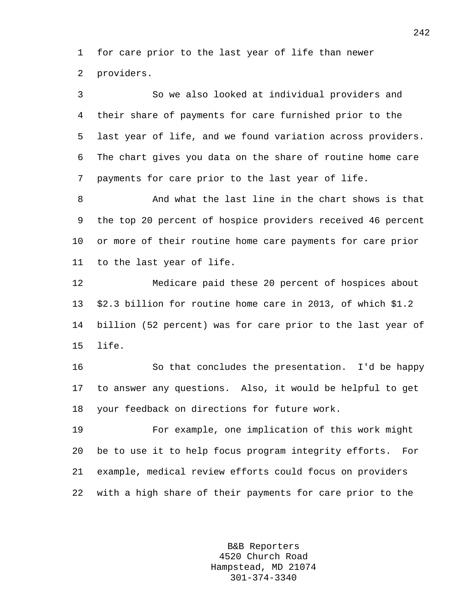1 for care prior to the last year of life than newer 2 providers.

3 So we also looked at individual providers and 4 their share of payments for care furnished prior to the 5 last year of life, and we found variation across providers. 6 The chart gives you data on the share of routine home care 7 payments for care prior to the last year of life.

8 And what the last line in the chart shows is that 9 the top 20 percent of hospice providers received 46 percent 10 or more of their routine home care payments for care prior 11 to the last year of life.

12 Medicare paid these 20 percent of hospices about 13 \$2.3 billion for routine home care in 2013, of which \$1.2 14 billion (52 percent) was for care prior to the last year of 15 life.

16 So that concludes the presentation. I'd be happy 17 to answer any questions. Also, it would be helpful to get 18 your feedback on directions for future work.

19 For example, one implication of this work might 20 be to use it to help focus program integrity efforts. For 21 example, medical review efforts could focus on providers 22 with a high share of their payments for care prior to the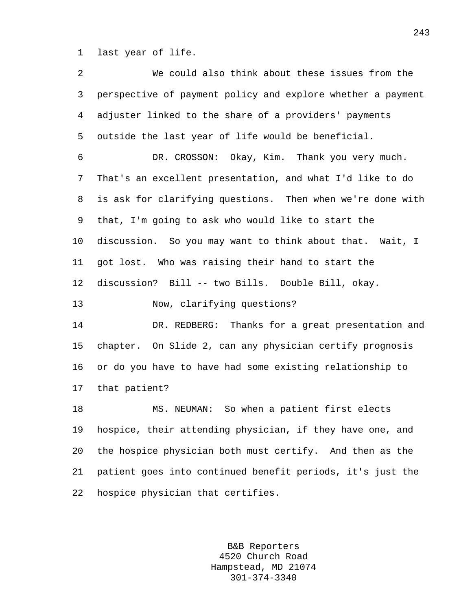1 last year of life.

2 We could also think about these issues from the 3 perspective of payment policy and explore whether a payment 4 adjuster linked to the share of a providers' payments 5 outside the last year of life would be beneficial. 6 DR. CROSSON: Okay, Kim. Thank you very much. 7 That's an excellent presentation, and what I'd like to do 8 is ask for clarifying questions. Then when we're done with 9 that, I'm going to ask who would like to start the 10 discussion. So you may want to think about that. Wait, I 11 got lost. Who was raising their hand to start the 12 discussion? Bill -- two Bills. Double Bill, okay. 13 Now, clarifying questions? 14 DR. REDBERG: Thanks for a great presentation and 15 chapter. On Slide 2, can any physician certify prognosis 16 or do you have to have had some existing relationship to 17 that patient? 18 MS. NEUMAN: So when a patient first elects 19 hospice, their attending physician, if they have one, and 20 the hospice physician both must certify. And then as the 21 patient goes into continued benefit periods, it's just the 22 hospice physician that certifies.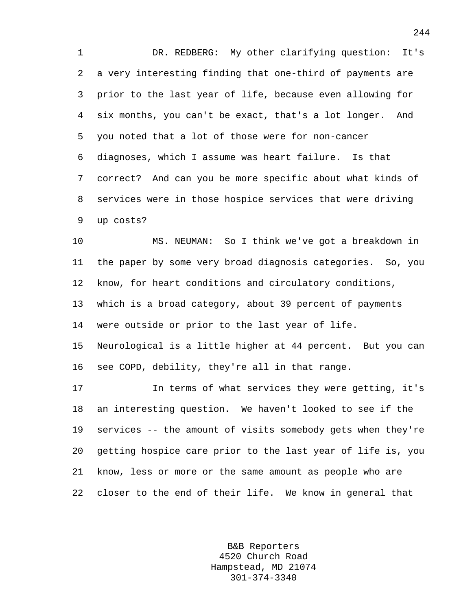1 DR. REDBERG: My other clarifying question: It's 2 a very interesting finding that one-third of payments are 3 prior to the last year of life, because even allowing for 4 six months, you can't be exact, that's a lot longer. And 5 you noted that a lot of those were for non-cancer 6 diagnoses, which I assume was heart failure. Is that 7 correct? And can you be more specific about what kinds of 8 services were in those hospice services that were driving 9 up costs?

10 MS. NEUMAN: So I think we've got a breakdown in 11 the paper by some very broad diagnosis categories. So, you 12 know, for heart conditions and circulatory conditions, 13 which is a broad category, about 39 percent of payments 14 were outside or prior to the last year of life. 15 Neurological is a little higher at 44 percent. But you can 16 see COPD, debility, they're all in that range.

17 In terms of what services they were getting, it's 18 an interesting question. We haven't looked to see if the 19 services -- the amount of visits somebody gets when they're 20 getting hospice care prior to the last year of life is, you 21 know, less or more or the same amount as people who are 22 closer to the end of their life. We know in general that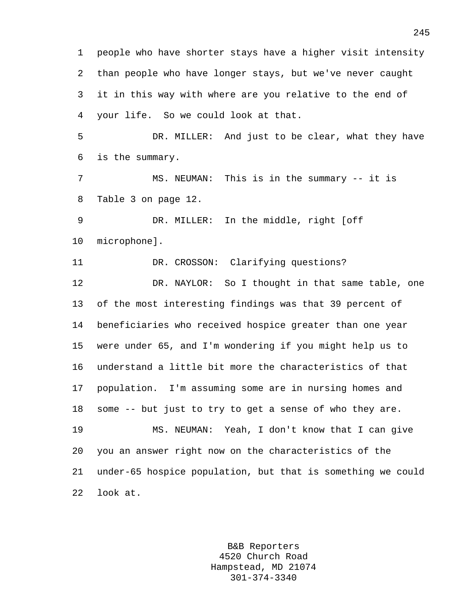1 people who have shorter stays have a higher visit intensity 2 than people who have longer stays, but we've never caught 3 it in this way with where are you relative to the end of 4 your life. So we could look at that. 5 DR. MILLER: And just to be clear, what they have 6 is the summary. 7 MS. NEUMAN: This is in the summary -- it is 8 Table 3 on page 12. 9 DR. MILLER: In the middle, right [off 10 microphone]. 11 DR. CROSSON: Clarifying questions? 12 DR. NAYLOR: So I thought in that same table, one 13 of the most interesting findings was that 39 percent of 14 beneficiaries who received hospice greater than one year 15 were under 65, and I'm wondering if you might help us to 16 understand a little bit more the characteristics of that 17 population. I'm assuming some are in nursing homes and 18 some -- but just to try to get a sense of who they are. 19 MS. NEUMAN: Yeah, I don't know that I can give 20 you an answer right now on the characteristics of the 21 under-65 hospice population, but that is something we could 22 look at.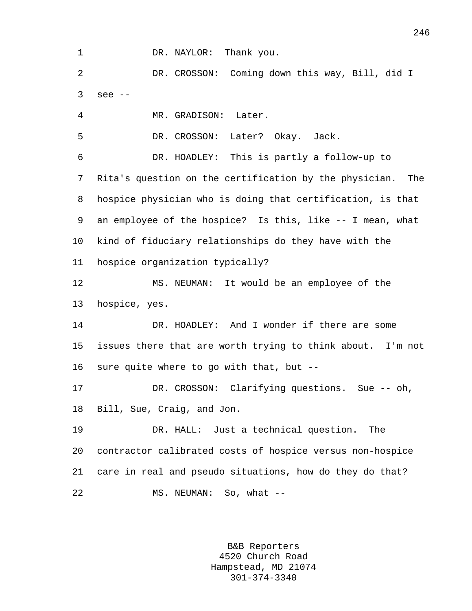1 DR. NAYLOR: Thank you.

2 DR. CROSSON: Coming down this way, Bill, did I 3 see --

4 MR. GRADISON: Later.

5 DR. CROSSON: Later? Okay. Jack.

6 DR. HOADLEY: This is partly a follow-up to 7 Rita's question on the certification by the physician. The 8 hospice physician who is doing that certification, is that 9 an employee of the hospice? Is this, like -- I mean, what 10 kind of fiduciary relationships do they have with the 11 hospice organization typically?

12 MS. NEUMAN: It would be an employee of the 13 hospice, yes.

14 DR. HOADLEY: And I wonder if there are some 15 issues there that are worth trying to think about. I'm not 16 sure quite where to go with that, but --

17 DR. CROSSON: Clarifying questions. Sue -- oh, 18 Bill, Sue, Craig, and Jon.

19 DR. HALL: Just a technical question. The 20 contractor calibrated costs of hospice versus non-hospice 21 care in real and pseudo situations, how do they do that? 22 MS. NEUMAN: So, what --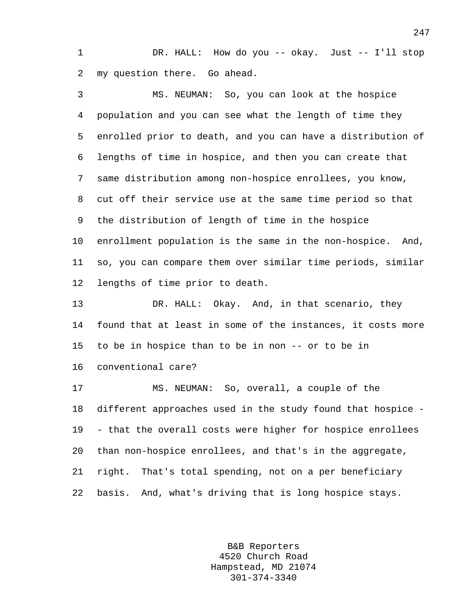1 DR. HALL: How do you -- okay. Just -- I'll stop 2 my question there. Go ahead.

3 MS. NEUMAN: So, you can look at the hospice 4 population and you can see what the length of time they 5 enrolled prior to death, and you can have a distribution of 6 lengths of time in hospice, and then you can create that 7 same distribution among non-hospice enrollees, you know, 8 cut off their service use at the same time period so that 9 the distribution of length of time in the hospice 10 enrollment population is the same in the non-hospice. And, 11 so, you can compare them over similar time periods, similar 12 lengths of time prior to death.

13 DR. HALL: Okay. And, in that scenario, they 14 found that at least in some of the instances, it costs more 15 to be in hospice than to be in non -- or to be in 16 conventional care?

17 MS. NEUMAN: So, overall, a couple of the 18 different approaches used in the study found that hospice - 19 - that the overall costs were higher for hospice enrollees 20 than non-hospice enrollees, and that's in the aggregate, 21 right. That's total spending, not on a per beneficiary 22 basis. And, what's driving that is long hospice stays.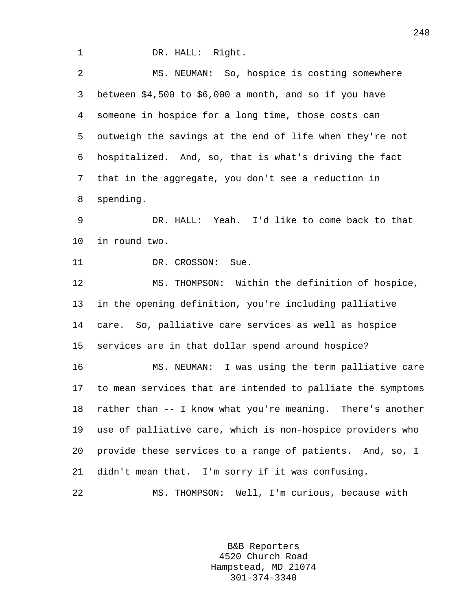1 DR. HALL: Right.

2 MS. NEUMAN: So, hospice is costing somewhere 3 between \$4,500 to \$6,000 a month, and so if you have 4 someone in hospice for a long time, those costs can 5 outweigh the savings at the end of life when they're not 6 hospitalized. And, so, that is what's driving the fact 7 that in the aggregate, you don't see a reduction in 8 spending.

9 DR. HALL: Yeah. I'd like to come back to that 10 in round two.

11 DR. CROSSON: Sue.

12 MS. THOMPSON: Within the definition of hospice, 13 in the opening definition, you're including palliative 14 care. So, palliative care services as well as hospice 15 services are in that dollar spend around hospice?

16 MS. NEUMAN: I was using the term palliative care 17 to mean services that are intended to palliate the symptoms 18 rather than -- I know what you're meaning. There's another 19 use of palliative care, which is non-hospice providers who 20 provide these services to a range of patients. And, so, I 21 didn't mean that. I'm sorry if it was confusing.

22 MS. THOMPSON: Well, I'm curious, because with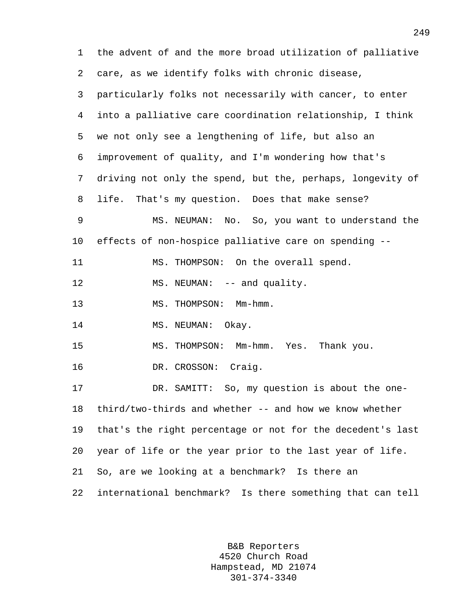1 the advent of and the more broad utilization of palliative 2 care, as we identify folks with chronic disease, 3 particularly folks not necessarily with cancer, to enter 4 into a palliative care coordination relationship, I think 5 we not only see a lengthening of life, but also an 6 improvement of quality, and I'm wondering how that's 7 driving not only the spend, but the, perhaps, longevity of 8 life. That's my question. Does that make sense? 9 MS. NEUMAN: No. So, you want to understand the 10 effects of non-hospice palliative care on spending -- 11 MS. THOMPSON: On the overall spend. 12 MS. NEUMAN: -- and quality. 13 MS. THOMPSON: Mm-hmm. 14 MS. NEUMAN: Okay. 15 MS. THOMPSON: Mm-hmm. Yes. Thank you. 16 DR. CROSSON: Craig. 17 DR. SAMITT: So, my question is about the one-18 third/two-thirds and whether -- and how we know whether 19 that's the right percentage or not for the decedent's last 20 year of life or the year prior to the last year of life. 21 So, are we looking at a benchmark? Is there an 22 international benchmark? Is there something that can tell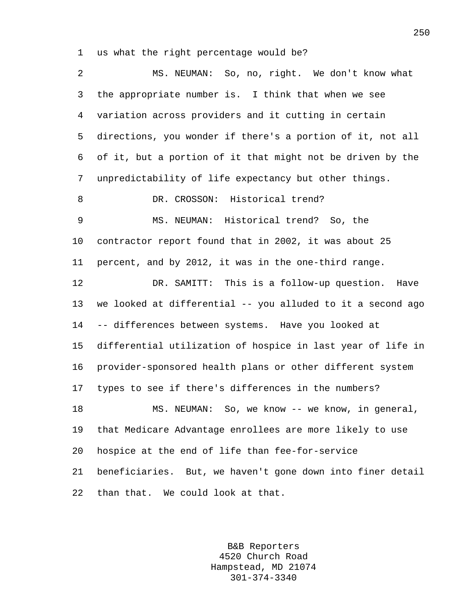1 us what the right percentage would be?

2 MS. NEUMAN: So, no, right. We don't know what 3 the appropriate number is. I think that when we see 4 variation across providers and it cutting in certain 5 directions, you wonder if there's a portion of it, not all 6 of it, but a portion of it that might not be driven by the 7 unpredictability of life expectancy but other things. 8 DR. CROSSON: Historical trend? 9 MS. NEUMAN: Historical trend? So, the 10 contractor report found that in 2002, it was about 25 11 percent, and by 2012, it was in the one-third range. 12 DR. SAMITT: This is a follow-up question. Have 13 we looked at differential -- you alluded to it a second ago 14 -- differences between systems. Have you looked at 15 differential utilization of hospice in last year of life in 16 provider-sponsored health plans or other different system 17 types to see if there's differences in the numbers? 18 MS. NEUMAN: So, we know -- we know, in general, 19 that Medicare Advantage enrollees are more likely to use 20 hospice at the end of life than fee-for-service 21 beneficiaries. But, we haven't gone down into finer detail 22 than that. We could look at that.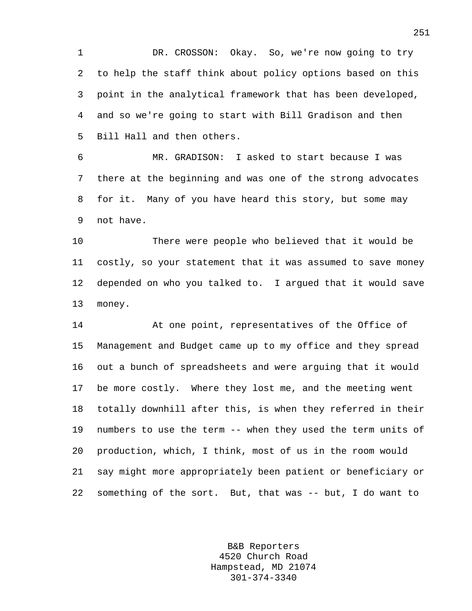1 DR. CROSSON: Okay. So, we're now going to try 2 to help the staff think about policy options based on this 3 point in the analytical framework that has been developed, 4 and so we're going to start with Bill Gradison and then 5 Bill Hall and then others.

6 MR. GRADISON: I asked to start because I was 7 there at the beginning and was one of the strong advocates 8 for it. Many of you have heard this story, but some may 9 not have.

10 There were people who believed that it would be 11 costly, so your statement that it was assumed to save money 12 depended on who you talked to. I argued that it would save 13 money.

14 At one point, representatives of the Office of 15 Management and Budget came up to my office and they spread 16 out a bunch of spreadsheets and were arguing that it would 17 be more costly. Where they lost me, and the meeting went 18 totally downhill after this, is when they referred in their 19 numbers to use the term -- when they used the term units of 20 production, which, I think, most of us in the room would 21 say might more appropriately been patient or beneficiary or 22 something of the sort. But, that was -- but, I do want to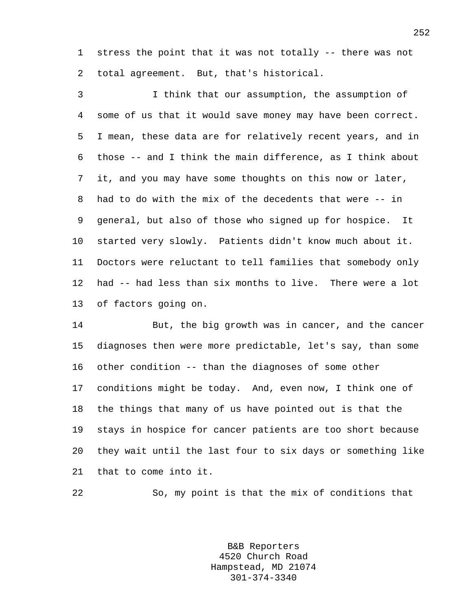1 stress the point that it was not totally -- there was not 2 total agreement. But, that's historical.

3 I think that our assumption, the assumption of 4 some of us that it would save money may have been correct. 5 I mean, these data are for relatively recent years, and in 6 those -- and I think the main difference, as I think about 7 it, and you may have some thoughts on this now or later, 8 had to do with the mix of the decedents that were -- in 9 general, but also of those who signed up for hospice. It 10 started very slowly. Patients didn't know much about it. 11 Doctors were reluctant to tell families that somebody only 12 had -- had less than six months to live. There were a lot 13 of factors going on.

14 But, the big growth was in cancer, and the cancer 15 diagnoses then were more predictable, let's say, than some 16 other condition -- than the diagnoses of some other 17 conditions might be today. And, even now, I think one of 18 the things that many of us have pointed out is that the 19 stays in hospice for cancer patients are too short because 20 they wait until the last four to six days or something like 21 that to come into it.

22 So, my point is that the mix of conditions that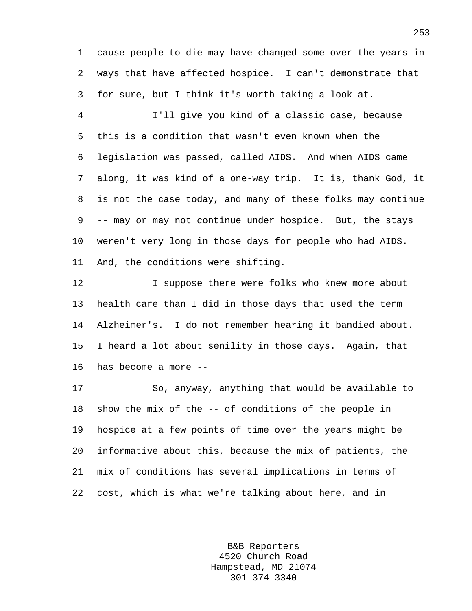1 cause people to die may have changed some over the years in 2 ways that have affected hospice. I can't demonstrate that 3 for sure, but I think it's worth taking a look at.

4 I'll give you kind of a classic case, because 5 this is a condition that wasn't even known when the 6 legislation was passed, called AIDS. And when AIDS came 7 along, it was kind of a one-way trip. It is, thank God, it 8 is not the case today, and many of these folks may continue 9 -- may or may not continue under hospice. But, the stays 10 weren't very long in those days for people who had AIDS. 11 And, the conditions were shifting.

12 **I** suppose there were folks who knew more about 13 health care than I did in those days that used the term 14 Alzheimer's. I do not remember hearing it bandied about. 15 I heard a lot about senility in those days. Again, that 16 has become a more --

17 So, anyway, anything that would be available to 18 show the mix of the -- of conditions of the people in 19 hospice at a few points of time over the years might be 20 informative about this, because the mix of patients, the 21 mix of conditions has several implications in terms of 22 cost, which is what we're talking about here, and in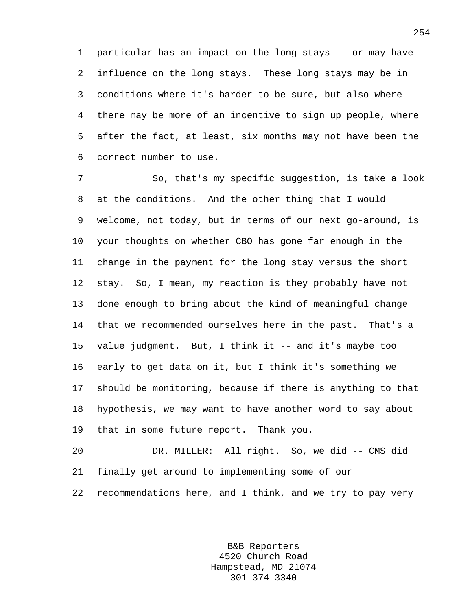1 particular has an impact on the long stays -- or may have 2 influence on the long stays. These long stays may be in 3 conditions where it's harder to be sure, but also where 4 there may be more of an incentive to sign up people, where 5 after the fact, at least, six months may not have been the 6 correct number to use.

7 So, that's my specific suggestion, is take a look 8 at the conditions. And the other thing that I would 9 welcome, not today, but in terms of our next go-around, is 10 your thoughts on whether CBO has gone far enough in the 11 change in the payment for the long stay versus the short 12 stay. So, I mean, my reaction is they probably have not 13 done enough to bring about the kind of meaningful change 14 that we recommended ourselves here in the past. That's a 15 value judgment. But, I think it -- and it's maybe too 16 early to get data on it, but I think it's something we 17 should be monitoring, because if there is anything to that 18 hypothesis, we may want to have another word to say about 19 that in some future report. Thank you.

20 DR. MILLER: All right. So, we did -- CMS did 21 finally get around to implementing some of our 22 recommendations here, and I think, and we try to pay very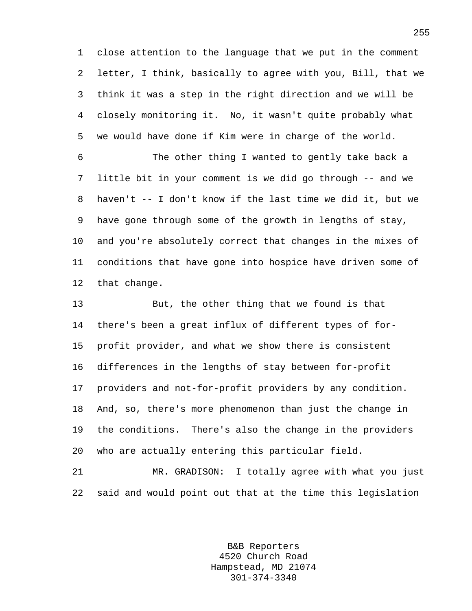1 close attention to the language that we put in the comment 2 letter, I think, basically to agree with you, Bill, that we 3 think it was a step in the right direction and we will be 4 closely monitoring it. No, it wasn't quite probably what 5 we would have done if Kim were in charge of the world.

6 The other thing I wanted to gently take back a 7 little bit in your comment is we did go through -- and we 8 haven't -- I don't know if the last time we did it, but we 9 have gone through some of the growth in lengths of stay, 10 and you're absolutely correct that changes in the mixes of 11 conditions that have gone into hospice have driven some of 12 that change.

13 But, the other thing that we found is that 14 there's been a great influx of different types of for-15 profit provider, and what we show there is consistent 16 differences in the lengths of stay between for-profit 17 providers and not-for-profit providers by any condition. 18 And, so, there's more phenomenon than just the change in 19 the conditions. There's also the change in the providers 20 who are actually entering this particular field.

21 MR. GRADISON: I totally agree with what you just 22 said and would point out that at the time this legislation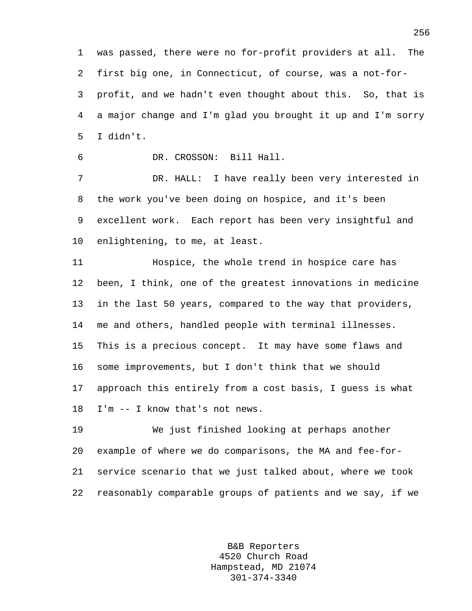1 was passed, there were no for-profit providers at all. The 2 first big one, in Connecticut, of course, was a not-for-3 profit, and we hadn't even thought about this. So, that is 4 a major change and I'm glad you brought it up and I'm sorry 5 I didn't.

6 DR. CROSSON: Bill Hall.

7 DR. HALL: I have really been very interested in 8 the work you've been doing on hospice, and it's been 9 excellent work. Each report has been very insightful and 10 enlightening, to me, at least.

11 Hospice, the whole trend in hospice care has 12 been, I think, one of the greatest innovations in medicine 13 in the last 50 years, compared to the way that providers, 14 me and others, handled people with terminal illnesses. 15 This is a precious concept. It may have some flaws and 16 some improvements, but I don't think that we should 17 approach this entirely from a cost basis, I guess is what 18 I'm -- I know that's not news.

19 We just finished looking at perhaps another 20 example of where we do comparisons, the MA and fee-for-21 service scenario that we just talked about, where we took 22 reasonably comparable groups of patients and we say, if we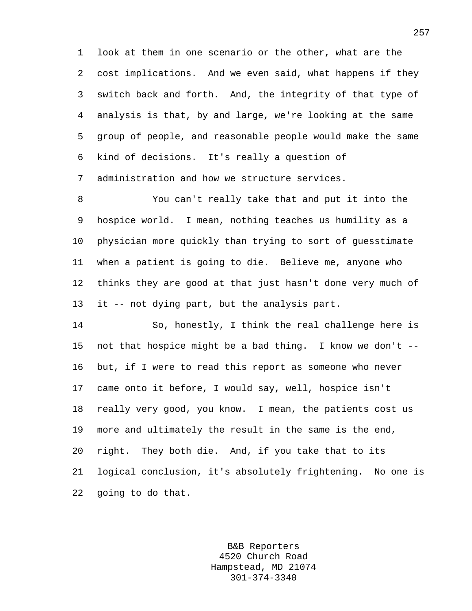1 look at them in one scenario or the other, what are the 2 cost implications. And we even said, what happens if they 3 switch back and forth. And, the integrity of that type of 4 analysis is that, by and large, we're looking at the same 5 group of people, and reasonable people would make the same 6 kind of decisions. It's really a question of 7 administration and how we structure services.

8 You can't really take that and put it into the 9 hospice world. I mean, nothing teaches us humility as a 10 physician more quickly than trying to sort of guesstimate 11 when a patient is going to die. Believe me, anyone who 12 thinks they are good at that just hasn't done very much of 13 it -- not dying part, but the analysis part.

14 So, honestly, I think the real challenge here is 15 not that hospice might be a bad thing. I know we don't -- 16 but, if I were to read this report as someone who never 17 came onto it before, I would say, well, hospice isn't 18 really very good, you know. I mean, the patients cost us 19 more and ultimately the result in the same is the end, 20 right. They both die. And, if you take that to its 21 logical conclusion, it's absolutely frightening. No one is 22 going to do that.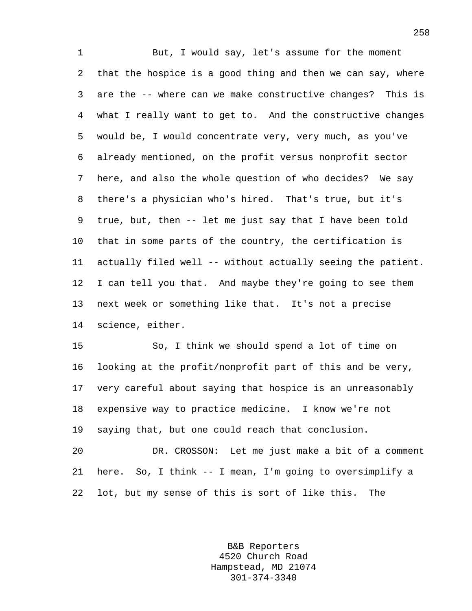1 But, I would say, let's assume for the moment 2 that the hospice is a good thing and then we can say, where 3 are the -- where can we make constructive changes? This is 4 what I really want to get to. And the constructive changes 5 would be, I would concentrate very, very much, as you've 6 already mentioned, on the profit versus nonprofit sector 7 here, and also the whole question of who decides? We say 8 there's a physician who's hired. That's true, but it's 9 true, but, then -- let me just say that I have been told 10 that in some parts of the country, the certification is 11 actually filed well -- without actually seeing the patient. 12 I can tell you that. And maybe they're going to see them 13 next week or something like that. It's not a precise 14 science, either.

15 So, I think we should spend a lot of time on 16 looking at the profit/nonprofit part of this and be very, 17 very careful about saying that hospice is an unreasonably 18 expensive way to practice medicine. I know we're not 19 saying that, but one could reach that conclusion. 20 DR. CROSSON: Let me just make a bit of a comment 21 here. So, I think -- I mean, I'm going to oversimplify a

22 lot, but my sense of this is sort of like this. The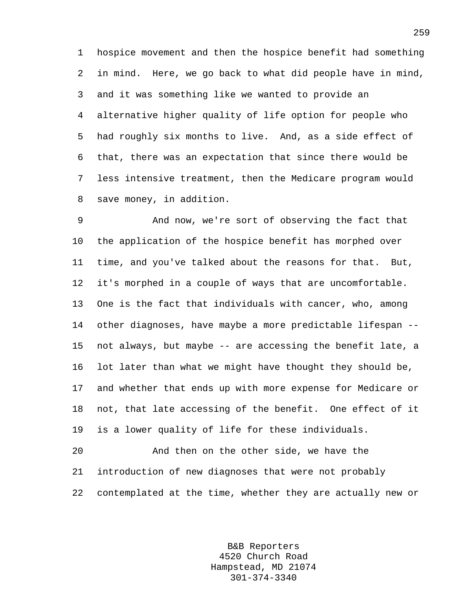1 hospice movement and then the hospice benefit had something 2 in mind. Here, we go back to what did people have in mind, 3 and it was something like we wanted to provide an 4 alternative higher quality of life option for people who 5 had roughly six months to live. And, as a side effect of 6 that, there was an expectation that since there would be 7 less intensive treatment, then the Medicare program would 8 save money, in addition.

9 And now, we're sort of observing the fact that 10 the application of the hospice benefit has morphed over 11 time, and you've talked about the reasons for that. But, 12 it's morphed in a couple of ways that are uncomfortable. 13 One is the fact that individuals with cancer, who, among 14 other diagnoses, have maybe a more predictable lifespan -- 15 not always, but maybe -- are accessing the benefit late, a 16 lot later than what we might have thought they should be, 17 and whether that ends up with more expense for Medicare or 18 not, that late accessing of the benefit. One effect of it 19 is a lower quality of life for these individuals.

20 And then on the other side, we have the 21 introduction of new diagnoses that were not probably 22 contemplated at the time, whether they are actually new or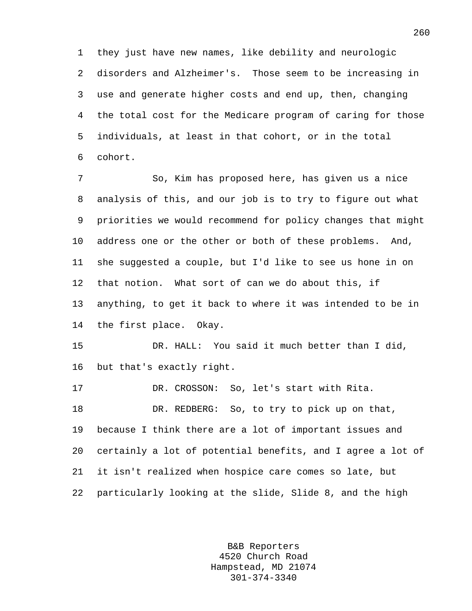1 they just have new names, like debility and neurologic 2 disorders and Alzheimer's. Those seem to be increasing in 3 use and generate higher costs and end up, then, changing 4 the total cost for the Medicare program of caring for those 5 individuals, at least in that cohort, or in the total 6 cohort.

7 So, Kim has proposed here, has given us a nice 8 analysis of this, and our job is to try to figure out what 9 priorities we would recommend for policy changes that might 10 address one or the other or both of these problems. And, 11 she suggested a couple, but I'd like to see us hone in on 12 that notion. What sort of can we do about this, if 13 anything, to get it back to where it was intended to be in 14 the first place. Okay.

15 DR. HALL: You said it much better than I did, 16 but that's exactly right.

17 DR. CROSSON: So, let's start with Rita. 18 DR. REDBERG: So, to try to pick up on that, 19 because I think there are a lot of important issues and 20 certainly a lot of potential benefits, and I agree a lot of 21 it isn't realized when hospice care comes so late, but 22 particularly looking at the slide, Slide 8, and the high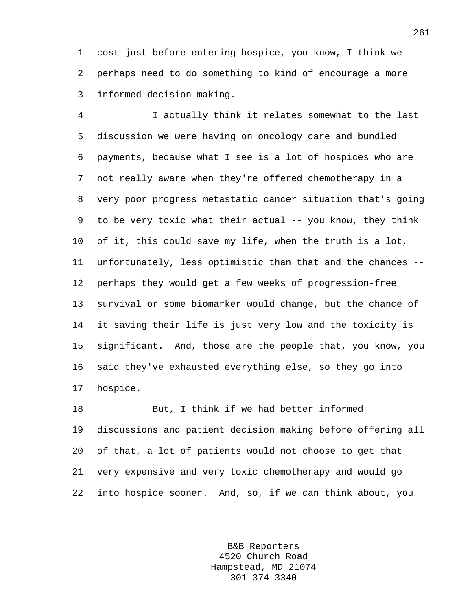1 cost just before entering hospice, you know, I think we 2 perhaps need to do something to kind of encourage a more 3 informed decision making.

4 I actually think it relates somewhat to the last 5 discussion we were having on oncology care and bundled 6 payments, because what I see is a lot of hospices who are 7 not really aware when they're offered chemotherapy in a 8 very poor progress metastatic cancer situation that's going 9 to be very toxic what their actual -- you know, they think 10 of it, this could save my life, when the truth is a lot, 11 unfortunately, less optimistic than that and the chances -- 12 perhaps they would get a few weeks of progression-free 13 survival or some biomarker would change, but the chance of 14 it saving their life is just very low and the toxicity is 15 significant. And, those are the people that, you know, you 16 said they've exhausted everything else, so they go into 17 hospice.

18 But, I think if we had better informed 19 discussions and patient decision making before offering all 20 of that, a lot of patients would not choose to get that 21 very expensive and very toxic chemotherapy and would go 22 into hospice sooner. And, so, if we can think about, you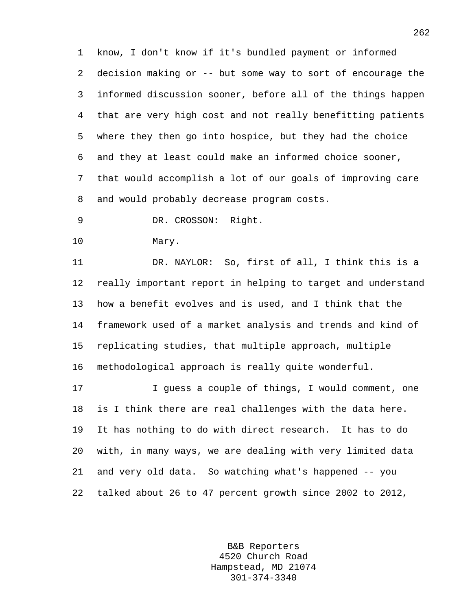1 know, I don't know if it's bundled payment or informed 2 decision making or -- but some way to sort of encourage the 3 informed discussion sooner, before all of the things happen 4 that are very high cost and not really benefitting patients 5 where they then go into hospice, but they had the choice 6 and they at least could make an informed choice sooner, 7 that would accomplish a lot of our goals of improving care 8 and would probably decrease program costs.

9 DR. CROSSON: Right.

10 Mary.

11 DR. NAYLOR: So, first of all, I think this is a 12 really important report in helping to target and understand 13 how a benefit evolves and is used, and I think that the 14 framework used of a market analysis and trends and kind of 15 replicating studies, that multiple approach, multiple 16 methodological approach is really quite wonderful.

17 I guess a couple of things, I would comment, one 18 is I think there are real challenges with the data here. 19 It has nothing to do with direct research. It has to do 20 with, in many ways, we are dealing with very limited data 21 and very old data. So watching what's happened -- you 22 talked about 26 to 47 percent growth since 2002 to 2012,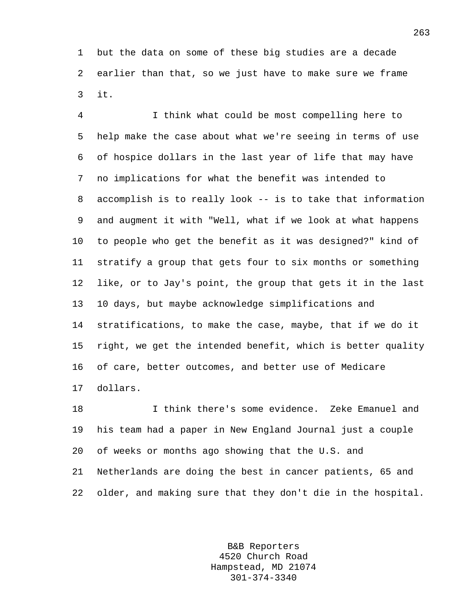1 but the data on some of these big studies are a decade 2 earlier than that, so we just have to make sure we frame 3 it.

4 I think what could be most compelling here to 5 help make the case about what we're seeing in terms of use 6 of hospice dollars in the last year of life that may have 7 no implications for what the benefit was intended to 8 accomplish is to really look -- is to take that information 9 and augment it with "Well, what if we look at what happens 10 to people who get the benefit as it was designed?" kind of 11 stratify a group that gets four to six months or something 12 like, or to Jay's point, the group that gets it in the last 13 10 days, but maybe acknowledge simplifications and 14 stratifications, to make the case, maybe, that if we do it 15 right, we get the intended benefit, which is better quality 16 of care, better outcomes, and better use of Medicare 17 dollars.

18 I think there's some evidence. Zeke Emanuel and 19 his team had a paper in New England Journal just a couple 20 of weeks or months ago showing that the U.S. and 21 Netherlands are doing the best in cancer patients, 65 and 22 older, and making sure that they don't die in the hospital.

> B&B Reporters 4520 Church Road Hampstead, MD 21074 301-374-3340

263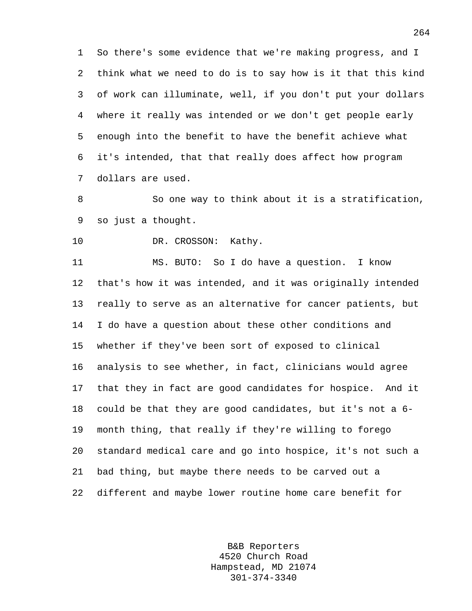1 So there's some evidence that we're making progress, and I 2 think what we need to do is to say how is it that this kind 3 of work can illuminate, well, if you don't put your dollars 4 where it really was intended or we don't get people early 5 enough into the benefit to have the benefit achieve what 6 it's intended, that that really does affect how program 7 dollars are used.

8 So one way to think about it is a stratification, 9 so just a thought.

10 DR. CROSSON: Kathy.

11 MS. BUTO: So I do have a question. I know 12 that's how it was intended, and it was originally intended 13 really to serve as an alternative for cancer patients, but 14 I do have a question about these other conditions and 15 whether if they've been sort of exposed to clinical 16 analysis to see whether, in fact, clinicians would agree 17 that they in fact are good candidates for hospice. And it 18 could be that they are good candidates, but it's not a 6- 19 month thing, that really if they're willing to forego 20 standard medical care and go into hospice, it's not such a 21 bad thing, but maybe there needs to be carved out a 22 different and maybe lower routine home care benefit for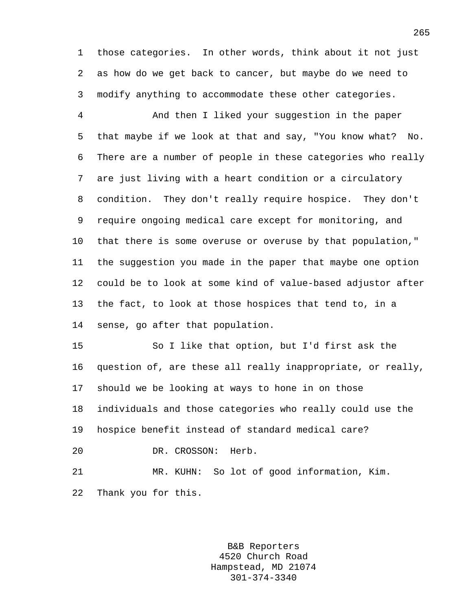1 those categories. In other words, think about it not just 2 as how do we get back to cancer, but maybe do we need to 3 modify anything to accommodate these other categories.

4 And then I liked your suggestion in the paper 5 that maybe if we look at that and say, "You know what? No. 6 There are a number of people in these categories who really 7 are just living with a heart condition or a circulatory 8 condition. They don't really require hospice. They don't 9 require ongoing medical care except for monitoring, and 10 that there is some overuse or overuse by that population," 11 the suggestion you made in the paper that maybe one option 12 could be to look at some kind of value-based adjustor after 13 the fact, to look at those hospices that tend to, in a 14 sense, go after that population.

15 So I like that option, but I'd first ask the 16 question of, are these all really inappropriate, or really, 17 should we be looking at ways to hone in on those 18 individuals and those categories who really could use the 19 hospice benefit instead of standard medical care? 20 DR. CROSSON: Herb.

21 MR. KUHN: So lot of good information, Kim. 22 Thank you for this.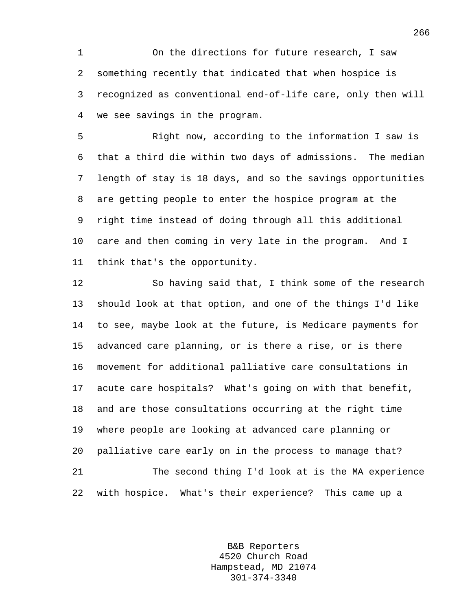1 On the directions for future research, I saw 2 something recently that indicated that when hospice is 3 recognized as conventional end-of-life care, only then will 4 we see savings in the program.

5 Right now, according to the information I saw is 6 that a third die within two days of admissions. The median 7 length of stay is 18 days, and so the savings opportunities 8 are getting people to enter the hospice program at the 9 right time instead of doing through all this additional 10 care and then coming in very late in the program. And I 11 think that's the opportunity.

12 So having said that, I think some of the research 13 should look at that option, and one of the things I'd like 14 to see, maybe look at the future, is Medicare payments for 15 advanced care planning, or is there a rise, or is there 16 movement for additional palliative care consultations in 17 acute care hospitals? What's going on with that benefit, 18 and are those consultations occurring at the right time 19 where people are looking at advanced care planning or 20 palliative care early on in the process to manage that? 21 The second thing I'd look at is the MA experience 22 with hospice. What's their experience? This came up a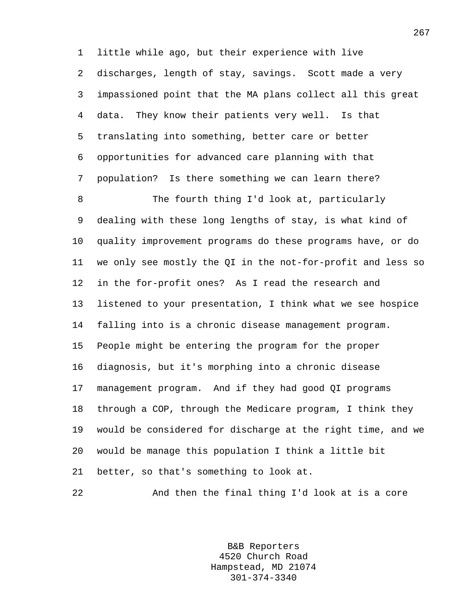1 little while ago, but their experience with live 2 discharges, length of stay, savings. Scott made a very 3 impassioned point that the MA plans collect all this great 4 data. They know their patients very well. Is that 5 translating into something, better care or better 6 opportunities for advanced care planning with that 7 population? Is there something we can learn there?

8 The fourth thing I'd look at, particularly 9 dealing with these long lengths of stay, is what kind of 10 quality improvement programs do these programs have, or do 11 we only see mostly the QI in the not-for-profit and less so 12 in the for-profit ones? As I read the research and 13 listened to your presentation, I think what we see hospice 14 falling into is a chronic disease management program. 15 People might be entering the program for the proper 16 diagnosis, but it's morphing into a chronic disease 17 management program. And if they had good QI programs 18 through a COP, through the Medicare program, I think they 19 would be considered for discharge at the right time, and we 20 would be manage this population I think a little bit 21 better, so that's something to look at.

22 And then the final thing I'd look at is a core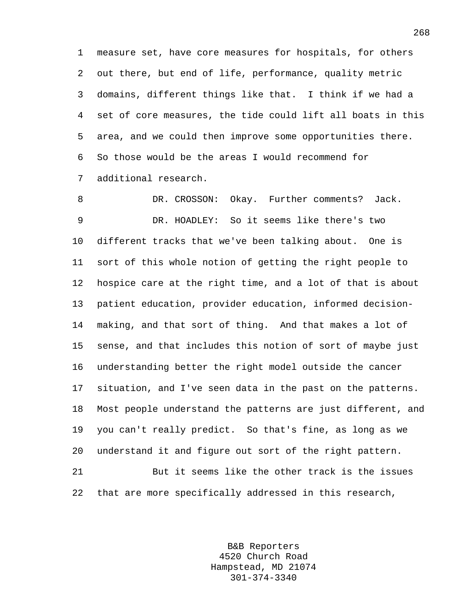1 measure set, have core measures for hospitals, for others 2 out there, but end of life, performance, quality metric 3 domains, different things like that. I think if we had a 4 set of core measures, the tide could lift all boats in this 5 area, and we could then improve some opportunities there. 6 So those would be the areas I would recommend for 7 additional research.

8 DR. CROSSON: Okay. Further comments? Jack. 9 DR. HOADLEY: So it seems like there's two 10 different tracks that we've been talking about. One is 11 sort of this whole notion of getting the right people to 12 hospice care at the right time, and a lot of that is about 13 patient education, provider education, informed decision-14 making, and that sort of thing. And that makes a lot of 15 sense, and that includes this notion of sort of maybe just 16 understanding better the right model outside the cancer 17 situation, and I've seen data in the past on the patterns. 18 Most people understand the patterns are just different, and 19 you can't really predict. So that's fine, as long as we 20 understand it and figure out sort of the right pattern. 21 But it seems like the other track is the issues 22 that are more specifically addressed in this research,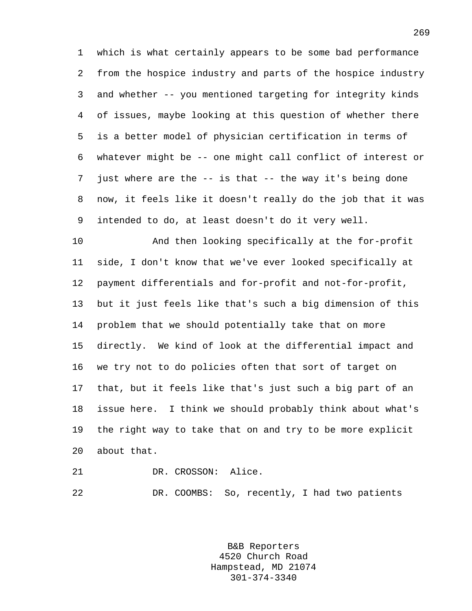1 which is what certainly appears to be some bad performance 2 from the hospice industry and parts of the hospice industry 3 and whether -- you mentioned targeting for integrity kinds 4 of issues, maybe looking at this question of whether there 5 is a better model of physician certification in terms of 6 whatever might be -- one might call conflict of interest or 7 just where are the -- is that -- the way it's being done 8 now, it feels like it doesn't really do the job that it was 9 intended to do, at least doesn't do it very well.

10 And then looking specifically at the for-profit 11 side, I don't know that we've ever looked specifically at 12 payment differentials and for-profit and not-for-profit, 13 but it just feels like that's such a big dimension of this 14 problem that we should potentially take that on more 15 directly. We kind of look at the differential impact and 16 we try not to do policies often that sort of target on 17 that, but it feels like that's just such a big part of an 18 issue here. I think we should probably think about what's 19 the right way to take that on and try to be more explicit 20 about that.

21 DR. CROSSON: Alice. 22 DR. COOMBS: So, recently, I had two patients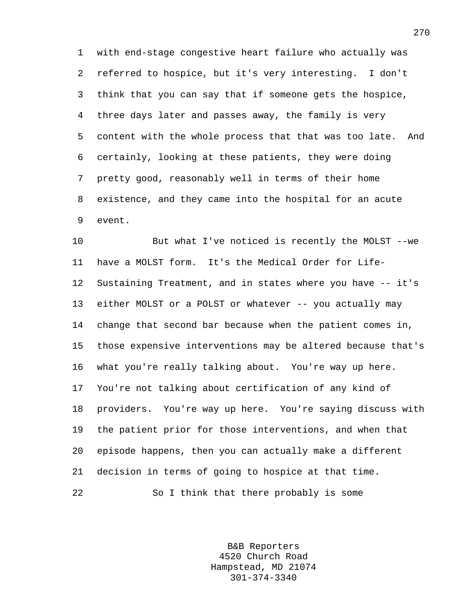1 with end-stage congestive heart failure who actually was 2 referred to hospice, but it's very interesting. I don't 3 think that you can say that if someone gets the hospice, 4 three days later and passes away, the family is very 5 content with the whole process that that was too late. And 6 certainly, looking at these patients, they were doing 7 pretty good, reasonably well in terms of their home 8 existence, and they came into the hospital for an acute 9 event.

10 But what I've noticed is recently the MOLST --we 11 have a MOLST form. It's the Medical Order for Life-12 Sustaining Treatment, and in states where you have -- it's 13 either MOLST or a POLST or whatever -- you actually may 14 change that second bar because when the patient comes in, 15 those expensive interventions may be altered because that's 16 what you're really talking about. You're way up here. 17 You're not talking about certification of any kind of 18 providers. You're way up here. You're saying discuss with 19 the patient prior for those interventions, and when that 20 episode happens, then you can actually make a different 21 decision in terms of going to hospice at that time. 22 So I think that there probably is some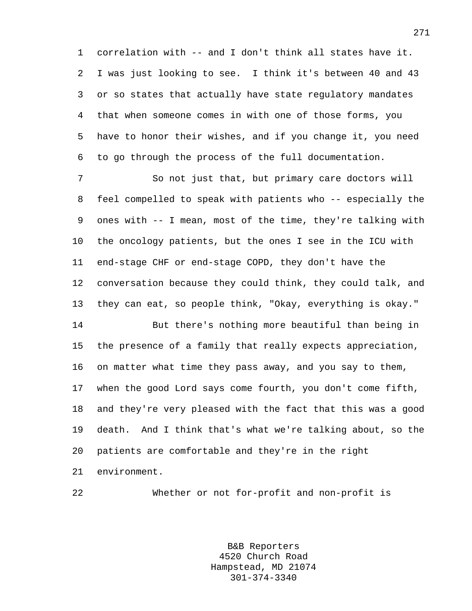1 correlation with -- and I don't think all states have it. 2 I was just looking to see. I think it's between 40 and 43 3 or so states that actually have state regulatory mandates 4 that when someone comes in with one of those forms, you 5 have to honor their wishes, and if you change it, you need 6 to go through the process of the full documentation.

7 So not just that, but primary care doctors will 8 feel compelled to speak with patients who -- especially the 9 ones with -- I mean, most of the time, they're talking with 10 the oncology patients, but the ones I see in the ICU with 11 end-stage CHF or end-stage COPD, they don't have the 12 conversation because they could think, they could talk, and 13 they can eat, so people think, "Okay, everything is okay."

14 But there's nothing more beautiful than being in 15 the presence of a family that really expects appreciation, 16 on matter what time they pass away, and you say to them, 17 when the good Lord says come fourth, you don't come fifth, 18 and they're very pleased with the fact that this was a good 19 death. And I think that's what we're talking about, so the 20 patients are comfortable and they're in the right 21 environment.

22 Whether or not for-profit and non-profit is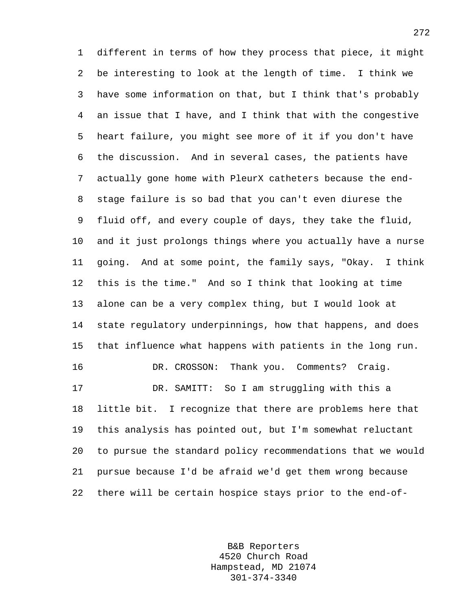1 different in terms of how they process that piece, it might 2 be interesting to look at the length of time. I think we 3 have some information on that, but I think that's probably 4 an issue that I have, and I think that with the congestive 5 heart failure, you might see more of it if you don't have 6 the discussion. And in several cases, the patients have 7 actually gone home with PleurX catheters because the end-8 stage failure is so bad that you can't even diurese the 9 fluid off, and every couple of days, they take the fluid, 10 and it just prolongs things where you actually have a nurse 11 going. And at some point, the family says, "Okay. I think 12 this is the time." And so I think that looking at time 13 alone can be a very complex thing, but I would look at 14 state regulatory underpinnings, how that happens, and does 15 that influence what happens with patients in the long run. 16 DR. CROSSON: Thank you. Comments? Craig. 17 DR. SAMITT: So I am struggling with this a 18 little bit. I recognize that there are problems here that 19 this analysis has pointed out, but I'm somewhat reluctant 20 to pursue the standard policy recommendations that we would 21 pursue because I'd be afraid we'd get them wrong because 22 there will be certain hospice stays prior to the end-of-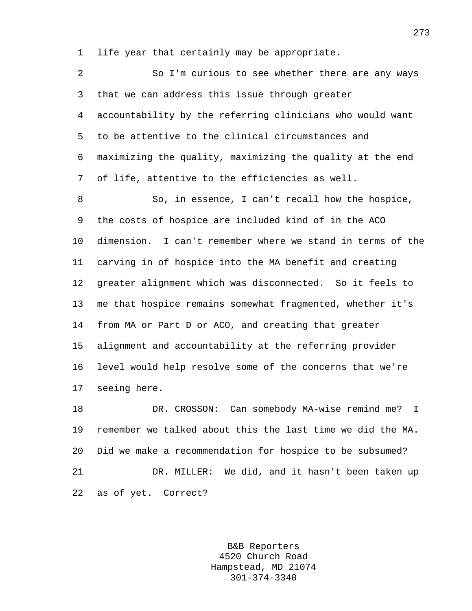1 life year that certainly may be appropriate.

| $\overline{2}$ | So I'm curious to see whether there are any ways           |
|----------------|------------------------------------------------------------|
| 3              | that we can address this issue through greater             |
| 4              | accountability by the referring clinicians who would want  |
| 5              | to be attentive to the clinical circumstances and          |
| 6              | maximizing the quality, maximizing the quality at the end  |
| 7              | of life, attentive to the efficiencies as well.            |
| 8              | So, in essence, I can't recall how the hospice,            |
| 9              | the costs of hospice are included kind of in the ACO       |
| 10             | dimension. I can't remember where we stand in terms of the |
| 11             | carving in of hospice into the MA benefit and creating     |
| 12             | greater alignment which was disconnected. So it feels to   |
| 13             | me that hospice remains somewhat fragmented, whether it's  |
| 14             | from MA or Part D or ACO, and creating that greater        |
| 15             | alignment and accountability at the referring provider     |
| 16             | level would help resolve some of the concerns that we're   |
| 17             | seeing here.                                               |
| 18             | Can somebody MA-wise remind me?<br>DR. CROSSON:<br>I.      |
| 19             | remember we talked about this the last time we did the MA. |
| 20             | Did we make a recommendation for hospice to be subsumed?   |
| 21             | DR. MILLER: We did, and it hasn't been taken up            |

22 as of yet. Correct?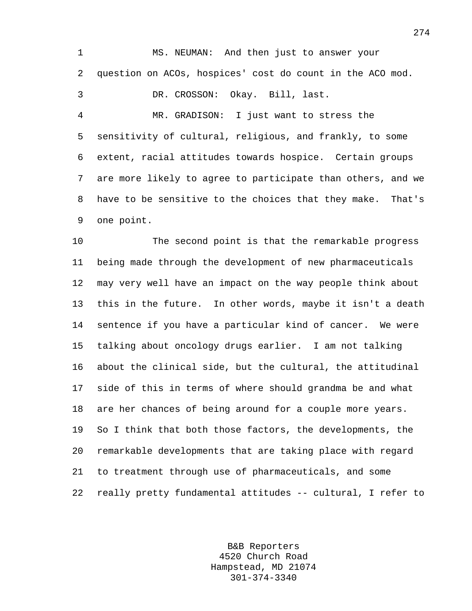1 MS. NEUMAN: And then just to answer your 2 question on ACOs, hospices' cost do count in the ACO mod. 3 DR. CROSSON: Okay. Bill, last.

4 MR. GRADISON: I just want to stress the 5 sensitivity of cultural, religious, and frankly, to some 6 extent, racial attitudes towards hospice. Certain groups 7 are more likely to agree to participate than others, and we 8 have to be sensitive to the choices that they make. That's 9 one point.

10 The second point is that the remarkable progress 11 being made through the development of new pharmaceuticals 12 may very well have an impact on the way people think about 13 this in the future. In other words, maybe it isn't a death 14 sentence if you have a particular kind of cancer. We were 15 talking about oncology drugs earlier. I am not talking 16 about the clinical side, but the cultural, the attitudinal 17 side of this in terms of where should grandma be and what 18 are her chances of being around for a couple more years. 19 So I think that both those factors, the developments, the 20 remarkable developments that are taking place with regard 21 to treatment through use of pharmaceuticals, and some 22 really pretty fundamental attitudes -- cultural, I refer to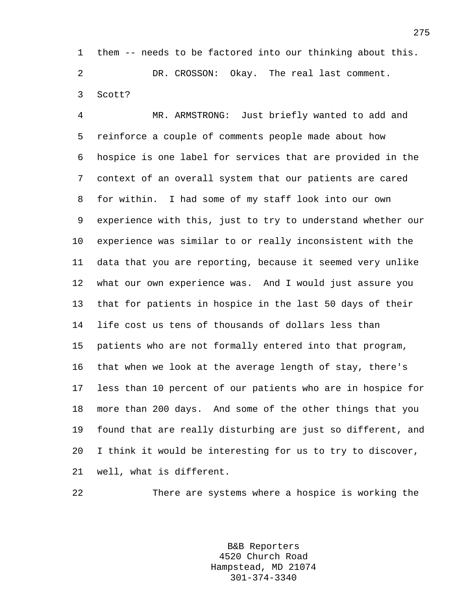1 them -- needs to be factored into our thinking about this. 2 DR. CROSSON: Okay. The real last comment. 3 Scott?

4 MR. ARMSTRONG: Just briefly wanted to add and 5 reinforce a couple of comments people made about how 6 hospice is one label for services that are provided in the 7 context of an overall system that our patients are cared 8 for within. I had some of my staff look into our own 9 experience with this, just to try to understand whether our 10 experience was similar to or really inconsistent with the 11 data that you are reporting, because it seemed very unlike 12 what our own experience was. And I would just assure you 13 that for patients in hospice in the last 50 days of their 14 life cost us tens of thousands of dollars less than 15 patients who are not formally entered into that program, 16 that when we look at the average length of stay, there's 17 less than 10 percent of our patients who are in hospice for 18 more than 200 days. And some of the other things that you 19 found that are really disturbing are just so different, and 20 I think it would be interesting for us to try to discover, 21 well, what is different.

22 There are systems where a hospice is working the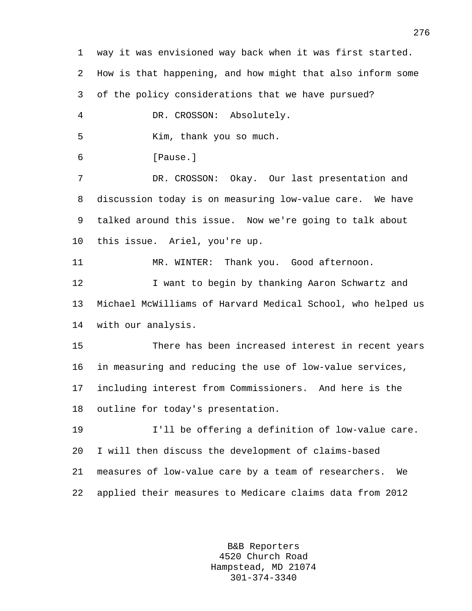1 way it was envisioned way back when it was first started. 2 How is that happening, and how might that also inform some 3 of the policy considerations that we have pursued? 4 DR. CROSSON: Absolutely. 5 Kim, thank you so much. 6 [Pause.] 7 DR. CROSSON: Okay. Our last presentation and 8 discussion today is on measuring low-value care. We have 9 talked around this issue. Now we're going to talk about 10 this issue. Ariel, you're up. 11 MR. WINTER: Thank you. Good afternoon. 12 I want to begin by thanking Aaron Schwartz and 13 Michael McWilliams of Harvard Medical School, who helped us 14 with our analysis. 15 There has been increased interest in recent years 16 in measuring and reducing the use of low-value services, 17 including interest from Commissioners. And here is the 18 outline for today's presentation. 19 I'll be offering a definition of low-value care. 20 I will then discuss the development of claims-based 21 measures of low-value care by a team of researchers. We 22 applied their measures to Medicare claims data from 2012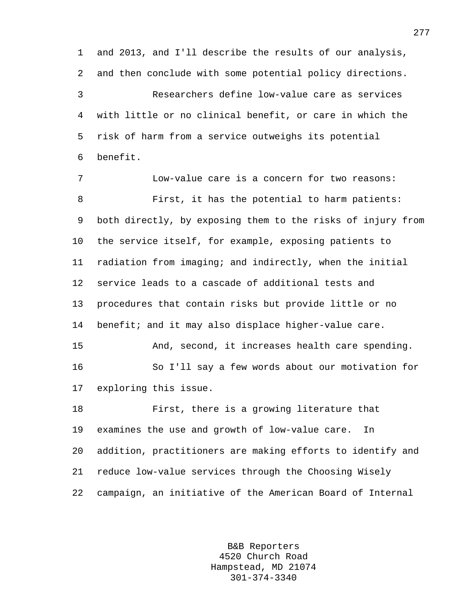1 and 2013, and I'll describe the results of our analysis, 2 and then conclude with some potential policy directions. 3 Researchers define low-value care as services 4 with little or no clinical benefit, or care in which the 5 risk of harm from a service outweighs its potential 6 benefit.

7 Low-value care is a concern for two reasons: 8 First, it has the potential to harm patients: 9 both directly, by exposing them to the risks of injury from 10 the service itself, for example, exposing patients to 11 radiation from imaging; and indirectly, when the initial 12 service leads to a cascade of additional tests and 13 procedures that contain risks but provide little or no 14 benefit; and it may also displace higher-value care. 15 And, second, it increases health care spending. 16 So I'll say a few words about our motivation for 17 exploring this issue. 18 First, there is a growing literature that 19 examines the use and growth of low-value care. In 20 addition, practitioners are making efforts to identify and 21 reduce low-value services through the Choosing Wisely 22 campaign, an initiative of the American Board of Internal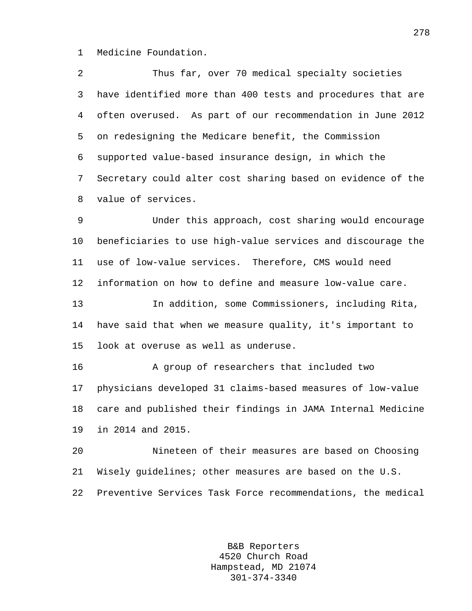1 Medicine Foundation.

2 Thus far, over 70 medical specialty societies 3 have identified more than 400 tests and procedures that are 4 often overused. As part of our recommendation in June 2012 5 on redesigning the Medicare benefit, the Commission 6 supported value-based insurance design, in which the 7 Secretary could alter cost sharing based on evidence of the 8 value of services.

9 Under this approach, cost sharing would encourage 10 beneficiaries to use high-value services and discourage the 11 use of low-value services. Therefore, CMS would need 12 information on how to define and measure low-value care.

13 In addition, some Commissioners, including Rita, 14 have said that when we measure quality, it's important to 15 look at overuse as well as underuse.

16 A group of researchers that included two 17 physicians developed 31 claims-based measures of low-value 18 care and published their findings in JAMA Internal Medicine 19 in 2014 and 2015.

20 Nineteen of their measures are based on Choosing 21 Wisely guidelines; other measures are based on the U.S. 22 Preventive Services Task Force recommendations, the medical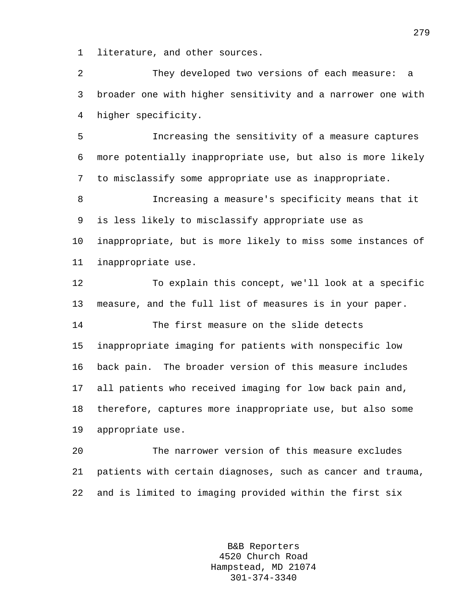1 literature, and other sources.

2 They developed two versions of each measure: a 3 broader one with higher sensitivity and a narrower one with 4 higher specificity.

5 Increasing the sensitivity of a measure captures 6 more potentially inappropriate use, but also is more likely 7 to misclassify some appropriate use as inappropriate.

8 Increasing a measure's specificity means that it 9 is less likely to misclassify appropriate use as 10 inappropriate, but is more likely to miss some instances of 11 inappropriate use.

12 To explain this concept, we'll look at a specific 13 measure, and the full list of measures is in your paper.

14 The first measure on the slide detects 15 inappropriate imaging for patients with nonspecific low 16 back pain. The broader version of this measure includes 17 all patients who received imaging for low back pain and, 18 therefore, captures more inappropriate use, but also some 19 appropriate use.

20 The narrower version of this measure excludes 21 patients with certain diagnoses, such as cancer and trauma, 22 and is limited to imaging provided within the first six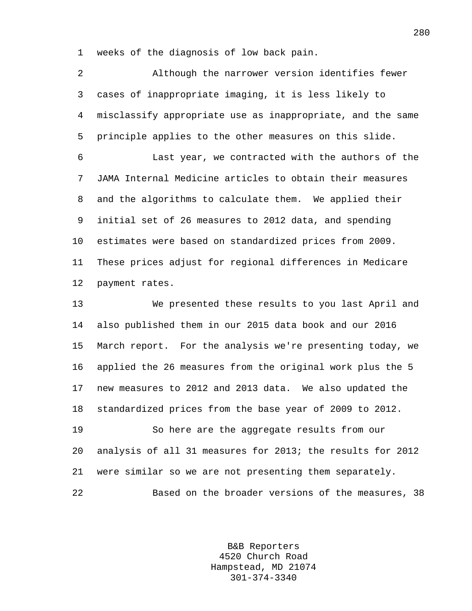1 weeks of the diagnosis of low back pain.

2 Although the narrower version identifies fewer 3 cases of inappropriate imaging, it is less likely to 4 misclassify appropriate use as inappropriate, and the same 5 principle applies to the other measures on this slide.

6 Last year, we contracted with the authors of the 7 JAMA Internal Medicine articles to obtain their measures 8 and the algorithms to calculate them. We applied their 9 initial set of 26 measures to 2012 data, and spending 10 estimates were based on standardized prices from 2009. 11 These prices adjust for regional differences in Medicare 12 payment rates.

13 We presented these results to you last April and 14 also published them in our 2015 data book and our 2016 15 March report. For the analysis we're presenting today, we 16 applied the 26 measures from the original work plus the 5 17 new measures to 2012 and 2013 data. We also updated the 18 standardized prices from the base year of 2009 to 2012. 19 So here are the aggregate results from our

20 analysis of all 31 measures for 2013; the results for 2012 21 were similar so we are not presenting them separately. 22 Based on the broader versions of the measures, 38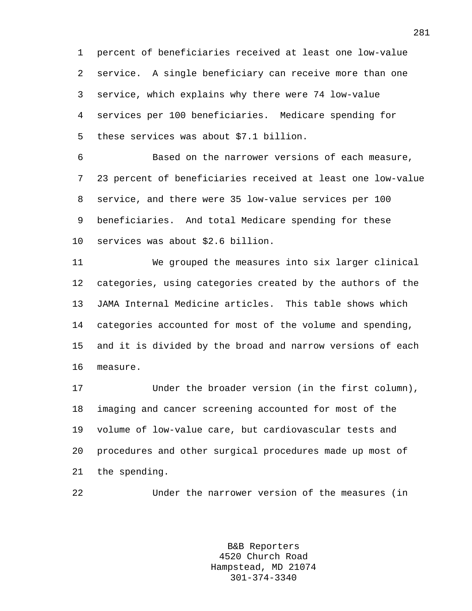1 percent of beneficiaries received at least one low-value 2 service. A single beneficiary can receive more than one 3 service, which explains why there were 74 low-value 4 services per 100 beneficiaries. Medicare spending for 5 these services was about \$7.1 billion.

6 Based on the narrower versions of each measure, 7 23 percent of beneficiaries received at least one low-value 8 service, and there were 35 low-value services per 100 9 beneficiaries. And total Medicare spending for these 10 services was about \$2.6 billion.

11 We grouped the measures into six larger clinical 12 categories, using categories created by the authors of the 13 JAMA Internal Medicine articles. This table shows which 14 categories accounted for most of the volume and spending, 15 and it is divided by the broad and narrow versions of each 16 measure.

17 Under the broader version (in the first column), 18 imaging and cancer screening accounted for most of the 19 volume of low-value care, but cardiovascular tests and 20 procedures and other surgical procedures made up most of 21 the spending.

22 Under the narrower version of the measures (in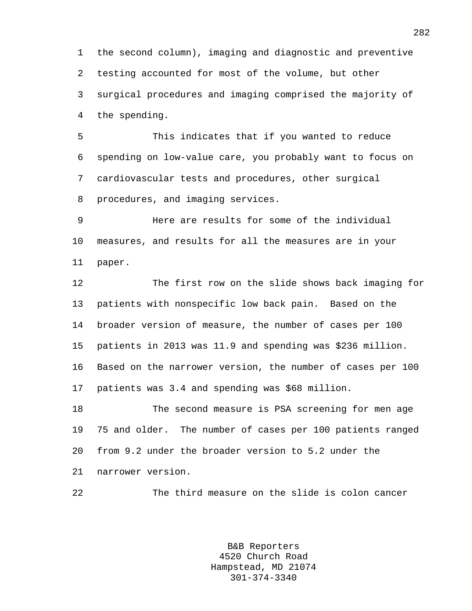1 the second column), imaging and diagnostic and preventive 2 testing accounted for most of the volume, but other 3 surgical procedures and imaging comprised the majority of 4 the spending.

5 This indicates that if you wanted to reduce 6 spending on low-value care, you probably want to focus on 7 cardiovascular tests and procedures, other surgical 8 procedures, and imaging services.

9 Here are results for some of the individual 10 measures, and results for all the measures are in your 11 paper.

12 The first row on the slide shows back imaging for 13 patients with nonspecific low back pain. Based on the 14 broader version of measure, the number of cases per 100 15 patients in 2013 was 11.9 and spending was \$236 million. 16 Based on the narrower version, the number of cases per 100 17 patients was 3.4 and spending was \$68 million.

18 The second measure is PSA screening for men age 19 75 and older. The number of cases per 100 patients ranged 20 from 9.2 under the broader version to 5.2 under the 21 narrower version.

22 The third measure on the slide is colon cancer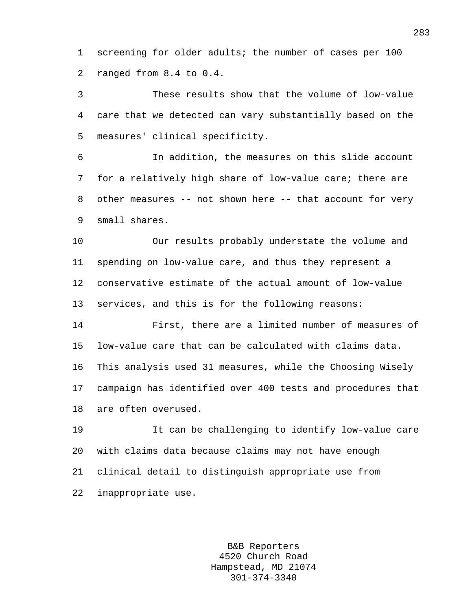1 screening for older adults; the number of cases per 100 2 ranged from 8.4 to 0.4.

3 These results show that the volume of low-value 4 care that we detected can vary substantially based on the 5 measures' clinical specificity.

6 In addition, the measures on this slide account 7 for a relatively high share of low-value care; there are 8 other measures -- not shown here -- that account for very 9 small shares.

10 Our results probably understate the volume and 11 spending on low-value care, and thus they represent a 12 conservative estimate of the actual amount of low-value 13 services, and this is for the following reasons:

14 First, there are a limited number of measures of 15 low-value care that can be calculated with claims data. 16 This analysis used 31 measures, while the Choosing Wisely 17 campaign has identified over 400 tests and procedures that 18 are often overused.

19 It can be challenging to identify low-value care 20 with claims data because claims may not have enough 21 clinical detail to distinguish appropriate use from 22 inappropriate use.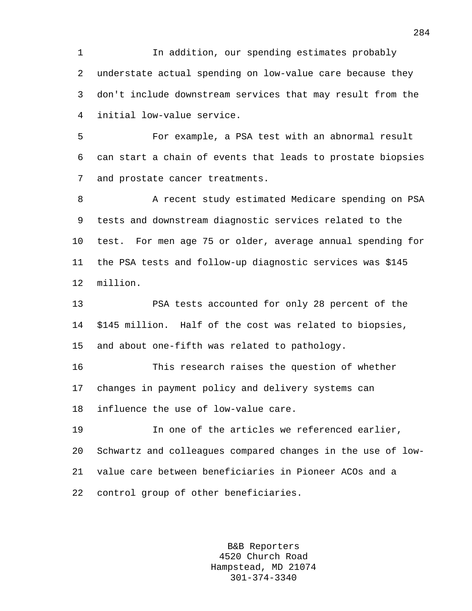1 In addition, our spending estimates probably 2 understate actual spending on low-value care because they 3 don't include downstream services that may result from the 4 initial low-value service.

5 For example, a PSA test with an abnormal result 6 can start a chain of events that leads to prostate biopsies 7 and prostate cancer treatments.

8 A recent study estimated Medicare spending on PSA 9 tests and downstream diagnostic services related to the 10 test. For men age 75 or older, average annual spending for 11 the PSA tests and follow-up diagnostic services was \$145 12 million.

13 PSA tests accounted for only 28 percent of the 14 \$145 million. Half of the cost was related to biopsies, 15 and about one-fifth was related to pathology.

16 This research raises the question of whether 17 changes in payment policy and delivery systems can 18 influence the use of low-value care.

19 In one of the articles we referenced earlier, 20 Schwartz and colleagues compared changes in the use of low-21 value care between beneficiaries in Pioneer ACOs and a 22 control group of other beneficiaries.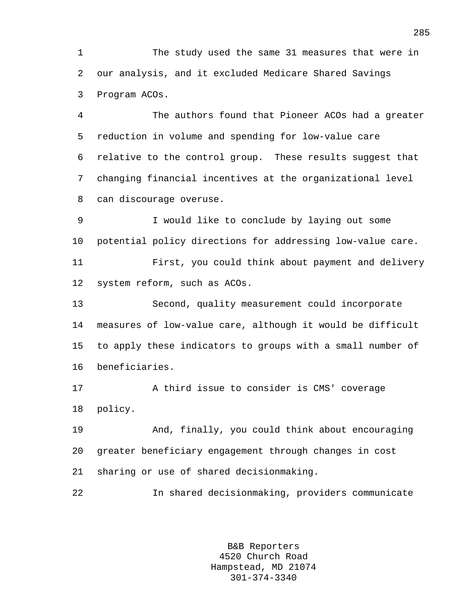1 The study used the same 31 measures that were in 2 our analysis, and it excluded Medicare Shared Savings 3 Program ACOs.

4 The authors found that Pioneer ACOs had a greater 5 reduction in volume and spending for low-value care 6 relative to the control group. These results suggest that 7 changing financial incentives at the organizational level 8 can discourage overuse.

9 I would like to conclude by laying out some 10 potential policy directions for addressing low-value care.

11 First, you could think about payment and delivery 12 system reform, such as ACOs.

13 Second, quality measurement could incorporate 14 measures of low-value care, although it would be difficult 15 to apply these indicators to groups with a small number of 16 beneficiaries.

17 A third issue to consider is CMS' coverage 18 policy.

19 And, finally, you could think about encouraging 20 greater beneficiary engagement through changes in cost 21 sharing or use of shared decisionmaking.

22 In shared decisionmaking, providers communicate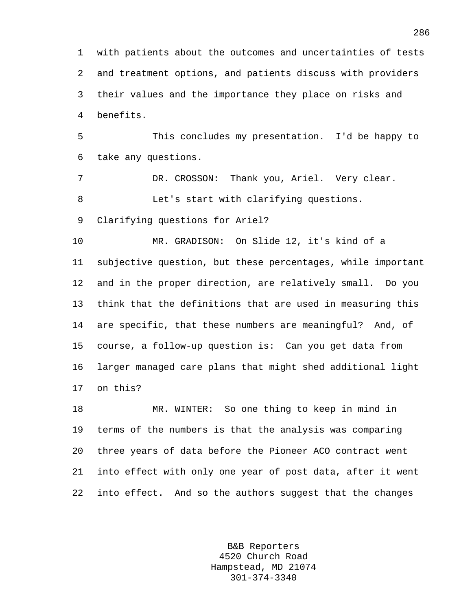1 with patients about the outcomes and uncertainties of tests 2 and treatment options, and patients discuss with providers 3 their values and the importance they place on risks and 4 benefits.

5 This concludes my presentation. I'd be happy to 6 take any questions.

7 DR. CROSSON: Thank you, Ariel. Very clear. 8 Let's start with clarifying questions.

9 Clarifying questions for Ariel?

10 MR. GRADISON: On Slide 12, it's kind of a 11 subjective question, but these percentages, while important 12 and in the proper direction, are relatively small. Do you 13 think that the definitions that are used in measuring this 14 are specific, that these numbers are meaningful? And, of 15 course, a follow-up question is: Can you get data from 16 larger managed care plans that might shed additional light 17 on this?

18 MR. WINTER: So one thing to keep in mind in 19 terms of the numbers is that the analysis was comparing 20 three years of data before the Pioneer ACO contract went 21 into effect with only one year of post data, after it went 22 into effect. And so the authors suggest that the changes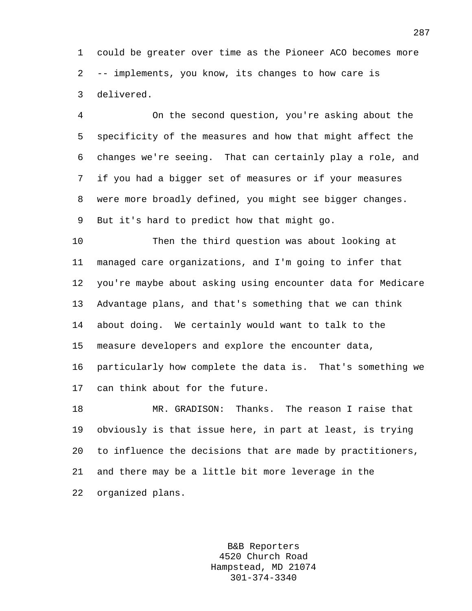1 could be greater over time as the Pioneer ACO becomes more 2 -- implements, you know, its changes to how care is 3 delivered.

4 On the second question, you're asking about the 5 specificity of the measures and how that might affect the 6 changes we're seeing. That can certainly play a role, and 7 if you had a bigger set of measures or if your measures 8 were more broadly defined, you might see bigger changes. 9 But it's hard to predict how that might go.

10 Then the third question was about looking at 11 managed care organizations, and I'm going to infer that 12 you're maybe about asking using encounter data for Medicare 13 Advantage plans, and that's something that we can think 14 about doing. We certainly would want to talk to the 15 measure developers and explore the encounter data, 16 particularly how complete the data is. That's something we 17 can think about for the future.

18 MR. GRADISON: Thanks. The reason I raise that 19 obviously is that issue here, in part at least, is trying 20 to influence the decisions that are made by practitioners, 21 and there may be a little bit more leverage in the 22 organized plans.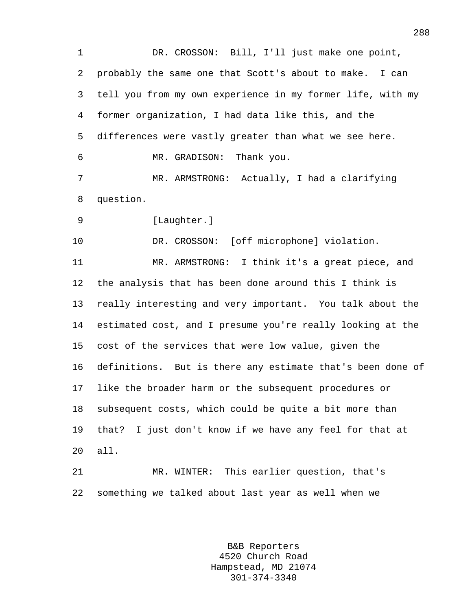1 DR. CROSSON: Bill, I'll just make one point, 2 probably the same one that Scott's about to make. I can 3 tell you from my own experience in my former life, with my 4 former organization, I had data like this, and the 5 differences were vastly greater than what we see here. 6 MR. GRADISON: Thank you. 7 MR. ARMSTRONG: Actually, I had a clarifying 8 question. 9 [Laughter.] 10 DR. CROSSON: [off microphone] violation. 11 MR. ARMSTRONG: I think it's a great piece, and 12 the analysis that has been done around this I think is 13 really interesting and very important. You talk about the 14 estimated cost, and I presume you're really looking at the 15 cost of the services that were low value, given the 16 definitions. But is there any estimate that's been done of 17 like the broader harm or the subsequent procedures or 18 subsequent costs, which could be quite a bit more than 19 that? I just don't know if we have any feel for that at 20 all. 21 MR. WINTER: This earlier question, that's 22 something we talked about last year as well when we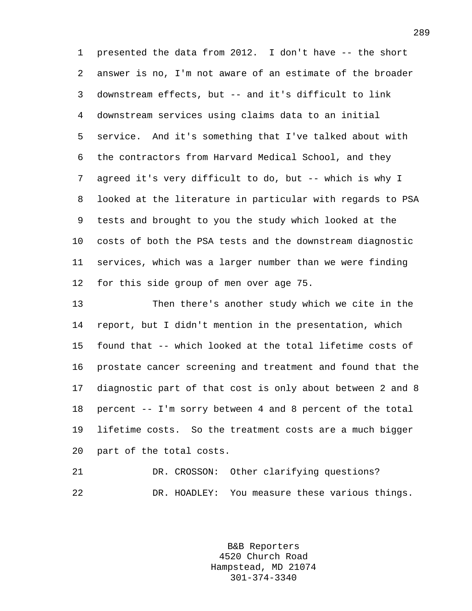1 presented the data from 2012. I don't have -- the short 2 answer is no, I'm not aware of an estimate of the broader 3 downstream effects, but -- and it's difficult to link 4 downstream services using claims data to an initial 5 service. And it's something that I've talked about with 6 the contractors from Harvard Medical School, and they 7 agreed it's very difficult to do, but -- which is why I 8 looked at the literature in particular with regards to PSA 9 tests and brought to you the study which looked at the 10 costs of both the PSA tests and the downstream diagnostic 11 services, which was a larger number than we were finding 12 for this side group of men over age 75.

13 Then there's another study which we cite in the 14 report, but I didn't mention in the presentation, which 15 found that -- which looked at the total lifetime costs of 16 prostate cancer screening and treatment and found that the 17 diagnostic part of that cost is only about between 2 and 8 18 percent -- I'm sorry between 4 and 8 percent of the total 19 lifetime costs. So the treatment costs are a much bigger 20 part of the total costs.

```
21 DR. CROSSON: Other clarifying questions? 
22 DR. HOADLEY: You measure these various things.
```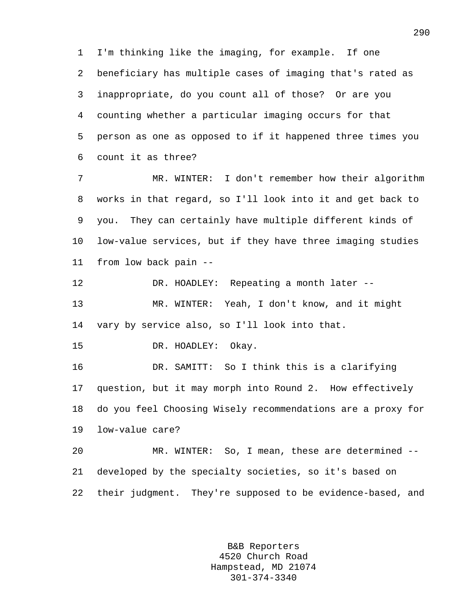1 I'm thinking like the imaging, for example. If one 2 beneficiary has multiple cases of imaging that's rated as 3 inappropriate, do you count all of those? Or are you 4 counting whether a particular imaging occurs for that 5 person as one as opposed to if it happened three times you 6 count it as three?

7 MR. WINTER: I don't remember how their algorithm 8 works in that regard, so I'll look into it and get back to 9 you. They can certainly have multiple different kinds of 10 low-value services, but if they have three imaging studies 11 from low back pain --

12 DR. HOADLEY: Repeating a month later -- 13 MR. WINTER: Yeah, I don't know, and it might 14 vary by service also, so I'll look into that.

15 DR. HOADLEY: Okay.

16 DR. SAMITT: So I think this is a clarifying 17 question, but it may morph into Round 2. How effectively 18 do you feel Choosing Wisely recommendations are a proxy for 19 low-value care?

20 MR. WINTER: So, I mean, these are determined -- 21 developed by the specialty societies, so it's based on 22 their judgment. They're supposed to be evidence-based, and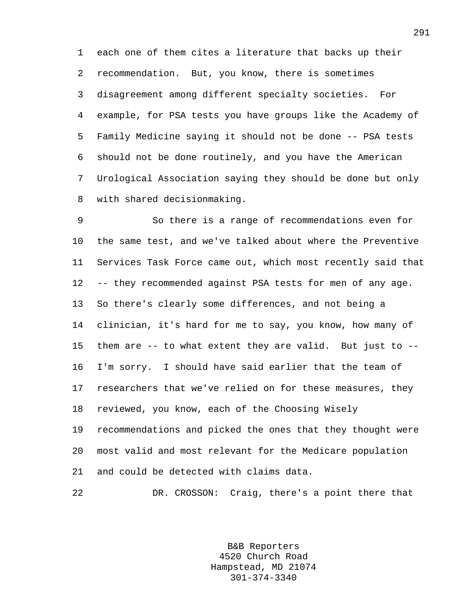1 each one of them cites a literature that backs up their 2 recommendation. But, you know, there is sometimes 3 disagreement among different specialty societies. For 4 example, for PSA tests you have groups like the Academy of 5 Family Medicine saying it should not be done -- PSA tests 6 should not be done routinely, and you have the American 7 Urological Association saying they should be done but only 8 with shared decisionmaking.

9 So there is a range of recommendations even for 10 the same test, and we've talked about where the Preventive 11 Services Task Force came out, which most recently said that 12 -- they recommended against PSA tests for men of any age. 13 So there's clearly some differences, and not being a 14 clinician, it's hard for me to say, you know, how many of 15 them are -- to what extent they are valid. But just to -- 16 I'm sorry. I should have said earlier that the team of 17 researchers that we've relied on for these measures, they 18 reviewed, you know, each of the Choosing Wisely 19 recommendations and picked the ones that they thought were 20 most valid and most relevant for the Medicare population 21 and could be detected with claims data.

22 DR. CROSSON: Craig, there's a point there that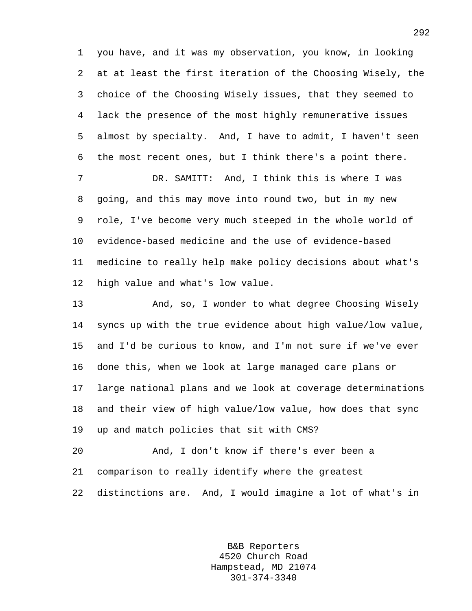1 you have, and it was my observation, you know, in looking 2 at at least the first iteration of the Choosing Wisely, the 3 choice of the Choosing Wisely issues, that they seemed to 4 lack the presence of the most highly remunerative issues 5 almost by specialty. And, I have to admit, I haven't seen 6 the most recent ones, but I think there's a point there.

7 DR. SAMITT: And, I think this is where I was 8 going, and this may move into round two, but in my new 9 role, I've become very much steeped in the whole world of 10 evidence-based medicine and the use of evidence-based 11 medicine to really help make policy decisions about what's 12 high value and what's low value.

13 And, so, I wonder to what degree Choosing Wisely 14 syncs up with the true evidence about high value/low value, 15 and I'd be curious to know, and I'm not sure if we've ever 16 done this, when we look at large managed care plans or 17 large national plans and we look at coverage determinations 18 and their view of high value/low value, how does that sync 19 up and match policies that sit with CMS?

20 And, I don't know if there's ever been a 21 comparison to really identify where the greatest 22 distinctions are. And, I would imagine a lot of what's in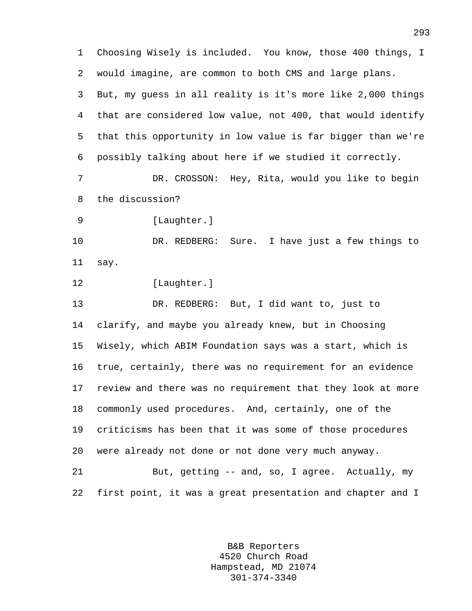1 Choosing Wisely is included. You know, those 400 things, I 2 would imagine, are common to both CMS and large plans. 3 But, my guess in all reality is it's more like 2,000 things 4 that are considered low value, not 400, that would identify 5 that this opportunity in low value is far bigger than we're 6 possibly talking about here if we studied it correctly. 7 DR. CROSSON: Hey, Rita, would you like to begin 8 the discussion? 9 [Laughter.] 10 DR. REDBERG: Sure. I have just a few things to 11 say. 12 [Laughter.] 13 DR. REDBERG: But, I did want to, just to 14 clarify, and maybe you already knew, but in Choosing 15 Wisely, which ABIM Foundation says was a start, which is 16 true, certainly, there was no requirement for an evidence 17 review and there was no requirement that they look at more 18 commonly used procedures. And, certainly, one of the 19 criticisms has been that it was some of those procedures 20 were already not done or not done very much anyway. 21 But, getting -- and, so, I agree. Actually, my 22 first point, it was a great presentation and chapter and I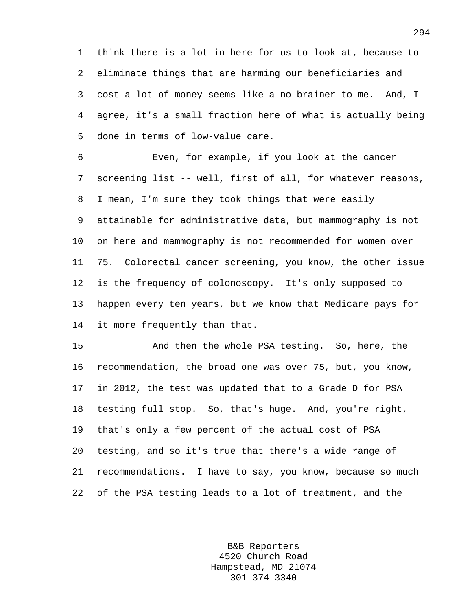1 think there is a lot in here for us to look at, because to 2 eliminate things that are harming our beneficiaries and 3 cost a lot of money seems like a no-brainer to me. And, I 4 agree, it's a small fraction here of what is actually being 5 done in terms of low-value care.

6 Even, for example, if you look at the cancer 7 screening list -- well, first of all, for whatever reasons, 8 I mean, I'm sure they took things that were easily 9 attainable for administrative data, but mammography is not 10 on here and mammography is not recommended for women over 11 75. Colorectal cancer screening, you know, the other issue 12 is the frequency of colonoscopy. It's only supposed to 13 happen every ten years, but we know that Medicare pays for 14 it more frequently than that.

15 And then the whole PSA testing. So, here, the 16 recommendation, the broad one was over 75, but, you know, 17 in 2012, the test was updated that to a Grade D for PSA 18 testing full stop. So, that's huge. And, you're right, 19 that's only a few percent of the actual cost of PSA 20 testing, and so it's true that there's a wide range of 21 recommendations. I have to say, you know, because so much 22 of the PSA testing leads to a lot of treatment, and the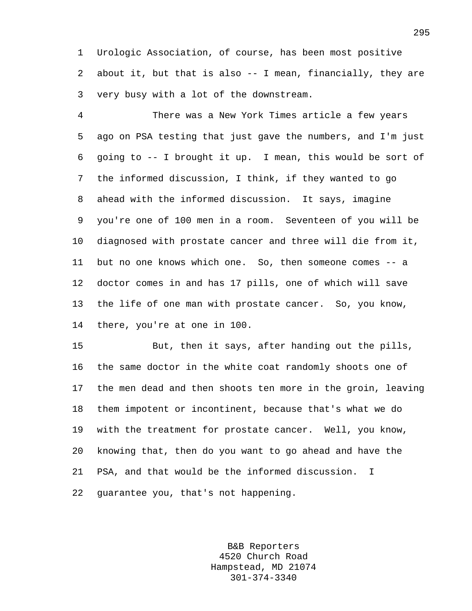1 Urologic Association, of course, has been most positive 2 about it, but that is also -- I mean, financially, they are 3 very busy with a lot of the downstream.

4 There was a New York Times article a few years 5 ago on PSA testing that just gave the numbers, and I'm just 6 going to -- I brought it up. I mean, this would be sort of 7 the informed discussion, I think, if they wanted to go 8 ahead with the informed discussion. It says, imagine 9 you're one of 100 men in a room. Seventeen of you will be 10 diagnosed with prostate cancer and three will die from it, 11 but no one knows which one. So, then someone comes -- a 12 doctor comes in and has 17 pills, one of which will save 13 the life of one man with prostate cancer. So, you know, 14 there, you're at one in 100.

15 But, then it says, after handing out the pills, 16 the same doctor in the white coat randomly shoots one of 17 the men dead and then shoots ten more in the groin, leaving 18 them impotent or incontinent, because that's what we do 19 with the treatment for prostate cancer. Well, you know, 20 knowing that, then do you want to go ahead and have the 21 PSA, and that would be the informed discussion. I 22 guarantee you, that's not happening.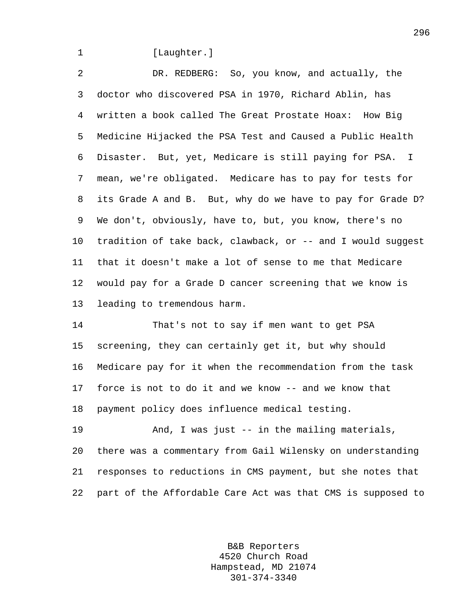#### 1 [Laughter.]

2 DR. REDBERG: So, you know, and actually, the 3 doctor who discovered PSA in 1970, Richard Ablin, has 4 written a book called The Great Prostate Hoax: How Big 5 Medicine Hijacked the PSA Test and Caused a Public Health 6 Disaster. But, yet, Medicare is still paying for PSA. I 7 mean, we're obligated. Medicare has to pay for tests for 8 its Grade A and B. But, why do we have to pay for Grade D? 9 We don't, obviously, have to, but, you know, there's no 10 tradition of take back, clawback, or -- and I would suggest 11 that it doesn't make a lot of sense to me that Medicare 12 would pay for a Grade D cancer screening that we know is 13 leading to tremendous harm.

14 That's not to say if men want to get PSA 15 screening, they can certainly get it, but why should 16 Medicare pay for it when the recommendation from the task 17 force is not to do it and we know -- and we know that 18 payment policy does influence medical testing.

19 And, I was just -- in the mailing materials, 20 there was a commentary from Gail Wilensky on understanding 21 responses to reductions in CMS payment, but she notes that 22 part of the Affordable Care Act was that CMS is supposed to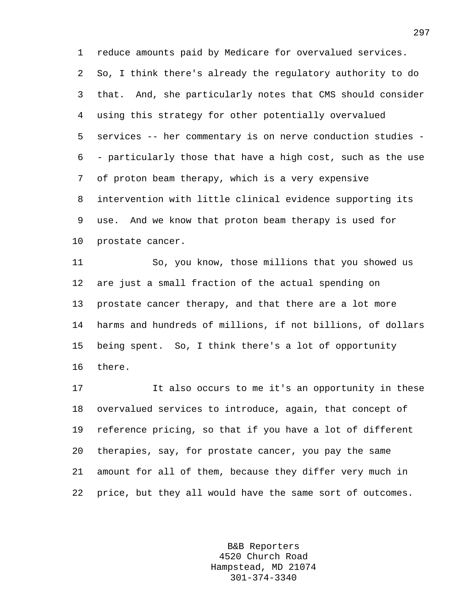1 reduce amounts paid by Medicare for overvalued services. 2 So, I think there's already the regulatory authority to do 3 that. And, she particularly notes that CMS should consider 4 using this strategy for other potentially overvalued 5 services -- her commentary is on nerve conduction studies - 6 - particularly those that have a high cost, such as the use 7 of proton beam therapy, which is a very expensive 8 intervention with little clinical evidence supporting its 9 use. And we know that proton beam therapy is used for 10 prostate cancer.

11 So, you know, those millions that you showed us 12 are just a small fraction of the actual spending on 13 prostate cancer therapy, and that there are a lot more 14 harms and hundreds of millions, if not billions, of dollars 15 being spent. So, I think there's a lot of opportunity 16 there.

17 It also occurs to me it's an opportunity in these 18 overvalued services to introduce, again, that concept of 19 reference pricing, so that if you have a lot of different 20 therapies, say, for prostate cancer, you pay the same 21 amount for all of them, because they differ very much in 22 price, but they all would have the same sort of outcomes.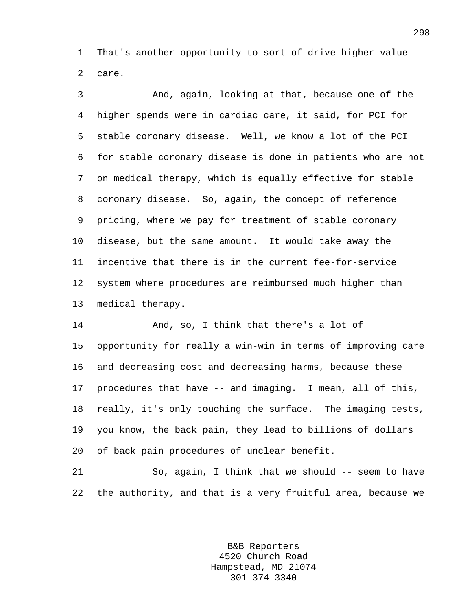1 That's another opportunity to sort of drive higher-value 2 care.

3 And, again, looking at that, because one of the 4 higher spends were in cardiac care, it said, for PCI for 5 stable coronary disease. Well, we know a lot of the PCI 6 for stable coronary disease is done in patients who are not 7 on medical therapy, which is equally effective for stable 8 coronary disease. So, again, the concept of reference 9 pricing, where we pay for treatment of stable coronary 10 disease, but the same amount. It would take away the 11 incentive that there is in the current fee-for-service 12 system where procedures are reimbursed much higher than 13 medical therapy.

14 And, so, I think that there's a lot of 15 opportunity for really a win-win in terms of improving care 16 and decreasing cost and decreasing harms, because these 17 procedures that have -- and imaging. I mean, all of this, 18 really, it's only touching the surface. The imaging tests, 19 you know, the back pain, they lead to billions of dollars 20 of back pain procedures of unclear benefit.

21 So, again, I think that we should -- seem to have 22 the authority, and that is a very fruitful area, because we

> B&B Reporters 4520 Church Road Hampstead, MD 21074 301-374-3340

298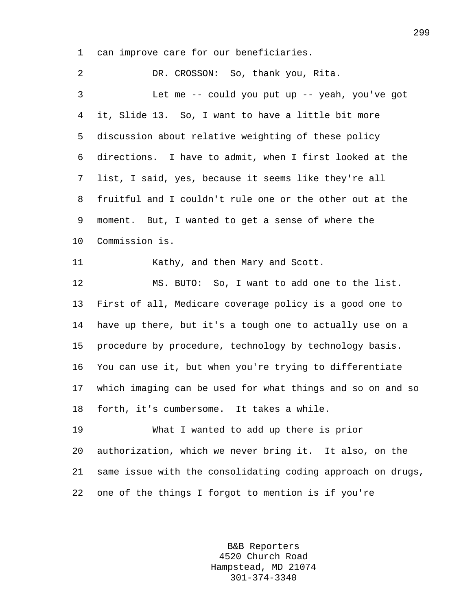1 can improve care for our beneficiaries.

2 DR. CROSSON: So, thank you, Rita. 3 Let me -- could you put up -- yeah, you've got 4 it, Slide 13. So, I want to have a little bit more 5 discussion about relative weighting of these policy 6 directions. I have to admit, when I first looked at the 7 list, I said, yes, because it seems like they're all 8 fruitful and I couldn't rule one or the other out at the 9 moment. But, I wanted to get a sense of where the 10 Commission is. 11 Kathy, and then Mary and Scott. 12 MS. BUTO: So, I want to add one to the list. 13 First of all, Medicare coverage policy is a good one to 14 have up there, but it's a tough one to actually use on a 15 procedure by procedure, technology by technology basis. 16 You can use it, but when you're trying to differentiate 17 which imaging can be used for what things and so on and so 18 forth, it's cumbersome. It takes a while. 19 What I wanted to add up there is prior 20 authorization, which we never bring it. It also, on the 21 same issue with the consolidating coding approach on drugs, 22 one of the things I forgot to mention is if you're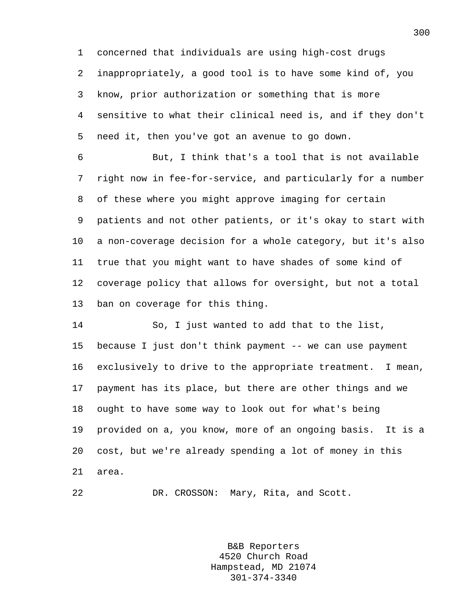1 concerned that individuals are using high-cost drugs 2 inappropriately, a good tool is to have some kind of, you 3 know, prior authorization or something that is more 4 sensitive to what their clinical need is, and if they don't 5 need it, then you've got an avenue to go down.

6 But, I think that's a tool that is not available 7 right now in fee-for-service, and particularly for a number 8 of these where you might approve imaging for certain 9 patients and not other patients, or it's okay to start with 10 a non-coverage decision for a whole category, but it's also 11 true that you might want to have shades of some kind of 12 coverage policy that allows for oversight, but not a total 13 ban on coverage for this thing.

14 So, I just wanted to add that to the list, 15 because I just don't think payment -- we can use payment 16 exclusively to drive to the appropriate treatment. I mean, 17 payment has its place, but there are other things and we 18 ought to have some way to look out for what's being 19 provided on a, you know, more of an ongoing basis. It is a 20 cost, but we're already spending a lot of money in this 21 area.

22 DR. CROSSON: Mary, Rita, and Scott.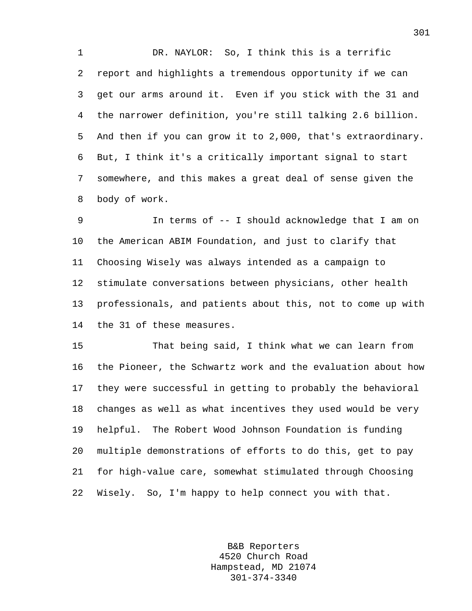1 DR. NAYLOR: So, I think this is a terrific 2 report and highlights a tremendous opportunity if we can 3 get our arms around it. Even if you stick with the 31 and 4 the narrower definition, you're still talking 2.6 billion. 5 And then if you can grow it to 2,000, that's extraordinary. 6 But, I think it's a critically important signal to start 7 somewhere, and this makes a great deal of sense given the 8 body of work.

9 In terms of -- I should acknowledge that I am on 10 the American ABIM Foundation, and just to clarify that 11 Choosing Wisely was always intended as a campaign to 12 stimulate conversations between physicians, other health 13 professionals, and patients about this, not to come up with 14 the 31 of these measures.

15 That being said, I think what we can learn from 16 the Pioneer, the Schwartz work and the evaluation about how 17 they were successful in getting to probably the behavioral 18 changes as well as what incentives they used would be very 19 helpful. The Robert Wood Johnson Foundation is funding 20 multiple demonstrations of efforts to do this, get to pay 21 for high-value care, somewhat stimulated through Choosing 22 Wisely. So, I'm happy to help connect you with that.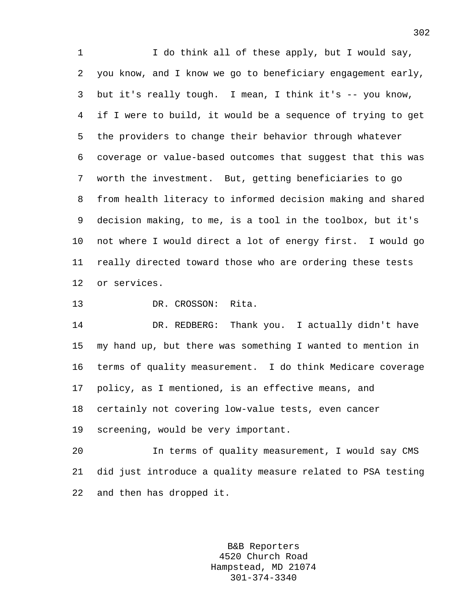1 I do think all of these apply, but I would say, 2 you know, and I know we go to beneficiary engagement early, 3 but it's really tough. I mean, I think it's -- you know, 4 if I were to build, it would be a sequence of trying to get 5 the providers to change their behavior through whatever 6 coverage or value-based outcomes that suggest that this was 7 worth the investment. But, getting beneficiaries to go 8 from health literacy to informed decision making and shared 9 decision making, to me, is a tool in the toolbox, but it's 10 not where I would direct a lot of energy first. I would go 11 really directed toward those who are ordering these tests 12 or services.

13 DR. CROSSON: Rita.

14 DR. REDBERG: Thank you. I actually didn't have 15 my hand up, but there was something I wanted to mention in 16 terms of quality measurement. I do think Medicare coverage 17 policy, as I mentioned, is an effective means, and 18 certainly not covering low-value tests, even cancer 19 screening, would be very important.

20 In terms of quality measurement, I would say CMS 21 did just introduce a quality measure related to PSA testing 22 and then has dropped it.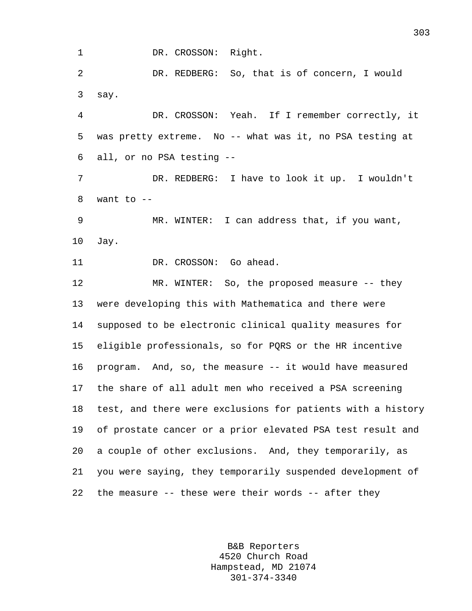1 DR. CROSSON: Right.

2 DR. REDBERG: So, that is of concern, I would 3 say.

4 DR. CROSSON: Yeah. If I remember correctly, it 5 was pretty extreme. No -- what was it, no PSA testing at 6 all, or no PSA testing --

7 DR. REDBERG: I have to look it up. I wouldn't 8 want to --

9 MR. WINTER: I can address that, if you want, 10 Jay.

11 DR. CROSSON: Go ahead.

12 MR. WINTER: So, the proposed measure -- they 13 were developing this with Mathematica and there were 14 supposed to be electronic clinical quality measures for 15 eligible professionals, so for PQRS or the HR incentive 16 program. And, so, the measure -- it would have measured 17 the share of all adult men who received a PSA screening 18 test, and there were exclusions for patients with a history 19 of prostate cancer or a prior elevated PSA test result and 20 a couple of other exclusions. And, they temporarily, as 21 you were saying, they temporarily suspended development of 22 the measure -- these were their words -- after they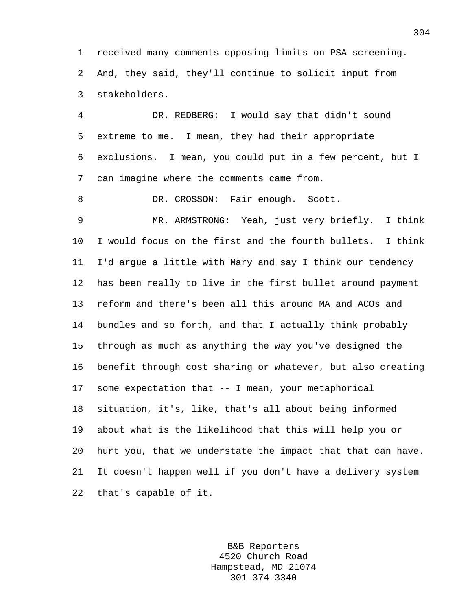1 received many comments opposing limits on PSA screening. 2 And, they said, they'll continue to solicit input from 3 stakeholders.

4 DR. REDBERG: I would say that didn't sound 5 extreme to me. I mean, they had their appropriate 6 exclusions. I mean, you could put in a few percent, but I 7 can imagine where the comments came from.

8 DR. CROSSON: Fair enough. Scott.

9 MR. ARMSTRONG: Yeah, just very briefly. I think 10 I would focus on the first and the fourth bullets. I think 11 I'd argue a little with Mary and say I think our tendency 12 has been really to live in the first bullet around payment 13 reform and there's been all this around MA and ACOs and 14 bundles and so forth, and that I actually think probably 15 through as much as anything the way you've designed the 16 benefit through cost sharing or whatever, but also creating 17 some expectation that -- I mean, your metaphorical 18 situation, it's, like, that's all about being informed 19 about what is the likelihood that this will help you or 20 hurt you, that we understate the impact that that can have. 21 It doesn't happen well if you don't have a delivery system 22 that's capable of it.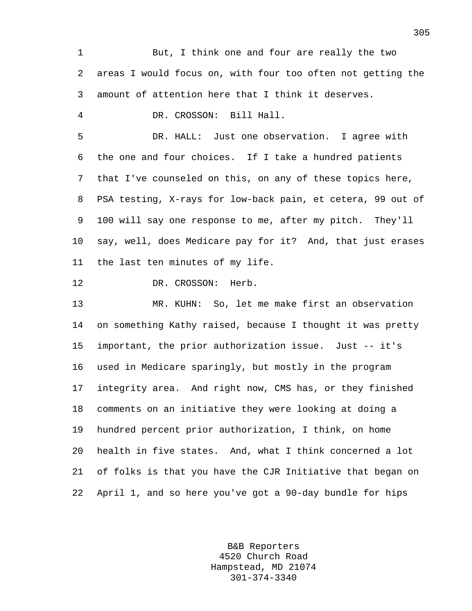1 But, I think one and four are really the two 2 areas I would focus on, with four too often not getting the 3 amount of attention here that I think it deserves. 4 DR. CROSSON: Bill Hall. 5 DR. HALL: Just one observation. I agree with 6 the one and four choices. If I take a hundred patients 7 that I've counseled on this, on any of these topics here, 8 PSA testing, X-rays for low-back pain, et cetera, 99 out of 9 100 will say one response to me, after my pitch. They'll 10 say, well, does Medicare pay for it? And, that just erases 11 the last ten minutes of my life. 12 DR. CROSSON: Herb. 13 MR. KUHN: So, let me make first an observation 14 on something Kathy raised, because I thought it was pretty 15 important, the prior authorization issue. Just -- it's 16 used in Medicare sparingly, but mostly in the program 17 integrity area. And right now, CMS has, or they finished 18 comments on an initiative they were looking at doing a 19 hundred percent prior authorization, I think, on home 20 health in five states. And, what I think concerned a lot 21 of folks is that you have the CJR Initiative that began on 22 April 1, and so here you've got a 90-day bundle for hips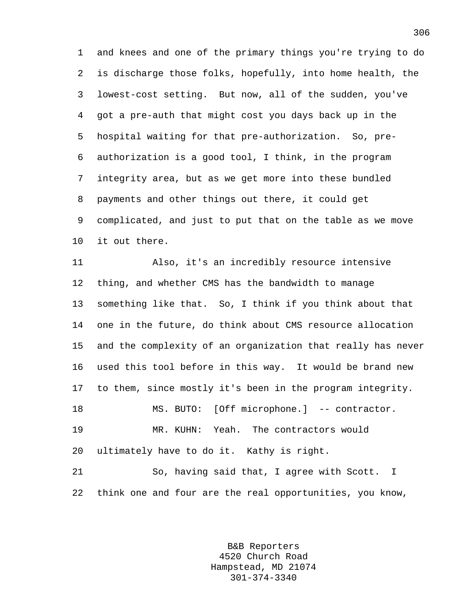1 and knees and one of the primary things you're trying to do 2 is discharge those folks, hopefully, into home health, the 3 lowest-cost setting. But now, all of the sudden, you've 4 got a pre-auth that might cost you days back up in the 5 hospital waiting for that pre-authorization. So, pre-6 authorization is a good tool, I think, in the program 7 integrity area, but as we get more into these bundled 8 payments and other things out there, it could get 9 complicated, and just to put that on the table as we move 10 it out there.

11 Also, it's an incredibly resource intensive 12 thing, and whether CMS has the bandwidth to manage 13 something like that. So, I think if you think about that 14 one in the future, do think about CMS resource allocation 15 and the complexity of an organization that really has never 16 used this tool before in this way. It would be brand new 17 to them, since mostly it's been in the program integrity. 18 MS. BUTO: [Off microphone.] -- contractor. 19 MR. KUHN: Yeah. The contractors would 20 ultimately have to do it. Kathy is right. 21 So, having said that, I agree with Scott. I 22 think one and four are the real opportunities, you know,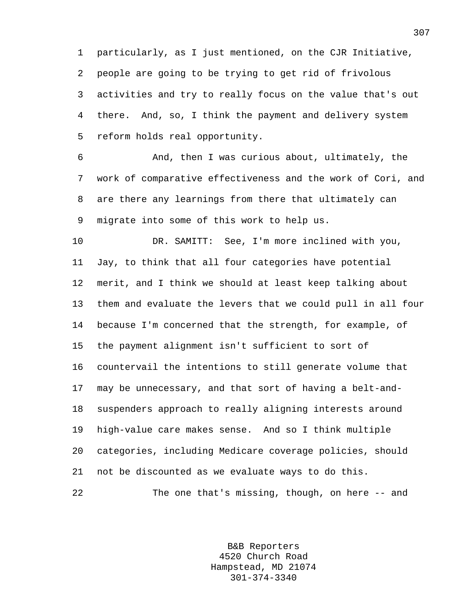1 particularly, as I just mentioned, on the CJR Initiative, 2 people are going to be trying to get rid of frivolous 3 activities and try to really focus on the value that's out 4 there. And, so, I think the payment and delivery system 5 reform holds real opportunity.

6 And, then I was curious about, ultimately, the 7 work of comparative effectiveness and the work of Cori, and 8 are there any learnings from there that ultimately can 9 migrate into some of this work to help us.

10 DR. SAMITT: See, I'm more inclined with you, 11 Jay, to think that all four categories have potential 12 merit, and I think we should at least keep talking about 13 them and evaluate the levers that we could pull in all four 14 because I'm concerned that the strength, for example, of 15 the payment alignment isn't sufficient to sort of 16 countervail the intentions to still generate volume that 17 may be unnecessary, and that sort of having a belt-and-18 suspenders approach to really aligning interests around 19 high-value care makes sense. And so I think multiple 20 categories, including Medicare coverage policies, should 21 not be discounted as we evaluate ways to do this. 22 The one that's missing, though, on here -- and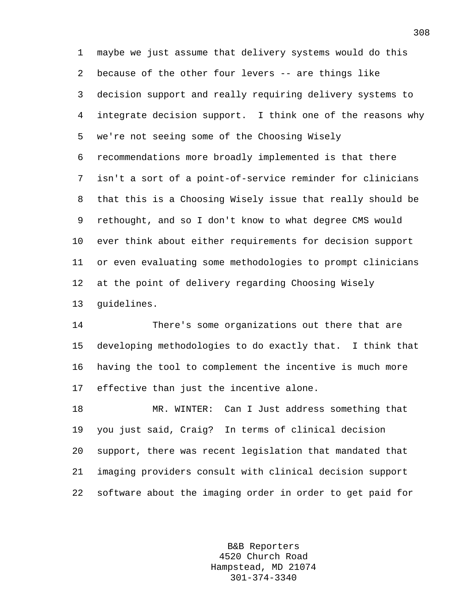1 maybe we just assume that delivery systems would do this 2 because of the other four levers -- are things like 3 decision support and really requiring delivery systems to 4 integrate decision support. I think one of the reasons why 5 we're not seeing some of the Choosing Wisely 6 recommendations more broadly implemented is that there 7 isn't a sort of a point-of-service reminder for clinicians 8 that this is a Choosing Wisely issue that really should be 9 rethought, and so I don't know to what degree CMS would 10 ever think about either requirements for decision support 11 or even evaluating some methodologies to prompt clinicians 12 at the point of delivery regarding Choosing Wisely 13 guidelines.

14 There's some organizations out there that are 15 developing methodologies to do exactly that. I think that 16 having the tool to complement the incentive is much more 17 effective than just the incentive alone.

18 MR. WINTER: Can I Just address something that 19 you just said, Craig? In terms of clinical decision 20 support, there was recent legislation that mandated that 21 imaging providers consult with clinical decision support 22 software about the imaging order in order to get paid for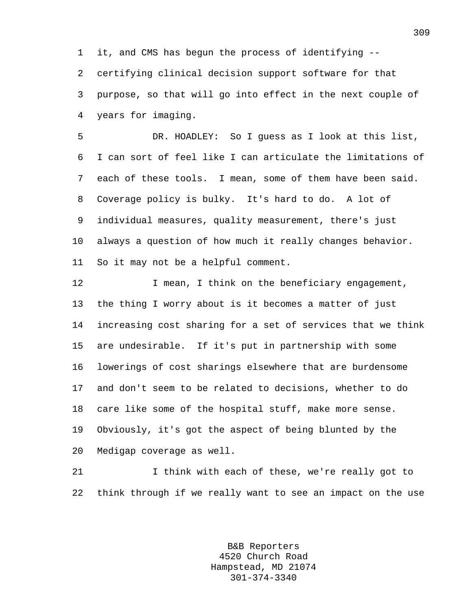1 it, and CMS has begun the process of identifying --

2 certifying clinical decision support software for that 3 purpose, so that will go into effect in the next couple of 4 years for imaging.

5 DR. HOADLEY: So I guess as I look at this list, 6 I can sort of feel like I can articulate the limitations of 7 each of these tools. I mean, some of them have been said. 8 Coverage policy is bulky. It's hard to do. A lot of 9 individual measures, quality measurement, there's just 10 always a question of how much it really changes behavior. 11 So it may not be a helpful comment.

12 I mean, I think on the beneficiary engagement, 13 the thing I worry about is it becomes a matter of just 14 increasing cost sharing for a set of services that we think 15 are undesirable. If it's put in partnership with some 16 lowerings of cost sharings elsewhere that are burdensome 17 and don't seem to be related to decisions, whether to do 18 care like some of the hospital stuff, make more sense. 19 Obviously, it's got the aspect of being blunted by the 20 Medigap coverage as well.

21 I think with each of these, we're really got to 22 think through if we really want to see an impact on the use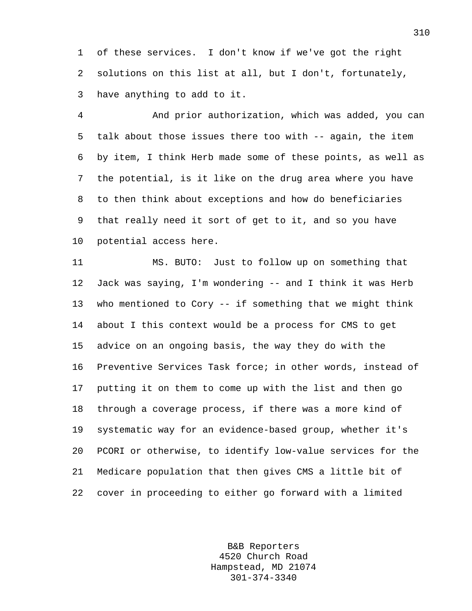1 of these services. I don't know if we've got the right 2 solutions on this list at all, but I don't, fortunately, 3 have anything to add to it.

4 And prior authorization, which was added, you can 5 talk about those issues there too with -- again, the item 6 by item, I think Herb made some of these points, as well as 7 the potential, is it like on the drug area where you have 8 to then think about exceptions and how do beneficiaries 9 that really need it sort of get to it, and so you have 10 potential access here.

11 MS. BUTO: Just to follow up on something that 12 Jack was saying, I'm wondering -- and I think it was Herb 13 who mentioned to Cory -- if something that we might think 14 about I this context would be a process for CMS to get 15 advice on an ongoing basis, the way they do with the 16 Preventive Services Task force; in other words, instead of 17 putting it on them to come up with the list and then go 18 through a coverage process, if there was a more kind of 19 systematic way for an evidence-based group, whether it's 20 PCORI or otherwise, to identify low-value services for the 21 Medicare population that then gives CMS a little bit of 22 cover in proceeding to either go forward with a limited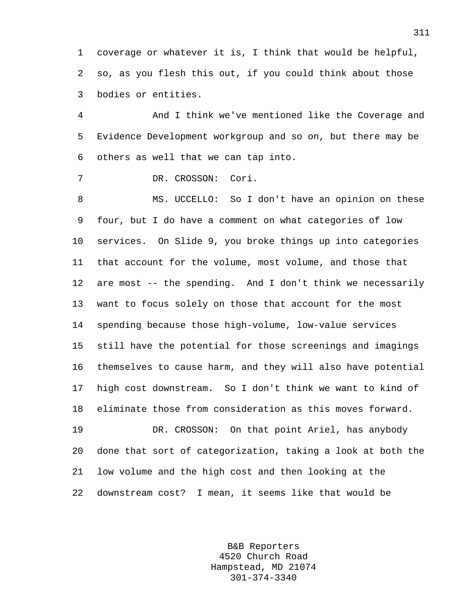1 coverage or whatever it is, I think that would be helpful, 2 so, as you flesh this out, if you could think about those 3 bodies or entities.

4 And I think we've mentioned like the Coverage and 5 Evidence Development workgroup and so on, but there may be 6 others as well that we can tap into.

7 DR. CROSSON: Cori.

8 MS. UCCELLO: So I don't have an opinion on these 9 four, but I do have a comment on what categories of low 10 services. On Slide 9, you broke things up into categories 11 that account for the volume, most volume, and those that 12 are most -- the spending. And I don't think we necessarily 13 want to focus solely on those that account for the most 14 spending because those high-volume, low-value services 15 still have the potential for those screenings and imagings 16 themselves to cause harm, and they will also have potential 17 high cost downstream. So I don't think we want to kind of 18 eliminate those from consideration as this moves forward. 19 DR. CROSSON: On that point Ariel, has anybody

20 done that sort of categorization, taking a look at both the 21 low volume and the high cost and then looking at the 22 downstream cost? I mean, it seems like that would be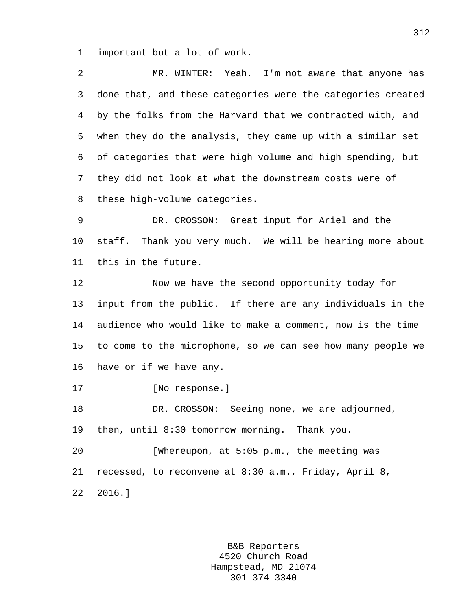1 important but a lot of work.

| 2               | MR. WINTER: Yeah. I'm not aware that anyone has             |
|-----------------|-------------------------------------------------------------|
| 3               | done that, and these categories were the categories created |
| 4               | by the folks from the Harvard that we contracted with, and  |
| 5               | when they do the analysis, they came up with a similar set  |
| 6               | of categories that were high volume and high spending, but  |
| 7               | they did not look at what the downstream costs were of      |
| 8               | these high-volume categories.                               |
| 9               | DR. CROSSON: Great input for Ariel and the                  |
| $10 \,$         | staff. Thank you very much. We will be hearing more about   |
| 11              | this in the future.                                         |
| 12              | Now we have the second opportunity today for                |
| 13              | input from the public. If there are any individuals in the  |
| 14              | audience who would like to make a comment, now is the time  |
| 15 <sub>1</sub> | to come to the microphone, so we can see how many people we |
| 16              | have or if we have any.                                     |
| 17              | [No response.]                                              |
| 18              | Seeing none, we are adjourned,<br>DR. CROSSON:              |
| 19              | then, until 8:30 tomorrow morning. Thank you.               |
| 20              | [Whereupon, at 5:05 p.m., the meeting was                   |
| 21              | recessed, to reconvene at 8:30 a.m., Friday, April 8,       |
| 22              | 2016.                                                       |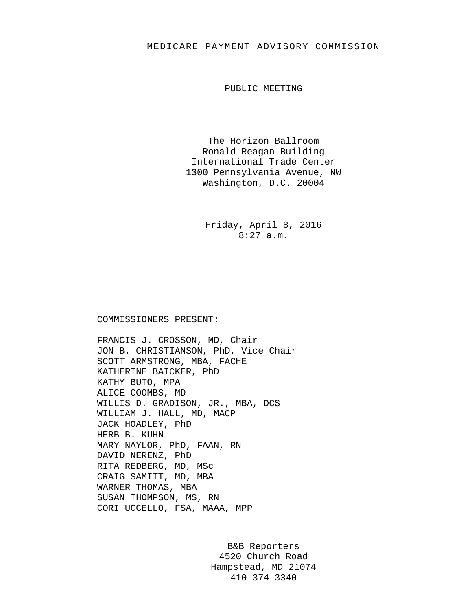## MEDICARE PAYMENT ADVISORY COMMISSION

PUBLIC MEETING

The Horizon Ballroom Ronald Reagan Building International Trade Center 1300 Pennsylvania Avenue, NW Washington, D.C. 20004

> Friday, April 8, 2016 8:27 a.m.

### COMMISSIONERS PRESENT:

FRANCIS J. CROSSON, MD, Chair JON B. CHRISTIANSON, PhD, Vice Chair SCOTT ARMSTRONG, MBA, FACHE KATHERINE BAICKER, PhD KATHY BUTO, MPA ALICE COOMBS, MD WILLIS D. GRADISON, JR., MBA, DCS WILLIAM J. HALL, MD, MACP JACK HOADLEY, PhD HERB B. KUHN MARY NAYLOR, PhD, FAAN, RN DAVID NERENZ, PhD RITA REDBERG, MD, MSc CRAIG SAMITT, MD, MBA WARNER THOMAS, MBA SUSAN THOMPSON, MS, RN CORI UCCELLO, FSA, MAAA, MPP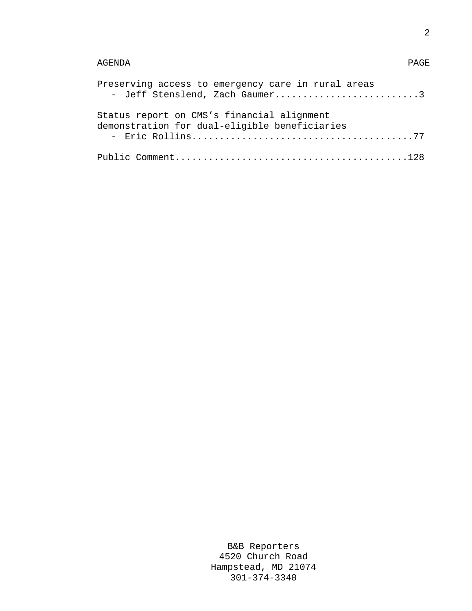# AGENDA PAGE

| Preserving access to emergency care in rural areas<br>- Jeff Stenslend, Zach Gaumer3        |
|---------------------------------------------------------------------------------------------|
| Status report on CMS's financial alignment<br>demonstration for dual-eligible beneficiaries |
|                                                                                             |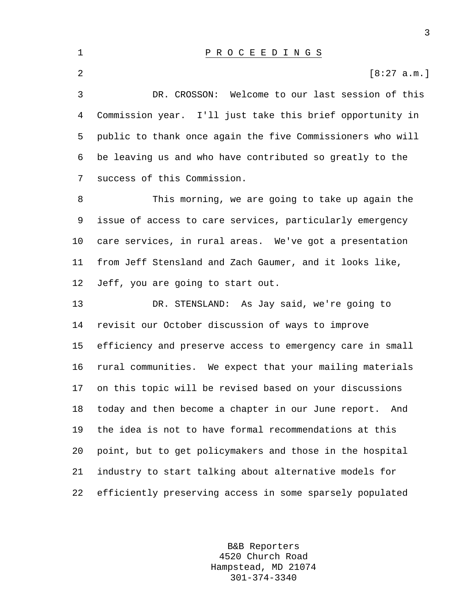3 DR. CROSSON: Welcome to our last session of this 4 Commission year. I'll just take this brief opportunity in 5 public to thank once again the five Commissioners who will 6 be leaving us and who have contributed so greatly to the 7 success of this Commission.

2  $[8:27 \text{ a.m.}]$ 

8 This morning, we are going to take up again the 9 issue of access to care services, particularly emergency 10 care services, in rural areas. We've got a presentation 11 from Jeff Stensland and Zach Gaumer, and it looks like, 12 Jeff, you are going to start out.

13 DR. STENSLAND: As Jay said, we're going to 14 revisit our October discussion of ways to improve 15 efficiency and preserve access to emergency care in small 16 rural communities. We expect that your mailing materials 17 on this topic will be revised based on your discussions 18 today and then become a chapter in our June report. And 19 the idea is not to have formal recommendations at this 20 point, but to get policymakers and those in the hospital 21 industry to start talking about alternative models for 22 efficiently preserving access in some sparsely populated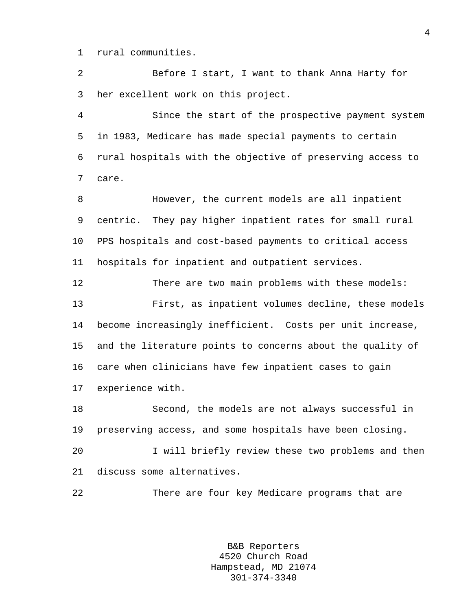1 rural communities.

2 Before I start, I want to thank Anna Harty for 3 her excellent work on this project.

4 Since the start of the prospective payment system 5 in 1983, Medicare has made special payments to certain 6 rural hospitals with the objective of preserving access to 7 care.

8 However, the current models are all inpatient 9 centric. They pay higher inpatient rates for small rural 10 PPS hospitals and cost-based payments to critical access 11 hospitals for inpatient and outpatient services.

12 There are two main problems with these models: 13 First, as inpatient volumes decline, these models 14 become increasingly inefficient. Costs per unit increase, 15 and the literature points to concerns about the quality of 16 care when clinicians have few inpatient cases to gain 17 experience with.

18 Second, the models are not always successful in 19 preserving access, and some hospitals have been closing.

20 I will briefly review these two problems and then 21 discuss some alternatives.

22 There are four key Medicare programs that are

B&B Reporters 4520 Church Road Hampstead, MD 21074 301-374-3340

4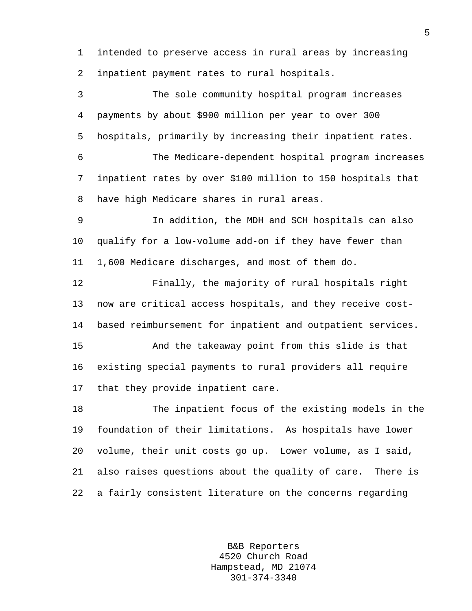1 intended to preserve access in rural areas by increasing 2 inpatient payment rates to rural hospitals.

3 The sole community hospital program increases 4 payments by about \$900 million per year to over 300 5 hospitals, primarily by increasing their inpatient rates. 6 The Medicare-dependent hospital program increases 7 inpatient rates by over \$100 million to 150 hospitals that 8 have high Medicare shares in rural areas. 9 In addition, the MDH and SCH hospitals can also 10 qualify for a low-volume add-on if they have fewer than 11 1,600 Medicare discharges, and most of them do. 12 Finally, the majority of rural hospitals right 13 now are critical access hospitals, and they receive cost-14 based reimbursement for inpatient and outpatient services. 15 And the takeaway point from this slide is that 16 existing special payments to rural providers all require 17 that they provide inpatient care. 18 The inpatient focus of the existing models in the 19 foundation of their limitations. As hospitals have lower 20 volume, their unit costs go up. Lower volume, as I said, 21 also raises questions about the quality of care. There is 22 a fairly consistent literature on the concerns regarding

> B&B Reporters 4520 Church Road Hampstead, MD 21074 301-374-3340

5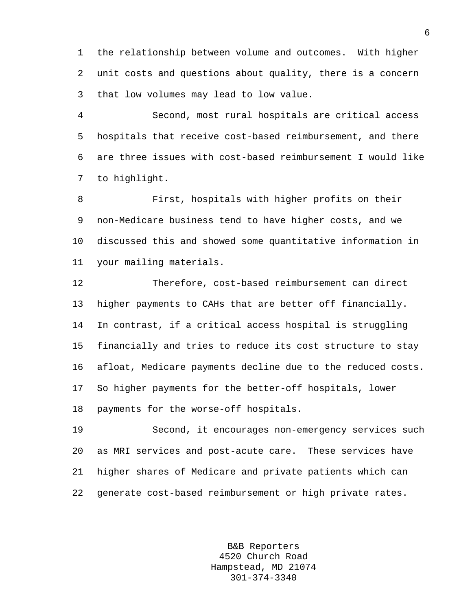1 the relationship between volume and outcomes. With higher 2 unit costs and questions about quality, there is a concern 3 that low volumes may lead to low value.

4 Second, most rural hospitals are critical access 5 hospitals that receive cost-based reimbursement, and there 6 are three issues with cost-based reimbursement I would like 7 to highlight.

8 First, hospitals with higher profits on their 9 non-Medicare business tend to have higher costs, and we 10 discussed this and showed some quantitative information in 11 your mailing materials.

12 Therefore, cost-based reimbursement can direct 13 higher payments to CAHs that are better off financially. 14 In contrast, if a critical access hospital is struggling 15 financially and tries to reduce its cost structure to stay 16 afloat, Medicare payments decline due to the reduced costs. 17 So higher payments for the better-off hospitals, lower 18 payments for the worse-off hospitals.

19 Second, it encourages non-emergency services such 20 as MRI services and post-acute care. These services have 21 higher shares of Medicare and private patients which can 22 generate cost-based reimbursement or high private rates.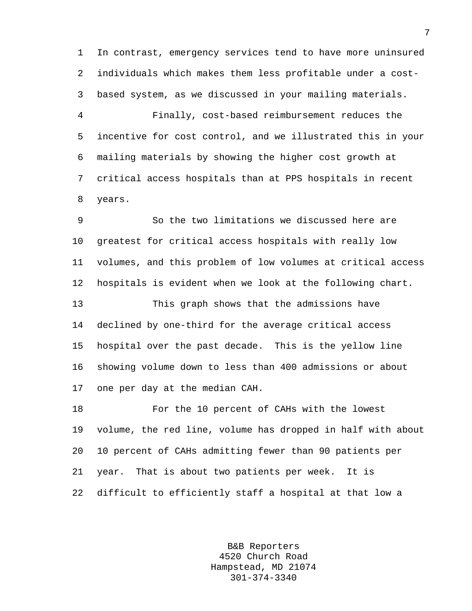1 In contrast, emergency services tend to have more uninsured 2 individuals which makes them less profitable under a cost-3 based system, as we discussed in your mailing materials.

4 Finally, cost-based reimbursement reduces the 5 incentive for cost control, and we illustrated this in your 6 mailing materials by showing the higher cost growth at 7 critical access hospitals than at PPS hospitals in recent 8 years.

9 So the two limitations we discussed here are 10 greatest for critical access hospitals with really low 11 volumes, and this problem of low volumes at critical access 12 hospitals is evident when we look at the following chart. 13 This graph shows that the admissions have 14 declined by one-third for the average critical access 15 hospital over the past decade. This is the yellow line 16 showing volume down to less than 400 admissions or about 17 one per day at the median CAH.

18 For the 10 percent of CAHs with the lowest 19 volume, the red line, volume has dropped in half with about 20 10 percent of CAHs admitting fewer than 90 patients per 21 year. That is about two patients per week. It is 22 difficult to efficiently staff a hospital at that low a

> B&B Reporters 4520 Church Road Hampstead, MD 21074 301-374-3340

7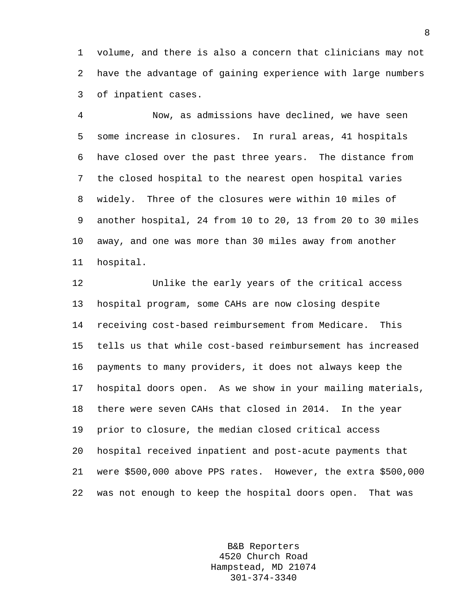1 volume, and there is also a concern that clinicians may not 2 have the advantage of gaining experience with large numbers 3 of inpatient cases.

4 Now, as admissions have declined, we have seen 5 some increase in closures. In rural areas, 41 hospitals 6 have closed over the past three years. The distance from 7 the closed hospital to the nearest open hospital varies 8 widely. Three of the closures were within 10 miles of 9 another hospital, 24 from 10 to 20, 13 from 20 to 30 miles 10 away, and one was more than 30 miles away from another 11 hospital.

12 Unlike the early years of the critical access 13 hospital program, some CAHs are now closing despite 14 receiving cost-based reimbursement from Medicare. This 15 tells us that while cost-based reimbursement has increased 16 payments to many providers, it does not always keep the 17 hospital doors open. As we show in your mailing materials, 18 there were seven CAHs that closed in 2014. In the year 19 prior to closure, the median closed critical access 20 hospital received inpatient and post-acute payments that 21 were \$500,000 above PPS rates. However, the extra \$500,000 22 was not enough to keep the hospital doors open. That was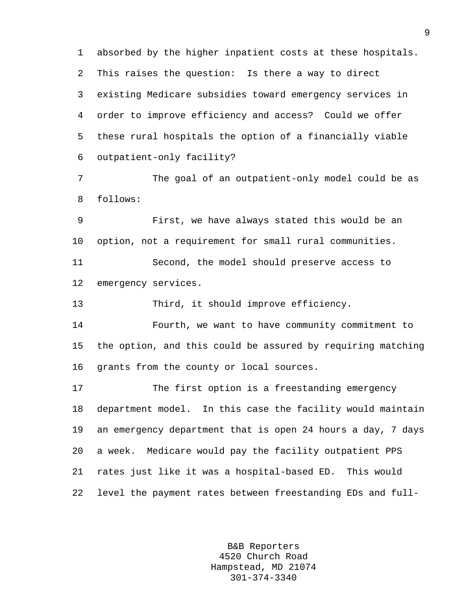1 absorbed by the higher inpatient costs at these hospitals. 2 This raises the question: Is there a way to direct 3 existing Medicare subsidies toward emergency services in 4 order to improve efficiency and access? Could we offer 5 these rural hospitals the option of a financially viable 6 outpatient-only facility?

7 The goal of an outpatient-only model could be as 8 follows:

9 First, we have always stated this would be an 10 option, not a requirement for small rural communities. 11 Second, the model should preserve access to 12 emergency services.

13 Third, it should improve efficiency.

14 Fourth, we want to have community commitment to 15 the option, and this could be assured by requiring matching 16 grants from the county or local sources.

17 The first option is a freestanding emergency 18 department model. In this case the facility would maintain 19 an emergency department that is open 24 hours a day, 7 days 20 a week. Medicare would pay the facility outpatient PPS 21 rates just like it was a hospital-based ED. This would 22 level the payment rates between freestanding EDs and full-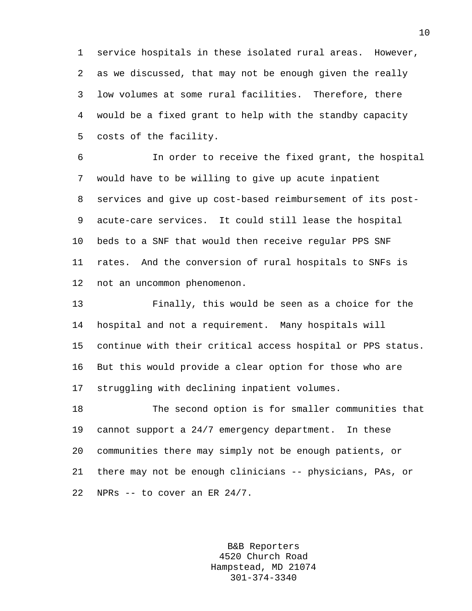1 service hospitals in these isolated rural areas. However, 2 as we discussed, that may not be enough given the really 3 low volumes at some rural facilities. Therefore, there 4 would be a fixed grant to help with the standby capacity 5 costs of the facility.

6 In order to receive the fixed grant, the hospital 7 would have to be willing to give up acute inpatient 8 services and give up cost-based reimbursement of its post-9 acute-care services. It could still lease the hospital 10 beds to a SNF that would then receive regular PPS SNF 11 rates. And the conversion of rural hospitals to SNFs is 12 not an uncommon phenomenon.

13 Finally, this would be seen as a choice for the 14 hospital and not a requirement. Many hospitals will 15 continue with their critical access hospital or PPS status. 16 But this would provide a clear option for those who are 17 struggling with declining inpatient volumes.

18 The second option is for smaller communities that 19 cannot support a 24/7 emergency department. In these 20 communities there may simply not be enough patients, or 21 there may not be enough clinicians -- physicians, PAs, or 22 NPRs -- to cover an ER 24/7.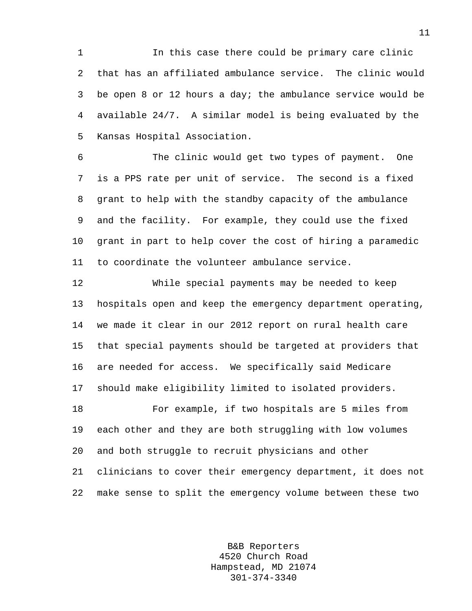1 In this case there could be primary care clinic 2 that has an affiliated ambulance service. The clinic would 3 be open 8 or 12 hours a day; the ambulance service would be 4 available 24/7. A similar model is being evaluated by the 5 Kansas Hospital Association.

6 The clinic would get two types of payment. One 7 is a PPS rate per unit of service. The second is a fixed 8 grant to help with the standby capacity of the ambulance 9 and the facility. For example, they could use the fixed 10 grant in part to help cover the cost of hiring a paramedic 11 to coordinate the volunteer ambulance service.

12 While special payments may be needed to keep 13 hospitals open and keep the emergency department operating, 14 we made it clear in our 2012 report on rural health care 15 that special payments should be targeted at providers that 16 are needed for access. We specifically said Medicare 17 should make eligibility limited to isolated providers. 18 For example, if two hospitals are 5 miles from 19 each other and they are both struggling with low volumes 20 and both struggle to recruit physicians and other 21 clinicians to cover their emergency department, it does not 22 make sense to split the emergency volume between these two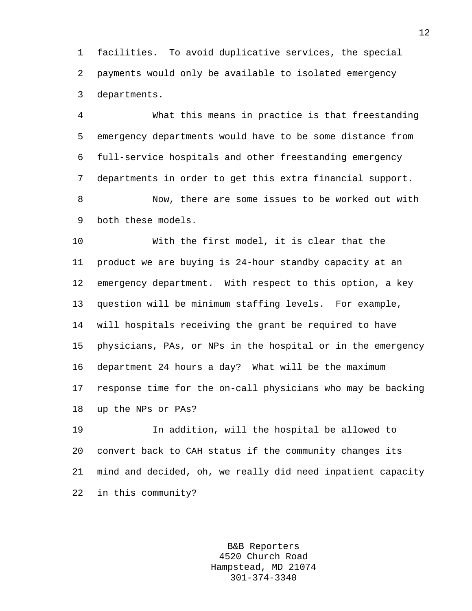1 facilities. To avoid duplicative services, the special 2 payments would only be available to isolated emergency 3 departments.

4 What this means in practice is that freestanding 5 emergency departments would have to be some distance from 6 full-service hospitals and other freestanding emergency 7 departments in order to get this extra financial support.

8 Now, there are some issues to be worked out with 9 both these models.

10 With the first model, it is clear that the 11 product we are buying is 24-hour standby capacity at an 12 emergency department. With respect to this option, a key 13 question will be minimum staffing levels. For example, 14 will hospitals receiving the grant be required to have 15 physicians, PAs, or NPs in the hospital or in the emergency 16 department 24 hours a day? What will be the maximum 17 response time for the on-call physicians who may be backing 18 up the NPs or PAs?

19 In addition, will the hospital be allowed to 20 convert back to CAH status if the community changes its 21 mind and decided, oh, we really did need inpatient capacity 22 in this community?

> B&B Reporters 4520 Church Road Hampstead, MD 21074 301-374-3340

12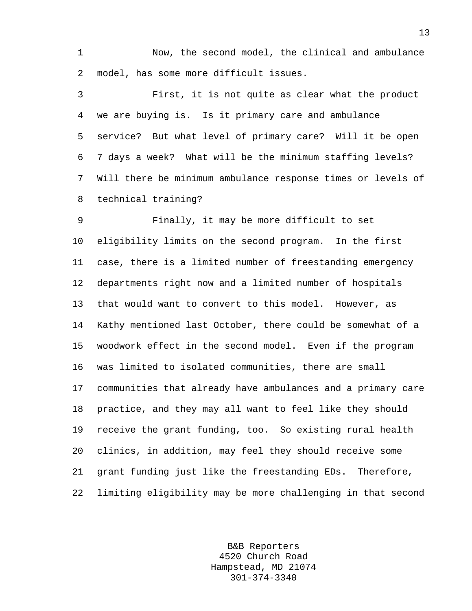1 Now, the second model, the clinical and ambulance 2 model, has some more difficult issues.

3 First, it is not quite as clear what the product 4 we are buying is. Is it primary care and ambulance 5 service? But what level of primary care? Will it be open 6 7 days a week? What will be the minimum staffing levels? 7 Will there be minimum ambulance response times or levels of 8 technical training?

9 Finally, it may be more difficult to set 10 eligibility limits on the second program. In the first 11 case, there is a limited number of freestanding emergency 12 departments right now and a limited number of hospitals 13 that would want to convert to this model. However, as 14 Kathy mentioned last October, there could be somewhat of a 15 woodwork effect in the second model. Even if the program 16 was limited to isolated communities, there are small 17 communities that already have ambulances and a primary care 18 practice, and they may all want to feel like they should 19 receive the grant funding, too. So existing rural health 20 clinics, in addition, may feel they should receive some 21 grant funding just like the freestanding EDs. Therefore, 22 limiting eligibility may be more challenging in that second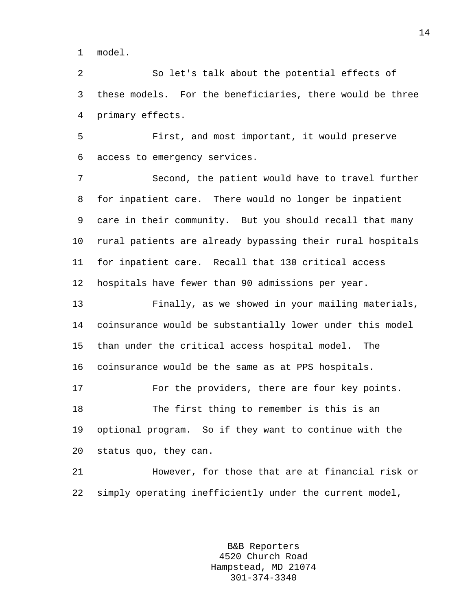1 model.

2 So let's talk about the potential effects of 3 these models. For the beneficiaries, there would be three 4 primary effects.

5 First, and most important, it would preserve 6 access to emergency services.

7 Second, the patient would have to travel further 8 for inpatient care. There would no longer be inpatient 9 care in their community. But you should recall that many 10 rural patients are already bypassing their rural hospitals 11 for inpatient care. Recall that 130 critical access 12 hospitals have fewer than 90 admissions per year.

13 Finally, as we showed in your mailing materials, 14 coinsurance would be substantially lower under this model 15 than under the critical access hospital model. The 16 coinsurance would be the same as at PPS hospitals. 17 For the providers, there are four key points.

18 The first thing to remember is this is an 19 optional program. So if they want to continue with the 20 status quo, they can.

21 However, for those that are at financial risk or 22 simply operating inefficiently under the current model,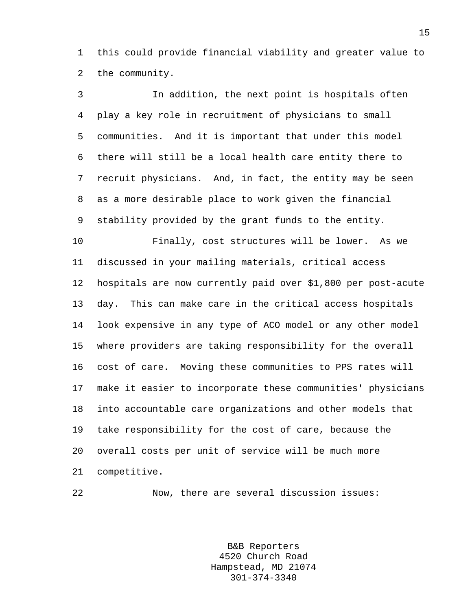1 this could provide financial viability and greater value to 2 the community.

3 In addition, the next point is hospitals often 4 play a key role in recruitment of physicians to small 5 communities. And it is important that under this model 6 there will still be a local health care entity there to 7 recruit physicians. And, in fact, the entity may be seen 8 as a more desirable place to work given the financial 9 stability provided by the grant funds to the entity. 10 Finally, cost structures will be lower. As we 11 discussed in your mailing materials, critical access 12 hospitals are now currently paid over \$1,800 per post-acute 13 day. This can make care in the critical access hospitals 14 look expensive in any type of ACO model or any other model 15 where providers are taking responsibility for the overall 16 cost of care. Moving these communities to PPS rates will 17 make it easier to incorporate these communities' physicians 18 into accountable care organizations and other models that 19 take responsibility for the cost of care, because the 20 overall costs per unit of service will be much more 21 competitive.

22 Now, there are several discussion issues: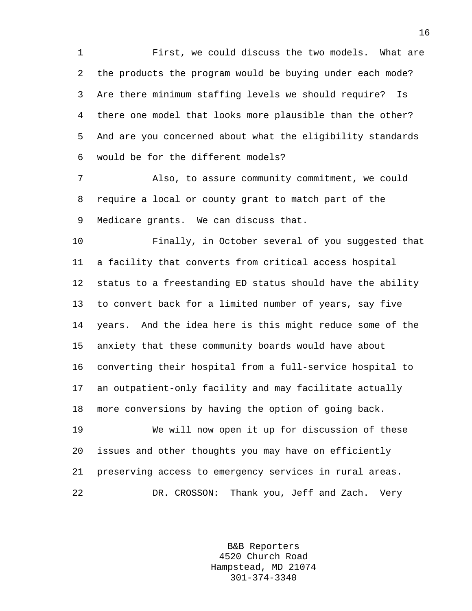1 First, we could discuss the two models. What are 2 the products the program would be buying under each mode? 3 Are there minimum staffing levels we should require? Is 4 there one model that looks more plausible than the other? 5 And are you concerned about what the eligibility standards 6 would be for the different models?

7 Also, to assure community commitment, we could 8 require a local or county grant to match part of the 9 Medicare grants. We can discuss that.

10 Finally, in October several of you suggested that 11 a facility that converts from critical access hospital 12 status to a freestanding ED status should have the ability 13 to convert back for a limited number of years, say five 14 years. And the idea here is this might reduce some of the 15 anxiety that these community boards would have about 16 converting their hospital from a full-service hospital to 17 an outpatient-only facility and may facilitate actually 18 more conversions by having the option of going back.

19 We will now open it up for discussion of these 20 issues and other thoughts you may have on efficiently 21 preserving access to emergency services in rural areas. 22 DR. CROSSON: Thank you, Jeff and Zach. Very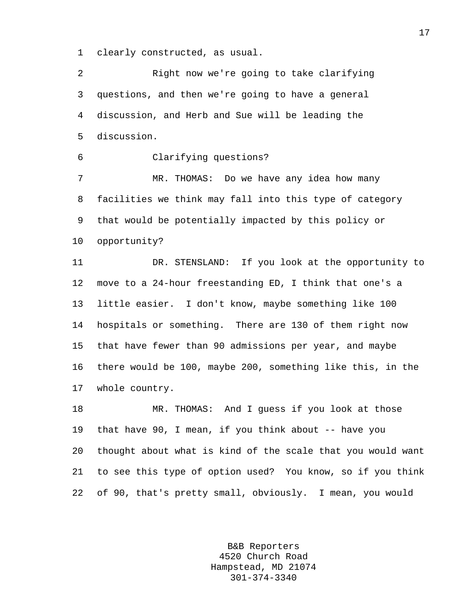1 clearly constructed, as usual.

2 Right now we're going to take clarifying 3 questions, and then we're going to have a general 4 discussion, and Herb and Sue will be leading the 5 discussion.

6 Clarifying questions?

7 MR. THOMAS: Do we have any idea how many 8 facilities we think may fall into this type of category 9 that would be potentially impacted by this policy or 10 opportunity?

11 DR. STENSLAND: If you look at the opportunity to 12 move to a 24-hour freestanding ED, I think that one's a 13 little easier. I don't know, maybe something like 100 14 hospitals or something. There are 130 of them right now 15 that have fewer than 90 admissions per year, and maybe 16 there would be 100, maybe 200, something like this, in the 17 whole country.

18 MR. THOMAS: And I guess if you look at those 19 that have 90, I mean, if you think about -- have you 20 thought about what is kind of the scale that you would want 21 to see this type of option used? You know, so if you think 22 of 90, that's pretty small, obviously. I mean, you would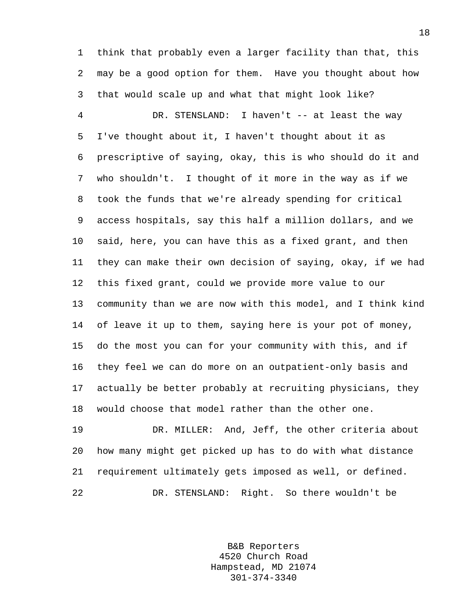1 think that probably even a larger facility than that, this 2 may be a good option for them. Have you thought about how 3 that would scale up and what that might look like?

4 DR. STENSLAND: I haven't -- at least the way 5 I've thought about it, I haven't thought about it as 6 prescriptive of saying, okay, this is who should do it and 7 who shouldn't. I thought of it more in the way as if we 8 took the funds that we're already spending for critical 9 access hospitals, say this half a million dollars, and we 10 said, here, you can have this as a fixed grant, and then 11 they can make their own decision of saying, okay, if we had 12 this fixed grant, could we provide more value to our 13 community than we are now with this model, and I think kind 14 of leave it up to them, saying here is your pot of money, 15 do the most you can for your community with this, and if 16 they feel we can do more on an outpatient-only basis and 17 actually be better probably at recruiting physicians, they 18 would choose that model rather than the other one.

19 DR. MILLER: And, Jeff, the other criteria about 20 how many might get picked up has to do with what distance 21 requirement ultimately gets imposed as well, or defined. 22 DR. STENSLAND: Right. So there wouldn't be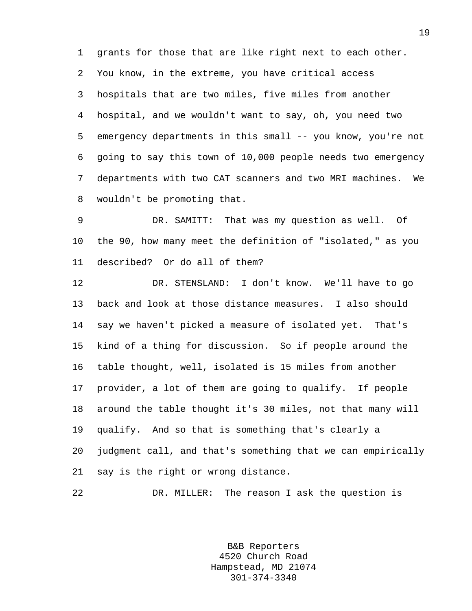1 grants for those that are like right next to each other. 2 You know, in the extreme, you have critical access 3 hospitals that are two miles, five miles from another 4 hospital, and we wouldn't want to say, oh, you need two 5 emergency departments in this small -- you know, you're not 6 going to say this town of 10,000 people needs two emergency 7 departments with two CAT scanners and two MRI machines. We 8 wouldn't be promoting that.

9 DR. SAMITT: That was my question as well. Of 10 the 90, how many meet the definition of "isolated," as you 11 described? Or do all of them?

12 DR. STENSLAND: I don't know. We'll have to go 13 back and look at those distance measures. I also should 14 say we haven't picked a measure of isolated yet. That's 15 kind of a thing for discussion. So if people around the 16 table thought, well, isolated is 15 miles from another 17 provider, a lot of them are going to qualify. If people 18 around the table thought it's 30 miles, not that many will 19 qualify. And so that is something that's clearly a 20 judgment call, and that's something that we can empirically 21 say is the right or wrong distance.

22 DR. MILLER: The reason I ask the question is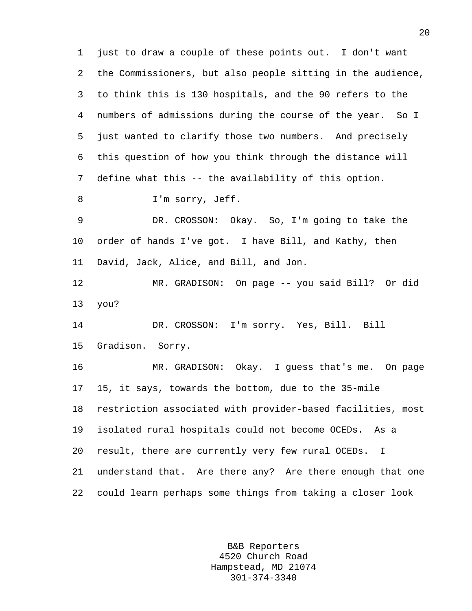1 just to draw a couple of these points out. I don't want 2 the Commissioners, but also people sitting in the audience, 3 to think this is 130 hospitals, and the 90 refers to the 4 numbers of admissions during the course of the year. So I 5 just wanted to clarify those two numbers. And precisely 6 this question of how you think through the distance will 7 define what this -- the availability of this option. 8 I'm sorry, Jeff. 9 DR. CROSSON: Okay. So, I'm going to take the 10 order of hands I've got. I have Bill, and Kathy, then 11 David, Jack, Alice, and Bill, and Jon. 12 MR. GRADISON: On page -- you said Bill? Or did 13 you? 14 DR. CROSSON: I'm sorry. Yes, Bill. Bill 15 Gradison. Sorry. 16 MR. GRADISON: Okay. I guess that's me. On page 17 15, it says, towards the bottom, due to the 35-mile 18 restriction associated with provider-based facilities, most 19 isolated rural hospitals could not become OCEDs. As a 20 result, there are currently very few rural OCEDs. I 21 understand that. Are there any? Are there enough that one 22 could learn perhaps some things from taking a closer look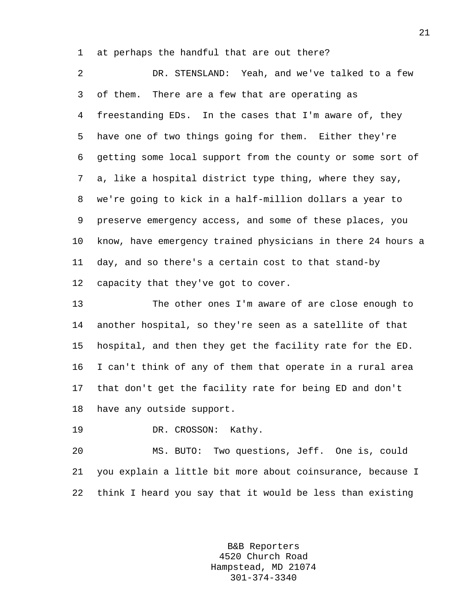1 at perhaps the handful that are out there?

2 DR. STENSLAND: Yeah, and we've talked to a few 3 of them. There are a few that are operating as 4 freestanding EDs. In the cases that I'm aware of, they 5 have one of two things going for them. Either they're 6 getting some local support from the county or some sort of 7 a, like a hospital district type thing, where they say, 8 we're going to kick in a half-million dollars a year to 9 preserve emergency access, and some of these places, you 10 know, have emergency trained physicians in there 24 hours a 11 day, and so there's a certain cost to that stand-by 12 capacity that they've got to cover.

13 The other ones I'm aware of are close enough to 14 another hospital, so they're seen as a satellite of that 15 hospital, and then they get the facility rate for the ED. 16 I can't think of any of them that operate in a rural area 17 that don't get the facility rate for being ED and don't 18 have any outside support.

19 DR. CROSSON: Kathy.

20 MS. BUTO: Two questions, Jeff. One is, could 21 you explain a little bit more about coinsurance, because I 22 think I heard you say that it would be less than existing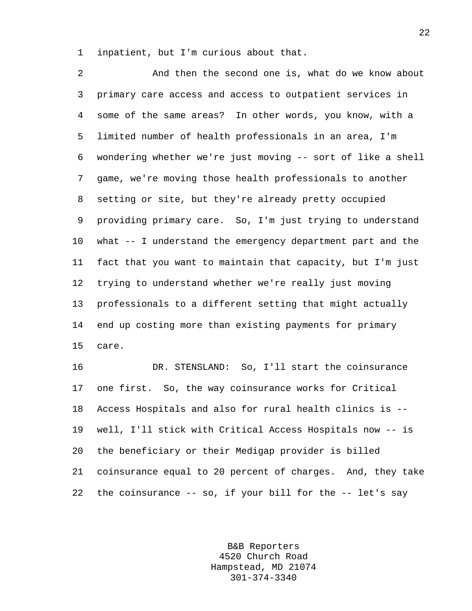1 inpatient, but I'm curious about that.

2 And then the second one is, what do we know about 3 primary care access and access to outpatient services in 4 some of the same areas? In other words, you know, with a 5 limited number of health professionals in an area, I'm 6 wondering whether we're just moving -- sort of like a shell 7 game, we're moving those health professionals to another 8 setting or site, but they're already pretty occupied 9 providing primary care. So, I'm just trying to understand 10 what -- I understand the emergency department part and the 11 fact that you want to maintain that capacity, but I'm just 12 trying to understand whether we're really just moving 13 professionals to a different setting that might actually 14 end up costing more than existing payments for primary 15 care. 16 DR. STENSLAND: So, I'll start the coinsurance

17 one first. So, the way coinsurance works for Critical 18 Access Hospitals and also for rural health clinics is -- 19 well, I'll stick with Critical Access Hospitals now -- is 20 the beneficiary or their Medigap provider is billed 21 coinsurance equal to 20 percent of charges. And, they take 22 the coinsurance -- so, if your bill for the -- let's say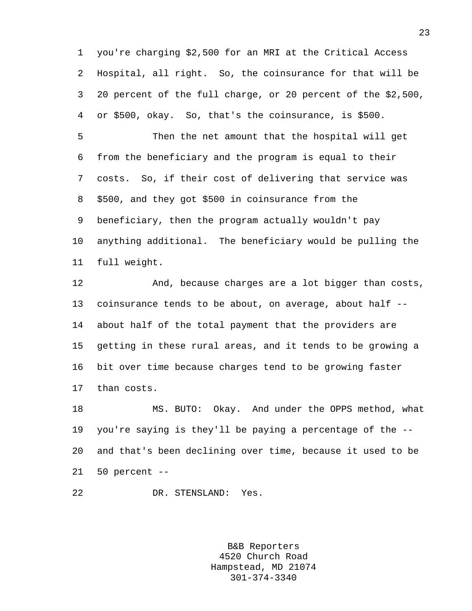1 you're charging \$2,500 for an MRI at the Critical Access 2 Hospital, all right. So, the coinsurance for that will be 3 20 percent of the full charge, or 20 percent of the \$2,500, 4 or \$500, okay. So, that's the coinsurance, is \$500.

5 Then the net amount that the hospital will get 6 from the beneficiary and the program is equal to their 7 costs. So, if their cost of delivering that service was 8 \$500, and they got \$500 in coinsurance from the 9 beneficiary, then the program actually wouldn't pay 10 anything additional. The beneficiary would be pulling the 11 full weight.

12 And, because charges are a lot bigger than costs, 13 coinsurance tends to be about, on average, about half -- 14 about half of the total payment that the providers are 15 getting in these rural areas, and it tends to be growing a 16 bit over time because charges tend to be growing faster 17 than costs.

18 MS. BUTO: Okay. And under the OPPS method, what 19 you're saying is they'll be paying a percentage of the -- 20 and that's been declining over time, because it used to be 21 50 percent --

22 DR. STENSLAND: Yes.

B&B Reporters 4520 Church Road Hampstead, MD 21074 301-374-3340

23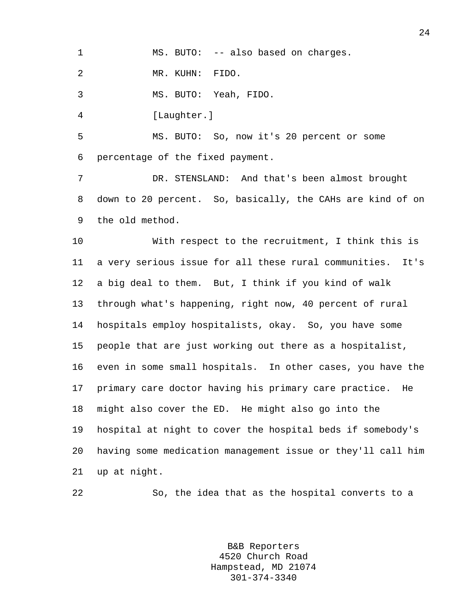1 MS. BUTO: -- also based on charges.

2 MR. KUHN: FIDO.

3 MS. BUTO: Yeah, FIDO.

4 [Laughter.]

5 MS. BUTO: So, now it's 20 percent or some 6 percentage of the fixed payment.

7 DR. STENSLAND: And that's been almost brought 8 down to 20 percent. So, basically, the CAHs are kind of on 9 the old method.

10 With respect to the recruitment, I think this is 11 a very serious issue for all these rural communities. It's 12 a big deal to them. But, I think if you kind of walk 13 through what's happening, right now, 40 percent of rural 14 hospitals employ hospitalists, okay. So, you have some 15 people that are just working out there as a hospitalist, 16 even in some small hospitals. In other cases, you have the 17 primary care doctor having his primary care practice. He 18 might also cover the ED. He might also go into the 19 hospital at night to cover the hospital beds if somebody's 20 having some medication management issue or they'll call him 21 up at night.

22 So, the idea that as the hospital converts to a

B&B Reporters 4520 Church Road Hampstead, MD 21074 301-374-3340

24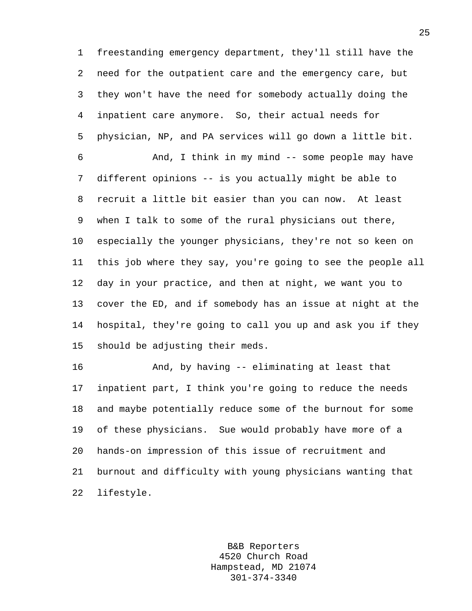1 freestanding emergency department, they'll still have the 2 need for the outpatient care and the emergency care, but 3 they won't have the need for somebody actually doing the 4 inpatient care anymore. So, their actual needs for 5 physician, NP, and PA services will go down a little bit.

6 And, I think in my mind -- some people may have 7 different opinions -- is you actually might be able to 8 recruit a little bit easier than you can now. At least 9 when I talk to some of the rural physicians out there, 10 especially the younger physicians, they're not so keen on 11 this job where they say, you're going to see the people all 12 day in your practice, and then at night, we want you to 13 cover the ED, and if somebody has an issue at night at the 14 hospital, they're going to call you up and ask you if they 15 should be adjusting their meds.

16 And, by having -- eliminating at least that 17 inpatient part, I think you're going to reduce the needs 18 and maybe potentially reduce some of the burnout for some 19 of these physicians. Sue would probably have more of a 20 hands-on impression of this issue of recruitment and 21 burnout and difficulty with young physicians wanting that 22 lifestyle.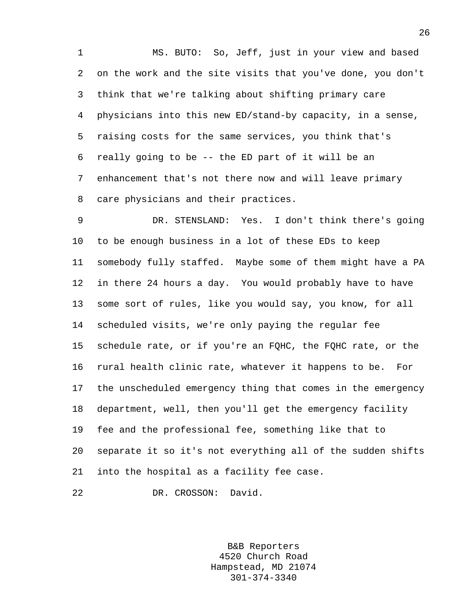1 MS. BUTO: So, Jeff, just in your view and based 2 on the work and the site visits that you've done, you don't 3 think that we're talking about shifting primary care 4 physicians into this new ED/stand-by capacity, in a sense, 5 raising costs for the same services, you think that's 6 really going to be -- the ED part of it will be an 7 enhancement that's not there now and will leave primary 8 care physicians and their practices.

9 DR. STENSLAND: Yes. I don't think there's going 10 to be enough business in a lot of these EDs to keep 11 somebody fully staffed. Maybe some of them might have a PA 12 in there 24 hours a day. You would probably have to have 13 some sort of rules, like you would say, you know, for all 14 scheduled visits, we're only paying the regular fee 15 schedule rate, or if you're an FQHC, the FQHC rate, or the 16 rural health clinic rate, whatever it happens to be. For 17 the unscheduled emergency thing that comes in the emergency 18 department, well, then you'll get the emergency facility 19 fee and the professional fee, something like that to 20 separate it so it's not everything all of the sudden shifts 21 into the hospital as a facility fee case.

22 DR. CROSSON: David.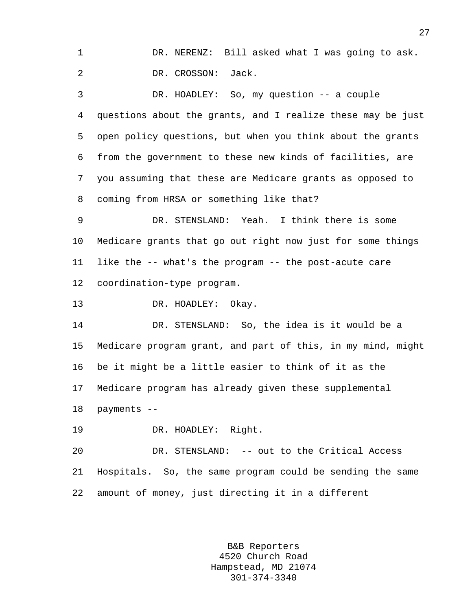1 DR. NERENZ: Bill asked what I was going to ask. 2 DR. CROSSON: Jack.

3 DR. HOADLEY: So, my question -- a couple 4 questions about the grants, and I realize these may be just 5 open policy questions, but when you think about the grants 6 from the government to these new kinds of facilities, are 7 you assuming that these are Medicare grants as opposed to 8 coming from HRSA or something like that?

9 DR. STENSLAND: Yeah. I think there is some 10 Medicare grants that go out right now just for some things 11 like the -- what's the program -- the post-acute care 12 coordination-type program.

13 DR. HOADLEY: Okay.

14 DR. STENSLAND: So, the idea is it would be a 15 Medicare program grant, and part of this, in my mind, might 16 be it might be a little easier to think of it as the 17 Medicare program has already given these supplemental 18 payments --

19 DR. HOADLEY: Right.

20 DR. STENSLAND: -- out to the Critical Access 21 Hospitals. So, the same program could be sending the same 22 amount of money, just directing it in a different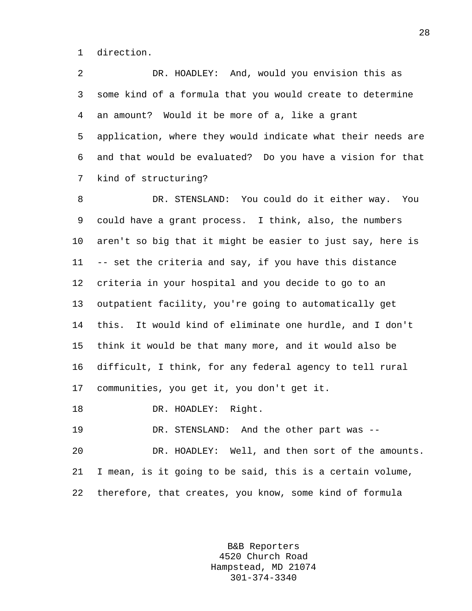1 direction.

2 DR. HOADLEY: And, would you envision this as 3 some kind of a formula that you would create to determine 4 an amount? Would it be more of a, like a grant 5 application, where they would indicate what their needs are 6 and that would be evaluated? Do you have a vision for that 7 kind of structuring?

8 DR. STENSLAND: You could do it either way. You 9 could have a grant process. I think, also, the numbers 10 aren't so big that it might be easier to just say, here is 11 -- set the criteria and say, if you have this distance 12 criteria in your hospital and you decide to go to an 13 outpatient facility, you're going to automatically get 14 this. It would kind of eliminate one hurdle, and I don't 15 think it would be that many more, and it would also be 16 difficult, I think, for any federal agency to tell rural 17 communities, you get it, you don't get it.

18 DR. HOADLEY: Right.

19 DR. STENSLAND: And the other part was --

20 DR. HOADLEY: Well, and then sort of the amounts. 21 I mean, is it going to be said, this is a certain volume, 22 therefore, that creates, you know, some kind of formula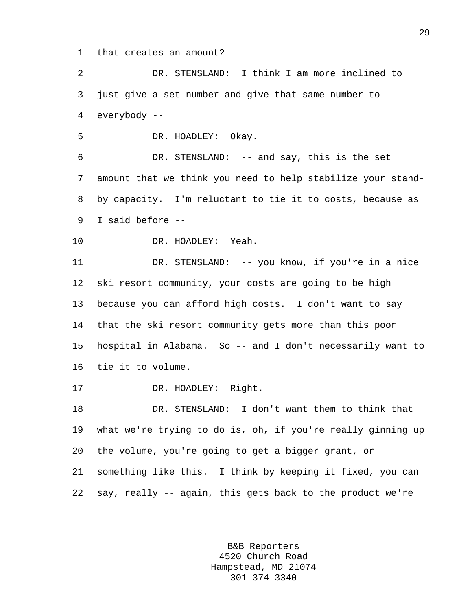1 that creates an amount?

2 DR. STENSLAND: I think I am more inclined to 3 just give a set number and give that same number to 4 everybody --

5 DR. HOADLEY: Okay.

6 DR. STENSLAND: -- and say, this is the set 7 amount that we think you need to help stabilize your stand-8 by capacity. I'm reluctant to tie it to costs, because as 9 I said before --

10 DR. HOADLEY: Yeah.

11 DR. STENSLAND: -- you know, if you're in a nice 12 ski resort community, your costs are going to be high 13 because you can afford high costs. I don't want to say 14 that the ski resort community gets more than this poor 15 hospital in Alabama. So -- and I don't necessarily want to 16 tie it to volume.

17 DR. HOADLEY: Right.

18 DR. STENSLAND: I don't want them to think that 19 what we're trying to do is, oh, if you're really ginning up 20 the volume, you're going to get a bigger grant, or 21 something like this. I think by keeping it fixed, you can 22 say, really -- again, this gets back to the product we're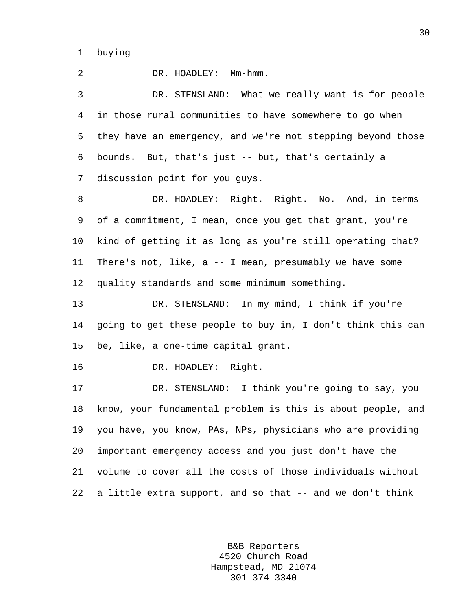1 buying --

2 DR. HOADLEY: Mm-hmm. 3 DR. STENSLAND: What we really want is for people 4 in those rural communities to have somewhere to go when 5 they have an emergency, and we're not stepping beyond those 6 bounds. But, that's just -- but, that's certainly a 7 discussion point for you guys. 8 DR. HOADLEY: Right. Right. No. And, in terms 9 of a commitment, I mean, once you get that grant, you're 10 kind of getting it as long as you're still operating that? 11 There's not, like, a -- I mean, presumably we have some 12 quality standards and some minimum something. 13 DR. STENSLAND: In my mind, I think if you're 14 going to get these people to buy in, I don't think this can 15 be, like, a one-time capital grant. 16 DR. HOADLEY: Right. 17 DR. STENSLAND: I think you're going to say, you 18 know, your fundamental problem is this is about people, and 19 you have, you know, PAs, NPs, physicians who are providing 20 important emergency access and you just don't have the 21 volume to cover all the costs of those individuals without 22 a little extra support, and so that -- and we don't think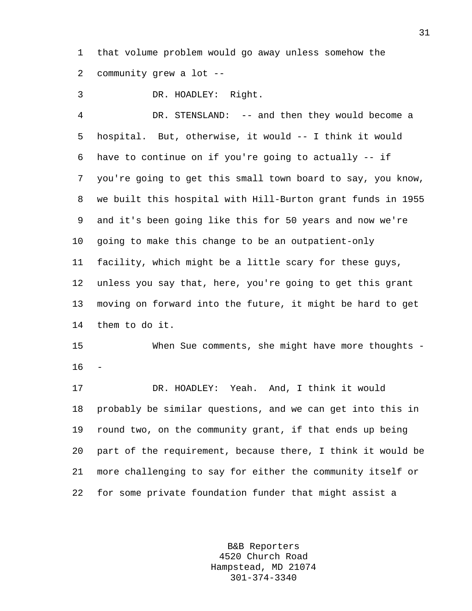1 that volume problem would go away unless somehow the 2 community grew a lot --

3 DR. HOADLEY: Right.

4 DR. STENSLAND: -- and then they would become a 5 hospital. But, otherwise, it would -- I think it would 6 have to continue on if you're going to actually -- if 7 you're going to get this small town board to say, you know, 8 we built this hospital with Hill-Burton grant funds in 1955 9 and it's been going like this for 50 years and now we're 10 going to make this change to be an outpatient-only 11 facility, which might be a little scary for these guys, 12 unless you say that, here, you're going to get this grant 13 moving on forward into the future, it might be hard to get 14 them to do it.

15 When Sue comments, she might have more thoughts - 16

17 DR. HOADLEY: Yeah. And, I think it would 18 probably be similar questions, and we can get into this in 19 round two, on the community grant, if that ends up being 20 part of the requirement, because there, I think it would be 21 more challenging to say for either the community itself or 22 for some private foundation funder that might assist a

> B&B Reporters 4520 Church Road Hampstead, MD 21074 301-374-3340

31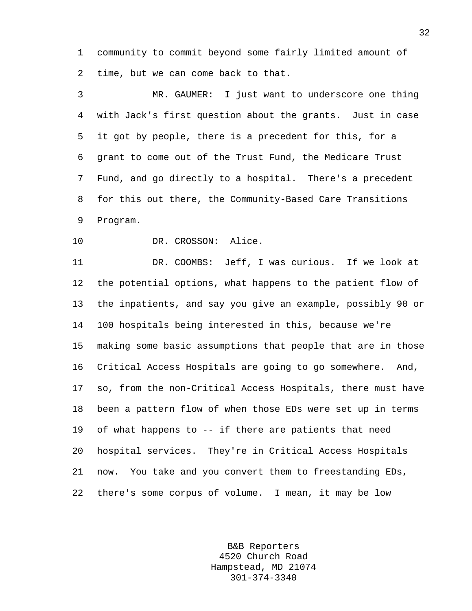1 community to commit beyond some fairly limited amount of 2 time, but we can come back to that.

3 MR. GAUMER: I just want to underscore one thing 4 with Jack's first question about the grants. Just in case 5 it got by people, there is a precedent for this, for a 6 grant to come out of the Trust Fund, the Medicare Trust 7 Fund, and go directly to a hospital. There's a precedent 8 for this out there, the Community-Based Care Transitions 9 Program.

10 DR. CROSSON: Alice.

11 DR. COOMBS: Jeff, I was curious. If we look at 12 the potential options, what happens to the patient flow of 13 the inpatients, and say you give an example, possibly 90 or 14 100 hospitals being interested in this, because we're 15 making some basic assumptions that people that are in those 16 Critical Access Hospitals are going to go somewhere. And, 17 so, from the non-Critical Access Hospitals, there must have 18 been a pattern flow of when those EDs were set up in terms 19 of what happens to -- if there are patients that need 20 hospital services. They're in Critical Access Hospitals 21 now. You take and you convert them to freestanding EDs, 22 there's some corpus of volume. I mean, it may be low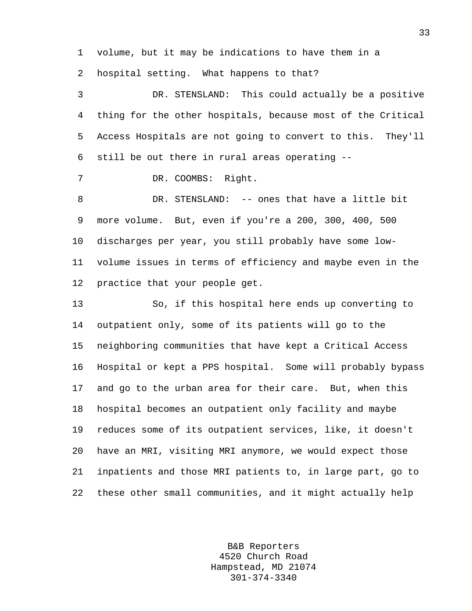1 volume, but it may be indications to have them in a 2 hospital setting. What happens to that?

3 DR. STENSLAND: This could actually be a positive 4 thing for the other hospitals, because most of the Critical 5 Access Hospitals are not going to convert to this. They'll 6 still be out there in rural areas operating --

7 DR. COOMBS: Right.

8 DR. STENSLAND: -- ones that have a little bit 9 more volume. But, even if you're a 200, 300, 400, 500 10 discharges per year, you still probably have some low-11 volume issues in terms of efficiency and maybe even in the 12 practice that your people get.

13 So, if this hospital here ends up converting to 14 outpatient only, some of its patients will go to the 15 neighboring communities that have kept a Critical Access 16 Hospital or kept a PPS hospital. Some will probably bypass 17 and go to the urban area for their care. But, when this 18 hospital becomes an outpatient only facility and maybe 19 reduces some of its outpatient services, like, it doesn't 20 have an MRI, visiting MRI anymore, we would expect those 21 inpatients and those MRI patients to, in large part, go to 22 these other small communities, and it might actually help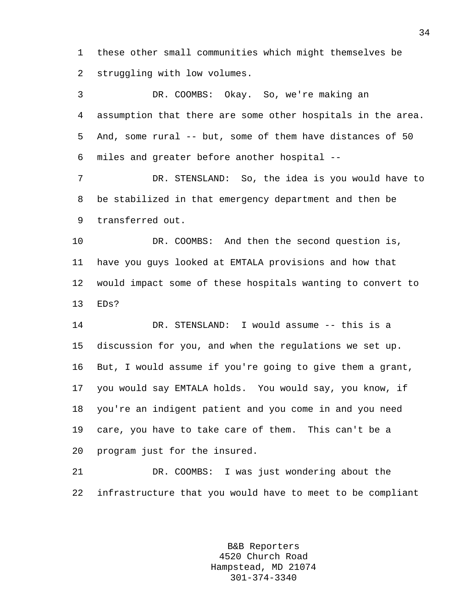1 these other small communities which might themselves be 2 struggling with low volumes.

3 DR. COOMBS: Okay. So, we're making an 4 assumption that there are some other hospitals in the area. 5 And, some rural -- but, some of them have distances of 50 6 miles and greater before another hospital --

7 DR. STENSLAND: So, the idea is you would have to 8 be stabilized in that emergency department and then be 9 transferred out.

10 DR. COOMBS: And then the second question is, 11 have you guys looked at EMTALA provisions and how that 12 would impact some of these hospitals wanting to convert to 13 EDs?

14 DR. STENSLAND: I would assume -- this is a 15 discussion for you, and when the regulations we set up. 16 But, I would assume if you're going to give them a grant, 17 you would say EMTALA holds. You would say, you know, if 18 you're an indigent patient and you come in and you need 19 care, you have to take care of them. This can't be a 20 program just for the insured.

21 DR. COOMBS: I was just wondering about the 22 infrastructure that you would have to meet to be compliant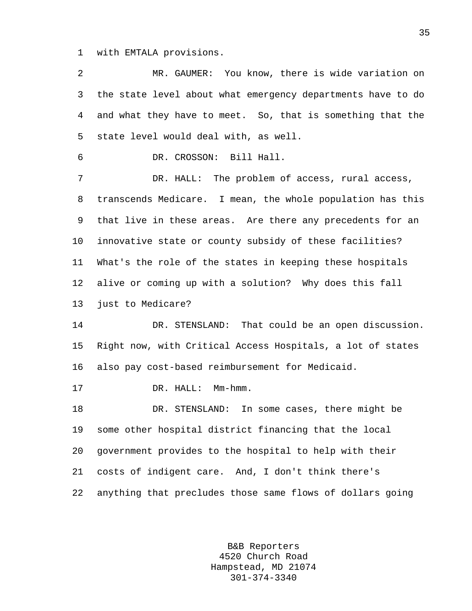1 with EMTALA provisions.

2 MR. GAUMER: You know, there is wide variation on 3 the state level about what emergency departments have to do 4 and what they have to meet. So, that is something that the 5 state level would deal with, as well. 6 DR. CROSSON: Bill Hall. 7 DR. HALL: The problem of access, rural access, 8 transcends Medicare. I mean, the whole population has this 9 that live in these areas. Are there any precedents for an 10 innovative state or county subsidy of these facilities? 11 What's the role of the states in keeping these hospitals 12 alive or coming up with a solution? Why does this fall 13 just to Medicare? 14 DR. STENSLAND: That could be an open discussion. 15 Right now, with Critical Access Hospitals, a lot of states 16 also pay cost-based reimbursement for Medicaid. 17 DR. HALL: Mm-hmm. 18 DR. STENSLAND: In some cases, there might be 19 some other hospital district financing that the local 20 government provides to the hospital to help with their 21 costs of indigent care. And, I don't think there's 22 anything that precludes those same flows of dollars going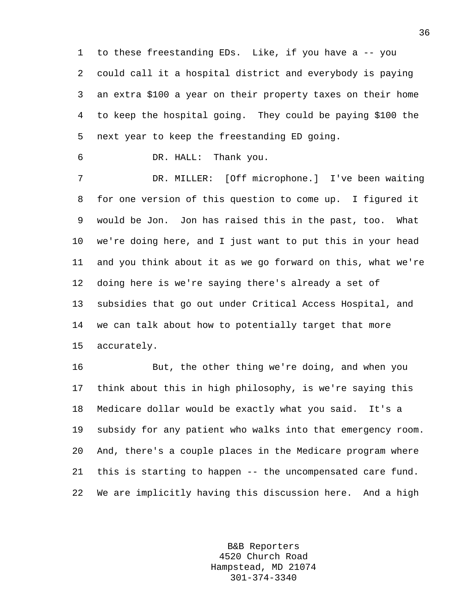1 to these freestanding EDs. Like, if you have a -- you 2 could call it a hospital district and everybody is paying 3 an extra \$100 a year on their property taxes on their home 4 to keep the hospital going. They could be paying \$100 the 5 next year to keep the freestanding ED going.

6 DR. HALL: Thank you.

7 DR. MILLER: [Off microphone.] I've been waiting 8 for one version of this question to come up. I figured it 9 would be Jon. Jon has raised this in the past, too. What 10 we're doing here, and I just want to put this in your head 11 and you think about it as we go forward on this, what we're 12 doing here is we're saying there's already a set of 13 subsidies that go out under Critical Access Hospital, and 14 we can talk about how to potentially target that more 15 accurately.

16 But, the other thing we're doing, and when you 17 think about this in high philosophy, is we're saying this 18 Medicare dollar would be exactly what you said. It's a 19 subsidy for any patient who walks into that emergency room. 20 And, there's a couple places in the Medicare program where 21 this is starting to happen -- the uncompensated care fund. 22 We are implicitly having this discussion here. And a high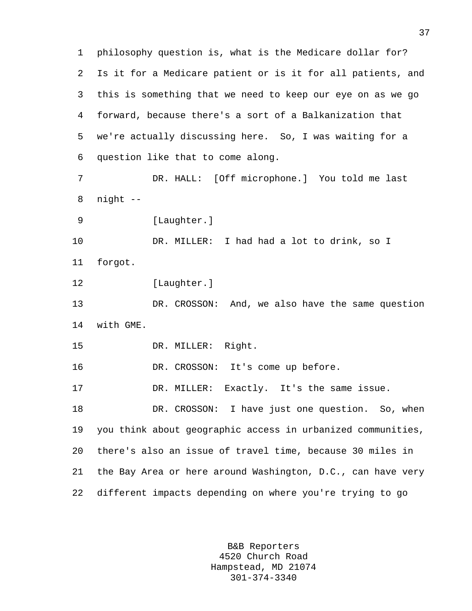1 philosophy question is, what is the Medicare dollar for? 2 Is it for a Medicare patient or is it for all patients, and 3 this is something that we need to keep our eye on as we go 4 forward, because there's a sort of a Balkanization that 5 we're actually discussing here. So, I was waiting for a 6 question like that to come along. 7 DR. HALL: [Off microphone.] You told me last 8 night -- 9 [Laughter.] 10 DR. MILLER: I had had a lot to drink, so I 11 forgot. 12 [Laughter.] 13 DR. CROSSON: And, we also have the same question 14 with GME. 15 DR. MILLER: Right. 16 DR. CROSSON: It's come up before. 17 DR. MILLER: Exactly. It's the same issue. 18 DR. CROSSON: I have just one question. So, when 19 you think about geographic access in urbanized communities, 20 there's also an issue of travel time, because 30 miles in 21 the Bay Area or here around Washington, D.C., can have very 22 different impacts depending on where you're trying to go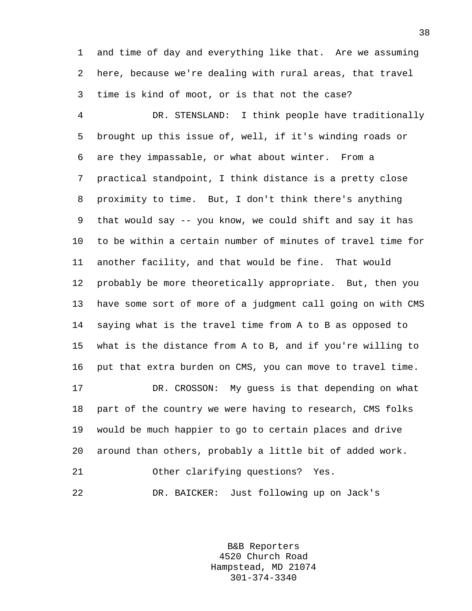1 and time of day and everything like that. Are we assuming 2 here, because we're dealing with rural areas, that travel 3 time is kind of moot, or is that not the case?

4 DR. STENSLAND: I think people have traditionally 5 brought up this issue of, well, if it's winding roads or 6 are they impassable, or what about winter. From a 7 practical standpoint, I think distance is a pretty close 8 proximity to time. But, I don't think there's anything 9 that would say -- you know, we could shift and say it has 10 to be within a certain number of minutes of travel time for 11 another facility, and that would be fine. That would 12 probably be more theoretically appropriate. But, then you 13 have some sort of more of a judgment call going on with CMS 14 saying what is the travel time from A to B as opposed to 15 what is the distance from A to B, and if you're willing to 16 put that extra burden on CMS, you can move to travel time. 17 DR. CROSSON: My guess is that depending on what 18 part of the country we were having to research, CMS folks 19 would be much happier to go to certain places and drive 20 around than others, probably a little bit of added work. 21 Other clarifying questions? Yes. 22 DR. BAICKER: Just following up on Jack's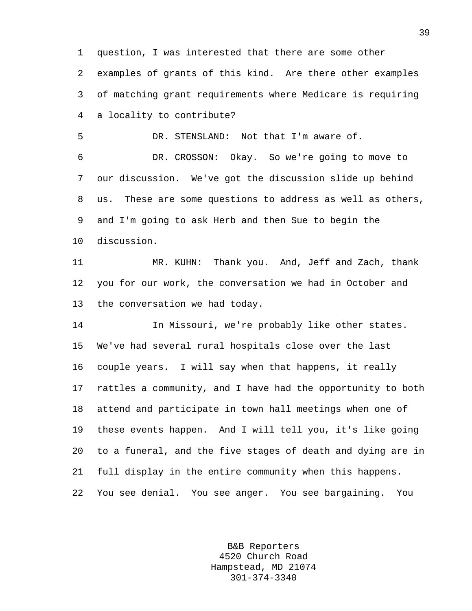1 question, I was interested that there are some other

2 examples of grants of this kind. Are there other examples 3 of matching grant requirements where Medicare is requiring 4 a locality to contribute?

5 DR. STENSLAND: Not that I'm aware of.

6 DR. CROSSON: Okay. So we're going to move to 7 our discussion. We've got the discussion slide up behind 8 us. These are some questions to address as well as others, 9 and I'm going to ask Herb and then Sue to begin the 10 discussion.

11 MR. KUHN: Thank you. And, Jeff and Zach, thank 12 you for our work, the conversation we had in October and 13 the conversation we had today.

14 In Missouri, we're probably like other states. 15 We've had several rural hospitals close over the last 16 couple years. I will say when that happens, it really 17 rattles a community, and I have had the opportunity to both 18 attend and participate in town hall meetings when one of 19 these events happen. And I will tell you, it's like going 20 to a funeral, and the five stages of death and dying are in 21 full display in the entire community when this happens. 22 You see denial. You see anger. You see bargaining. You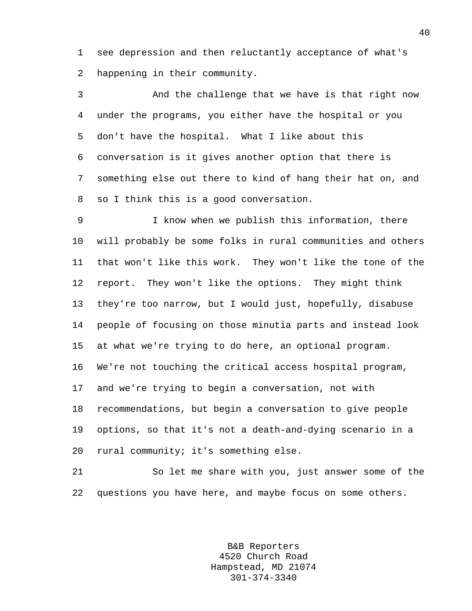1 see depression and then reluctantly acceptance of what's 2 happening in their community.

3 And the challenge that we have is that right now 4 under the programs, you either have the hospital or you 5 don't have the hospital. What I like about this 6 conversation is it gives another option that there is 7 something else out there to kind of hang their hat on, and 8 so I think this is a good conversation.

9 I know when we publish this information, there 10 will probably be some folks in rural communities and others 11 that won't like this work. They won't like the tone of the 12 report. They won't like the options. They might think 13 they're too narrow, but I would just, hopefully, disabuse 14 people of focusing on those minutia parts and instead look 15 at what we're trying to do here, an optional program. 16 We're not touching the critical access hospital program, 17 and we're trying to begin a conversation, not with 18 recommendations, but begin a conversation to give people 19 options, so that it's not a death-and-dying scenario in a 20 rural community; it's something else.

21 So let me share with you, just answer some of the 22 questions you have here, and maybe focus on some others.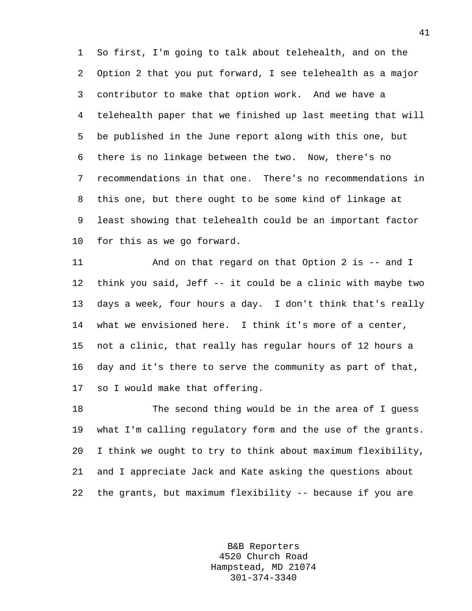1 So first, I'm going to talk about telehealth, and on the 2 Option 2 that you put forward, I see telehealth as a major 3 contributor to make that option work. And we have a 4 telehealth paper that we finished up last meeting that will 5 be published in the June report along with this one, but 6 there is no linkage between the two. Now, there's no 7 recommendations in that one. There's no recommendations in 8 this one, but there ought to be some kind of linkage at 9 least showing that telehealth could be an important factor 10 for this as we go forward.

11 And on that regard on that Option 2 is -- and I 12 think you said, Jeff -- it could be a clinic with maybe two 13 days a week, four hours a day. I don't think that's really 14 what we envisioned here. I think it's more of a center, 15 not a clinic, that really has regular hours of 12 hours a 16 day and it's there to serve the community as part of that, 17 so I would make that offering.

18 The second thing would be in the area of I guess 19 what I'm calling regulatory form and the use of the grants. 20 I think we ought to try to think about maximum flexibility, 21 and I appreciate Jack and Kate asking the questions about 22 the grants, but maximum flexibility -- because if you are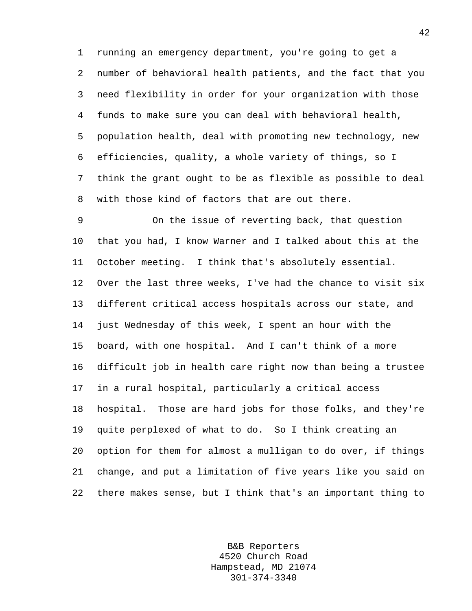1 running an emergency department, you're going to get a 2 number of behavioral health patients, and the fact that you 3 need flexibility in order for your organization with those 4 funds to make sure you can deal with behavioral health, 5 population health, deal with promoting new technology, new 6 efficiencies, quality, a whole variety of things, so I 7 think the grant ought to be as flexible as possible to deal 8 with those kind of factors that are out there.

9 On the issue of reverting back, that question 10 that you had, I know Warner and I talked about this at the 11 October meeting. I think that's absolutely essential. 12 Over the last three weeks, I've had the chance to visit six 13 different critical access hospitals across our state, and 14 just Wednesday of this week, I spent an hour with the 15 board, with one hospital. And I can't think of a more 16 difficult job in health care right now than being a trustee 17 in a rural hospital, particularly a critical access 18 hospital. Those are hard jobs for those folks, and they're 19 quite perplexed of what to do. So I think creating an 20 option for them for almost a mulligan to do over, if things 21 change, and put a limitation of five years like you said on 22 there makes sense, but I think that's an important thing to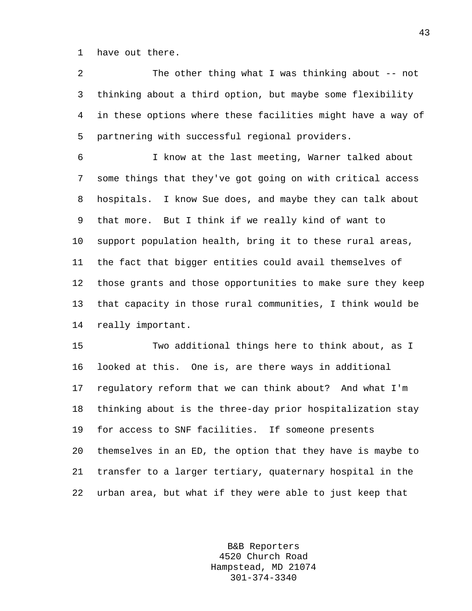1 have out there.

2 The other thing what I was thinking about -- not 3 thinking about a third option, but maybe some flexibility 4 in these options where these facilities might have a way of 5 partnering with successful regional providers.

6 I know at the last meeting, Warner talked about 7 some things that they've got going on with critical access 8 hospitals. I know Sue does, and maybe they can talk about 9 that more. But I think if we really kind of want to 10 support population health, bring it to these rural areas, 11 the fact that bigger entities could avail themselves of 12 those grants and those opportunities to make sure they keep 13 that capacity in those rural communities, I think would be 14 really important.

15 Two additional things here to think about, as I 16 looked at this. One is, are there ways in additional 17 regulatory reform that we can think about? And what I'm 18 thinking about is the three-day prior hospitalization stay 19 for access to SNF facilities. If someone presents 20 themselves in an ED, the option that they have is maybe to 21 transfer to a larger tertiary, quaternary hospital in the 22 urban area, but what if they were able to just keep that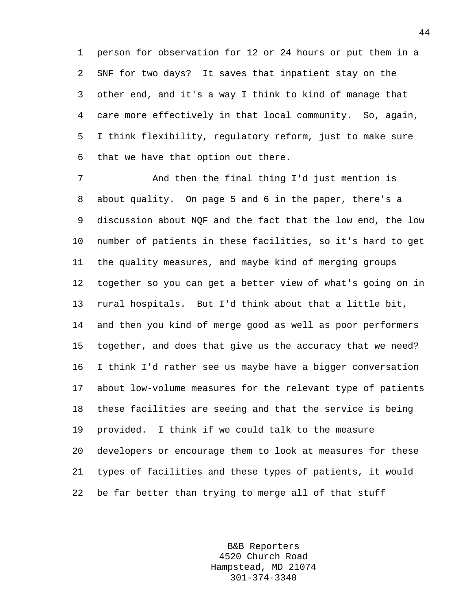1 person for observation for 12 or 24 hours or put them in a 2 SNF for two days? It saves that inpatient stay on the 3 other end, and it's a way I think to kind of manage that 4 care more effectively in that local community. So, again, 5 I think flexibility, regulatory reform, just to make sure 6 that we have that option out there.

7 And then the final thing I'd just mention is 8 about quality. On page 5 and 6 in the paper, there's a 9 discussion about NQF and the fact that the low end, the low 10 number of patients in these facilities, so it's hard to get 11 the quality measures, and maybe kind of merging groups 12 together so you can get a better view of what's going on in 13 rural hospitals. But I'd think about that a little bit, 14 and then you kind of merge good as well as poor performers 15 together, and does that give us the accuracy that we need? 16 I think I'd rather see us maybe have a bigger conversation 17 about low-volume measures for the relevant type of patients 18 these facilities are seeing and that the service is being 19 provided. I think if we could talk to the measure 20 developers or encourage them to look at measures for these 21 types of facilities and these types of patients, it would 22 be far better than trying to merge all of that stuff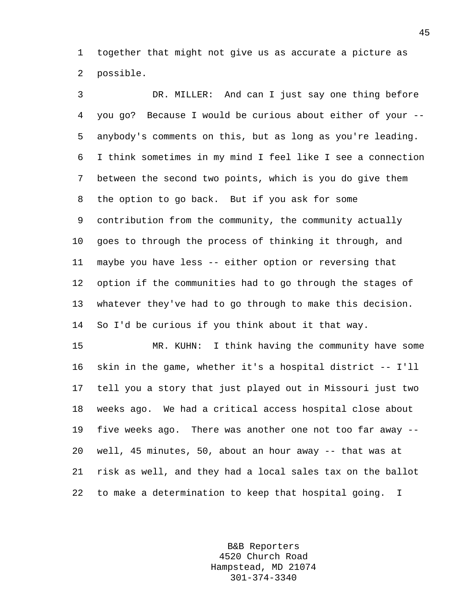1 together that might not give us as accurate a picture as 2 possible.

3 DR. MILLER: And can I just say one thing before 4 you go? Because I would be curious about either of your -- 5 anybody's comments on this, but as long as you're leading. 6 I think sometimes in my mind I feel like I see a connection 7 between the second two points, which is you do give them 8 the option to go back. But if you ask for some 9 contribution from the community, the community actually 10 goes to through the process of thinking it through, and 11 maybe you have less -- either option or reversing that 12 option if the communities had to go through the stages of 13 whatever they've had to go through to make this decision. 14 So I'd be curious if you think about it that way.

15 MR. KUHN: I think having the community have some 16 skin in the game, whether it's a hospital district -- I'll 17 tell you a story that just played out in Missouri just two 18 weeks ago. We had a critical access hospital close about 19 five weeks ago. There was another one not too far away -- 20 well, 45 minutes, 50, about an hour away -- that was at 21 risk as well, and they had a local sales tax on the ballot 22 to make a determination to keep that hospital going. I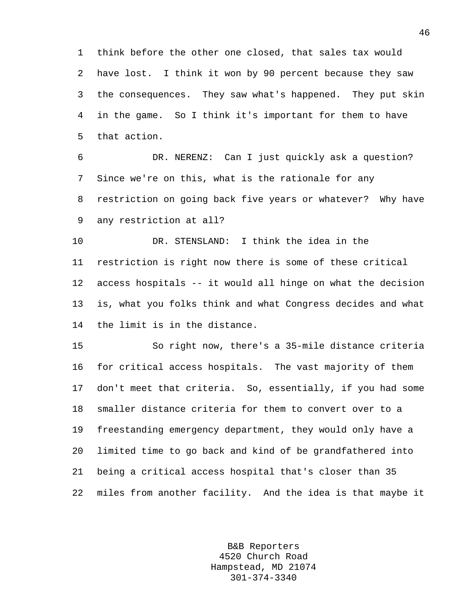1 think before the other one closed, that sales tax would 2 have lost. I think it won by 90 percent because they saw 3 the consequences. They saw what's happened. They put skin 4 in the game. So I think it's important for them to have 5 that action.

6 DR. NERENZ: Can I just quickly ask a question? 7 Since we're on this, what is the rationale for any 8 restriction on going back five years or whatever? Why have 9 any restriction at all?

10 DR. STENSLAND: I think the idea in the 11 restriction is right now there is some of these critical 12 access hospitals -- it would all hinge on what the decision 13 is, what you folks think and what Congress decides and what 14 the limit is in the distance.

15 So right now, there's a 35-mile distance criteria 16 for critical access hospitals. The vast majority of them 17 don't meet that criteria. So, essentially, if you had some 18 smaller distance criteria for them to convert over to a 19 freestanding emergency department, they would only have a 20 limited time to go back and kind of be grandfathered into 21 being a critical access hospital that's closer than 35 22 miles from another facility. And the idea is that maybe it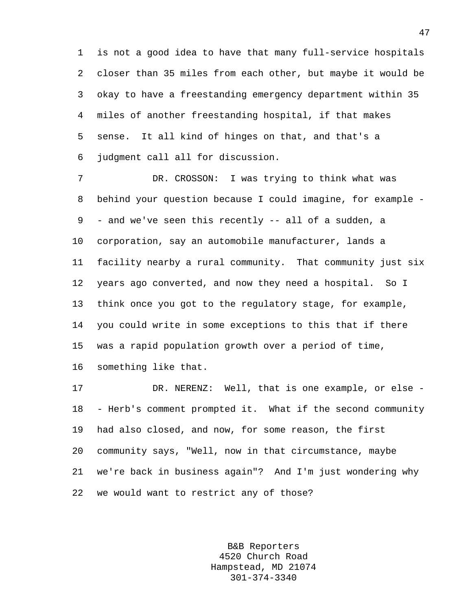1 is not a good idea to have that many full-service hospitals 2 closer than 35 miles from each other, but maybe it would be 3 okay to have a freestanding emergency department within 35 4 miles of another freestanding hospital, if that makes 5 sense. It all kind of hinges on that, and that's a 6 judgment call all for discussion.

7 DR. CROSSON: I was trying to think what was 8 behind your question because I could imagine, for example - 9 - and we've seen this recently -- all of a sudden, a 10 corporation, say an automobile manufacturer, lands a 11 facility nearby a rural community. That community just six 12 years ago converted, and now they need a hospital. So I 13 think once you got to the regulatory stage, for example, 14 you could write in some exceptions to this that if there 15 was a rapid population growth over a period of time,

17 DR. NERENZ: Well, that is one example, or else - 18 - Herb's comment prompted it. What if the second community 19 had also closed, and now, for some reason, the first 20 community says, "Well, now in that circumstance, maybe 21 we're back in business again"? And I'm just wondering why 22 we would want to restrict any of those?

16 something like that.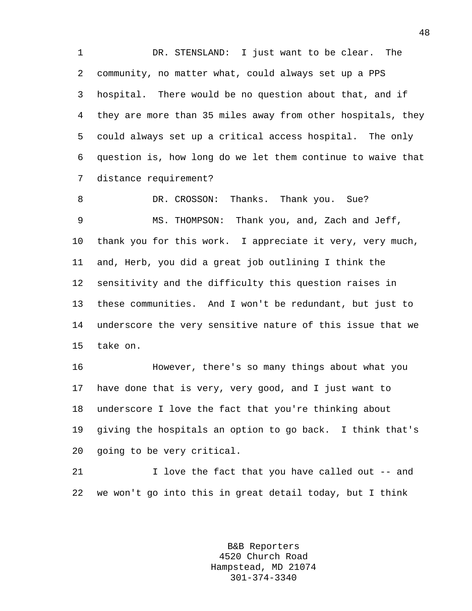1 DR. STENSLAND: I just want to be clear. The 2 community, no matter what, could always set up a PPS 3 hospital. There would be no question about that, and if 4 they are more than 35 miles away from other hospitals, they 5 could always set up a critical access hospital. The only 6 question is, how long do we let them continue to waive that 7 distance requirement?

8 DR. CROSSON: Thanks. Thank you. Sue? 9 MS. THOMPSON: Thank you, and, Zach and Jeff, 10 thank you for this work. I appreciate it very, very much, 11 and, Herb, you did a great job outlining I think the 12 sensitivity and the difficulty this question raises in 13 these communities. And I won't be redundant, but just to 14 underscore the very sensitive nature of this issue that we 15 take on.

16 However, there's so many things about what you 17 have done that is very, very good, and I just want to 18 underscore I love the fact that you're thinking about 19 giving the hospitals an option to go back. I think that's 20 going to be very critical.

21 I love the fact that you have called out -- and 22 we won't go into this in great detail today, but I think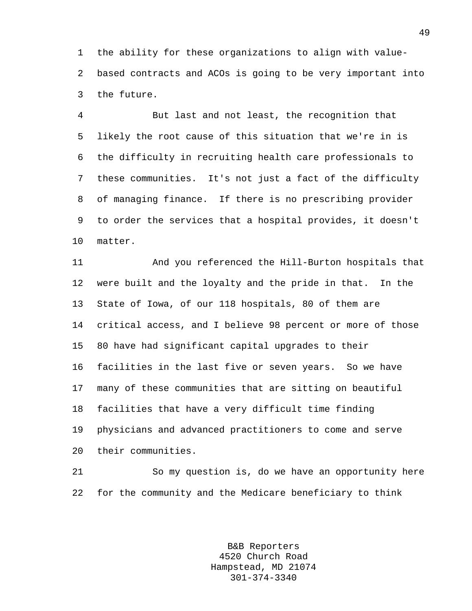1 the ability for these organizations to align with value-2 based contracts and ACOs is going to be very important into 3 the future.

4 But last and not least, the recognition that 5 likely the root cause of this situation that we're in is 6 the difficulty in recruiting health care professionals to 7 these communities. It's not just a fact of the difficulty 8 of managing finance. If there is no prescribing provider 9 to order the services that a hospital provides, it doesn't 10 matter.

11 And you referenced the Hill-Burton hospitals that 12 were built and the loyalty and the pride in that. In the 13 State of Iowa, of our 118 hospitals, 80 of them are 14 critical access, and I believe 98 percent or more of those 15 80 have had significant capital upgrades to their 16 facilities in the last five or seven years. So we have 17 many of these communities that are sitting on beautiful 18 facilities that have a very difficult time finding 19 physicians and advanced practitioners to come and serve 20 their communities.

21 So my question is, do we have an opportunity here 22 for the community and the Medicare beneficiary to think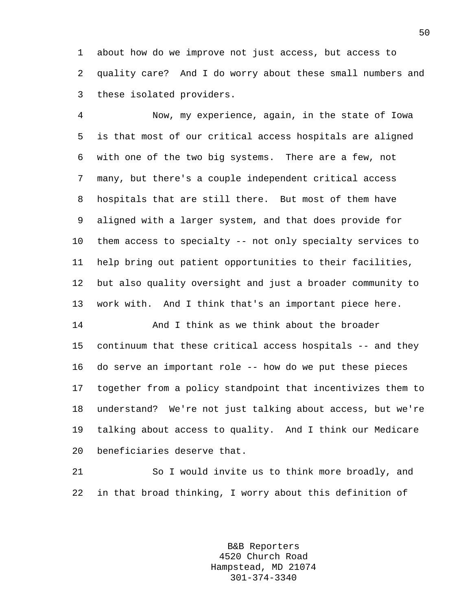1 about how do we improve not just access, but access to 2 quality care? And I do worry about these small numbers and 3 these isolated providers.

4 Now, my experience, again, in the state of Iowa 5 is that most of our critical access hospitals are aligned 6 with one of the two big systems. There are a few, not 7 many, but there's a couple independent critical access 8 hospitals that are still there. But most of them have 9 aligned with a larger system, and that does provide for 10 them access to specialty -- not only specialty services to 11 help bring out patient opportunities to their facilities, 12 but also quality oversight and just a broader community to 13 work with. And I think that's an important piece here.

14 And I think as we think about the broader 15 continuum that these critical access hospitals -- and they 16 do serve an important role -- how do we put these pieces 17 together from a policy standpoint that incentivizes them to 18 understand? We're not just talking about access, but we're 19 talking about access to quality. And I think our Medicare 20 beneficiaries deserve that.

21 So I would invite us to think more broadly, and 22 in that broad thinking, I worry about this definition of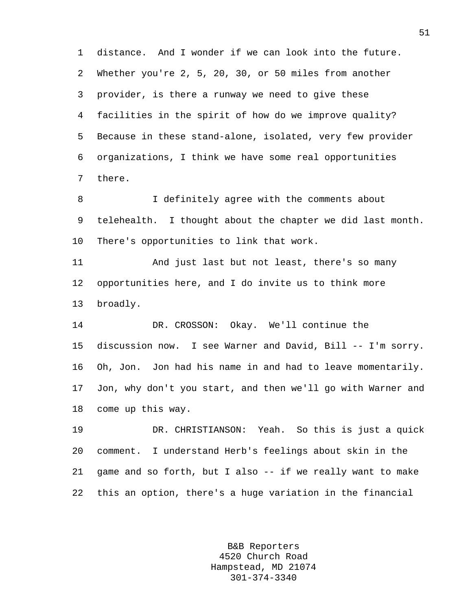1 distance. And I wonder if we can look into the future. 2 Whether you're 2, 5, 20, 30, or 50 miles from another 3 provider, is there a runway we need to give these 4 facilities in the spirit of how do we improve quality? 5 Because in these stand-alone, isolated, very few provider 6 organizations, I think we have some real opportunities 7 there.

8 I definitely agree with the comments about 9 telehealth. I thought about the chapter we did last month. 10 There's opportunities to link that work.

11 And just last but not least, there's so many 12 opportunities here, and I do invite us to think more 13 broadly.

14 DR. CROSSON: Okay. We'll continue the 15 discussion now. I see Warner and David, Bill -- I'm sorry. 16 Oh, Jon. Jon had his name in and had to leave momentarily. 17 Jon, why don't you start, and then we'll go with Warner and 18 come up this way.

19 DR. CHRISTIANSON: Yeah. So this is just a quick 20 comment. I understand Herb's feelings about skin in the 21 game and so forth, but I also -- if we really want to make 22 this an option, there's a huge variation in the financial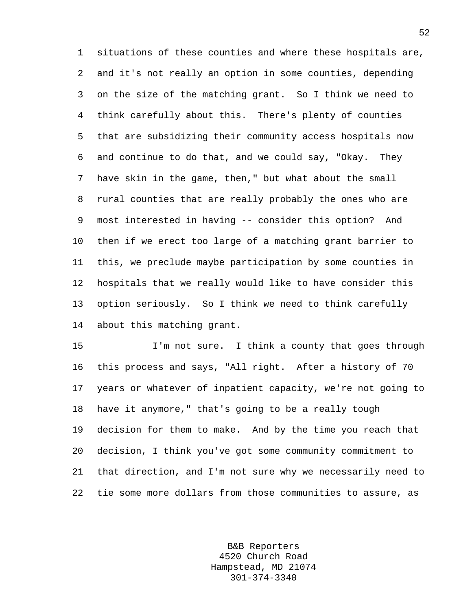1 situations of these counties and where these hospitals are, 2 and it's not really an option in some counties, depending 3 on the size of the matching grant. So I think we need to 4 think carefully about this. There's plenty of counties 5 that are subsidizing their community access hospitals now 6 and continue to do that, and we could say, "Okay. They 7 have skin in the game, then," but what about the small 8 rural counties that are really probably the ones who are 9 most interested in having -- consider this option? And 10 then if we erect too large of a matching grant barrier to 11 this, we preclude maybe participation by some counties in 12 hospitals that we really would like to have consider this 13 option seriously. So I think we need to think carefully 14 about this matching grant.

15 I'm not sure. I think a county that goes through 16 this process and says, "All right. After a history of 70 17 years or whatever of inpatient capacity, we're not going to 18 have it anymore," that's going to be a really tough 19 decision for them to make. And by the time you reach that 20 decision, I think you've got some community commitment to 21 that direction, and I'm not sure why we necessarily need to 22 tie some more dollars from those communities to assure, as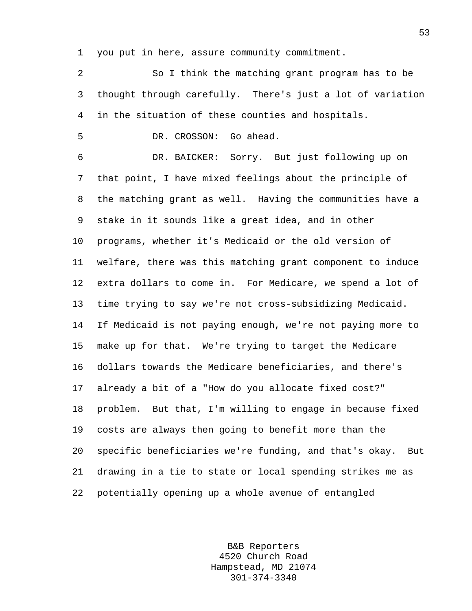1 you put in here, assure community commitment.

2 So I think the matching grant program has to be 3 thought through carefully. There's just a lot of variation 4 in the situation of these counties and hospitals.

5 DR. CROSSON: Go ahead.

6 DR. BAICKER: Sorry. But just following up on 7 that point, I have mixed feelings about the principle of 8 the matching grant as well. Having the communities have a 9 stake in it sounds like a great idea, and in other 10 programs, whether it's Medicaid or the old version of 11 welfare, there was this matching grant component to induce 12 extra dollars to come in. For Medicare, we spend a lot of 13 time trying to say we're not cross-subsidizing Medicaid. 14 If Medicaid is not paying enough, we're not paying more to 15 make up for that. We're trying to target the Medicare 16 dollars towards the Medicare beneficiaries, and there's 17 already a bit of a "How do you allocate fixed cost?" 18 problem. But that, I'm willing to engage in because fixed 19 costs are always then going to benefit more than the 20 specific beneficiaries we're funding, and that's okay. But 21 drawing in a tie to state or local spending strikes me as 22 potentially opening up a whole avenue of entangled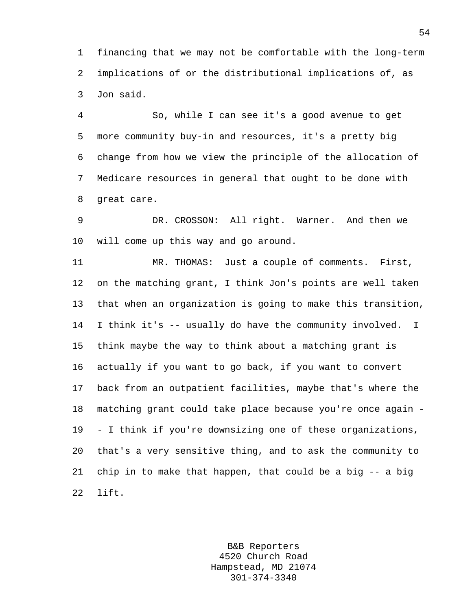1 financing that we may not be comfortable with the long-term 2 implications of or the distributional implications of, as 3 Jon said.

4 So, while I can see it's a good avenue to get 5 more community buy-in and resources, it's a pretty big 6 change from how we view the principle of the allocation of 7 Medicare resources in general that ought to be done with 8 great care.

9 DR. CROSSON: All right. Warner. And then we 10 will come up this way and go around.

11 MR. THOMAS: Just a couple of comments. First, 12 on the matching grant, I think Jon's points are well taken 13 that when an organization is going to make this transition, 14 I think it's -- usually do have the community involved. I 15 think maybe the way to think about a matching grant is 16 actually if you want to go back, if you want to convert 17 back from an outpatient facilities, maybe that's where the 18 matching grant could take place because you're once again - 19 - I think if you're downsizing one of these organizations, 20 that's a very sensitive thing, and to ask the community to 21 chip in to make that happen, that could be a big -- a big 22 lift.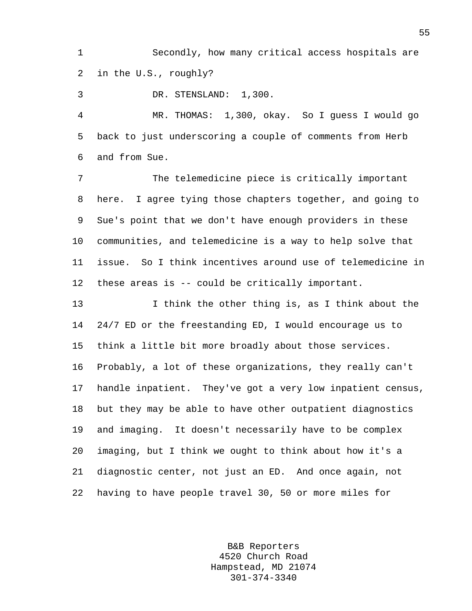1 Secondly, how many critical access hospitals are 2 in the U.S., roughly?

3 DR. STENSLAND: 1,300.

4 MR. THOMAS: 1,300, okay. So I guess I would go 5 back to just underscoring a couple of comments from Herb 6 and from Sue.

7 The telemedicine piece is critically important 8 here. I agree tying those chapters together, and going to 9 Sue's point that we don't have enough providers in these 10 communities, and telemedicine is a way to help solve that 11 issue. So I think incentives around use of telemedicine in 12 these areas is -- could be critically important.

13 I think the other thing is, as I think about the 14 24/7 ED or the freestanding ED, I would encourage us to 15 think a little bit more broadly about those services. 16 Probably, a lot of these organizations, they really can't 17 handle inpatient. They've got a very low inpatient census, 18 but they may be able to have other outpatient diagnostics 19 and imaging. It doesn't necessarily have to be complex 20 imaging, but I think we ought to think about how it's a 21 diagnostic center, not just an ED. And once again, not 22 having to have people travel 30, 50 or more miles for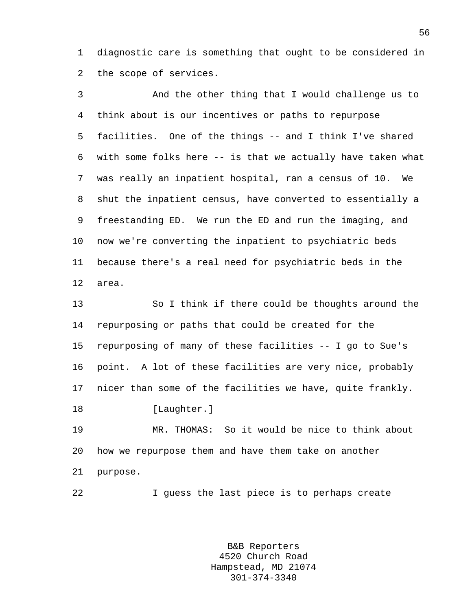1 diagnostic care is something that ought to be considered in 2 the scope of services.

3 And the other thing that I would challenge us to 4 think about is our incentives or paths to repurpose 5 facilities. One of the things -- and I think I've shared 6 with some folks here -- is that we actually have taken what 7 was really an inpatient hospital, ran a census of 10. We 8 shut the inpatient census, have converted to essentially a 9 freestanding ED. We run the ED and run the imaging, and 10 now we're converting the inpatient to psychiatric beds 11 because there's a real need for psychiatric beds in the 12 area.

13 So I think if there could be thoughts around the 14 repurposing or paths that could be created for the 15 repurposing of many of these facilities -- I go to Sue's 16 point. A lot of these facilities are very nice, probably 17 nicer than some of the facilities we have, quite frankly. 18 [Laughter.]

19 MR. THOMAS: So it would be nice to think about 20 how we repurpose them and have them take on another 21 purpose.

22 I guess the last piece is to perhaps create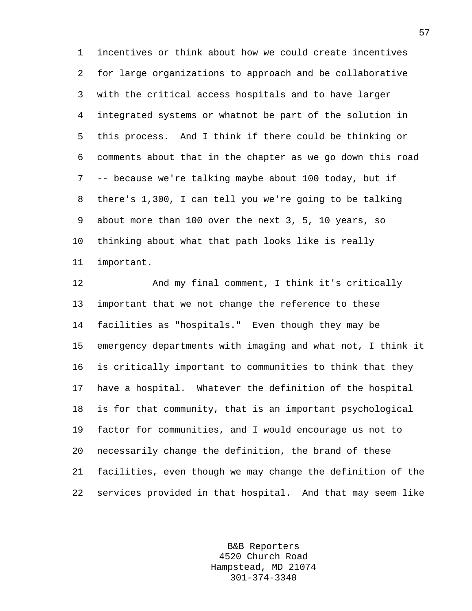1 incentives or think about how we could create incentives 2 for large organizations to approach and be collaborative 3 with the critical access hospitals and to have larger 4 integrated systems or whatnot be part of the solution in 5 this process. And I think if there could be thinking or 6 comments about that in the chapter as we go down this road 7 -- because we're talking maybe about 100 today, but if 8 there's 1,300, I can tell you we're going to be talking 9 about more than 100 over the next 3, 5, 10 years, so 10 thinking about what that path looks like is really 11 important.

12 And my final comment, I think it's critically 13 important that we not change the reference to these 14 facilities as "hospitals." Even though they may be 15 emergency departments with imaging and what not, I think it 16 is critically important to communities to think that they 17 have a hospital. Whatever the definition of the hospital 18 is for that community, that is an important psychological 19 factor for communities, and I would encourage us not to 20 necessarily change the definition, the brand of these 21 facilities, even though we may change the definition of the 22 services provided in that hospital. And that may seem like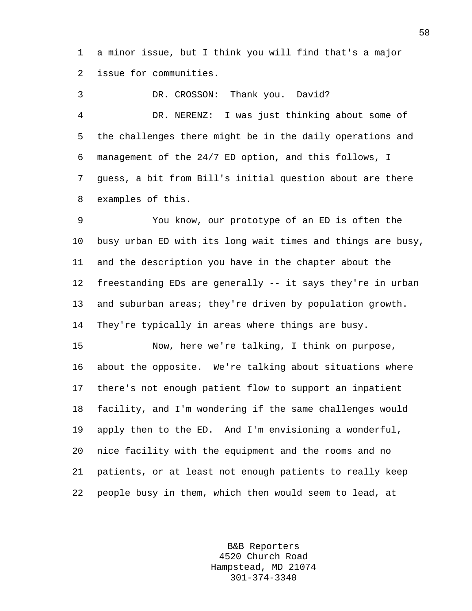1 a minor issue, but I think you will find that's a major 2 issue for communities.

3 DR. CROSSON: Thank you. David? 4 DR. NERENZ: I was just thinking about some of 5 the challenges there might be in the daily operations and 6 management of the 24/7 ED option, and this follows, I 7 guess, a bit from Bill's initial question about are there 8 examples of this.

9 You know, our prototype of an ED is often the 10 busy urban ED with its long wait times and things are busy, 11 and the description you have in the chapter about the 12 freestanding EDs are generally -- it says they're in urban 13 and suburban areas; they're driven by population growth. 14 They're typically in areas where things are busy.

15 Now, here we're talking, I think on purpose, 16 about the opposite. We're talking about situations where 17 there's not enough patient flow to support an inpatient 18 facility, and I'm wondering if the same challenges would 19 apply then to the ED. And I'm envisioning a wonderful, 20 nice facility with the equipment and the rooms and no 21 patients, or at least not enough patients to really keep 22 people busy in them, which then would seem to lead, at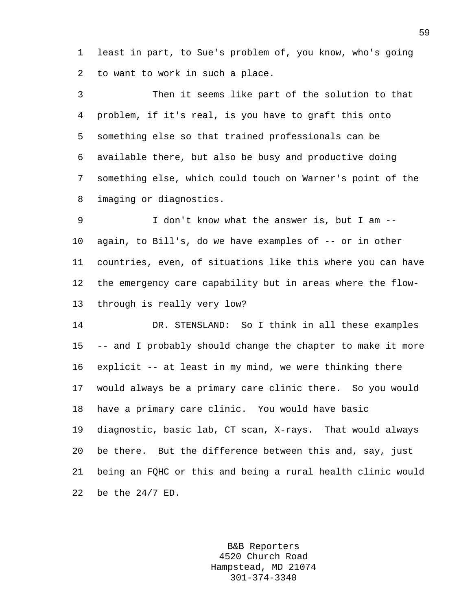1 least in part, to Sue's problem of, you know, who's going 2 to want to work in such a place.

3 Then it seems like part of the solution to that 4 problem, if it's real, is you have to graft this onto 5 something else so that trained professionals can be 6 available there, but also be busy and productive doing 7 something else, which could touch on Warner's point of the 8 imaging or diagnostics.

9 I don't know what the answer is, but I am -- 10 again, to Bill's, do we have examples of -- or in other 11 countries, even, of situations like this where you can have 12 the emergency care capability but in areas where the flow-13 through is really very low?

14 DR. STENSLAND: So I think in all these examples 15 -- and I probably should change the chapter to make it more 16 explicit -- at least in my mind, we were thinking there 17 would always be a primary care clinic there. So you would 18 have a primary care clinic. You would have basic 19 diagnostic, basic lab, CT scan, X-rays. That would always 20 be there. But the difference between this and, say, just 21 being an FQHC or this and being a rural health clinic would 22 be the 24/7 ED.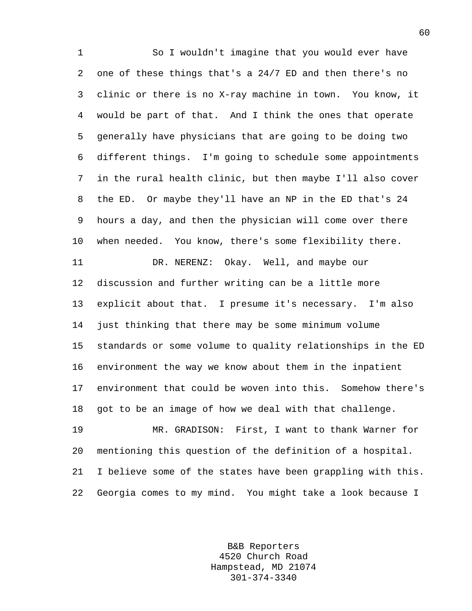1 So I wouldn't imagine that you would ever have 2 one of these things that's a 24/7 ED and then there's no 3 clinic or there is no X-ray machine in town. You know, it 4 would be part of that. And I think the ones that operate 5 generally have physicians that are going to be doing two 6 different things. I'm going to schedule some appointments 7 in the rural health clinic, but then maybe I'll also cover 8 the ED. Or maybe they'll have an NP in the ED that's 24 9 hours a day, and then the physician will come over there 10 when needed. You know, there's some flexibility there. 11 DR. NERENZ: Okay. Well, and maybe our 12 discussion and further writing can be a little more 13 explicit about that. I presume it's necessary. I'm also 14 just thinking that there may be some minimum volume 15 standards or some volume to quality relationships in the ED 16 environment the way we know about them in the inpatient 17 environment that could be woven into this. Somehow there's 18 got to be an image of how we deal with that challenge. 19 MR. GRADISON: First, I want to thank Warner for 20 mentioning this question of the definition of a hospital. 21 I believe some of the states have been grappling with this.

> B&B Reporters 4520 Church Road Hampstead, MD 21074 301-374-3340

22 Georgia comes to my mind. You might take a look because I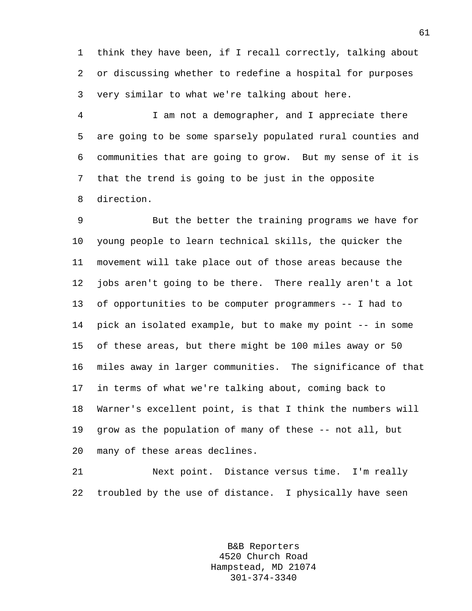1 think they have been, if I recall correctly, talking about 2 or discussing whether to redefine a hospital for purposes 3 very similar to what we're talking about here.

4 I am not a demographer, and I appreciate there 5 are going to be some sparsely populated rural counties and 6 communities that are going to grow. But my sense of it is 7 that the trend is going to be just in the opposite 8 direction.

9 But the better the training programs we have for 10 young people to learn technical skills, the quicker the 11 movement will take place out of those areas because the 12 jobs aren't going to be there. There really aren't a lot 13 of opportunities to be computer programmers -- I had to 14 pick an isolated example, but to make my point -- in some 15 of these areas, but there might be 100 miles away or 50 16 miles away in larger communities. The significance of that 17 in terms of what we're talking about, coming back to 18 Warner's excellent point, is that I think the numbers will 19 grow as the population of many of these -- not all, but 20 many of these areas declines.

21 Next point. Distance versus time. I'm really 22 troubled by the use of distance. I physically have seen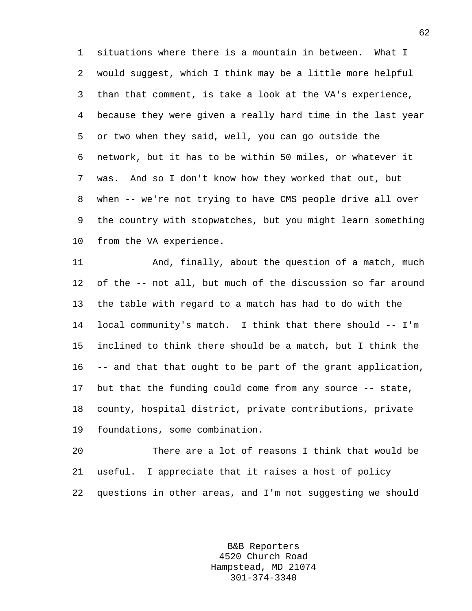1 situations where there is a mountain in between. What I 2 would suggest, which I think may be a little more helpful 3 than that comment, is take a look at the VA's experience, 4 because they were given a really hard time in the last year 5 or two when they said, well, you can go outside the 6 network, but it has to be within 50 miles, or whatever it 7 was. And so I don't know how they worked that out, but 8 when -- we're not trying to have CMS people drive all over 9 the country with stopwatches, but you might learn something 10 from the VA experience.

11 And, finally, about the question of a match, much 12 of the -- not all, but much of the discussion so far around 13 the table with regard to a match has had to do with the 14 local community's match. I think that there should -- I'm 15 inclined to think there should be a match, but I think the 16 -- and that that ought to be part of the grant application, 17 but that the funding could come from any source -- state, 18 county, hospital district, private contributions, private 19 foundations, some combination.

20 There are a lot of reasons I think that would be 21 useful. I appreciate that it raises a host of policy 22 questions in other areas, and I'm not suggesting we should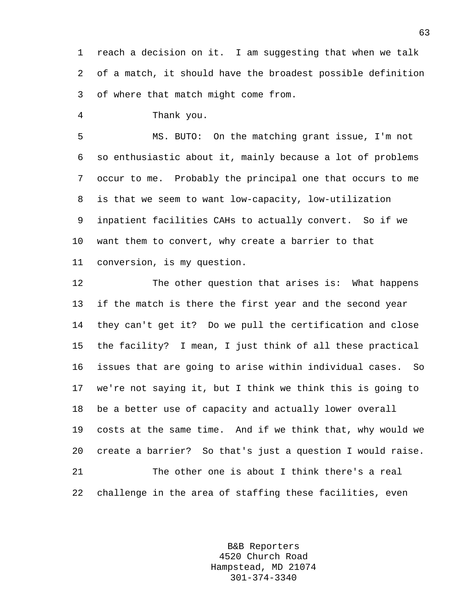1 reach a decision on it. I am suggesting that when we talk 2 of a match, it should have the broadest possible definition 3 of where that match might come from.

4 Thank you.

5 MS. BUTO: On the matching grant issue, I'm not 6 so enthusiastic about it, mainly because a lot of problems 7 occur to me. Probably the principal one that occurs to me 8 is that we seem to want low-capacity, low-utilization 9 inpatient facilities CAHs to actually convert. So if we 10 want them to convert, why create a barrier to that 11 conversion, is my question.

12 The other question that arises is: What happens 13 if the match is there the first year and the second year 14 they can't get it? Do we pull the certification and close 15 the facility? I mean, I just think of all these practical 16 issues that are going to arise within individual cases. So 17 we're not saying it, but I think we think this is going to 18 be a better use of capacity and actually lower overall 19 costs at the same time. And if we think that, why would we 20 create a barrier? So that's just a question I would raise. 21 The other one is about I think there's a real 22 challenge in the area of staffing these facilities, even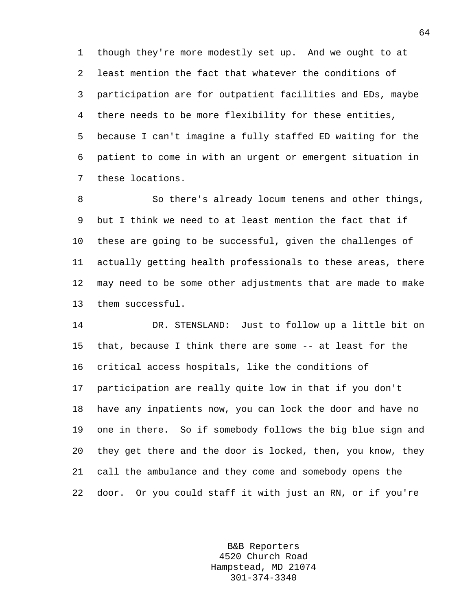1 though they're more modestly set up. And we ought to at 2 least mention the fact that whatever the conditions of 3 participation are for outpatient facilities and EDs, maybe 4 there needs to be more flexibility for these entities, 5 because I can't imagine a fully staffed ED waiting for the 6 patient to come in with an urgent or emergent situation in 7 these locations.

8 So there's already locum tenens and other things, 9 but I think we need to at least mention the fact that if 10 these are going to be successful, given the challenges of 11 actually getting health professionals to these areas, there 12 may need to be some other adjustments that are made to make 13 them successful.

14 DR. STENSLAND: Just to follow up a little bit on 15 that, because I think there are some -- at least for the 16 critical access hospitals, like the conditions of 17 participation are really quite low in that if you don't 18 have any inpatients now, you can lock the door and have no 19 one in there. So if somebody follows the big blue sign and 20 they get there and the door is locked, then, you know, they 21 call the ambulance and they come and somebody opens the 22 door. Or you could staff it with just an RN, or if you're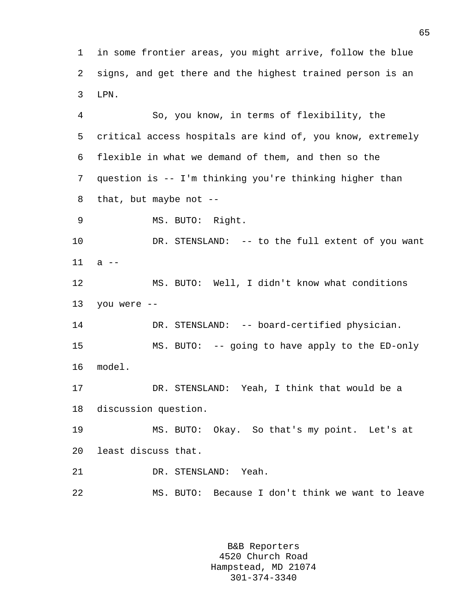1 in some frontier areas, you might arrive, follow the blue 2 signs, and get there and the highest trained person is an 3 LPN.

4 So, you know, in terms of flexibility, the 5 critical access hospitals are kind of, you know, extremely 6 flexible in what we demand of them, and then so the 7 question is -- I'm thinking you're thinking higher than 8 that, but maybe not --

9 MS. BUTO: Right.

10 DR. STENSLAND: -- to the full extent of you want 11 a --

12 MS. BUTO: Well, I didn't know what conditions 13 you were --

14 DR. STENSLAND: -- board-certified physician. 15 MS. BUTO: -- going to have apply to the ED-only 16 model.

17 DR. STENSLAND: Yeah, I think that would be a 18 discussion question.

19 MS. BUTO: Okay. So that's my point. Let's at 20 least discuss that.

21 DR. STENSLAND: Yeah.

22 MS. BUTO: Because I don't think we want to leave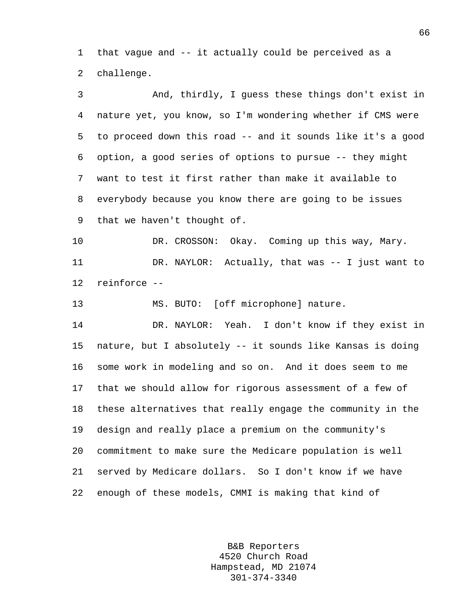1 that vague and -- it actually could be perceived as a 2 challenge.

3 And, thirdly, I guess these things don't exist in 4 nature yet, you know, so I'm wondering whether if CMS were 5 to proceed down this road -- and it sounds like it's a good 6 option, a good series of options to pursue -- they might 7 want to test it first rather than make it available to 8 everybody because you know there are going to be issues 9 that we haven't thought of. 10 DR. CROSSON: Okay. Coming up this way, Mary. 11 DR. NAYLOR: Actually, that was -- I just want to 12 reinforce -- 13 MS. BUTO: [off microphone] nature. 14 DR. NAYLOR: Yeah. I don't know if they exist in 15 nature, but I absolutely -- it sounds like Kansas is doing 16 some work in modeling and so on. And it does seem to me 17 that we should allow for rigorous assessment of a few of 18 these alternatives that really engage the community in the 19 design and really place a premium on the community's 20 commitment to make sure the Medicare population is well 21 served by Medicare dollars. So I don't know if we have 22 enough of these models, CMMI is making that kind of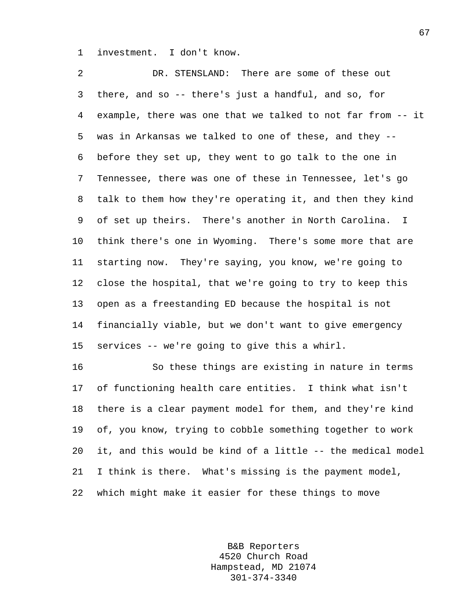1 investment. I don't know.

2 DR. STENSLAND: There are some of these out 3 there, and so -- there's just a handful, and so, for 4 example, there was one that we talked to not far from -- it 5 was in Arkansas we talked to one of these, and they -- 6 before they set up, they went to go talk to the one in 7 Tennessee, there was one of these in Tennessee, let's go 8 talk to them how they're operating it, and then they kind 9 of set up theirs. There's another in North Carolina. I 10 think there's one in Wyoming. There's some more that are 11 starting now. They're saying, you know, we're going to 12 close the hospital, that we're going to try to keep this 13 open as a freestanding ED because the hospital is not 14 financially viable, but we don't want to give emergency 15 services -- we're going to give this a whirl.

16 So these things are existing in nature in terms 17 of functioning health care entities. I think what isn't 18 there is a clear payment model for them, and they're kind 19 of, you know, trying to cobble something together to work 20 it, and this would be kind of a little -- the medical model 21 I think is there. What's missing is the payment model, 22 which might make it easier for these things to move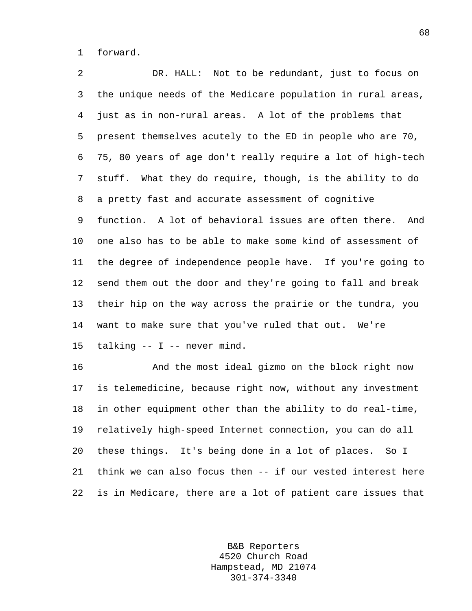1 forward.

2 DR. HALL: Not to be redundant, just to focus on 3 the unique needs of the Medicare population in rural areas, 4 just as in non-rural areas. A lot of the problems that 5 present themselves acutely to the ED in people who are 70, 6 75, 80 years of age don't really require a lot of high-tech 7 stuff. What they do require, though, is the ability to do 8 a pretty fast and accurate assessment of cognitive 9 function. A lot of behavioral issues are often there. And 10 one also has to be able to make some kind of assessment of 11 the degree of independence people have. If you're going to 12 send them out the door and they're going to fall and break 13 their hip on the way across the prairie or the tundra, you 14 want to make sure that you've ruled that out. We're 15 talking -- I -- never mind.

16 And the most ideal gizmo on the block right now 17 is telemedicine, because right now, without any investment 18 in other equipment other than the ability to do real-time, 19 relatively high-speed Internet connection, you can do all 20 these things. It's being done in a lot of places. So I 21 think we can also focus then -- if our vested interest here 22 is in Medicare, there are a lot of patient care issues that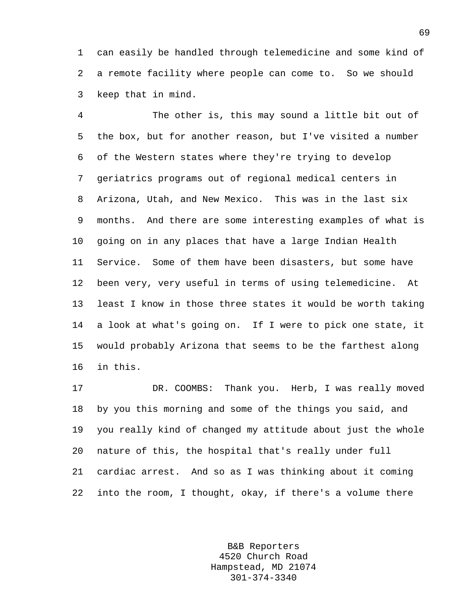1 can easily be handled through telemedicine and some kind of 2 a remote facility where people can come to. So we should 3 keep that in mind.

4 The other is, this may sound a little bit out of 5 the box, but for another reason, but I've visited a number 6 of the Western states where they're trying to develop 7 geriatrics programs out of regional medical centers in 8 Arizona, Utah, and New Mexico. This was in the last six 9 months. And there are some interesting examples of what is 10 going on in any places that have a large Indian Health 11 Service. Some of them have been disasters, but some have 12 been very, very useful in terms of using telemedicine. At 13 least I know in those three states it would be worth taking 14 a look at what's going on. If I were to pick one state, it 15 would probably Arizona that seems to be the farthest along 16 in this.

17 DR. COOMBS: Thank you. Herb, I was really moved 18 by you this morning and some of the things you said, and 19 you really kind of changed my attitude about just the whole 20 nature of this, the hospital that's really under full 21 cardiac arrest. And so as I was thinking about it coming 22 into the room, I thought, okay, if there's a volume there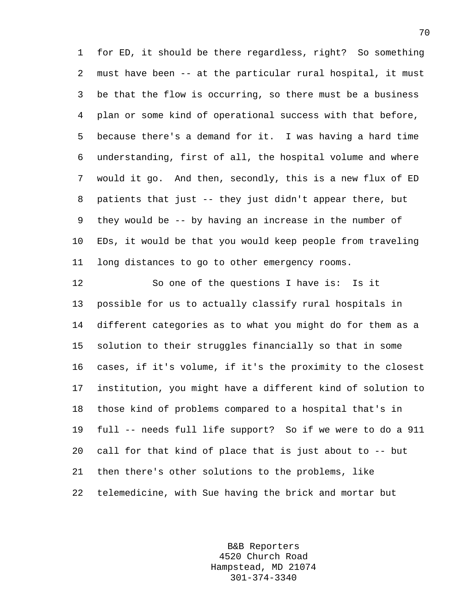1 for ED, it should be there regardless, right? So something 2 must have been -- at the particular rural hospital, it must 3 be that the flow is occurring, so there must be a business 4 plan or some kind of operational success with that before, 5 because there's a demand for it. I was having a hard time 6 understanding, first of all, the hospital volume and where 7 would it go. And then, secondly, this is a new flux of ED 8 patients that just -- they just didn't appear there, but 9 they would be -- by having an increase in the number of 10 EDs, it would be that you would keep people from traveling 11 long distances to go to other emergency rooms.

12 So one of the questions I have is: Is it 13 possible for us to actually classify rural hospitals in 14 different categories as to what you might do for them as a 15 solution to their struggles financially so that in some 16 cases, if it's volume, if it's the proximity to the closest 17 institution, you might have a different kind of solution to 18 those kind of problems compared to a hospital that's in 19 full -- needs full life support? So if we were to do a 911 20 call for that kind of place that is just about to -- but 21 then there's other solutions to the problems, like 22 telemedicine, with Sue having the brick and mortar but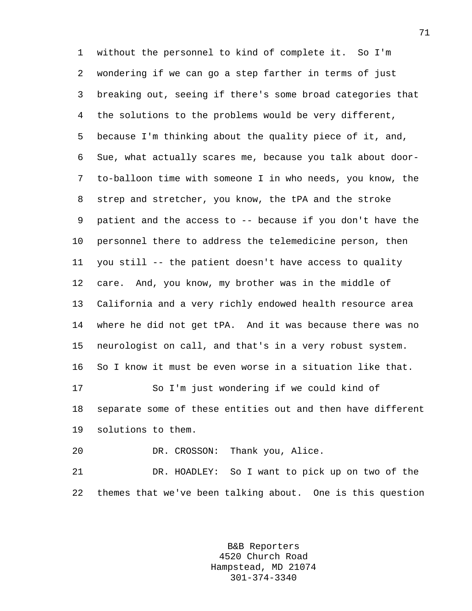1 without the personnel to kind of complete it. So I'm 2 wondering if we can go a step farther in terms of just 3 breaking out, seeing if there's some broad categories that 4 the solutions to the problems would be very different, 5 because I'm thinking about the quality piece of it, and, 6 Sue, what actually scares me, because you talk about door-7 to-balloon time with someone I in who needs, you know, the 8 strep and stretcher, you know, the tPA and the stroke 9 patient and the access to -- because if you don't have the 10 personnel there to address the telemedicine person, then 11 you still -- the patient doesn't have access to quality 12 care. And, you know, my brother was in the middle of 13 California and a very richly endowed health resource area 14 where he did not get tPA. And it was because there was no 15 neurologist on call, and that's in a very robust system. 16 So I know it must be even worse in a situation like that. 17 So I'm just wondering if we could kind of 18 separate some of these entities out and then have different 19 solutions to them. 20 DR. CROSSON: Thank you, Alice.

21 DR. HOADLEY: So I want to pick up on two of the 22 themes that we've been talking about. One is this question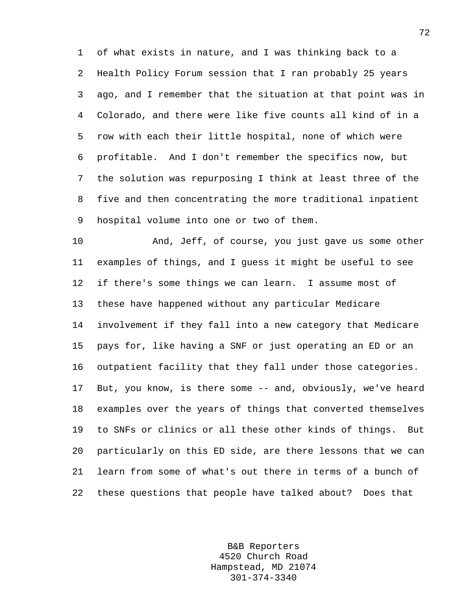1 of what exists in nature, and I was thinking back to a 2 Health Policy Forum session that I ran probably 25 years 3 ago, and I remember that the situation at that point was in 4 Colorado, and there were like five counts all kind of in a 5 row with each their little hospital, none of which were 6 profitable. And I don't remember the specifics now, but 7 the solution was repurposing I think at least three of the 8 five and then concentrating the more traditional inpatient 9 hospital volume into one or two of them.

10 And, Jeff, of course, you just gave us some other 11 examples of things, and I guess it might be useful to see 12 if there's some things we can learn. I assume most of 13 these have happened without any particular Medicare 14 involvement if they fall into a new category that Medicare 15 pays for, like having a SNF or just operating an ED or an 16 outpatient facility that they fall under those categories. 17 But, you know, is there some -- and, obviously, we've heard 18 examples over the years of things that converted themselves 19 to SNFs or clinics or all these other kinds of things. But 20 particularly on this ED side, are there lessons that we can 21 learn from some of what's out there in terms of a bunch of 22 these questions that people have talked about? Does that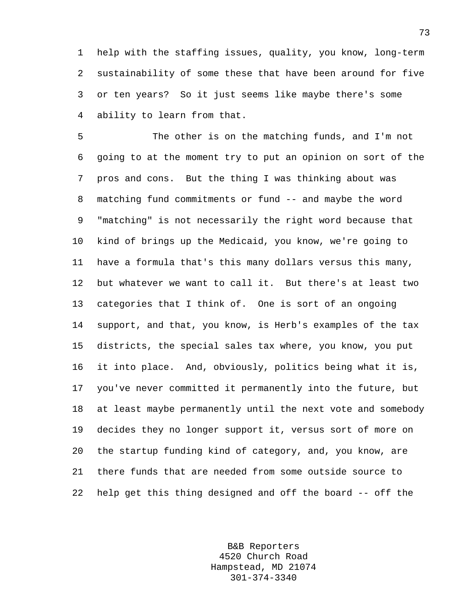1 help with the staffing issues, quality, you know, long-term 2 sustainability of some these that have been around for five 3 or ten years? So it just seems like maybe there's some 4 ability to learn from that.

5 The other is on the matching funds, and I'm not 6 going to at the moment try to put an opinion on sort of the 7 pros and cons. But the thing I was thinking about was 8 matching fund commitments or fund -- and maybe the word 9 "matching" is not necessarily the right word because that 10 kind of brings up the Medicaid, you know, we're going to 11 have a formula that's this many dollars versus this many, 12 but whatever we want to call it. But there's at least two 13 categories that I think of. One is sort of an ongoing 14 support, and that, you know, is Herb's examples of the tax 15 districts, the special sales tax where, you know, you put 16 it into place. And, obviously, politics being what it is, 17 you've never committed it permanently into the future, but 18 at least maybe permanently until the next vote and somebody 19 decides they no longer support it, versus sort of more on 20 the startup funding kind of category, and, you know, are 21 there funds that are needed from some outside source to 22 help get this thing designed and off the board -- off the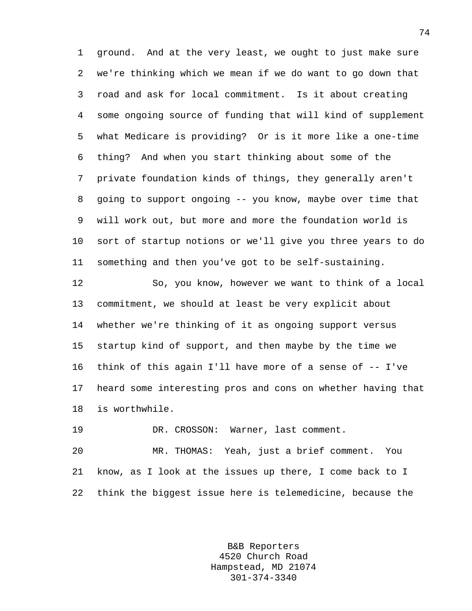1 ground. And at the very least, we ought to just make sure 2 we're thinking which we mean if we do want to go down that 3 road and ask for local commitment. Is it about creating 4 some ongoing source of funding that will kind of supplement 5 what Medicare is providing? Or is it more like a one-time 6 thing? And when you start thinking about some of the 7 private foundation kinds of things, they generally aren't 8 going to support ongoing -- you know, maybe over time that 9 will work out, but more and more the foundation world is 10 sort of startup notions or we'll give you three years to do 11 something and then you've got to be self-sustaining.

12 So, you know, however we want to think of a local 13 commitment, we should at least be very explicit about 14 whether we're thinking of it as ongoing support versus 15 startup kind of support, and then maybe by the time we 16 think of this again I'll have more of a sense of -- I've 17 heard some interesting pros and cons on whether having that 18 is worthwhile.

19 DR. CROSSON: Warner, last comment.

20 MR. THOMAS: Yeah, just a brief comment. You 21 know, as I look at the issues up there, I come back to I 22 think the biggest issue here is telemedicine, because the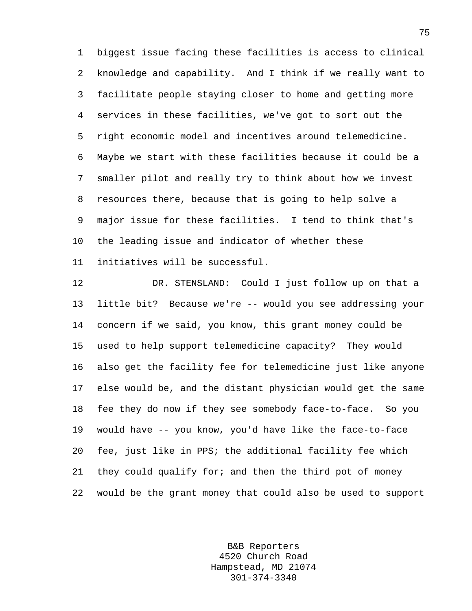1 biggest issue facing these facilities is access to clinical 2 knowledge and capability. And I think if we really want to 3 facilitate people staying closer to home and getting more 4 services in these facilities, we've got to sort out the 5 right economic model and incentives around telemedicine. 6 Maybe we start with these facilities because it could be a 7 smaller pilot and really try to think about how we invest 8 resources there, because that is going to help solve a 9 major issue for these facilities. I tend to think that's 10 the leading issue and indicator of whether these 11 initiatives will be successful.

12 DR. STENSLAND: Could I just follow up on that a 13 little bit? Because we're -- would you see addressing your 14 concern if we said, you know, this grant money could be 15 used to help support telemedicine capacity? They would 16 also get the facility fee for telemedicine just like anyone 17 else would be, and the distant physician would get the same 18 fee they do now if they see somebody face-to-face. So you 19 would have -- you know, you'd have like the face-to-face 20 fee, just like in PPS; the additional facility fee which 21 they could qualify for; and then the third pot of money 22 would be the grant money that could also be used to support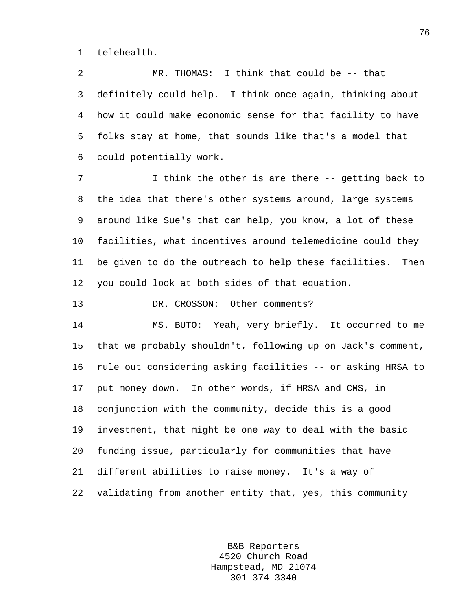1 telehealth.

2 MR. THOMAS: I think that could be -- that 3 definitely could help. I think once again, thinking about 4 how it could make economic sense for that facility to have 5 folks stay at home, that sounds like that's a model that 6 could potentially work.

7 I think the other is are there -- getting back to 8 the idea that there's other systems around, large systems 9 around like Sue's that can help, you know, a lot of these 10 facilities, what incentives around telemedicine could they 11 be given to do the outreach to help these facilities. Then 12 you could look at both sides of that equation.

13 DR. CROSSON: Other comments?

14 MS. BUTO: Yeah, very briefly. It occurred to me 15 that we probably shouldn't, following up on Jack's comment, 16 rule out considering asking facilities -- or asking HRSA to 17 put money down. In other words, if HRSA and CMS, in 18 conjunction with the community, decide this is a good 19 investment, that might be one way to deal with the basic 20 funding issue, particularly for communities that have 21 different abilities to raise money. It's a way of 22 validating from another entity that, yes, this community

> B&B Reporters 4520 Church Road Hampstead, MD 21074 301-374-3340

76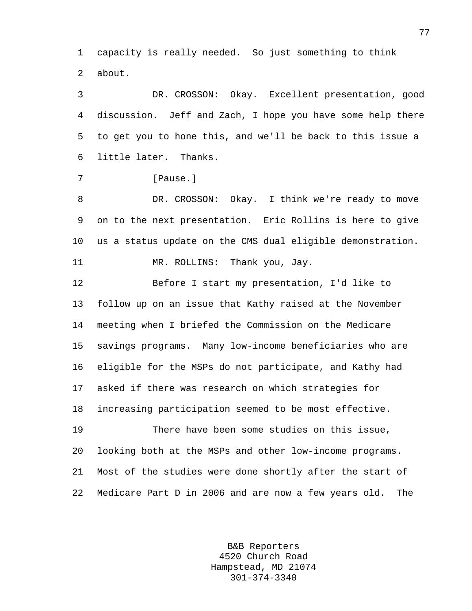1 capacity is really needed. So just something to think 2 about.

3 DR. CROSSON: Okay. Excellent presentation, good 4 discussion. Jeff and Zach, I hope you have some help there 5 to get you to hone this, and we'll be back to this issue a 6 little later. Thanks.

7 **[Pause.]** 

8 DR. CROSSON: Okay. I think we're ready to move 9 on to the next presentation. Eric Rollins is here to give 10 us a status update on the CMS dual eligible demonstration. 11 MR. ROLLINS: Thank you, Jay.

12 Before I start my presentation, I'd like to 13 follow up on an issue that Kathy raised at the November 14 meeting when I briefed the Commission on the Medicare 15 savings programs. Many low-income beneficiaries who are 16 eligible for the MSPs do not participate, and Kathy had 17 asked if there was research on which strategies for 18 increasing participation seemed to be most effective.

19 There have been some studies on this issue, 20 looking both at the MSPs and other low-income programs. 21 Most of the studies were done shortly after the start of 22 Medicare Part D in 2006 and are now a few years old. The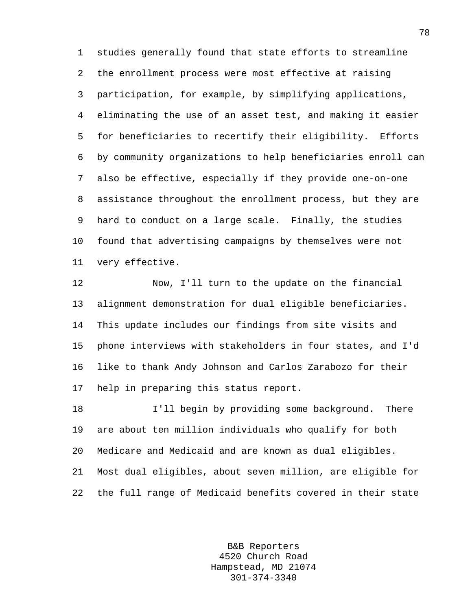1 studies generally found that state efforts to streamline 2 the enrollment process were most effective at raising 3 participation, for example, by simplifying applications, 4 eliminating the use of an asset test, and making it easier 5 for beneficiaries to recertify their eligibility. Efforts 6 by community organizations to help beneficiaries enroll can 7 also be effective, especially if they provide one-on-one 8 assistance throughout the enrollment process, but they are 9 hard to conduct on a large scale. Finally, the studies 10 found that advertising campaigns by themselves were not 11 very effective.

12 Now, I'll turn to the update on the financial 13 alignment demonstration for dual eligible beneficiaries. 14 This update includes our findings from site visits and 15 phone interviews with stakeholders in four states, and I'd 16 like to thank Andy Johnson and Carlos Zarabozo for their 17 help in preparing this status report.

18 I'll begin by providing some background. There 19 are about ten million individuals who qualify for both 20 Medicare and Medicaid and are known as dual eligibles. 21 Most dual eligibles, about seven million, are eligible for 22 the full range of Medicaid benefits covered in their state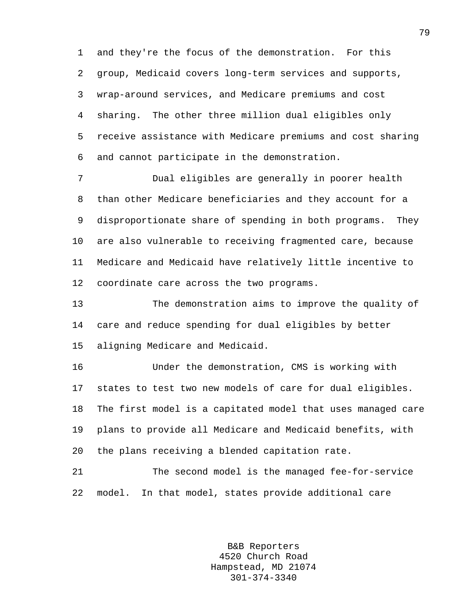1 and they're the focus of the demonstration. For this 2 group, Medicaid covers long-term services and supports, 3 wrap-around services, and Medicare premiums and cost 4 sharing. The other three million dual eligibles only 5 receive assistance with Medicare premiums and cost sharing 6 and cannot participate in the demonstration.

7 Dual eligibles are generally in poorer health 8 than other Medicare beneficiaries and they account for a 9 disproportionate share of spending in both programs. They 10 are also vulnerable to receiving fragmented care, because 11 Medicare and Medicaid have relatively little incentive to 12 coordinate care across the two programs.

13 The demonstration aims to improve the quality of 14 care and reduce spending for dual eligibles by better 15 aligning Medicare and Medicaid.

16 Under the demonstration, CMS is working with 17 states to test two new models of care for dual eligibles. 18 The first model is a capitated model that uses managed care 19 plans to provide all Medicare and Medicaid benefits, with 20 the plans receiving a blended capitation rate.

21 The second model is the managed fee-for-service 22 model. In that model, states provide additional care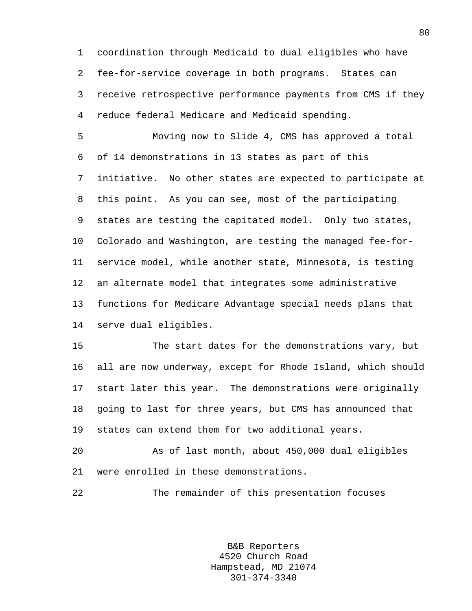1 coordination through Medicaid to dual eligibles who have 2 fee-for-service coverage in both programs. States can 3 receive retrospective performance payments from CMS if they 4 reduce federal Medicare and Medicaid spending.

5 Moving now to Slide 4, CMS has approved a total 6 of 14 demonstrations in 13 states as part of this 7 initiative. No other states are expected to participate at 8 this point. As you can see, most of the participating 9 states are testing the capitated model. Only two states, 10 Colorado and Washington, are testing the managed fee-for-11 service model, while another state, Minnesota, is testing 12 an alternate model that integrates some administrative 13 functions for Medicare Advantage special needs plans that 14 serve dual eligibles.

15 The start dates for the demonstrations vary, but 16 all are now underway, except for Rhode Island, which should 17 start later this year. The demonstrations were originally 18 going to last for three years, but CMS has announced that 19 states can extend them for two additional years.

20 As of last month, about 450,000 dual eligibles 21 were enrolled in these demonstrations.

22 The remainder of this presentation focuses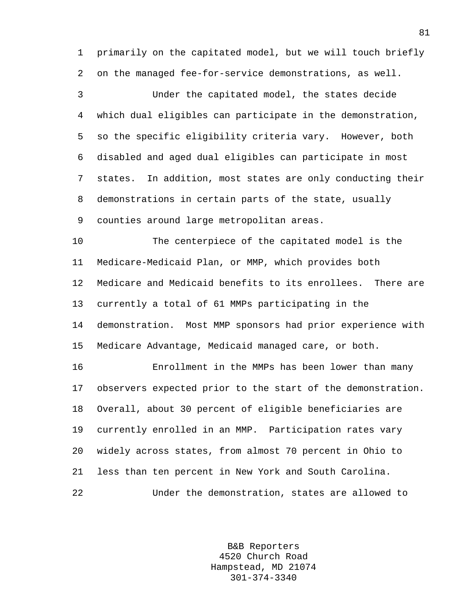1 primarily on the capitated model, but we will touch briefly 2 on the managed fee-for-service demonstrations, as well.

3 Under the capitated model, the states decide 4 which dual eligibles can participate in the demonstration, 5 so the specific eligibility criteria vary. However, both 6 disabled and aged dual eligibles can participate in most 7 states. In addition, most states are only conducting their 8 demonstrations in certain parts of the state, usually 9 counties around large metropolitan areas.

10 The centerpiece of the capitated model is the 11 Medicare-Medicaid Plan, or MMP, which provides both 12 Medicare and Medicaid benefits to its enrollees. There are 13 currently a total of 61 MMPs participating in the 14 demonstration. Most MMP sponsors had prior experience with 15 Medicare Advantage, Medicaid managed care, or both.

16 Enrollment in the MMPs has been lower than many 17 observers expected prior to the start of the demonstration. 18 Overall, about 30 percent of eligible beneficiaries are 19 currently enrolled in an MMP. Participation rates vary 20 widely across states, from almost 70 percent in Ohio to 21 less than ten percent in New York and South Carolina. 22 Under the demonstration, states are allowed to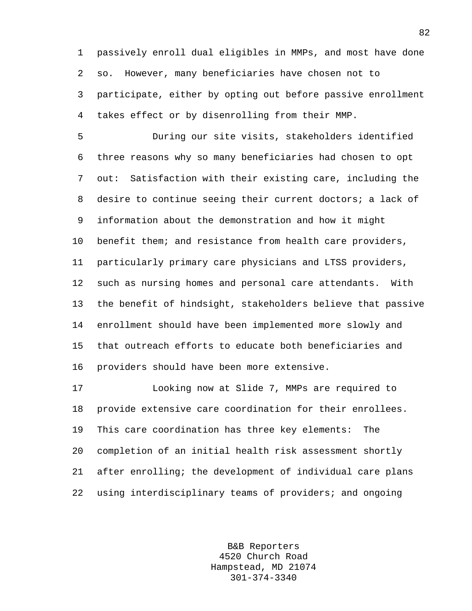1 passively enroll dual eligibles in MMPs, and most have done 2 so. However, many beneficiaries have chosen not to 3 participate, either by opting out before passive enrollment 4 takes effect or by disenrolling from their MMP.

5 During our site visits, stakeholders identified 6 three reasons why so many beneficiaries had chosen to opt 7 out: Satisfaction with their existing care, including the 8 desire to continue seeing their current doctors; a lack of 9 information about the demonstration and how it might 10 benefit them; and resistance from health care providers, 11 particularly primary care physicians and LTSS providers, 12 such as nursing homes and personal care attendants. With 13 the benefit of hindsight, stakeholders believe that passive 14 enrollment should have been implemented more slowly and 15 that outreach efforts to educate both beneficiaries and 16 providers should have been more extensive.

17 Looking now at Slide 7, MMPs are required to 18 provide extensive care coordination for their enrollees. 19 This care coordination has three key elements: The 20 completion of an initial health risk assessment shortly 21 after enrolling; the development of individual care plans 22 using interdisciplinary teams of providers; and ongoing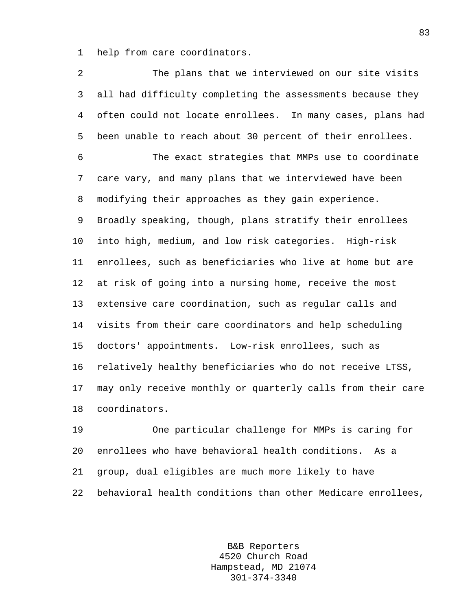1 help from care coordinators.

2 The plans that we interviewed on our site visits 3 all had difficulty completing the assessments because they 4 often could not locate enrollees. In many cases, plans had 5 been unable to reach about 30 percent of their enrollees. 6 The exact strategies that MMPs use to coordinate 7 care vary, and many plans that we interviewed have been 8 modifying their approaches as they gain experience. 9 Broadly speaking, though, plans stratify their enrollees 10 into high, medium, and low risk categories. High-risk 11 enrollees, such as beneficiaries who live at home but are 12 at risk of going into a nursing home, receive the most 13 extensive care coordination, such as regular calls and 14 visits from their care coordinators and help scheduling 15 doctors' appointments. Low-risk enrollees, such as 16 relatively healthy beneficiaries who do not receive LTSS, 17 may only receive monthly or quarterly calls from their care 18 coordinators.

19 One particular challenge for MMPs is caring for 20 enrollees who have behavioral health conditions. As a 21 group, dual eligibles are much more likely to have 22 behavioral health conditions than other Medicare enrollees,

> B&B Reporters 4520 Church Road Hampstead, MD 21074 301-374-3340

83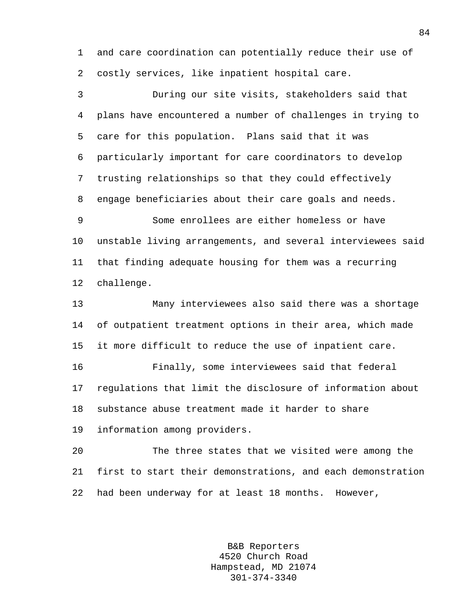1 and care coordination can potentially reduce their use of 2 costly services, like inpatient hospital care.

3 During our site visits, stakeholders said that 4 plans have encountered a number of challenges in trying to 5 care for this population. Plans said that it was 6 particularly important for care coordinators to develop 7 trusting relationships so that they could effectively 8 engage beneficiaries about their care goals and needs. 9 Some enrollees are either homeless or have 10 unstable living arrangements, and several interviewees said 11 that finding adequate housing for them was a recurring 12 challenge. 13 Many interviewees also said there was a shortage 14 of outpatient treatment options in their area, which made 15 it more difficult to reduce the use of inpatient care. 16 Finally, some interviewees said that federal 17 regulations that limit the disclosure of information about 18 substance abuse treatment made it harder to share 19 information among providers.

20 The three states that we visited were among the 21 first to start their demonstrations, and each demonstration 22 had been underway for at least 18 months. However,

> B&B Reporters 4520 Church Road Hampstead, MD 21074 301-374-3340

84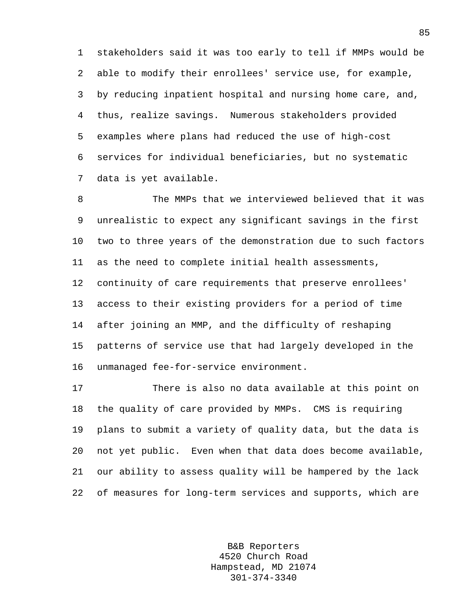1 stakeholders said it was too early to tell if MMPs would be 2 able to modify their enrollees' service use, for example, 3 by reducing inpatient hospital and nursing home care, and, 4 thus, realize savings. Numerous stakeholders provided 5 examples where plans had reduced the use of high-cost 6 services for individual beneficiaries, but no systematic 7 data is yet available.

8 The MMPs that we interviewed believed that it was 9 unrealistic to expect any significant savings in the first 10 two to three years of the demonstration due to such factors 11 as the need to complete initial health assessments, 12 continuity of care requirements that preserve enrollees' 13 access to their existing providers for a period of time 14 after joining an MMP, and the difficulty of reshaping 15 patterns of service use that had largely developed in the 16 unmanaged fee-for-service environment.

17 There is also no data available at this point on 18 the quality of care provided by MMPs. CMS is requiring 19 plans to submit a variety of quality data, but the data is 20 not yet public. Even when that data does become available, 21 our ability to assess quality will be hampered by the lack 22 of measures for long-term services and supports, which are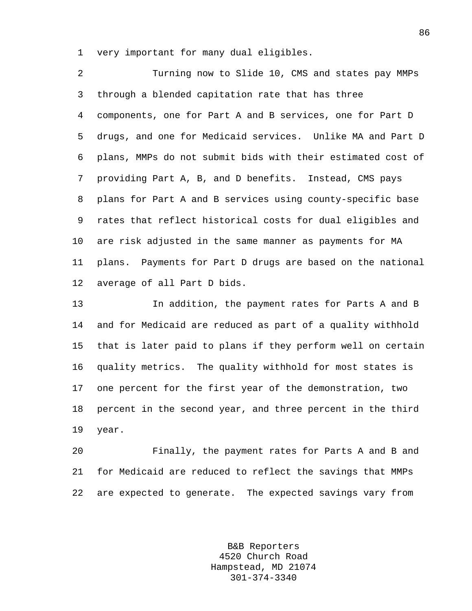1 very important for many dual eligibles.

2 Turning now to Slide 10, CMS and states pay MMPs 3 through a blended capitation rate that has three 4 components, one for Part A and B services, one for Part D 5 drugs, and one for Medicaid services. Unlike MA and Part D 6 plans, MMPs do not submit bids with their estimated cost of 7 providing Part A, B, and D benefits. Instead, CMS pays 8 plans for Part A and B services using county-specific base 9 rates that reflect historical costs for dual eligibles and 10 are risk adjusted in the same manner as payments for MA 11 plans. Payments for Part D drugs are based on the national 12 average of all Part D bids.

13 In addition, the payment rates for Parts A and B 14 and for Medicaid are reduced as part of a quality withhold 15 that is later paid to plans if they perform well on certain 16 quality metrics. The quality withhold for most states is 17 one percent for the first year of the demonstration, two 18 percent in the second year, and three percent in the third 19 year.

20 Finally, the payment rates for Parts A and B and 21 for Medicaid are reduced to reflect the savings that MMPs 22 are expected to generate. The expected savings vary from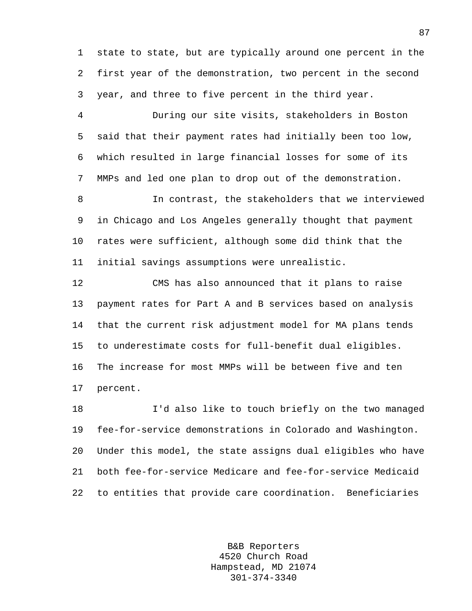1 state to state, but are typically around one percent in the 2 first year of the demonstration, two percent in the second 3 year, and three to five percent in the third year.

4 During our site visits, stakeholders in Boston 5 said that their payment rates had initially been too low, 6 which resulted in large financial losses for some of its 7 MMPs and led one plan to drop out of the demonstration.

8 In contrast, the stakeholders that we interviewed 9 in Chicago and Los Angeles generally thought that payment 10 rates were sufficient, although some did think that the 11 initial savings assumptions were unrealistic.

12 CMS has also announced that it plans to raise 13 payment rates for Part A and B services based on analysis 14 that the current risk adjustment model for MA plans tends 15 to underestimate costs for full-benefit dual eligibles. 16 The increase for most MMPs will be between five and ten 17 percent.

18 I'd also like to touch briefly on the two managed 19 fee-for-service demonstrations in Colorado and Washington. 20 Under this model, the state assigns dual eligibles who have 21 both fee-for-service Medicare and fee-for-service Medicaid 22 to entities that provide care coordination. Beneficiaries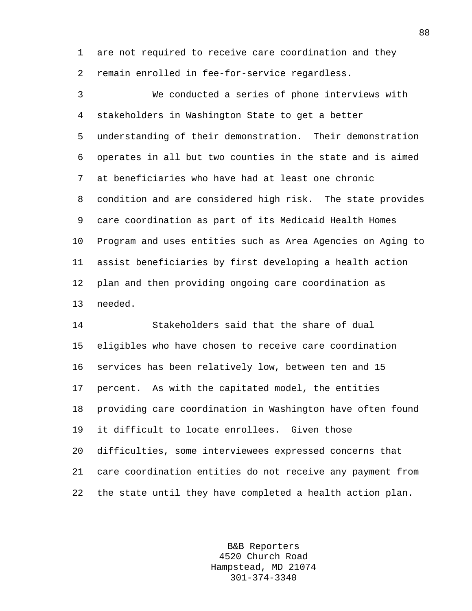1 are not required to receive care coordination and they 2 remain enrolled in fee-for-service regardless.

3 We conducted a series of phone interviews with 4 stakeholders in Washington State to get a better 5 understanding of their demonstration. Their demonstration 6 operates in all but two counties in the state and is aimed 7 at beneficiaries who have had at least one chronic 8 condition and are considered high risk. The state provides 9 care coordination as part of its Medicaid Health Homes 10 Program and uses entities such as Area Agencies on Aging to 11 assist beneficiaries by first developing a health action 12 plan and then providing ongoing care coordination as 13 needed.

14 Stakeholders said that the share of dual 15 eligibles who have chosen to receive care coordination 16 services has been relatively low, between ten and 15 17 percent. As with the capitated model, the entities 18 providing care coordination in Washington have often found 19 it difficult to locate enrollees. Given those 20 difficulties, some interviewees expressed concerns that 21 care coordination entities do not receive any payment from 22 the state until they have completed a health action plan.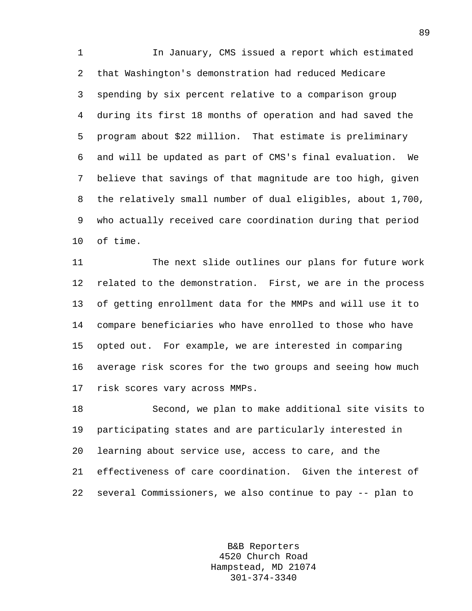1 In January, CMS issued a report which estimated 2 that Washington's demonstration had reduced Medicare 3 spending by six percent relative to a comparison group 4 during its first 18 months of operation and had saved the 5 program about \$22 million. That estimate is preliminary 6 and will be updated as part of CMS's final evaluation. We 7 believe that savings of that magnitude are too high, given 8 the relatively small number of dual eligibles, about 1,700, 9 who actually received care coordination during that period 10 of time.

11 The next slide outlines our plans for future work 12 related to the demonstration. First, we are in the process 13 of getting enrollment data for the MMPs and will use it to 14 compare beneficiaries who have enrolled to those who have 15 opted out. For example, we are interested in comparing 16 average risk scores for the two groups and seeing how much 17 risk scores vary across MMPs.

18 Second, we plan to make additional site visits to 19 participating states and are particularly interested in 20 learning about service use, access to care, and the 21 effectiveness of care coordination. Given the interest of 22 several Commissioners, we also continue to pay -- plan to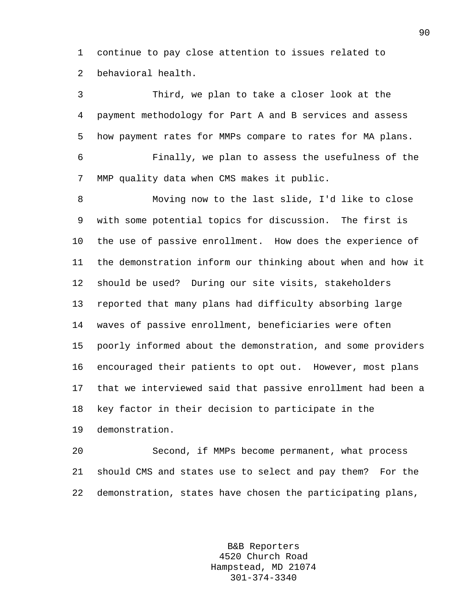1 continue to pay close attention to issues related to 2 behavioral health.

3 Third, we plan to take a closer look at the 4 payment methodology for Part A and B services and assess 5 how payment rates for MMPs compare to rates for MA plans. 6 Finally, we plan to assess the usefulness of the 7 MMP quality data when CMS makes it public.

8 Moving now to the last slide, I'd like to close 9 with some potential topics for discussion. The first is 10 the use of passive enrollment. How does the experience of 11 the demonstration inform our thinking about when and how it 12 should be used? During our site visits, stakeholders 13 reported that many plans had difficulty absorbing large 14 waves of passive enrollment, beneficiaries were often 15 poorly informed about the demonstration, and some providers 16 encouraged their patients to opt out. However, most plans 17 that we interviewed said that passive enrollment had been a 18 key factor in their decision to participate in the 19 demonstration.

20 Second, if MMPs become permanent, what process 21 should CMS and states use to select and pay them? For the 22 demonstration, states have chosen the participating plans,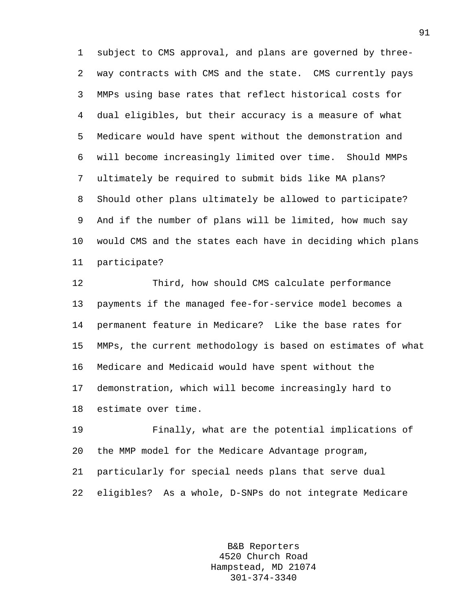1 subject to CMS approval, and plans are governed by three-2 way contracts with CMS and the state. CMS currently pays 3 MMPs using base rates that reflect historical costs for 4 dual eligibles, but their accuracy is a measure of what 5 Medicare would have spent without the demonstration and 6 will become increasingly limited over time. Should MMPs 7 ultimately be required to submit bids like MA plans? 8 Should other plans ultimately be allowed to participate? 9 And if the number of plans will be limited, how much say 10 would CMS and the states each have in deciding which plans 11 participate?

12 Third, how should CMS calculate performance 13 payments if the managed fee-for-service model becomes a 14 permanent feature in Medicare? Like the base rates for 15 MMPs, the current methodology is based on estimates of what 16 Medicare and Medicaid would have spent without the 17 demonstration, which will become increasingly hard to 18 estimate over time.

19 Finally, what are the potential implications of 20 the MMP model for the Medicare Advantage program, 21 particularly for special needs plans that serve dual 22 eligibles? As a whole, D-SNPs do not integrate Medicare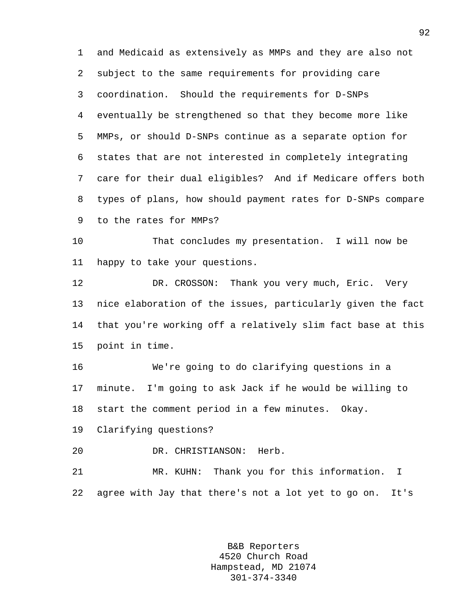1 and Medicaid as extensively as MMPs and they are also not 2 subject to the same requirements for providing care 3 coordination. Should the requirements for D-SNPs 4 eventually be strengthened so that they become more like 5 MMPs, or should D-SNPs continue as a separate option for 6 states that are not interested in completely integrating 7 care for their dual eligibles? And if Medicare offers both 8 types of plans, how should payment rates for D-SNPs compare 9 to the rates for MMPs?

10 That concludes my presentation. I will now be 11 happy to take your questions.

12 DR. CROSSON: Thank you very much, Eric. Very 13 nice elaboration of the issues, particularly given the fact 14 that you're working off a relatively slim fact base at this 15 point in time.

16 We're going to do clarifying questions in a 17 minute. I'm going to ask Jack if he would be willing to 18 start the comment period in a few minutes. Okay.

19 Clarifying questions?

20 DR. CHRISTIANSON: Herb.

21 MR. KUHN: Thank you for this information. I 22 agree with Jay that there's not a lot yet to go on. It's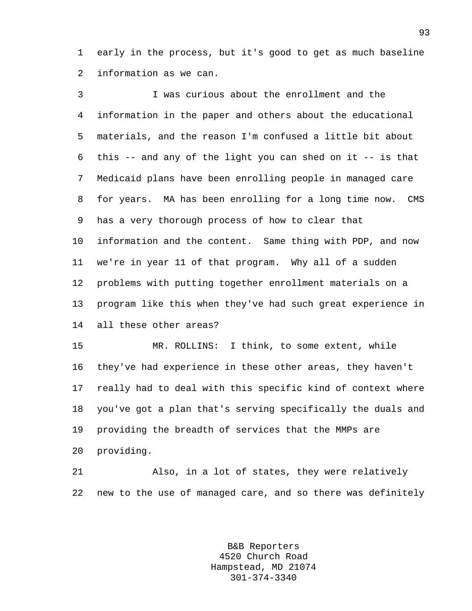1 early in the process, but it's good to get as much baseline 2 information as we can.

3 I was curious about the enrollment and the 4 information in the paper and others about the educational 5 materials, and the reason I'm confused a little bit about 6 this -- and any of the light you can shed on it -- is that 7 Medicaid plans have been enrolling people in managed care 8 for years. MA has been enrolling for a long time now. CMS 9 has a very thorough process of how to clear that 10 information and the content. Same thing with PDP, and now 11 we're in year 11 of that program. Why all of a sudden 12 problems with putting together enrollment materials on a 13 program like this when they've had such great experience in 14 all these other areas?

15 MR. ROLLINS: I think, to some extent, while 16 they've had experience in these other areas, they haven't 17 really had to deal with this specific kind of context where 18 you've got a plan that's serving specifically the duals and 19 providing the breadth of services that the MMPs are 20 providing.

21 Also, in a lot of states, they were relatively 22 new to the use of managed care, and so there was definitely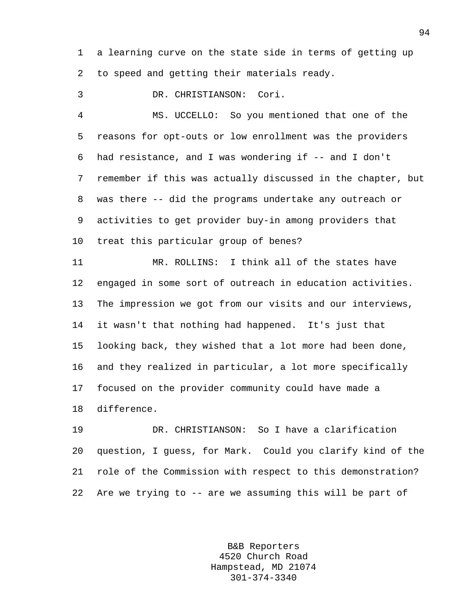1 a learning curve on the state side in terms of getting up 2 to speed and getting their materials ready.

3 DR. CHRISTIANSON: Cori.

4 MS. UCCELLO: So you mentioned that one of the 5 reasons for opt-outs or low enrollment was the providers 6 had resistance, and I was wondering if -- and I don't 7 remember if this was actually discussed in the chapter, but 8 was there -- did the programs undertake any outreach or 9 activities to get provider buy-in among providers that 10 treat this particular group of benes?

11 MR. ROLLINS: I think all of the states have 12 engaged in some sort of outreach in education activities. 13 The impression we got from our visits and our interviews, 14 it wasn't that nothing had happened. It's just that 15 looking back, they wished that a lot more had been done, 16 and they realized in particular, a lot more specifically 17 focused on the provider community could have made a 18 difference.

19 DR. CHRISTIANSON: So I have a clarification 20 question, I guess, for Mark. Could you clarify kind of the 21 role of the Commission with respect to this demonstration? 22 Are we trying to -- are we assuming this will be part of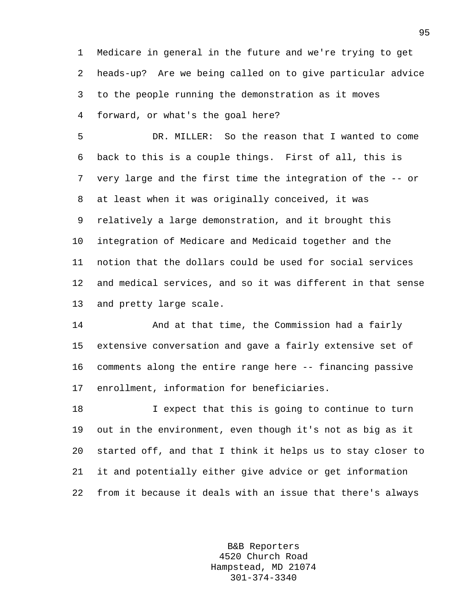1 Medicare in general in the future and we're trying to get 2 heads-up? Are we being called on to give particular advice 3 to the people running the demonstration as it moves 4 forward, or what's the goal here?

5 DR. MILLER: So the reason that I wanted to come 6 back to this is a couple things. First of all, this is 7 very large and the first time the integration of the -- or 8 at least when it was originally conceived, it was 9 relatively a large demonstration, and it brought this 10 integration of Medicare and Medicaid together and the 11 notion that the dollars could be used for social services 12 and medical services, and so it was different in that sense 13 and pretty large scale.

14 And at that time, the Commission had a fairly 15 extensive conversation and gave a fairly extensive set of 16 comments along the entire range here -- financing passive 17 enrollment, information for beneficiaries.

18 I expect that this is going to continue to turn 19 out in the environment, even though it's not as big as it 20 started off, and that I think it helps us to stay closer to 21 it and potentially either give advice or get information 22 from it because it deals with an issue that there's always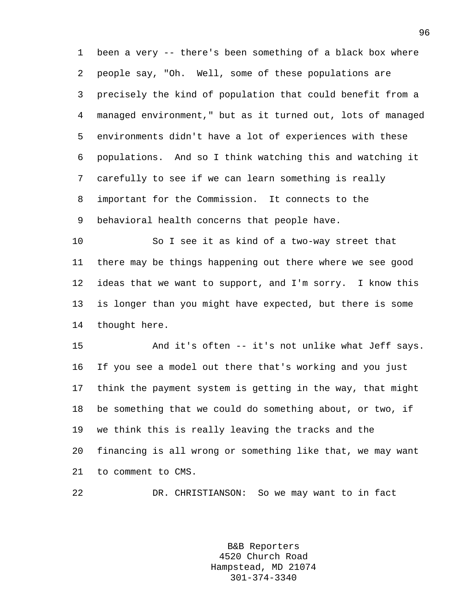1 been a very -- there's been something of a black box where 2 people say, "Oh. Well, some of these populations are 3 precisely the kind of population that could benefit from a 4 managed environment," but as it turned out, lots of managed 5 environments didn't have a lot of experiences with these 6 populations. And so I think watching this and watching it 7 carefully to see if we can learn something is really 8 important for the Commission. It connects to the 9 behavioral health concerns that people have.

10 So I see it as kind of a two-way street that 11 there may be things happening out there where we see good 12 ideas that we want to support, and I'm sorry. I know this 13 is longer than you might have expected, but there is some 14 thought here.

15 And it's often -- it's not unlike what Jeff says. 16 If you see a model out there that's working and you just 17 think the payment system is getting in the way, that might 18 be something that we could do something about, or two, if 19 we think this is really leaving the tracks and the 20 financing is all wrong or something like that, we may want 21 to comment to CMS.

22 DR. CHRISTIANSON: So we may want to in fact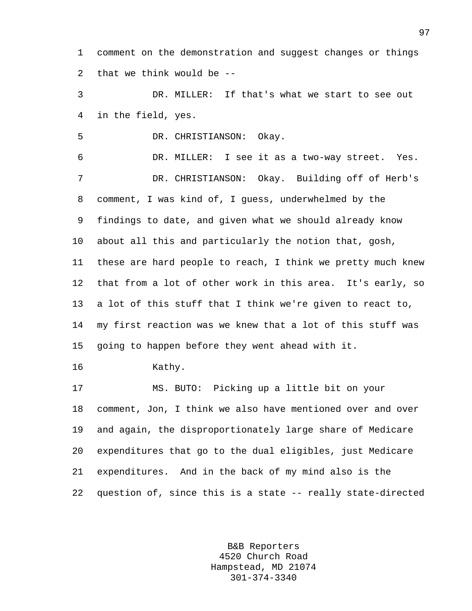1 comment on the demonstration and suggest changes or things 2 that we think would be --

3 DR. MILLER: If that's what we start to see out 4 in the field, yes.

5 DR. CHRISTIANSON: Okay.

6 DR. MILLER: I see it as a two-way street. Yes. 7 DR. CHRISTIANSON: Okay. Building off of Herb's 8 comment, I was kind of, I guess, underwhelmed by the 9 findings to date, and given what we should already know 10 about all this and particularly the notion that, gosh, 11 these are hard people to reach, I think we pretty much knew 12 that from a lot of other work in this area. It's early, so 13 a lot of this stuff that I think we're given to react to, 14 my first reaction was we knew that a lot of this stuff was 15 going to happen before they went ahead with it.

16 Kathy.

17 MS. BUTO: Picking up a little bit on your 18 comment, Jon, I think we also have mentioned over and over 19 and again, the disproportionately large share of Medicare 20 expenditures that go to the dual eligibles, just Medicare 21 expenditures. And in the back of my mind also is the 22 question of, since this is a state -- really state-directed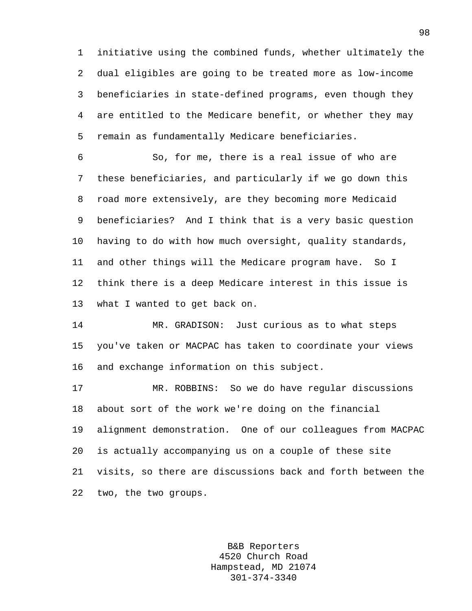1 initiative using the combined funds, whether ultimately the 2 dual eligibles are going to be treated more as low-income 3 beneficiaries in state-defined programs, even though they 4 are entitled to the Medicare benefit, or whether they may 5 remain as fundamentally Medicare beneficiaries.

6 So, for me, there is a real issue of who are 7 these beneficiaries, and particularly if we go down this 8 road more extensively, are they becoming more Medicaid 9 beneficiaries? And I think that is a very basic question 10 having to do with how much oversight, quality standards, 11 and other things will the Medicare program have. So I 12 think there is a deep Medicare interest in this issue is 13 what I wanted to get back on.

14 MR. GRADISON: Just curious as to what steps 15 you've taken or MACPAC has taken to coordinate your views 16 and exchange information on this subject.

17 MR. ROBBINS: So we do have regular discussions 18 about sort of the work we're doing on the financial 19 alignment demonstration. One of our colleagues from MACPAC 20 is actually accompanying us on a couple of these site 21 visits, so there are discussions back and forth between the 22 two, the two groups.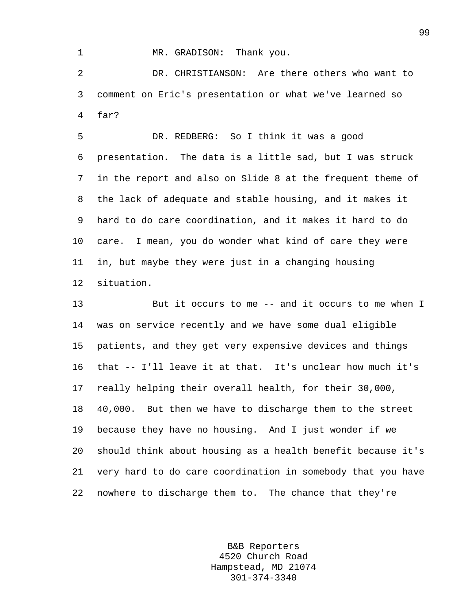## 1 MR. GRADISON: Thank you.

2 DR. CHRISTIANSON: Are there others who want to 3 comment on Eric's presentation or what we've learned so 4 far?

5 DR. REDBERG: So I think it was a good 6 presentation. The data is a little sad, but I was struck 7 in the report and also on Slide 8 at the frequent theme of 8 the lack of adequate and stable housing, and it makes it 9 hard to do care coordination, and it makes it hard to do 10 care. I mean, you do wonder what kind of care they were 11 in, but maybe they were just in a changing housing 12 situation.

13 But it occurs to me -- and it occurs to me when I 14 was on service recently and we have some dual eligible 15 patients, and they get very expensive devices and things 16 that -- I'll leave it at that. It's unclear how much it's 17 really helping their overall health, for their 30,000, 18 40,000. But then we have to discharge them to the street 19 because they have no housing. And I just wonder if we 20 should think about housing as a health benefit because it's 21 very hard to do care coordination in somebody that you have 22 nowhere to discharge them to. The chance that they're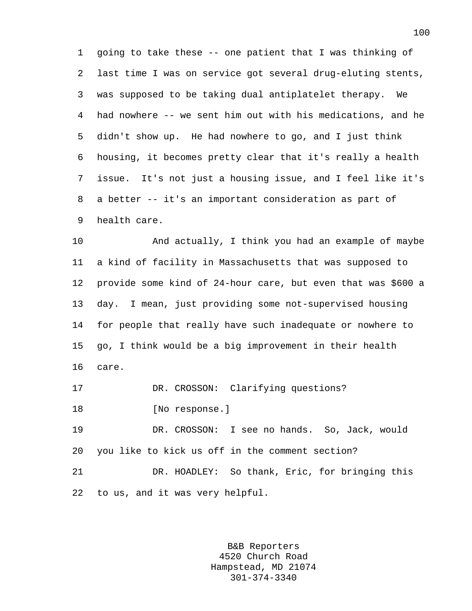1 going to take these -- one patient that I was thinking of 2 last time I was on service got several drug-eluting stents, 3 was supposed to be taking dual antiplatelet therapy. We 4 had nowhere -- we sent him out with his medications, and he 5 didn't show up. He had nowhere to go, and I just think 6 housing, it becomes pretty clear that it's really a health 7 issue. It's not just a housing issue, and I feel like it's 8 a better -- it's an important consideration as part of 9 health care.

10 And actually, I think you had an example of maybe 11 a kind of facility in Massachusetts that was supposed to 12 provide some kind of 24-hour care, but even that was \$600 a 13 day. I mean, just providing some not-supervised housing 14 for people that really have such inadequate or nowhere to 15 go, I think would be a big improvement in their health 16 care.

17 DR. CROSSON: Clarifying questions?

18 [No response.]

19 DR. CROSSON: I see no hands. So, Jack, would 20 you like to kick us off in the comment section?

21 DR. HOADLEY: So thank, Eric, for bringing this 22 to us, and it was very helpful.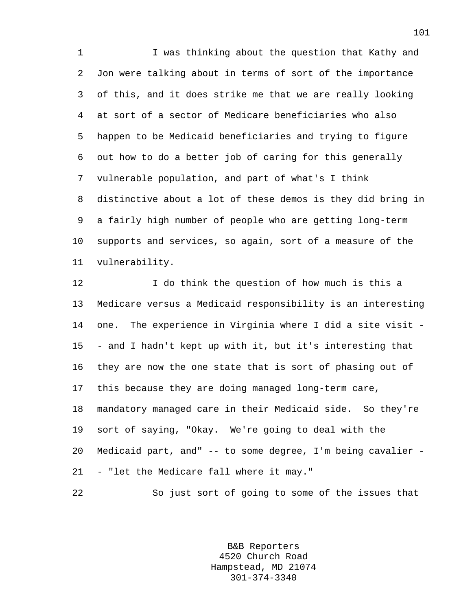1 I was thinking about the question that Kathy and 2 Jon were talking about in terms of sort of the importance 3 of this, and it does strike me that we are really looking 4 at sort of a sector of Medicare beneficiaries who also 5 happen to be Medicaid beneficiaries and trying to figure 6 out how to do a better job of caring for this generally 7 vulnerable population, and part of what's I think 8 distinctive about a lot of these demos is they did bring in 9 a fairly high number of people who are getting long-term 10 supports and services, so again, sort of a measure of the 11 vulnerability.

12 I do think the question of how much is this a 13 Medicare versus a Medicaid responsibility is an interesting 14 one. The experience in Virginia where I did a site visit - 15 - and I hadn't kept up with it, but it's interesting that 16 they are now the one state that is sort of phasing out of 17 this because they are doing managed long-term care, 18 mandatory managed care in their Medicaid side. So they're 19 sort of saying, "Okay. We're going to deal with the 20 Medicaid part, and" -- to some degree, I'm being cavalier - 21 - "let the Medicare fall where it may."

22 So just sort of going to some of the issues that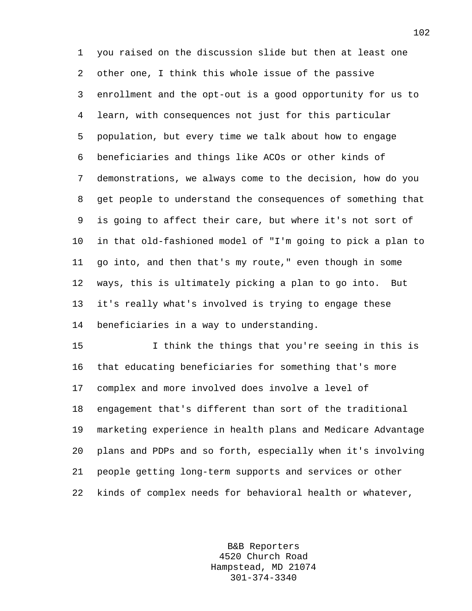1 you raised on the discussion slide but then at least one 2 other one, I think this whole issue of the passive 3 enrollment and the opt-out is a good opportunity for us to 4 learn, with consequences not just for this particular 5 population, but every time we talk about how to engage 6 beneficiaries and things like ACOs or other kinds of 7 demonstrations, we always come to the decision, how do you 8 get people to understand the consequences of something that 9 is going to affect their care, but where it's not sort of 10 in that old-fashioned model of "I'm going to pick a plan to 11 go into, and then that's my route," even though in some 12 ways, this is ultimately picking a plan to go into. But 13 it's really what's involved is trying to engage these 14 beneficiaries in a way to understanding.

15 I think the things that you're seeing in this is 16 that educating beneficiaries for something that's more 17 complex and more involved does involve a level of 18 engagement that's different than sort of the traditional 19 marketing experience in health plans and Medicare Advantage 20 plans and PDPs and so forth, especially when it's involving 21 people getting long-term supports and services or other 22 kinds of complex needs for behavioral health or whatever,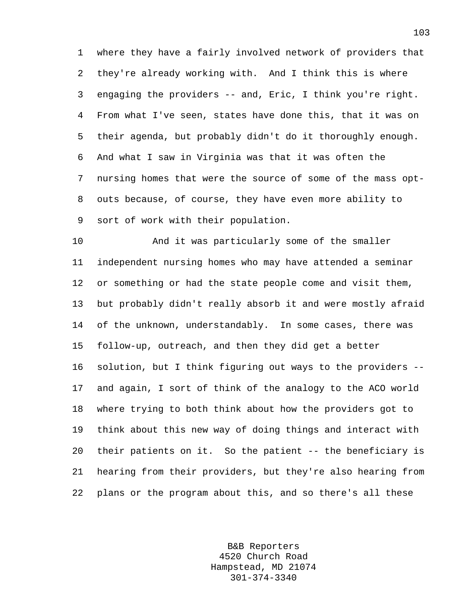1 where they have a fairly involved network of providers that 2 they're already working with. And I think this is where 3 engaging the providers -- and, Eric, I think you're right. 4 From what I've seen, states have done this, that it was on 5 their agenda, but probably didn't do it thoroughly enough. 6 And what I saw in Virginia was that it was often the 7 nursing homes that were the source of some of the mass opt-8 outs because, of course, they have even more ability to 9 sort of work with their population.

10 And it was particularly some of the smaller 11 independent nursing homes who may have attended a seminar 12 or something or had the state people come and visit them, 13 but probably didn't really absorb it and were mostly afraid 14 of the unknown, understandably. In some cases, there was 15 follow-up, outreach, and then they did get a better 16 solution, but I think figuring out ways to the providers -- 17 and again, I sort of think of the analogy to the ACO world 18 where trying to both think about how the providers got to 19 think about this new way of doing things and interact with 20 their patients on it. So the patient -- the beneficiary is 21 hearing from their providers, but they're also hearing from 22 plans or the program about this, and so there's all these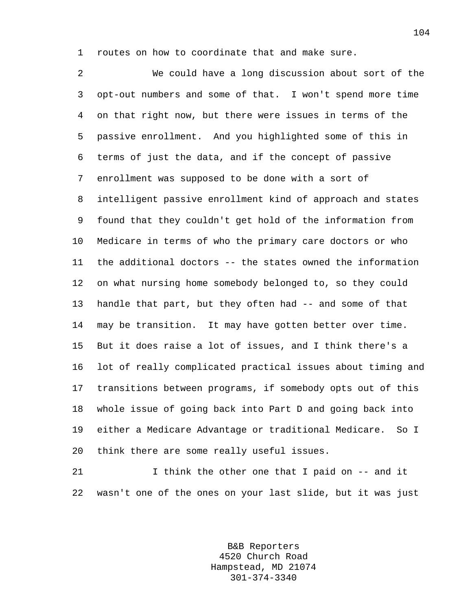1 routes on how to coordinate that and make sure.

2 We could have a long discussion about sort of the 3 opt-out numbers and some of that. I won't spend more time 4 on that right now, but there were issues in terms of the 5 passive enrollment. And you highlighted some of this in 6 terms of just the data, and if the concept of passive 7 enrollment was supposed to be done with a sort of 8 intelligent passive enrollment kind of approach and states 9 found that they couldn't get hold of the information from 10 Medicare in terms of who the primary care doctors or who 11 the additional doctors -- the states owned the information 12 on what nursing home somebody belonged to, so they could 13 handle that part, but they often had -- and some of that 14 may be transition. It may have gotten better over time. 15 But it does raise a lot of issues, and I think there's a 16 lot of really complicated practical issues about timing and 17 transitions between programs, if somebody opts out of this 18 whole issue of going back into Part D and going back into 19 either a Medicare Advantage or traditional Medicare. So I 20 think there are some really useful issues.

21 I think the other one that I paid on -- and it 22 wasn't one of the ones on your last slide, but it was just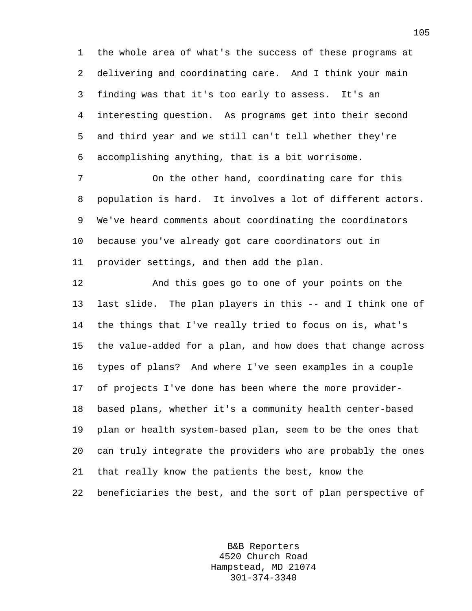1 the whole area of what's the success of these programs at 2 delivering and coordinating care. And I think your main 3 finding was that it's too early to assess. It's an 4 interesting question. As programs get into their second 5 and third year and we still can't tell whether they're 6 accomplishing anything, that is a bit worrisome.

7 On the other hand, coordinating care for this 8 population is hard. It involves a lot of different actors. 9 We've heard comments about coordinating the coordinators 10 because you've already got care coordinators out in 11 provider settings, and then add the plan.

12 And this goes go to one of your points on the 13 last slide. The plan players in this -- and I think one of 14 the things that I've really tried to focus on is, what's 15 the value-added for a plan, and how does that change across 16 types of plans? And where I've seen examples in a couple 17 of projects I've done has been where the more provider-18 based plans, whether it's a community health center-based 19 plan or health system-based plan, seem to be the ones that 20 can truly integrate the providers who are probably the ones 21 that really know the patients the best, know the 22 beneficiaries the best, and the sort of plan perspective of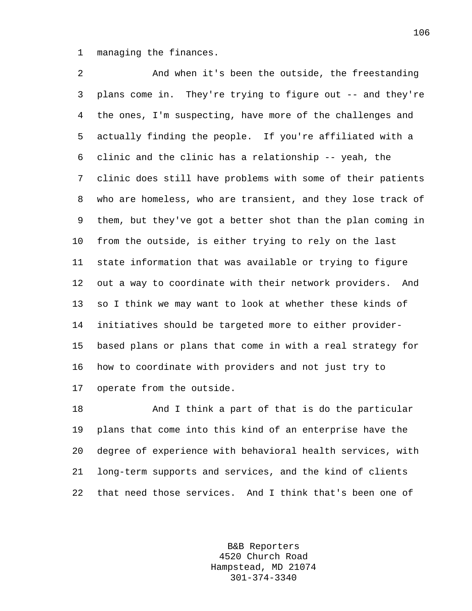1 managing the finances.

2 And when it's been the outside, the freestanding 3 plans come in. They're trying to figure out -- and they're 4 the ones, I'm suspecting, have more of the challenges and 5 actually finding the people. If you're affiliated with a 6 clinic and the clinic has a relationship -- yeah, the 7 clinic does still have problems with some of their patients 8 who are homeless, who are transient, and they lose track of 9 them, but they've got a better shot than the plan coming in 10 from the outside, is either trying to rely on the last 11 state information that was available or trying to figure 12 out a way to coordinate with their network providers. And 13 so I think we may want to look at whether these kinds of 14 initiatives should be targeted more to either provider-15 based plans or plans that come in with a real strategy for 16 how to coordinate with providers and not just try to 17 operate from the outside.

18 And I think a part of that is do the particular 19 plans that come into this kind of an enterprise have the 20 degree of experience with behavioral health services, with 21 long-term supports and services, and the kind of clients 22 that need those services. And I think that's been one of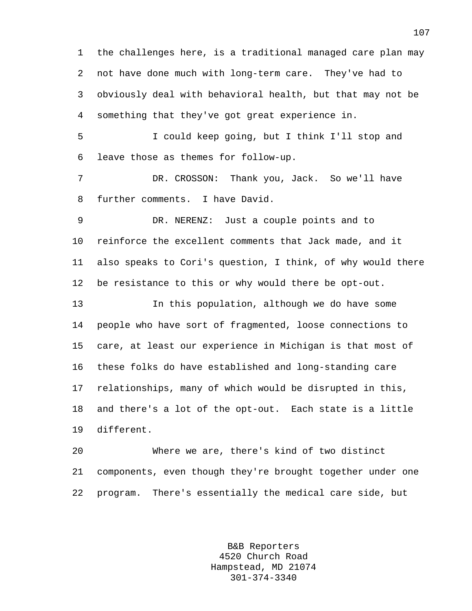1 the challenges here, is a traditional managed care plan may 2 not have done much with long-term care. They've had to 3 obviously deal with behavioral health, but that may not be 4 something that they've got great experience in.

5 I could keep going, but I think I'll stop and 6 leave those as themes for follow-up.

7 DR. CROSSON: Thank you, Jack. So we'll have 8 further comments. I have David.

9 DR. NERENZ: Just a couple points and to 10 reinforce the excellent comments that Jack made, and it 11 also speaks to Cori's question, I think, of why would there 12 be resistance to this or why would there be opt-out.

13 In this population, although we do have some 14 people who have sort of fragmented, loose connections to 15 care, at least our experience in Michigan is that most of 16 these folks do have established and long-standing care 17 relationships, many of which would be disrupted in this, 18 and there's a lot of the opt-out. Each state is a little 19 different.

20 Where we are, there's kind of two distinct 21 components, even though they're brought together under one 22 program. There's essentially the medical care side, but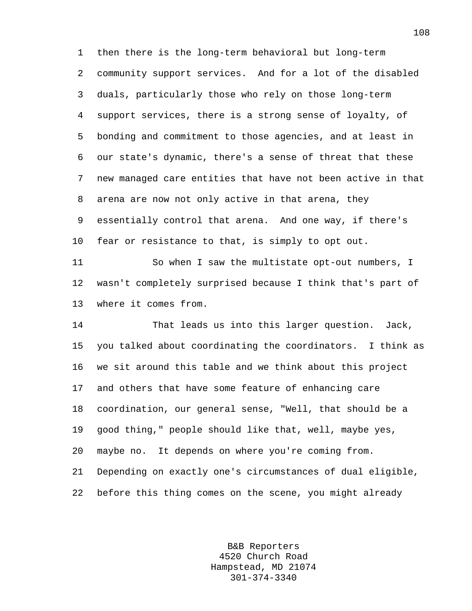1 then there is the long-term behavioral but long-term 2 community support services. And for a lot of the disabled 3 duals, particularly those who rely on those long-term 4 support services, there is a strong sense of loyalty, of 5 bonding and commitment to those agencies, and at least in 6 our state's dynamic, there's a sense of threat that these 7 new managed care entities that have not been active in that 8 arena are now not only active in that arena, they 9 essentially control that arena. And one way, if there's 10 fear or resistance to that, is simply to opt out.

11 So when I saw the multistate opt-out numbers, I 12 wasn't completely surprised because I think that's part of 13 where it comes from.

14 That leads us into this larger question. Jack, 15 you talked about coordinating the coordinators. I think as 16 we sit around this table and we think about this project 17 and others that have some feature of enhancing care 18 coordination, our general sense, "Well, that should be a 19 good thing," people should like that, well, maybe yes, 20 maybe no. It depends on where you're coming from. 21 Depending on exactly one's circumstances of dual eligible, 22 before this thing comes on the scene, you might already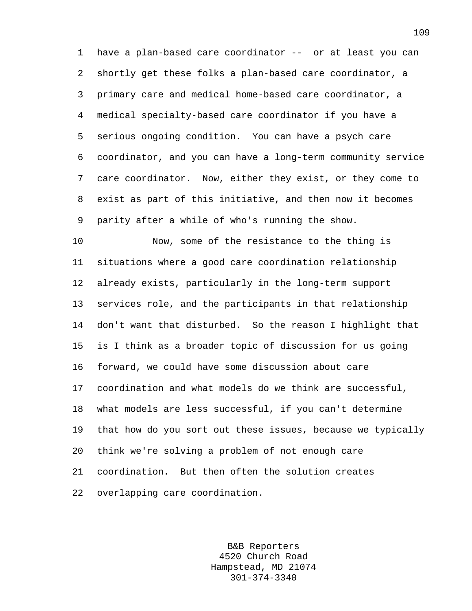1 have a plan-based care coordinator -- or at least you can 2 shortly get these folks a plan-based care coordinator, a 3 primary care and medical home-based care coordinator, a 4 medical specialty-based care coordinator if you have a 5 serious ongoing condition. You can have a psych care 6 coordinator, and you can have a long-term community service 7 care coordinator. Now, either they exist, or they come to 8 exist as part of this initiative, and then now it becomes 9 parity after a while of who's running the show.

10 Now, some of the resistance to the thing is 11 situations where a good care coordination relationship 12 already exists, particularly in the long-term support 13 services role, and the participants in that relationship 14 don't want that disturbed. So the reason I highlight that 15 is I think as a broader topic of discussion for us going 16 forward, we could have some discussion about care 17 coordination and what models do we think are successful, 18 what models are less successful, if you can't determine 19 that how do you sort out these issues, because we typically 20 think we're solving a problem of not enough care 21 coordination. But then often the solution creates 22 overlapping care coordination.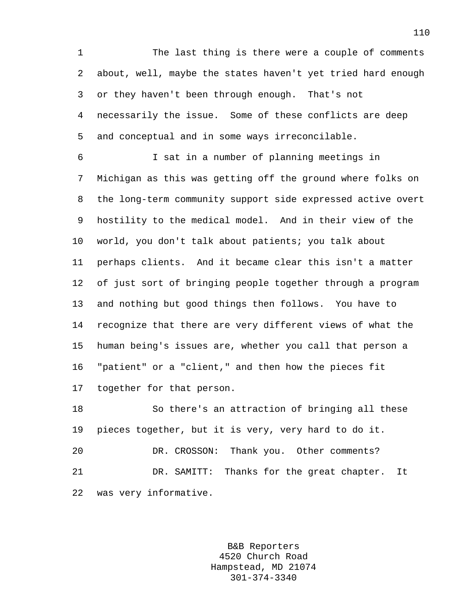1 The last thing is there were a couple of comments 2 about, well, maybe the states haven't yet tried hard enough 3 or they haven't been through enough. That's not 4 necessarily the issue. Some of these conflicts are deep 5 and conceptual and in some ways irreconcilable.

6 I sat in a number of planning meetings in 7 Michigan as this was getting off the ground where folks on 8 the long-term community support side expressed active overt 9 hostility to the medical model. And in their view of the 10 world, you don't talk about patients; you talk about 11 perhaps clients. And it became clear this isn't a matter 12 of just sort of bringing people together through a program 13 and nothing but good things then follows. You have to 14 recognize that there are very different views of what the 15 human being's issues are, whether you call that person a 16 "patient" or a "client," and then how the pieces fit 17 together for that person.

18 So there's an attraction of bringing all these 19 pieces together, but it is very, very hard to do it. 20 DR. CROSSON: Thank you. Other comments? 21 DR. SAMITT: Thanks for the great chapter. It 22 was very informative.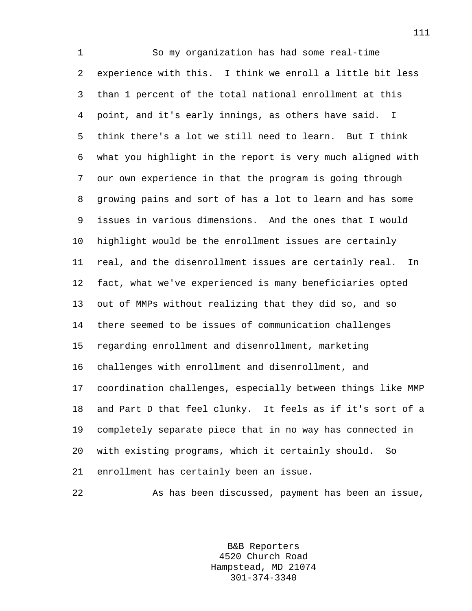1 So my organization has had some real-time 2 experience with this. I think we enroll a little bit less 3 than 1 percent of the total national enrollment at this 4 point, and it's early innings, as others have said. I 5 think there's a lot we still need to learn. But I think 6 what you highlight in the report is very much aligned with 7 our own experience in that the program is going through 8 growing pains and sort of has a lot to learn and has some 9 issues in various dimensions. And the ones that I would 10 highlight would be the enrollment issues are certainly 11 real, and the disenrollment issues are certainly real. In 12 fact, what we've experienced is many beneficiaries opted 13 out of MMPs without realizing that they did so, and so 14 there seemed to be issues of communication challenges 15 regarding enrollment and disenrollment, marketing 16 challenges with enrollment and disenrollment, and 17 coordination challenges, especially between things like MMP 18 and Part D that feel clunky. It feels as if it's sort of a 19 completely separate piece that in no way has connected in 20 with existing programs, which it certainly should. So 21 enrollment has certainly been an issue.

22 As has been discussed, payment has been an issue,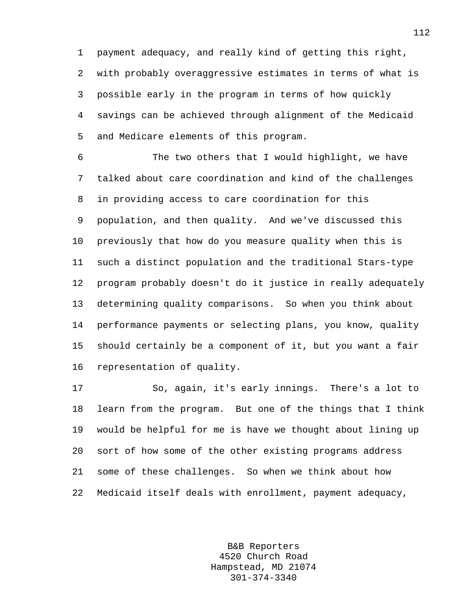1 payment adequacy, and really kind of getting this right, 2 with probably overaggressive estimates in terms of what is 3 possible early in the program in terms of how quickly 4 savings can be achieved through alignment of the Medicaid 5 and Medicare elements of this program.

6 The two others that I would highlight, we have 7 talked about care coordination and kind of the challenges 8 in providing access to care coordination for this 9 population, and then quality. And we've discussed this 10 previously that how do you measure quality when this is 11 such a distinct population and the traditional Stars-type 12 program probably doesn't do it justice in really adequately 13 determining quality comparisons. So when you think about 14 performance payments or selecting plans, you know, quality 15 should certainly be a component of it, but you want a fair 16 representation of quality.

17 So, again, it's early innings. There's a lot to 18 learn from the program. But one of the things that I think 19 would be helpful for me is have we thought about lining up 20 sort of how some of the other existing programs address 21 some of these challenges. So when we think about how 22 Medicaid itself deals with enrollment, payment adequacy,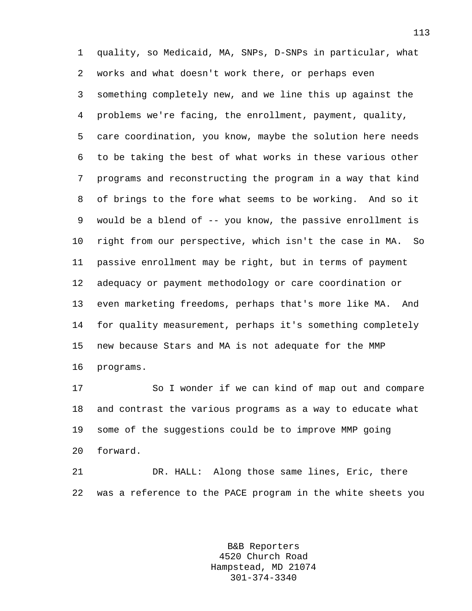1 quality, so Medicaid, MA, SNPs, D-SNPs in particular, what 2 works and what doesn't work there, or perhaps even 3 something completely new, and we line this up against the 4 problems we're facing, the enrollment, payment, quality, 5 care coordination, you know, maybe the solution here needs 6 to be taking the best of what works in these various other 7 programs and reconstructing the program in a way that kind 8 of brings to the fore what seems to be working. And so it 9 would be a blend of -- you know, the passive enrollment is 10 right from our perspective, which isn't the case in MA. So 11 passive enrollment may be right, but in terms of payment 12 adequacy or payment methodology or care coordination or 13 even marketing freedoms, perhaps that's more like MA. And 14 for quality measurement, perhaps it's something completely 15 new because Stars and MA is not adequate for the MMP 16 programs.

17 So I wonder if we can kind of map out and compare 18 and contrast the various programs as a way to educate what 19 some of the suggestions could be to improve MMP going 20 forward.

21 DR. HALL: Along those same lines, Eric, there 22 was a reference to the PACE program in the white sheets you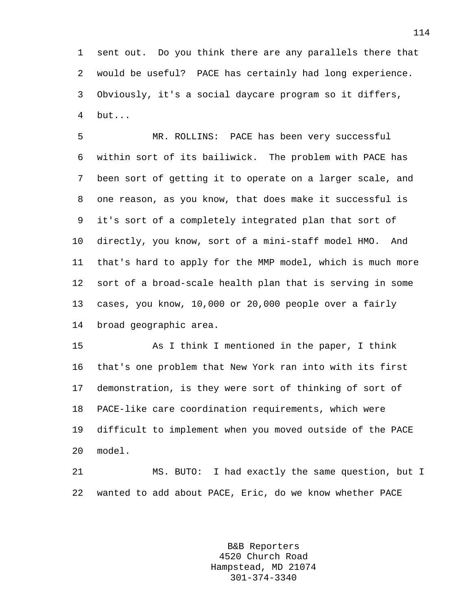1 sent out. Do you think there are any parallels there that 2 would be useful? PACE has certainly had long experience. 3 Obviously, it's a social daycare program so it differs, 4 but...

5 MR. ROLLINS: PACE has been very successful 6 within sort of its bailiwick. The problem with PACE has 7 been sort of getting it to operate on a larger scale, and 8 one reason, as you know, that does make it successful is 9 it's sort of a completely integrated plan that sort of 10 directly, you know, sort of a mini-staff model HMO. And 11 that's hard to apply for the MMP model, which is much more 12 sort of a broad-scale health plan that is serving in some 13 cases, you know, 10,000 or 20,000 people over a fairly 14 broad geographic area.

15 As I think I mentioned in the paper, I think 16 that's one problem that New York ran into with its first 17 demonstration, is they were sort of thinking of sort of 18 PACE-like care coordination requirements, which were 19 difficult to implement when you moved outside of the PACE 20 model.

21 MS. BUTO: I had exactly the same question, but I 22 wanted to add about PACE, Eric, do we know whether PACE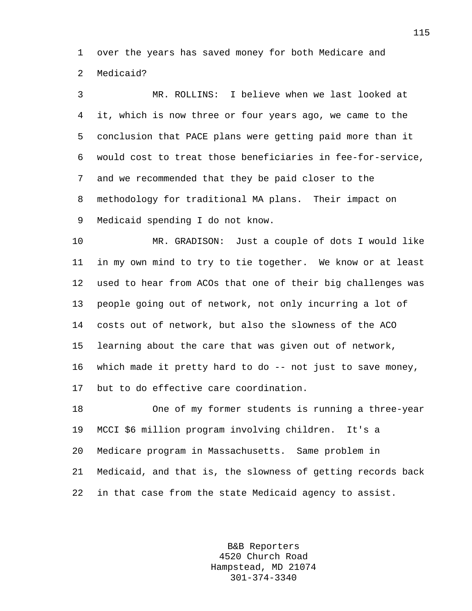1 over the years has saved money for both Medicare and 2 Medicaid?

3 MR. ROLLINS: I believe when we last looked at 4 it, which is now three or four years ago, we came to the 5 conclusion that PACE plans were getting paid more than it 6 would cost to treat those beneficiaries in fee-for-service, 7 and we recommended that they be paid closer to the 8 methodology for traditional MA plans. Their impact on 9 Medicaid spending I do not know.

10 MR. GRADISON: Just a couple of dots I would like 11 in my own mind to try to tie together. We know or at least 12 used to hear from ACOs that one of their big challenges was 13 people going out of network, not only incurring a lot of 14 costs out of network, but also the slowness of the ACO 15 learning about the care that was given out of network, 16 which made it pretty hard to do -- not just to save money, 17 but to do effective care coordination.

18 One of my former students is running a three-year 19 MCCI \$6 million program involving children. It's a 20 Medicare program in Massachusetts. Same problem in 21 Medicaid, and that is, the slowness of getting records back 22 in that case from the state Medicaid agency to assist.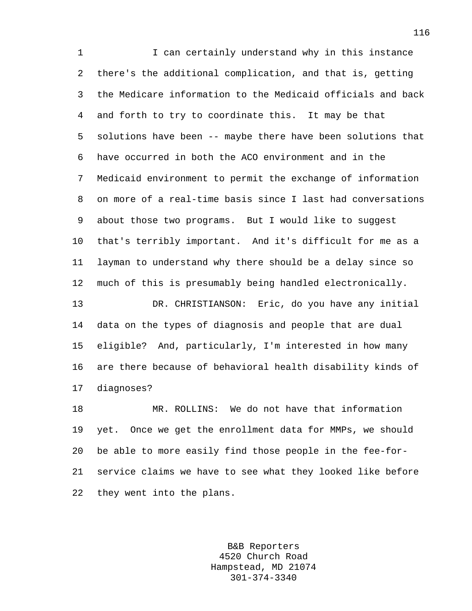1 I can certainly understand why in this instance 2 there's the additional complication, and that is, getting 3 the Medicare information to the Medicaid officials and back 4 and forth to try to coordinate this. It may be that 5 solutions have been -- maybe there have been solutions that 6 have occurred in both the ACO environment and in the 7 Medicaid environment to permit the exchange of information 8 on more of a real-time basis since I last had conversations 9 about those two programs. But I would like to suggest 10 that's terribly important. And it's difficult for me as a 11 layman to understand why there should be a delay since so 12 much of this is presumably being handled electronically. 13 DR. CHRISTIANSON: Eric, do you have any initial 14 data on the types of diagnosis and people that are dual 15 eligible? And, particularly, I'm interested in how many 16 are there because of behavioral health disability kinds of 17 diagnoses? 18 MR. ROLLINS: We do not have that information

19 yet. Once we get the enrollment data for MMPs, we should 20 be able to more easily find those people in the fee-for-21 service claims we have to see what they looked like before 22 they went into the plans.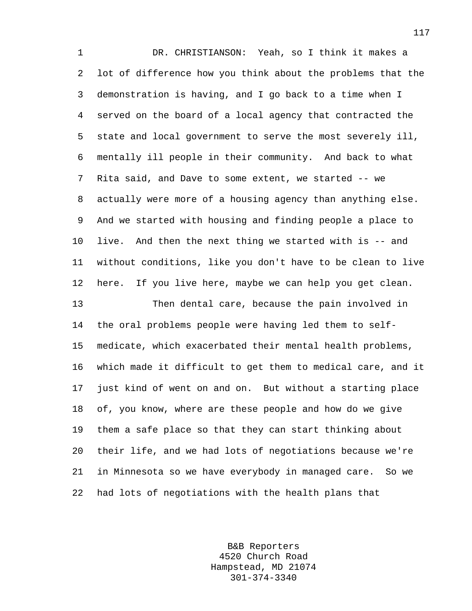1 DR. CHRISTIANSON: Yeah, so I think it makes a 2 lot of difference how you think about the problems that the 3 demonstration is having, and I go back to a time when I 4 served on the board of a local agency that contracted the 5 state and local government to serve the most severely ill, 6 mentally ill people in their community. And back to what 7 Rita said, and Dave to some extent, we started -- we 8 actually were more of a housing agency than anything else. 9 And we started with housing and finding people a place to 10 live. And then the next thing we started with is -- and 11 without conditions, like you don't have to be clean to live 12 here. If you live here, maybe we can help you get clean. 13 Then dental care, because the pain involved in 14 the oral problems people were having led them to self-15 medicate, which exacerbated their mental health problems, 16 which made it difficult to get them to medical care, and it 17 just kind of went on and on. But without a starting place 18 of, you know, where are these people and how do we give 19 them a safe place so that they can start thinking about 20 their life, and we had lots of negotiations because we're 21 in Minnesota so we have everybody in managed care. So we 22 had lots of negotiations with the health plans that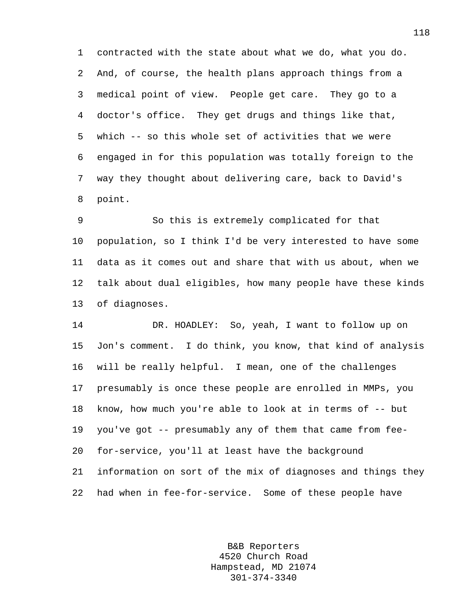1 contracted with the state about what we do, what you do. 2 And, of course, the health plans approach things from a 3 medical point of view. People get care. They go to a 4 doctor's office. They get drugs and things like that, 5 which -- so this whole set of activities that we were 6 engaged in for this population was totally foreign to the 7 way they thought about delivering care, back to David's 8 point.

9 So this is extremely complicated for that 10 population, so I think I'd be very interested to have some 11 data as it comes out and share that with us about, when we 12 talk about dual eligibles, how many people have these kinds 13 of diagnoses.

14 DR. HOADLEY: So, yeah, I want to follow up on 15 Jon's comment. I do think, you know, that kind of analysis 16 will be really helpful. I mean, one of the challenges 17 presumably is once these people are enrolled in MMPs, you 18 know, how much you're able to look at in terms of -- but 19 you've got -- presumably any of them that came from fee-20 for-service, you'll at least have the background 21 information on sort of the mix of diagnoses and things they 22 had when in fee-for-service. Some of these people have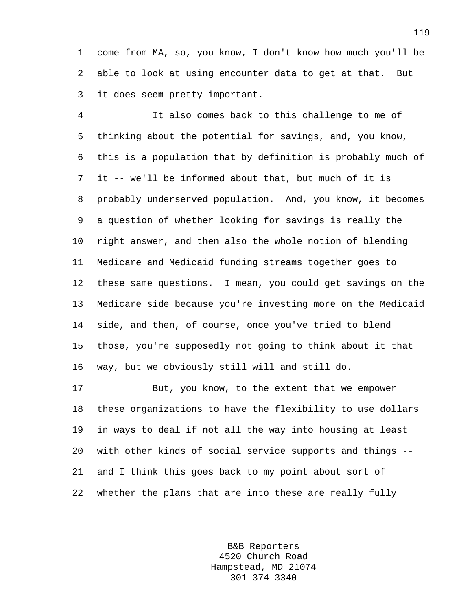1 come from MA, so, you know, I don't know how much you'll be 2 able to look at using encounter data to get at that. But 3 it does seem pretty important.

4 It also comes back to this challenge to me of 5 thinking about the potential for savings, and, you know, 6 this is a population that by definition is probably much of 7 it -- we'll be informed about that, but much of it is 8 probably underserved population. And, you know, it becomes 9 a question of whether looking for savings is really the 10 right answer, and then also the whole notion of blending 11 Medicare and Medicaid funding streams together goes to 12 these same questions. I mean, you could get savings on the 13 Medicare side because you're investing more on the Medicaid 14 side, and then, of course, once you've tried to blend 15 those, you're supposedly not going to think about it that 16 way, but we obviously still will and still do.

17 But, you know, to the extent that we empower 18 these organizations to have the flexibility to use dollars 19 in ways to deal if not all the way into housing at least 20 with other kinds of social service supports and things -- 21 and I think this goes back to my point about sort of 22 whether the plans that are into these are really fully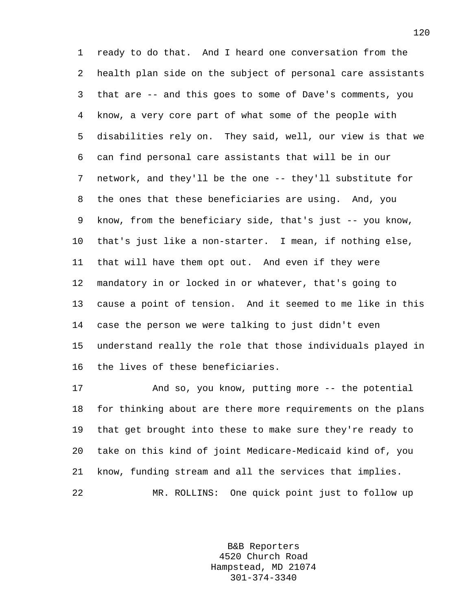1 ready to do that. And I heard one conversation from the 2 health plan side on the subject of personal care assistants 3 that are -- and this goes to some of Dave's comments, you 4 know, a very core part of what some of the people with 5 disabilities rely on. They said, well, our view is that we 6 can find personal care assistants that will be in our 7 network, and they'll be the one -- they'll substitute for 8 the ones that these beneficiaries are using. And, you 9 know, from the beneficiary side, that's just -- you know, 10 that's just like a non-starter. I mean, if nothing else, 11 that will have them opt out. And even if they were 12 mandatory in or locked in or whatever, that's going to 13 cause a point of tension. And it seemed to me like in this 14 case the person we were talking to just didn't even 15 understand really the role that those individuals played in 16 the lives of these beneficiaries.

17 And so, you know, putting more -- the potential 18 for thinking about are there more requirements on the plans 19 that get brought into these to make sure they're ready to 20 take on this kind of joint Medicare-Medicaid kind of, you 21 know, funding stream and all the services that implies. 22 MR. ROLLINS: One quick point just to follow up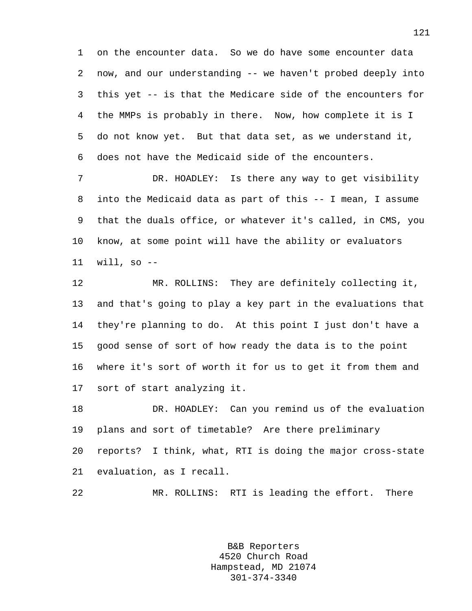1 on the encounter data. So we do have some encounter data 2 now, and our understanding -- we haven't probed deeply into 3 this yet -- is that the Medicare side of the encounters for 4 the MMPs is probably in there. Now, how complete it is I 5 do not know yet. But that data set, as we understand it, 6 does not have the Medicaid side of the encounters.

7 DR. HOADLEY: Is there any way to get visibility 8 into the Medicaid data as part of this -- I mean, I assume 9 that the duals office, or whatever it's called, in CMS, you 10 know, at some point will have the ability or evaluators 11 will, so --

12 MR. ROLLINS: They are definitely collecting it, 13 and that's going to play a key part in the evaluations that 14 they're planning to do. At this point I just don't have a 15 good sense of sort of how ready the data is to the point 16 where it's sort of worth it for us to get it from them and 17 sort of start analyzing it.

18 DR. HOADLEY: Can you remind us of the evaluation 19 plans and sort of timetable? Are there preliminary 20 reports? I think, what, RTI is doing the major cross-state 21 evaluation, as I recall.

22 MR. ROLLINS: RTI is leading the effort. There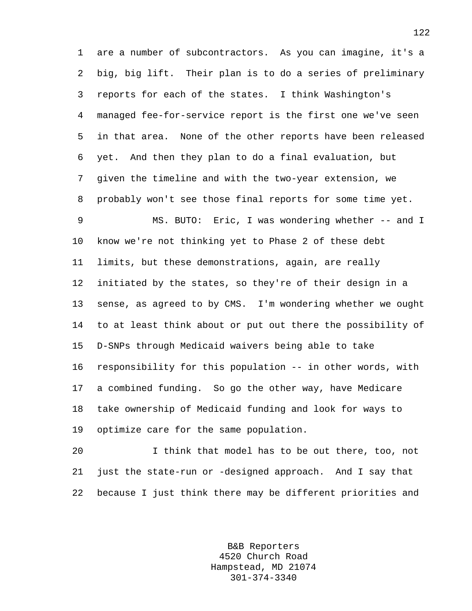1 are a number of subcontractors. As you can imagine, it's a 2 big, big lift. Their plan is to do a series of preliminary 3 reports for each of the states. I think Washington's 4 managed fee-for-service report is the first one we've seen 5 in that area. None of the other reports have been released 6 yet. And then they plan to do a final evaluation, but 7 given the timeline and with the two-year extension, we 8 probably won't see those final reports for some time yet.

9 MS. BUTO: Eric, I was wondering whether -- and I 10 know we're not thinking yet to Phase 2 of these debt 11 limits, but these demonstrations, again, are really 12 initiated by the states, so they're of their design in a 13 sense, as agreed to by CMS. I'm wondering whether we ought 14 to at least think about or put out there the possibility of 15 D-SNPs through Medicaid waivers being able to take 16 responsibility for this population -- in other words, with 17 a combined funding. So go the other way, have Medicare 18 take ownership of Medicaid funding and look for ways to 19 optimize care for the same population.

20 I think that model has to be out there, too, not 21 just the state-run or -designed approach. And I say that 22 because I just think there may be different priorities and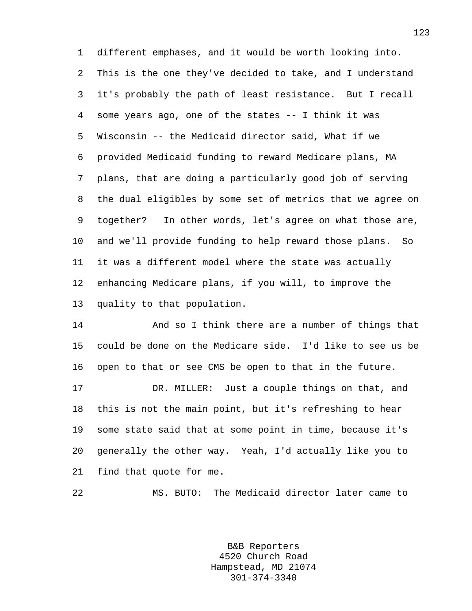1 different emphases, and it would be worth looking into. 2 This is the one they've decided to take, and I understand 3 it's probably the path of least resistance. But I recall 4 some years ago, one of the states -- I think it was 5 Wisconsin -- the Medicaid director said, What if we 6 provided Medicaid funding to reward Medicare plans, MA 7 plans, that are doing a particularly good job of serving 8 the dual eligibles by some set of metrics that we agree on 9 together? In other words, let's agree on what those are, 10 and we'll provide funding to help reward those plans. So 11 it was a different model where the state was actually 12 enhancing Medicare plans, if you will, to improve the 13 quality to that population.

14 And so I think there are a number of things that 15 could be done on the Medicare side. I'd like to see us be 16 open to that or see CMS be open to that in the future.

17 DR. MILLER: Just a couple things on that, and 18 this is not the main point, but it's refreshing to hear 19 some state said that at some point in time, because it's 20 generally the other way. Yeah, I'd actually like you to 21 find that quote for me.

22 MS. BUTO: The Medicaid director later came to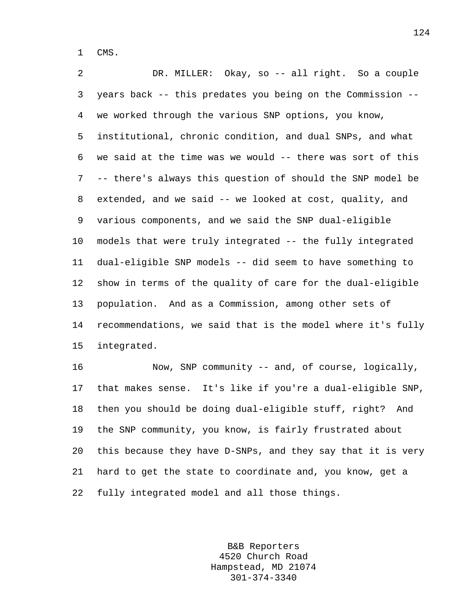1 CMS.

2 DR. MILLER: Okay, so -- all right. So a couple 3 years back -- this predates you being on the Commission -- 4 we worked through the various SNP options, you know, 5 institutional, chronic condition, and dual SNPs, and what 6 we said at the time was we would -- there was sort of this 7 -- there's always this question of should the SNP model be 8 extended, and we said -- we looked at cost, quality, and 9 various components, and we said the SNP dual-eligible 10 models that were truly integrated -- the fully integrated 11 dual-eligible SNP models -- did seem to have something to 12 show in terms of the quality of care for the dual-eligible 13 population. And as a Commission, among other sets of 14 recommendations, we said that is the model where it's fully 15 integrated.

16 Now, SNP community -- and, of course, logically, 17 that makes sense. It's like if you're a dual-eligible SNP, 18 then you should be doing dual-eligible stuff, right? And 19 the SNP community, you know, is fairly frustrated about 20 this because they have D-SNPs, and they say that it is very 21 hard to get the state to coordinate and, you know, get a 22 fully integrated model and all those things.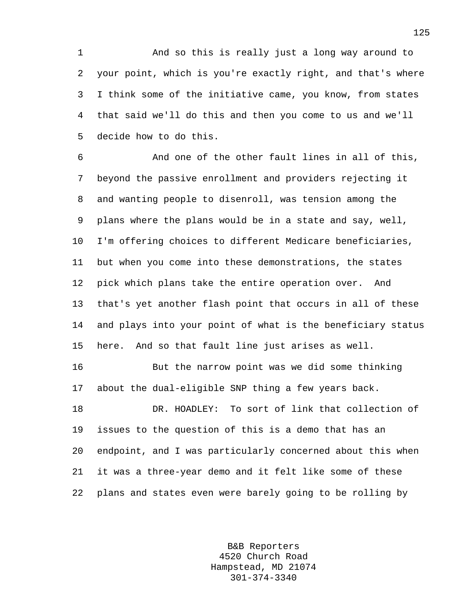1 And so this is really just a long way around to 2 your point, which is you're exactly right, and that's where 3 I think some of the initiative came, you know, from states 4 that said we'll do this and then you come to us and we'll 5 decide how to do this.

6 And one of the other fault lines in all of this, 7 beyond the passive enrollment and providers rejecting it 8 and wanting people to disenroll, was tension among the 9 plans where the plans would be in a state and say, well, 10 I'm offering choices to different Medicare beneficiaries, 11 but when you come into these demonstrations, the states 12 pick which plans take the entire operation over. And 13 that's yet another flash point that occurs in all of these 14 and plays into your point of what is the beneficiary status 15 here. And so that fault line just arises as well.

16 But the narrow point was we did some thinking 17 about the dual-eligible SNP thing a few years back.

18 DR. HOADLEY: To sort of link that collection of 19 issues to the question of this is a demo that has an 20 endpoint, and I was particularly concerned about this when 21 it was a three-year demo and it felt like some of these 22 plans and states even were barely going to be rolling by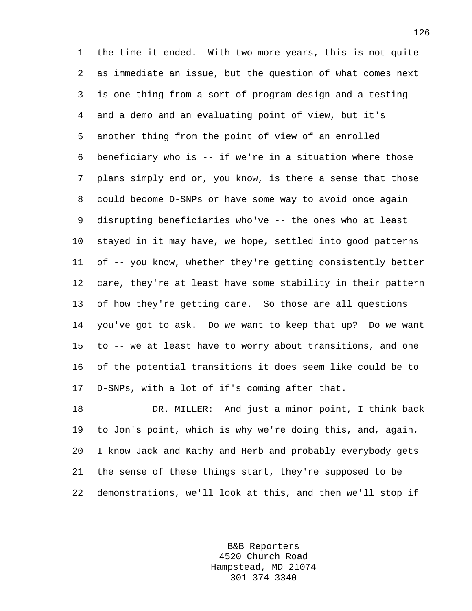1 the time it ended. With two more years, this is not quite 2 as immediate an issue, but the question of what comes next 3 is one thing from a sort of program design and a testing 4 and a demo and an evaluating point of view, but it's 5 another thing from the point of view of an enrolled 6 beneficiary who is -- if we're in a situation where those 7 plans simply end or, you know, is there a sense that those 8 could become D-SNPs or have some way to avoid once again 9 disrupting beneficiaries who've -- the ones who at least 10 stayed in it may have, we hope, settled into good patterns 11 of -- you know, whether they're getting consistently better 12 care, they're at least have some stability in their pattern 13 of how they're getting care. So those are all questions 14 you've got to ask. Do we want to keep that up? Do we want 15 to -- we at least have to worry about transitions, and one 16 of the potential transitions it does seem like could be to 17 D-SNPs, with a lot of if's coming after that.

18 DR. MILLER: And just a minor point, I think back 19 to Jon's point, which is why we're doing this, and, again, 20 I know Jack and Kathy and Herb and probably everybody gets 21 the sense of these things start, they're supposed to be 22 demonstrations, we'll look at this, and then we'll stop if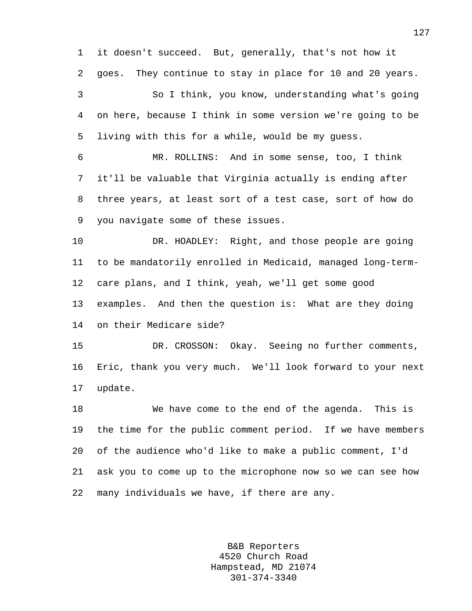1 it doesn't succeed. But, generally, that's not how it 2 goes. They continue to stay in place for 10 and 20 years. 3 So I think, you know, understanding what's going 4 on here, because I think in some version we're going to be 5 living with this for a while, would be my guess. 6 MR. ROLLINS: And in some sense, too, I think 7 it'll be valuable that Virginia actually is ending after 8 three years, at least sort of a test case, sort of how do 9 you navigate some of these issues. 10 DR. HOADLEY: Right, and those people are going 11 to be mandatorily enrolled in Medicaid, managed long-term-12 care plans, and I think, yeah, we'll get some good 13 examples. And then the question is: What are they doing

14 on their Medicare side?

15 DR. CROSSON: Okay. Seeing no further comments, 16 Eric, thank you very much. We'll look forward to your next 17 update.

18 We have come to the end of the agenda. This is 19 the time for the public comment period. If we have members 20 of the audience who'd like to make a public comment, I'd 21 ask you to come up to the microphone now so we can see how 22 many individuals we have, if there are any.